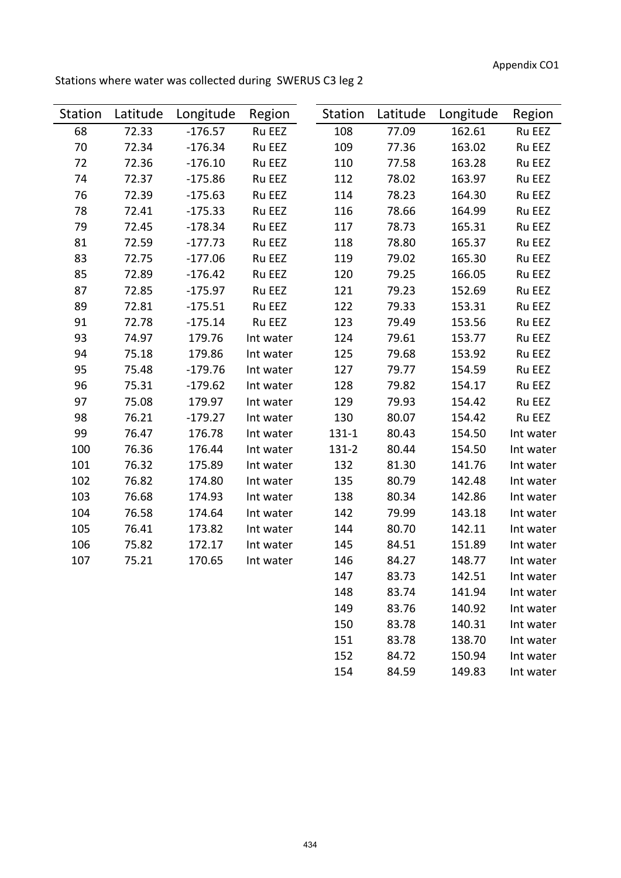Appendix CO1

Stations where water was collected during SWERUS C3 leg 2

| <b>Station</b> | Latitude | Longitude | Region    | Station   | Latitude | Longitude | Region    |
|----------------|----------|-----------|-----------|-----------|----------|-----------|-----------|
| 68             | 72.33    | $-176.57$ | Ru EEZ    | 108       | 77.09    | 162.61    | Ru EEZ    |
| 70             | 72.34    | $-176.34$ | Ru EEZ    | 109       | 77.36    | 163.02    | Ru EEZ    |
| 72             | 72.36    | $-176.10$ | Ru EEZ    | 110       | 77.58    | 163.28    | Ru EEZ    |
| 74             | 72.37    | $-175.86$ | Ru EEZ    | 112       | 78.02    | 163.97    | Ru EEZ    |
| 76             | 72.39    | $-175.63$ | Ru EEZ    | 114       | 78.23    | 164.30    | Ru EEZ    |
| 78             | 72.41    | $-175.33$ | Ru EEZ    | 116       | 78.66    | 164.99    | Ru EEZ    |
| 79             | 72.45    | $-178.34$ | Ru EEZ    | 117       | 78.73    | 165.31    | Ru EEZ    |
| 81             | 72.59    | $-177.73$ | Ru EEZ    | 118       | 78.80    | 165.37    | Ru EEZ    |
| 83             | 72.75    | $-177.06$ | Ru EEZ    | 119       | 79.02    | 165.30    | Ru EEZ    |
| 85             | 72.89    | $-176.42$ | Ru EEZ    | 120       | 79.25    | 166.05    | Ru EEZ    |
| 87             | 72.85    | $-175.97$ | Ru EEZ    | 121       | 79.23    | 152.69    | Ru EEZ    |
| 89             | 72.81    | $-175.51$ | Ru EEZ    | 122       | 79.33    | 153.31    | Ru EEZ    |
| 91             | 72.78    | $-175.14$ | Ru EEZ    | 123       | 79.49    | 153.56    | Ru EEZ    |
| 93             | 74.97    | 179.76    | Int water | 124       | 79.61    | 153.77    | Ru EEZ    |
| 94             | 75.18    | 179.86    | Int water | 125       | 79.68    | 153.92    | Ru EEZ    |
| 95             | 75.48    | $-179.76$ | Int water | 127       | 79.77    | 154.59    | Ru EEZ    |
| 96             | 75.31    | $-179.62$ | Int water | 128       | 79.82    | 154.17    | Ru EEZ    |
| 97             | 75.08    | 179.97    | Int water | 129       | 79.93    | 154.42    | Ru EEZ    |
| 98             | 76.21    | $-179.27$ | Int water | 130       | 80.07    | 154.42    | Ru EEZ    |
| 99             | 76.47    | 176.78    | Int water | $131 - 1$ | 80.43    | 154.50    | Int water |
| 100            | 76.36    | 176.44    | Int water | $131 - 2$ | 80.44    | 154.50    | Int water |
| 101            | 76.32    | 175.89    | Int water | 132       | 81.30    | 141.76    | Int water |
| 102            | 76.82    | 174.80    | Int water | 135       | 80.79    | 142.48    | Int water |
| 103            | 76.68    | 174.93    | Int water | 138       | 80.34    | 142.86    | Int water |
| 104            | 76.58    | 174.64    | Int water | 142       | 79.99    | 143.18    | Int water |
| 105            | 76.41    | 173.82    | Int water | 144       | 80.70    | 142.11    | Int water |
| 106            | 75.82    | 172.17    | Int water | 145       | 84.51    | 151.89    | Int water |
| 107            | 75.21    | 170.65    | Int water | 146       | 84.27    | 148.77    | Int water |
|                |          |           |           | 147       | 83.73    | 142.51    | Int water |
|                |          |           |           | 148       | 83.74    | 141.94    | Int water |
|                |          |           |           | 149       | 83.76    | 140.92    | Int water |
|                |          |           |           | 150       | 83.78    | 140.31    | Int water |
|                |          |           |           | 151       | 83.78    | 138.70    | Int water |
|                |          |           |           | 152       | 84.72    | 150.94    | Int water |
|                |          |           |           | 154       | 84.59    | 149.83    | Int water |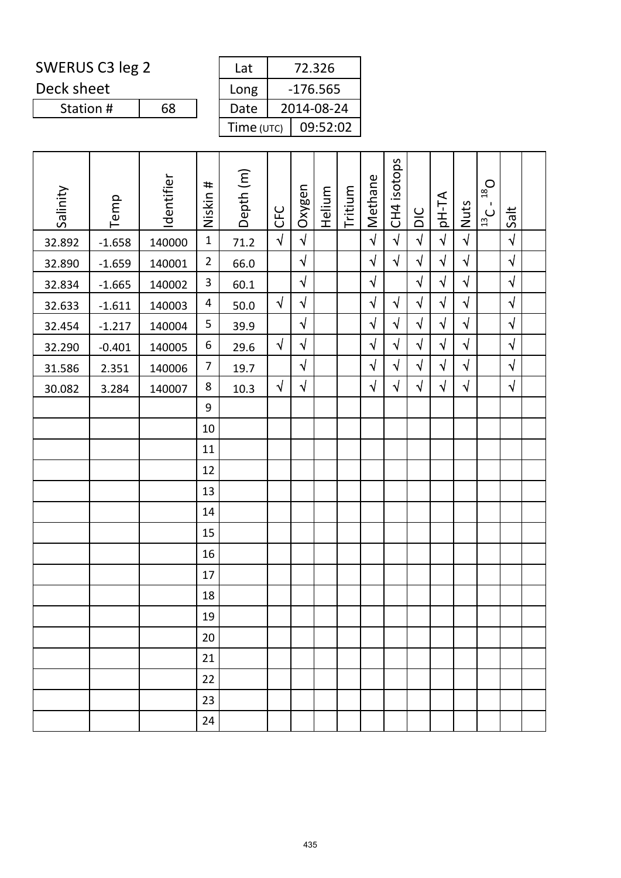Deck sheet

Station #

| Lat        | 72.326     |  |  |  |  |  |  |  |
|------------|------------|--|--|--|--|--|--|--|
|            |            |  |  |  |  |  |  |  |
|            | $-176.565$ |  |  |  |  |  |  |  |
| Long       |            |  |  |  |  |  |  |  |
| Date       | 2014-08-24 |  |  |  |  |  |  |  |
|            |            |  |  |  |  |  |  |  |
|            | 09:52:02   |  |  |  |  |  |  |  |
| Time (UTC) |            |  |  |  |  |  |  |  |
|            |            |  |  |  |  |  |  |  |

| Salinity | Temp     | Identifier | Niskin #       | Depth <sub>(m)</sub> | <b>CFC</b> | Oxygen     | Helium | Tritium | Methane    | CH4 isotops | DIC        | pH-TA      | Nuts       | $D_{\text{gt}}$<br>$\mathbf{I}$<br>ن<br>ا | Salt       |  |
|----------|----------|------------|----------------|----------------------|------------|------------|--------|---------|------------|-------------|------------|------------|------------|-------------------------------------------|------------|--|
| 32.892   | $-1.658$ | 140000     | $\mathbf{1}$   | 71.2                 | $\sqrt{2}$ | $\sqrt{ }$ |        |         | $\sqrt{2}$ | $\sqrt{2}$  | $\sqrt{2}$ | $\sqrt{2}$ | $\sqrt{2}$ |                                           | $\sqrt{ }$ |  |
| 32.890   | $-1.659$ | 140001     | $\overline{2}$ | 66.0                 |            | $\sqrt{ }$ |        |         | $\sqrt{}$  | $\sqrt{}$   | $\sqrt{ }$ | $\sqrt{2}$ | $\sqrt{2}$ |                                           | $\sqrt{2}$ |  |
| 32.834   | $-1.665$ | 140002     | 3              | 60.1                 |            | $\sqrt{ }$ |        |         | $\sqrt{}$  |             | $\sqrt{ }$ | $\sqrt{ }$ | $\sqrt{}$  |                                           | $\sqrt{2}$ |  |
| 32.633   | $-1.611$ | 140003     | 4              | 50.0                 | $\sqrt{2}$ | $\sqrt{ }$ |        |         | $\sqrt{2}$ | $\sqrt{}$   | $\sqrt{}$  | $\sqrt{2}$ | $\sqrt{}$  |                                           | $\sqrt{2}$ |  |
| 32.454   | $-1.217$ | 140004     | 5              | 39.9                 |            | $\sqrt{}$  |        |         | $\sqrt{2}$ | $\sqrt{}$   | $\sqrt{ }$ | $\sqrt{2}$ | $\sqrt{}$  |                                           | $\sqrt{2}$ |  |
| 32.290   | $-0.401$ | 140005     | 6              | 29.6                 | $\sqrt{ }$ | $\sqrt{ }$ |        |         | $\sqrt{ }$ | $\sqrt{}$   | $\sqrt{ }$ | $\sqrt{ }$ | $\sqrt{ }$ |                                           | $\sqrt{2}$ |  |
| 31.586   | 2.351    | 140006     | 7              | 19.7                 |            | $\sqrt{2}$ |        |         | $\sqrt{}$  | $\sqrt{}$   | $\sqrt{ }$ | $\sqrt{2}$ | $\sqrt{2}$ |                                           | $\sqrt{2}$ |  |
| 30.082   | 3.284    | 140007     | 8              | 10.3                 | $\sqrt{ }$ | $\sqrt{}$  |        |         | $\sqrt{}$  | $\sqrt{}$   | $\sqrt{}$  | $\sqrt{}$  | $\sqrt{}$  |                                           | $\sqrt{ }$ |  |
|          |          |            | 9              |                      |            |            |        |         |            |             |            |            |            |                                           |            |  |
|          |          |            | 10             |                      |            |            |        |         |            |             |            |            |            |                                           |            |  |
|          |          |            | 11             |                      |            |            |        |         |            |             |            |            |            |                                           |            |  |
|          |          |            | 12             |                      |            |            |        |         |            |             |            |            |            |                                           |            |  |
|          |          |            | 13             |                      |            |            |        |         |            |             |            |            |            |                                           |            |  |
|          |          |            | 14             |                      |            |            |        |         |            |             |            |            |            |                                           |            |  |
|          |          |            | 15             |                      |            |            |        |         |            |             |            |            |            |                                           |            |  |
|          |          |            | 16             |                      |            |            |        |         |            |             |            |            |            |                                           |            |  |
|          |          |            | 17             |                      |            |            |        |         |            |             |            |            |            |                                           |            |  |
|          |          |            | 18             |                      |            |            |        |         |            |             |            |            |            |                                           |            |  |
|          |          |            | 19             |                      |            |            |        |         |            |             |            |            |            |                                           |            |  |
|          |          |            | 20             |                      |            |            |        |         |            |             |            |            |            |                                           |            |  |
|          |          |            | 21             |                      |            |            |        |         |            |             |            |            |            |                                           |            |  |
|          |          |            | 22             |                      |            |            |        |         |            |             |            |            |            |                                           |            |  |
|          |          |            | 23             |                      |            |            |        |         |            |             |            |            |            |                                           |            |  |
|          |          |            | 24             |                      |            |            |        |         |            |             |            |            |            |                                           |            |  |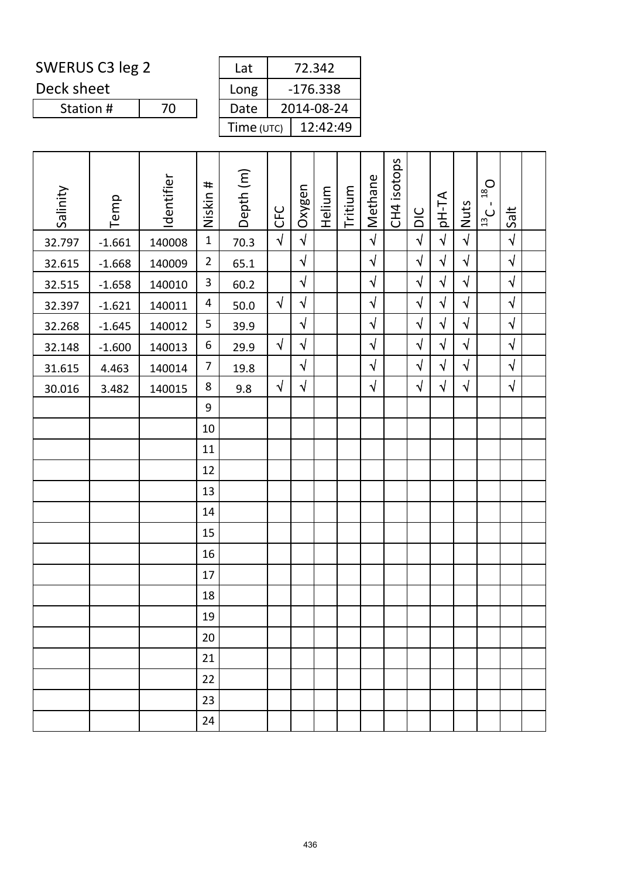Deck sheet

Station #

| Lat        | 72.342     |
|------------|------------|
| Long       | $-176.338$ |
| Date       | 2014-08-24 |
| Time (UTC) | 12:42:49   |

| Salinity | Temp     | Identifier | Niskin #       | Depth <sub>(m)</sub> | <b>CFC</b> | Oxygen     | Helium | Tritium | Methane    | CH4 isotops | DIC        | pH-TA      | Nuts       | $D_{\text{gt}}$<br>$\mathbf{I}$<br>$\frac{13}{13}$ | Salt       |  |
|----------|----------|------------|----------------|----------------------|------------|------------|--------|---------|------------|-------------|------------|------------|------------|----------------------------------------------------|------------|--|
| 32.797   | $-1.661$ | 140008     | $\mathbf{1}$   | 70.3                 | $\sqrt{2}$ | $\sqrt{2}$ |        |         | $\sqrt{ }$ |             | $\sqrt{2}$ | $\sqrt{2}$ | $\sqrt{2}$ |                                                    | $\sqrt{ }$ |  |
| 32.615   | $-1.668$ | 140009     | $\overline{2}$ | 65.1                 |            | $\sqrt{2}$ |        |         | $\sqrt{2}$ |             | $\sqrt{ }$ | $\sqrt{ }$ | $\sqrt{2}$ |                                                    | $\sqrt{ }$ |  |
| 32.515   | $-1.658$ | 140010     | 3              | 60.2                 |            | $\sqrt{2}$ |        |         | $\sqrt{2}$ |             | $\sqrt{2}$ | $\sqrt{ }$ | $\sqrt{2}$ |                                                    | $\sqrt{ }$ |  |
| 32.397   | $-1.621$ | 140011     | 4              | 50.0                 | $\sqrt{ }$ | $\sqrt{}$  |        |         | $\sqrt{ }$ |             | $\sqrt{}$  | $\sqrt{ }$ | $\sqrt{}$  |                                                    | $\sqrt{ }$ |  |
| 32.268   | $-1.645$ | 140012     | 5              | 39.9                 |            | $\sqrt{2}$ |        |         | $\sqrt{2}$ |             | $\sqrt{}$  | $\sqrt{ }$ | $\sqrt{}$  |                                                    | $\sqrt{ }$ |  |
| 32.148   | $-1.600$ | 140013     | 6              | 29.9                 | $\sqrt{}$  | $\sqrt{}$  |        |         | $\sqrt{2}$ |             | $\sqrt{2}$ | $\sqrt{ }$ | $\sqrt{}$  |                                                    | $\sqrt{ }$ |  |
| 31.615   | 4.463    | 140014     | 7              | 19.8                 |            | $\sqrt{}$  |        |         | $\sqrt{ }$ |             | $\sqrt{}$  | $\sqrt{ }$ | $\sqrt{2}$ |                                                    | $\sqrt{ }$ |  |
| 30.016   | 3.482    | 140015     | 8              | 9.8                  | $\sqrt{2}$ | $\sqrt{}$  |        |         | $\sqrt{ }$ |             | $\sqrt{2}$ | $\sqrt{ }$ | $\sqrt{}$  |                                                    | $\sqrt{ }$ |  |
|          |          |            | 9              |                      |            |            |        |         |            |             |            |            |            |                                                    |            |  |
|          |          |            | 10             |                      |            |            |        |         |            |             |            |            |            |                                                    |            |  |
|          |          |            | 11             |                      |            |            |        |         |            |             |            |            |            |                                                    |            |  |
|          |          |            | 12             |                      |            |            |        |         |            |             |            |            |            |                                                    |            |  |
|          |          |            | 13             |                      |            |            |        |         |            |             |            |            |            |                                                    |            |  |
|          |          |            | 14             |                      |            |            |        |         |            |             |            |            |            |                                                    |            |  |
|          |          |            | 15             |                      |            |            |        |         |            |             |            |            |            |                                                    |            |  |
|          |          |            | 16             |                      |            |            |        |         |            |             |            |            |            |                                                    |            |  |
|          |          |            | 17             |                      |            |            |        |         |            |             |            |            |            |                                                    |            |  |
|          |          |            | 18             |                      |            |            |        |         |            |             |            |            |            |                                                    |            |  |
|          |          |            | 19             |                      |            |            |        |         |            |             |            |            |            |                                                    |            |  |
|          |          |            | 20             |                      |            |            |        |         |            |             |            |            |            |                                                    |            |  |
|          |          |            | 21             |                      |            |            |        |         |            |             |            |            |            |                                                    |            |  |
|          |          |            | 22             |                      |            |            |        |         |            |             |            |            |            |                                                    |            |  |
|          |          |            | 23             |                      |            |            |        |         |            |             |            |            |            |                                                    |            |  |
|          |          |            | 24             |                      |            |            |        |         |            |             |            |            |            |                                                    |            |  |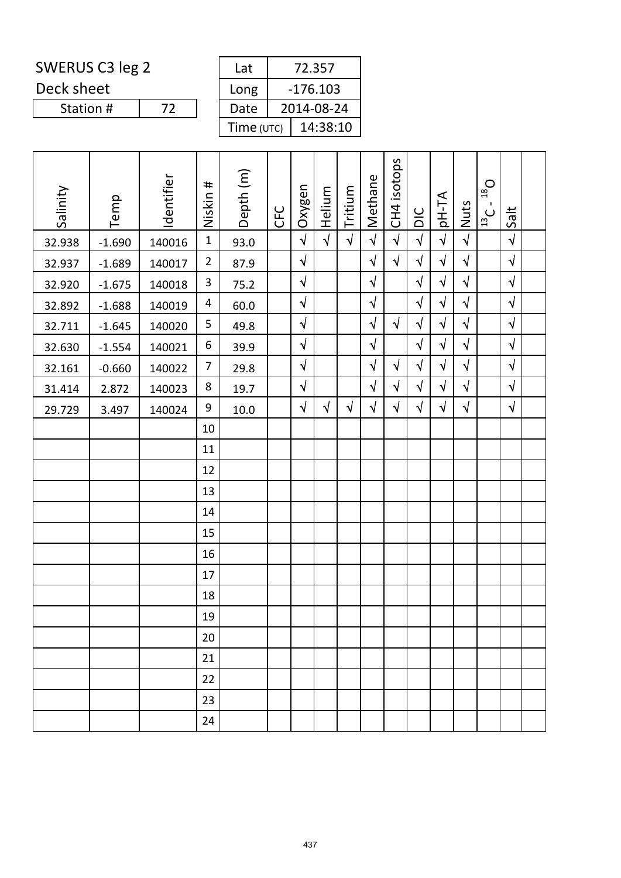Deck sheet

Station #

 $\overline{72}$ 

| Lat        | 72.357     |
|------------|------------|
| Long       | $-176.103$ |
| Date       | 2014-08-24 |
| Time (UTC) | 14:38:10   |

| Salinity | Temp     | Identifier | Niskin #       | Depth (m) | <b>CFC</b> | Oxygen     | Helium     | Tritium    | Methane    | CH4 isotops | $rac{C}{D}$ | <b>AT-Hq</b> | <b>Nuts</b> | $D_{\text{gt}}$<br>$\mathbf{I}$<br>$\frac{13}{13}$ | Salt       |  |
|----------|----------|------------|----------------|-----------|------------|------------|------------|------------|------------|-------------|-------------|--------------|-------------|----------------------------------------------------|------------|--|
| 32.938   | $-1.690$ | 140016     | $\mathbf{1}$   | 93.0      |            | $\sqrt{ }$ | $\sqrt{2}$ | $\sqrt{ }$ | $\sqrt{2}$ | $\sqrt{ }$  | $\sqrt{2}$  | $\sqrt{ }$   | $\sqrt{2}$  |                                                    | $\sqrt{ }$ |  |
| 32.937   | $-1.689$ | 140017     | $\overline{2}$ | 87.9      |            | $\sqrt{ }$ |            |            | $\sqrt{}$  | $\sqrt{ }$  | $\sqrt{2}$  | $\sqrt{ }$   | $\sqrt{2}$  |                                                    | $\sqrt{ }$ |  |
| 32.920   | $-1.675$ | 140018     | 3              | 75.2      |            | $\sqrt{}$  |            |            | $\sqrt{}$  |             | $\sqrt{2}$  | $\sqrt{}$    | $\sqrt{}$   |                                                    | $\sqrt{ }$ |  |
| 32.892   | $-1.688$ | 140019     | 4              | 60.0      |            | $\sqrt{2}$ |            |            | $\sqrt{}$  |             | $\sqrt{2}$  | $\sqrt{ }$   | $\sqrt{2}$  |                                                    | $\sqrt{2}$ |  |
| 32.711   | $-1.645$ | 140020     | 5              | 49.8      |            | $\sqrt{ }$ |            |            | $\sqrt{}$  | $\sqrt{ }$  | $\sqrt{2}$  | $\sqrt{ }$   | $\sqrt{2}$  |                                                    | $\sqrt{2}$ |  |
| 32.630   | $-1.554$ | 140021     | 6              | 39.9      |            | $\sqrt{2}$ |            |            | $\sqrt{ }$ |             | $\sqrt{2}$  | $\sqrt{}$    | $\sqrt{2}$  |                                                    | $\sqrt{2}$ |  |
| 32.161   | $-0.660$ | 140022     | 7              | 29.8      |            | $\sqrt{ }$ |            |            | $\sqrt{}$  | $\sqrt{ }$  | $\sqrt{ }$  | $\sqrt{ }$   | $\sqrt{2}$  |                                                    | $\sqrt{2}$ |  |
| 31.414   | 2.872    | 140023     | 8              | 19.7      |            | $\sqrt{}$  |            |            | $\sqrt{}$  | $\sqrt{}$   | $\sqrt{}$   | $\sqrt{}$    | $\sqrt{}$   |                                                    | $\sqrt{2}$ |  |
| 29.729   | 3.497    | 140024     | 9              | $10.0\,$  |            | $\sqrt{}$  | $\sqrt{ }$ | $\sqrt{}$  | $\sqrt{}$  | $\sqrt{}$   | $\sqrt{}$   | $\sqrt{}$    | $\sqrt{2}$  |                                                    | $\sqrt{2}$ |  |
|          |          |            | 10             |           |            |            |            |            |            |             |             |              |             |                                                    |            |  |
|          |          |            | 11             |           |            |            |            |            |            |             |             |              |             |                                                    |            |  |
|          |          |            | 12             |           |            |            |            |            |            |             |             |              |             |                                                    |            |  |
|          |          |            | 13             |           |            |            |            |            |            |             |             |              |             |                                                    |            |  |
|          |          |            | 14             |           |            |            |            |            |            |             |             |              |             |                                                    |            |  |
|          |          |            | 15             |           |            |            |            |            |            |             |             |              |             |                                                    |            |  |
|          |          |            | 16             |           |            |            |            |            |            |             |             |              |             |                                                    |            |  |
|          |          |            | 17             |           |            |            |            |            |            |             |             |              |             |                                                    |            |  |
|          |          |            | 18             |           |            |            |            |            |            |             |             |              |             |                                                    |            |  |
|          |          |            | 19             |           |            |            |            |            |            |             |             |              |             |                                                    |            |  |
|          |          |            | 20             |           |            |            |            |            |            |             |             |              |             |                                                    |            |  |
|          |          |            | 21             |           |            |            |            |            |            |             |             |              |             |                                                    |            |  |
|          |          |            | 22             |           |            |            |            |            |            |             |             |              |             |                                                    |            |  |
|          |          |            | 23             |           |            |            |            |            |            |             |             |              |             |                                                    |            |  |
|          |          |            | 24             |           |            |            |            |            |            |             |             |              |             |                                                    |            |  |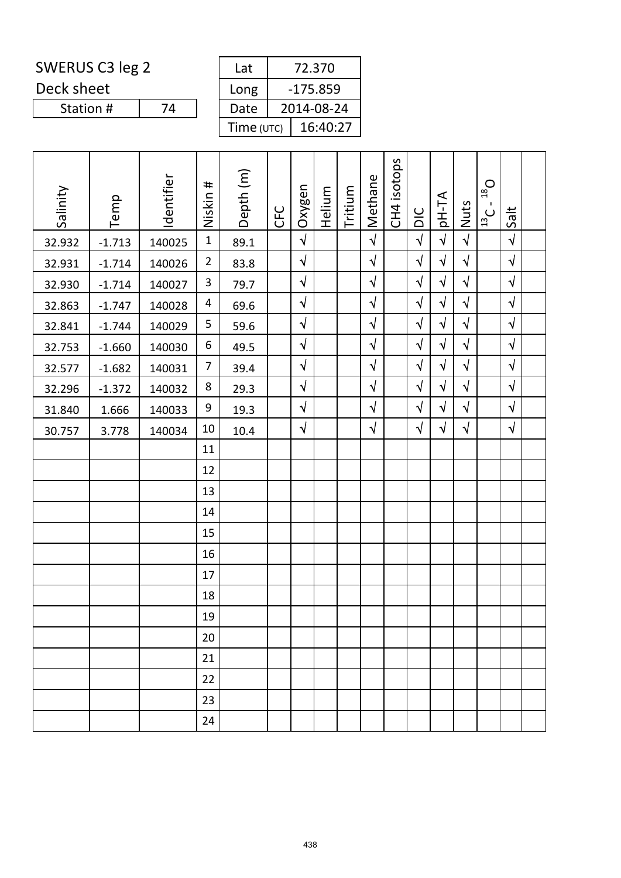Deck sheet

Station #

|            | 72.370     |
|------------|------------|
|            | $-175.859$ |
|            | 2014-08-24 |
| Time (UTC) | 16:40:27   |
|            |            |

| Salinity | Temp     | Identifier | #<br>Niskin    | Depth (m) | <b>CFC</b> | Oxygen     | Helium | Tritium | Methane    | CH4 isotops | DIC        | <b>AT-Hq</b> | Nuts       | $D_{\text{gt}}$<br>$\mathbf{I}$<br>$\frac{13}{13}$ C | Salt       |  |
|----------|----------|------------|----------------|-----------|------------|------------|--------|---------|------------|-------------|------------|--------------|------------|------------------------------------------------------|------------|--|
| 32.932   | $-1.713$ | 140025     | $\mathbf{1}$   | 89.1      |            | $\sqrt{2}$ |        |         | $\sqrt{2}$ |             | $\sqrt{2}$ | $\sqrt{2}$   | $\sqrt{2}$ |                                                      | $\sqrt{ }$ |  |
| 32.931   | $-1.714$ | 140026     | $\overline{2}$ | 83.8      |            | $\sqrt{}$  |        |         | $\sqrt{ }$ |             | $\sqrt{}$  | $\sqrt{ }$   | $\sqrt{2}$ |                                                      | $\sqrt{ }$ |  |
| 32.930   | $-1.714$ | 140027     | $\mathbf{3}$   | 79.7      |            | $\sqrt{2}$ |        |         | $\sqrt{2}$ |             | $\sqrt{2}$ | $\sqrt{ }$   | $\sqrt{2}$ |                                                      | $\sqrt{ }$ |  |
| 32.863   | $-1.747$ | 140028     | 4              | 69.6      |            | $\sqrt{}$  |        |         | $\sqrt{2}$ |             | $\sqrt{}$  | $\sqrt{ }$   | $\sqrt{}$  |                                                      | $\sqrt{ }$ |  |
| 32.841   | $-1.744$ | 140029     | 5              | 59.6      |            | $\sqrt{ }$ |        |         | $\sqrt{}$  |             | $\sqrt{2}$ | $\sqrt{ }$   | $\sqrt{2}$ |                                                      | $\sqrt{ }$ |  |
| 32.753   | $-1.660$ | 140030     | 6              | 49.5      |            | $\sqrt{}$  |        |         | $\sqrt{2}$ |             | $\sqrt{}$  | $\sqrt{ }$   | $\sqrt{2}$ |                                                      | $\sqrt{ }$ |  |
| 32.577   | $-1.682$ | 140031     | $\overline{7}$ | 39.4      |            | $\sqrt{}$  |        |         | $\sqrt{}$  |             | $\sqrt{}$  | $\sqrt{ }$   | $\sqrt{2}$ |                                                      | $\sqrt{ }$ |  |
| 32.296   | $-1.372$ | 140032     | 8              | 29.3      |            | $\sqrt{}$  |        |         | $\sqrt{}$  |             | $\sqrt{2}$ | $\sqrt{ }$   | $\sqrt{}$  |                                                      | $\sqrt{ }$ |  |
| 31.840   | 1.666    | 140033     | 9              | 19.3      |            | $\sqrt{}$  |        |         | $\sqrt{}$  |             | $\sqrt{}$  | $\sqrt{ }$   | $\sqrt{}$  |                                                      | $\sqrt{ }$ |  |
| 30.757   | 3.778    | 140034     | 10             | 10.4      |            | $\sqrt{}$  |        |         | $\sqrt{}$  |             | $\sqrt{ }$ | $\sqrt{ }$   | $\sqrt{2}$ |                                                      | $\sqrt{ }$ |  |
|          |          |            | 11             |           |            |            |        |         |            |             |            |              |            |                                                      |            |  |
|          |          |            | 12             |           |            |            |        |         |            |             |            |              |            |                                                      |            |  |
|          |          |            | 13             |           |            |            |        |         |            |             |            |              |            |                                                      |            |  |
|          |          |            | 14             |           |            |            |        |         |            |             |            |              |            |                                                      |            |  |
|          |          |            | 15             |           |            |            |        |         |            |             |            |              |            |                                                      |            |  |
|          |          |            | 16             |           |            |            |        |         |            |             |            |              |            |                                                      |            |  |
|          |          |            | 17             |           |            |            |        |         |            |             |            |              |            |                                                      |            |  |
|          |          |            | 18             |           |            |            |        |         |            |             |            |              |            |                                                      |            |  |
|          |          |            | 19             |           |            |            |        |         |            |             |            |              |            |                                                      |            |  |
|          |          |            | 20             |           |            |            |        |         |            |             |            |              |            |                                                      |            |  |
|          |          |            | 21             |           |            |            |        |         |            |             |            |              |            |                                                      |            |  |
|          |          |            | 22             |           |            |            |        |         |            |             |            |              |            |                                                      |            |  |
|          |          |            | 23             |           |            |            |        |         |            |             |            |              |            |                                                      |            |  |
|          |          |            | 24             |           |            |            |        |         |            |             |            |              |            |                                                      |            |  |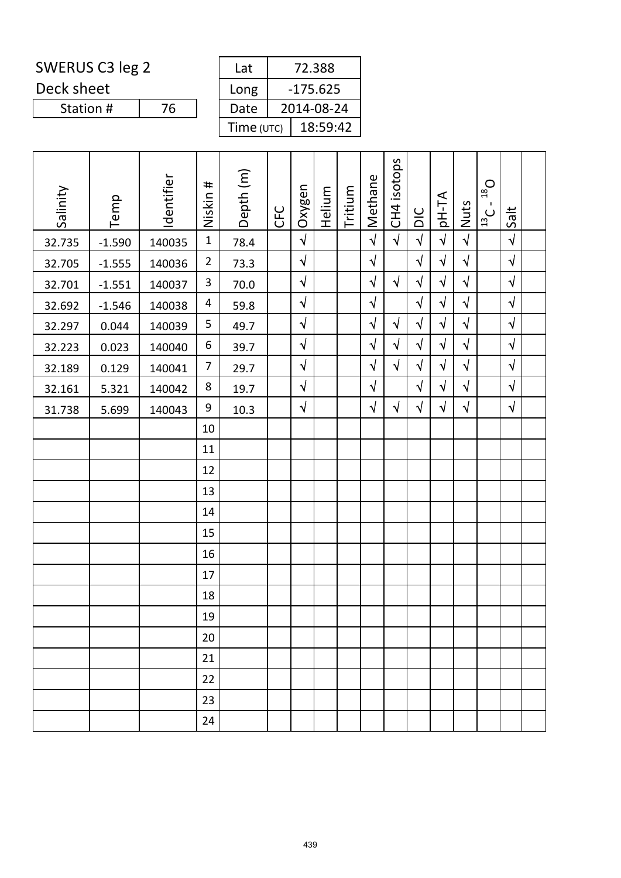Deck sheet

Station #

| Lat        | 72.388     |
|------------|------------|
| Long       | $-175.625$ |
| Date       | 2014-08-24 |
| Time (UTC) | 18:59:42   |

| Salinity<br>32.735<br>32.705<br>32.701 | Temp<br>$-1.590$<br>$-1.555$<br>$-1.551$ | Identifier<br>140035<br>140036<br>140037 | Niskin #<br>$\mathbf{1}$<br>$\overline{2}$<br>$\mathbf{3}$ | Depth (m)<br>78.4<br>73.3<br>70.0 | <b>CFC</b> | Oxygen<br>$\sqrt{2}$<br>$\sqrt{2}$<br>$\sqrt{}$ | Helium | Tritium | Methane<br>$\sqrt{2}$<br>$\sqrt{2}$<br>$\sqrt{ }$ | CH4 isotops<br>$\sqrt{2}$<br>$\sqrt{}$ | DIC<br>$\sqrt{2}$<br>$\sqrt{ }$<br>$\sqrt{ }$ | pH-TA<br>$\sqrt{2}$<br>$\sqrt{ }$<br>$\sqrt{}$ | Nuts<br>$\sqrt{2}$<br>$\sqrt{2}$<br>$\sqrt{}$ | $D_{\text{gt}}$<br>$\mathbf{I}$<br>$\frac{1}{13}$ C | Salt<br>$\sqrt{}$<br>$\sqrt{ }$<br>$\sqrt{ }$ |
|----------------------------------------|------------------------------------------|------------------------------------------|------------------------------------------------------------|-----------------------------------|------------|-------------------------------------------------|--------|---------|---------------------------------------------------|----------------------------------------|-----------------------------------------------|------------------------------------------------|-----------------------------------------------|-----------------------------------------------------|-----------------------------------------------|
| 32.692                                 | $-1.546$                                 | 140038                                   | 4                                                          | 59.8                              |            | $\sqrt{ }$                                      |        |         | $\sqrt{ }$                                        |                                        | $\sqrt{}$                                     | $\sqrt{ }$                                     | $\sqrt{}$                                     |                                                     | $\sqrt{ }$                                    |
| 32.297                                 | 0.044                                    | 140039                                   | 5                                                          | 49.7                              |            | $\sqrt{}$                                       |        |         | $\sqrt{2}$                                        | $\sqrt{ }$                             | $\sqrt{ }$                                    | $\sqrt{ }$                                     | $\sqrt{}$                                     |                                                     | $\sqrt{2}$                                    |
| 32.223                                 | 0.023                                    | 140040                                   | 6                                                          | 39.7                              |            | $\sqrt{}$                                       |        |         | $\sqrt{ }$                                        | $\sqrt{}$                              | $\sqrt{ }$                                    | $\sqrt{ }$                                     | $\sqrt{}$                                     |                                                     | $\sqrt{ }$                                    |
| 32.189                                 | 0.129                                    | 140041                                   | 7                                                          | 29.7                              |            | $\sqrt{2}$                                      |        |         | $\sqrt{ }$                                        | $\sqrt{ }$                             | $\sqrt{2}$                                    | $\sqrt{ }$                                     | $\sqrt{2}$                                    |                                                     | $\sqrt{ }$                                    |
| 32.161                                 | 5.321                                    | 140042                                   | 8                                                          | 19.7                              |            | $\sqrt{}$                                       |        |         | $\sqrt{}$                                         |                                        | $\sqrt{}$                                     | $\sqrt{ }$                                     | $\sqrt{}$                                     |                                                     | $\sqrt{ }$                                    |
| 31.738                                 | 5.699                                    | 140043                                   | 9                                                          | 10.3                              |            | $\sqrt{2}$                                      |        |         | $\sqrt{ }$                                        | $\sqrt{ }$                             | $\sqrt{ }$                                    | $\sqrt{ }$                                     | $\sqrt{ }$                                    |                                                     | $\sqrt{ }$                                    |
|                                        |                                          |                                          | 10                                                         |                                   |            |                                                 |        |         |                                                   |                                        |                                               |                                                |                                               |                                                     |                                               |
|                                        |                                          |                                          | 11                                                         |                                   |            |                                                 |        |         |                                                   |                                        |                                               |                                                |                                               |                                                     |                                               |
|                                        |                                          |                                          | 12                                                         |                                   |            |                                                 |        |         |                                                   |                                        |                                               |                                                |                                               |                                                     |                                               |
|                                        |                                          |                                          | 13                                                         |                                   |            |                                                 |        |         |                                                   |                                        |                                               |                                                |                                               |                                                     |                                               |
|                                        |                                          |                                          | 14                                                         |                                   |            |                                                 |        |         |                                                   |                                        |                                               |                                                |                                               |                                                     |                                               |
|                                        |                                          |                                          | 15                                                         |                                   |            |                                                 |        |         |                                                   |                                        |                                               |                                                |                                               |                                                     |                                               |
|                                        |                                          |                                          | 16                                                         |                                   |            |                                                 |        |         |                                                   |                                        |                                               |                                                |                                               |                                                     |                                               |
|                                        |                                          |                                          | 17                                                         |                                   |            |                                                 |        |         |                                                   |                                        |                                               |                                                |                                               |                                                     |                                               |
|                                        |                                          |                                          | 18                                                         |                                   |            |                                                 |        |         |                                                   |                                        |                                               |                                                |                                               |                                                     |                                               |
|                                        |                                          |                                          | 19                                                         |                                   |            |                                                 |        |         |                                                   |                                        |                                               |                                                |                                               |                                                     |                                               |
|                                        |                                          |                                          | 20                                                         |                                   |            |                                                 |        |         |                                                   |                                        |                                               |                                                |                                               |                                                     |                                               |
|                                        |                                          |                                          | 21                                                         |                                   |            |                                                 |        |         |                                                   |                                        |                                               |                                                |                                               |                                                     |                                               |
|                                        |                                          |                                          | 22                                                         |                                   |            |                                                 |        |         |                                                   |                                        |                                               |                                                |                                               |                                                     |                                               |
|                                        |                                          |                                          | 23                                                         |                                   |            |                                                 |        |         |                                                   |                                        |                                               |                                                |                                               |                                                     |                                               |
|                                        |                                          |                                          | 24                                                         |                                   |            |                                                 |        |         |                                                   |                                        |                                               |                                                |                                               |                                                     |                                               |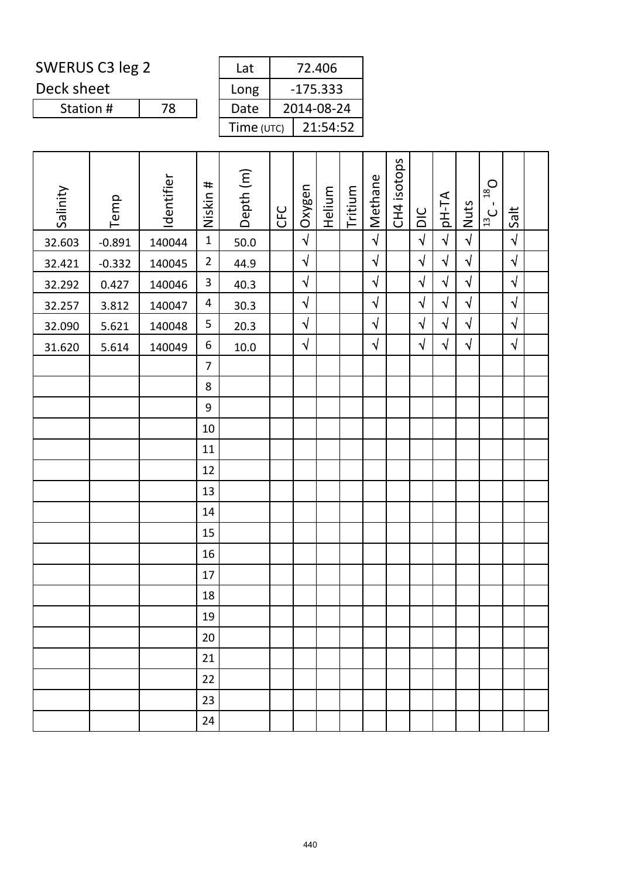Deck sheet

Station #

| 2014-08-24 |
|------------|
| 21:54:52   |
|            |

| Salinity | Temp     | Identifier | Niskin #                | Depth (m) | CFC | Oxygen     | Helium | Tritium | Methane               | CH4 isotops | $rac{C}{D}$ | pH-TA      | Nuts       | $D_{\text{gt}}$<br>$\frac{13}{13}$ | Salt                 |  |
|----------|----------|------------|-------------------------|-----------|-----|------------|--------|---------|-----------------------|-------------|-------------|------------|------------|------------------------------------|----------------------|--|
| 32.603   | $-0.891$ | 140044     | $\mathbf{1}$            | 50.0      |     | $\sqrt{2}$ |        |         | $\overline{\sqrt{2}}$ |             | $\sqrt{ }$  | $\sqrt{ }$ | $\sqrt{2}$ |                                    | $\sqrt{\phantom{a}}$ |  |
| 32.421   | $-0.332$ | 140045     | $\overline{2}$          | 44.9      |     | $\sqrt{ }$ |        |         | $\sqrt{ }$            |             | $\sqrt{}$   | $\sqrt{2}$ | $\sqrt{2}$ |                                    | $\sqrt{2}$           |  |
| 32.292   | 0.427    | 140046     | $\mathbf{3}$            | 40.3      |     | $\sqrt{2}$ |        |         | $\sqrt{ }$            |             | $\sqrt{}$   | $\sqrt{ }$ | $\sqrt{2}$ |                                    | $\sqrt{2}$           |  |
| 32.257   | 3.812    | 140047     | $\overline{\mathbf{4}}$ | 30.3      |     | $\sqrt{2}$ |        |         | $\sqrt{ }$            |             | $\sqrt{}$   | $\sqrt{ }$ | $\sqrt{}$  |                                    | $\sqrt{2}$           |  |
| 32.090   | 5.621    | 140048     | 5                       | 20.3      |     | $\sqrt{ }$ |        |         | $\sqrt{ }$            |             | $\sqrt{}$   | $\sqrt{ }$ | $\sqrt{2}$ |                                    | $\sqrt{2}$           |  |
| 31.620   | 5.614    | 140049     | $\boldsymbol{6}$        | $10.0\,$  |     | $\sqrt{2}$ |        |         | $\sqrt{ }$            |             | $\sqrt{}$   | $\sqrt{2}$ | $\sqrt{2}$ |                                    | $\sqrt{2}$           |  |
|          |          |            | $\overline{7}$          |           |     |            |        |         |                       |             |             |            |            |                                    |                      |  |
|          |          |            | 8                       |           |     |            |        |         |                       |             |             |            |            |                                    |                      |  |
|          |          |            | $\boldsymbol{9}$        |           |     |            |        |         |                       |             |             |            |            |                                    |                      |  |
|          |          |            | $10\,$                  |           |     |            |        |         |                       |             |             |            |            |                                    |                      |  |
|          |          |            | 11                      |           |     |            |        |         |                       |             |             |            |            |                                    |                      |  |
|          |          |            | 12                      |           |     |            |        |         |                       |             |             |            |            |                                    |                      |  |
|          |          |            | 13                      |           |     |            |        |         |                       |             |             |            |            |                                    |                      |  |
|          |          |            | 14                      |           |     |            |        |         |                       |             |             |            |            |                                    |                      |  |
|          |          |            | 15                      |           |     |            |        |         |                       |             |             |            |            |                                    |                      |  |
|          |          |            | 16                      |           |     |            |        |         |                       |             |             |            |            |                                    |                      |  |
|          |          |            | 17                      |           |     |            |        |         |                       |             |             |            |            |                                    |                      |  |
|          |          |            | 18                      |           |     |            |        |         |                       |             |             |            |            |                                    |                      |  |
|          |          |            | 19                      |           |     |            |        |         |                       |             |             |            |            |                                    |                      |  |
|          |          |            | 20                      |           |     |            |        |         |                       |             |             |            |            |                                    |                      |  |
|          |          |            | 21                      |           |     |            |        |         |                       |             |             |            |            |                                    |                      |  |
|          |          |            | 22                      |           |     |            |        |         |                       |             |             |            |            |                                    |                      |  |
|          |          |            | 23                      |           |     |            |        |         |                       |             |             |            |            |                                    |                      |  |
|          |          |            | 24                      |           |     |            |        |         |                       |             |             |            |            |                                    |                      |  |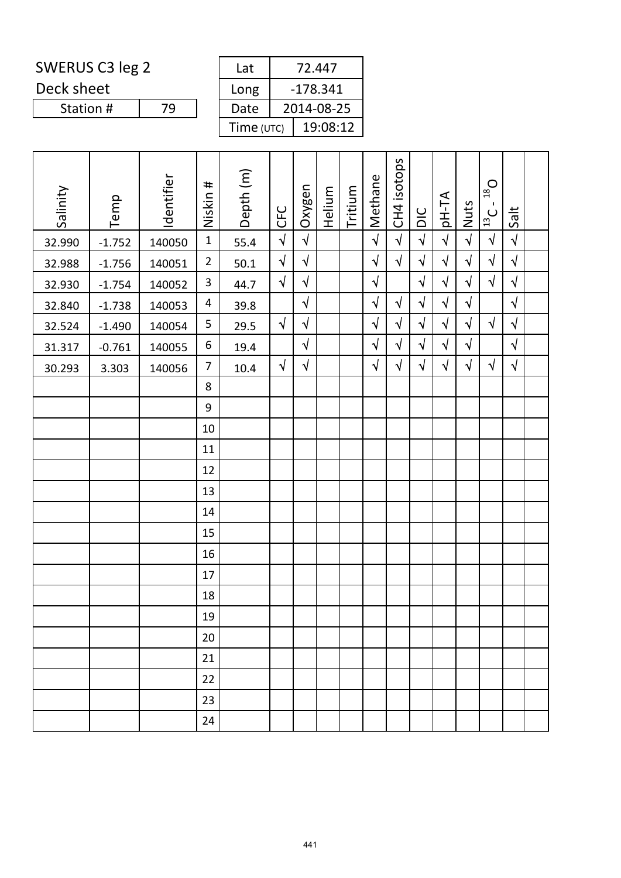Deck sheet

Station #

| -178.341   |
|------------|
| 2014-08-25 |
| 19:08:12   |
|            |

| Salinity | Temp     | Identifier | $\pmb{\mp}$<br>Niskin | Depth (m) | <b>CFC</b> | Oxygen     | Helium | Tritium | Methane    | CH4 isotops | DIC        | pH-TA      | Nuts       | $O_{\text{gt}}$<br>$\mathbf{I}$<br>$\frac{1}{13}$ C | Salt       |  |
|----------|----------|------------|-----------------------|-----------|------------|------------|--------|---------|------------|-------------|------------|------------|------------|-----------------------------------------------------|------------|--|
| 32.990   | $-1.752$ | 140050     | $\mathbf{1}$          | 55.4      | $\sqrt{2}$ | $\sqrt{2}$ |        |         | $\sqrt{2}$ | $\sqrt{2}$  | $\sqrt{2}$ | $\sqrt{2}$ | $\sqrt{2}$ | $\sqrt{ }$                                          | $\sqrt{2}$ |  |
| 32.988   | $-1.756$ | 140051     | $\overline{2}$        | $50.1$    | $\sqrt{ }$ | $\sqrt{2}$ |        |         | $\sqrt{ }$ | $\sqrt{}$   | $\sqrt{}$  | $\sqrt{ }$ | $\sqrt{2}$ | $\sqrt{ }$                                          | $\sqrt{2}$ |  |
| 32.930   | $-1.754$ | 140052     | $\mathbf{3}$          | 44.7      | $\sqrt{2}$ | $\sqrt{ }$ |        |         | $\sqrt{}$  |             | $\sqrt{ }$ | $\sqrt{ }$ | $\sqrt{}$  | $\sqrt{ }$                                          | $\sqrt{ }$ |  |
| 32.840   | $-1.738$ | 140053     | 4                     | 39.8      |            | $\sqrt{2}$ |        |         | $\sqrt{ }$ | $\sqrt{}$   | $\sqrt{}$  | $\sqrt{2}$ | $\sqrt{}$  |                                                     | $\sqrt{2}$ |  |
| 32.524   | $-1.490$ | 140054     | 5                     | 29.5      | $\sqrt{ }$ | $\sqrt{ }$ |        |         | $\sqrt{ }$ | $\sqrt{}$   | $\sqrt{ }$ | $\sqrt{ }$ | $\sqrt{}$  | $\sqrt{ }$                                          | $\sqrt{ }$ |  |
| 31.317   | $-0.761$ | 140055     | $\boldsymbol{6}$      | 19.4      |            | $\sqrt{ }$ |        |         | $\sqrt{}$  | $\sqrt{}$   | $\sqrt{ }$ | $\sqrt{ }$ | $\sqrt{}$  |                                                     | $\sqrt{}$  |  |
| 30.293   | 3.303    | 140056     | $\overline{7}$        | 10.4      | $\sqrt{ }$ | $\sqrt{ }$ |        |         | $\sqrt{}$  | $\sqrt{ }$  | $\sqrt{ }$ | $\sqrt{ }$ | $\sqrt{}$  | $\sqrt{ }$                                          | $\sqrt{ }$ |  |
|          |          |            | 8                     |           |            |            |        |         |            |             |            |            |            |                                                     |            |  |
|          |          |            | $9\,$                 |           |            |            |        |         |            |             |            |            |            |                                                     |            |  |
|          |          |            | 10                    |           |            |            |        |         |            |             |            |            |            |                                                     |            |  |
|          |          |            | 11                    |           |            |            |        |         |            |             |            |            |            |                                                     |            |  |
|          |          |            | 12                    |           |            |            |        |         |            |             |            |            |            |                                                     |            |  |
|          |          |            | 13                    |           |            |            |        |         |            |             |            |            |            |                                                     |            |  |
|          |          |            | 14                    |           |            |            |        |         |            |             |            |            |            |                                                     |            |  |
|          |          |            | 15                    |           |            |            |        |         |            |             |            |            |            |                                                     |            |  |
|          |          |            | 16                    |           |            |            |        |         |            |             |            |            |            |                                                     |            |  |
|          |          |            | 17                    |           |            |            |        |         |            |             |            |            |            |                                                     |            |  |
|          |          |            | 18                    |           |            |            |        |         |            |             |            |            |            |                                                     |            |  |
|          |          |            | 19                    |           |            |            |        |         |            |             |            |            |            |                                                     |            |  |
|          |          |            | 20                    |           |            |            |        |         |            |             |            |            |            |                                                     |            |  |
|          |          |            | 21                    |           |            |            |        |         |            |             |            |            |            |                                                     |            |  |
|          |          |            | 22                    |           |            |            |        |         |            |             |            |            |            |                                                     |            |  |
|          |          |            | 23                    |           |            |            |        |         |            |             |            |            |            |                                                     |            |  |
|          |          |            | 24                    |           |            |            |        |         |            |             |            |            |            |                                                     |            |  |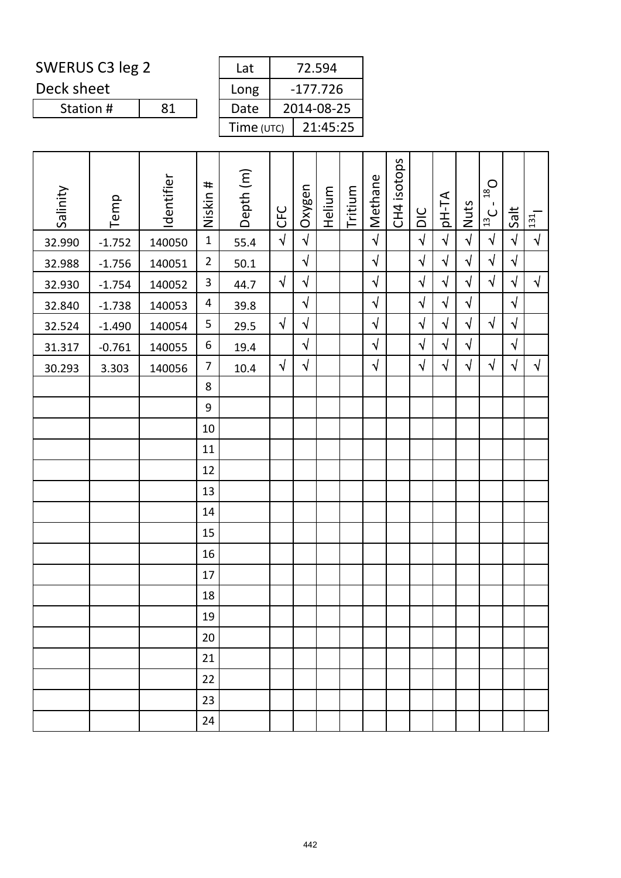| SWERUS C3 leg 2 | Lat |
|-----------------|-----|
|-----------------|-----|

Deck sheet

Station #

| Lat        | 72.594     |
|------------|------------|
| Long       | $-177.726$ |
| Date       | 2014-08-25 |
| Time (UTC) | 21:45:25   |

| Salinity | Temp     | Identifier | Niskin #         | Depth (m) | <b>CFC</b> | Oxygen     | Helium | Tritium | Methane    | CH4 isotops | DIC        | pH-TA      | Nuts       | $O_{81}$<br>$\mathbf{I}$<br>$\frac{1}{13}$ | Salt       | 131       |
|----------|----------|------------|------------------|-----------|------------|------------|--------|---------|------------|-------------|------------|------------|------------|--------------------------------------------|------------|-----------|
| 32.990   | $-1.752$ | 140050     | $\mathbf 1$      | 55.4      | $\sqrt{2}$ | $\sqrt{ }$ |        |         | $\sqrt{2}$ |             | $\sqrt{2}$ | $\sqrt{ }$ | $\sqrt{2}$ | $\sqrt{}$                                  | $\sqrt{2}$ | $\sqrt{}$ |
| 32.988   | $-1.756$ | 140051     | $\overline{2}$   | $50.1$    |            | $\sqrt{2}$ |        |         | $\sqrt{2}$ |             | $\sqrt{ }$ | $\sqrt{2}$ | $\sqrt{ }$ | $\sqrt{}$                                  | $\sqrt{2}$ |           |
| 32.930   | $-1.754$ | 140052     | $\mathbf{3}$     | 44.7      | $\sqrt{ }$ | $\sqrt{2}$ |        |         | $\sqrt{}$  |             | $\sqrt{ }$ | $\sqrt{ }$ | $\sqrt{ }$ | $\sqrt{ }$                                 | $\sqrt{2}$ | $\sqrt{}$ |
| 32.840   | $-1.738$ | 140053     | 4                | 39.8      |            | $\sqrt{}$  |        |         | $\sqrt{}$  |             | $\sqrt{ }$ | $\sqrt{ }$ | $\sqrt{}$  |                                            | $\sqrt{ }$ |           |
| 32.524   | $-1.490$ | 140054     | $\mathsf S$      | 29.5      | $\sqrt{2}$ | $\sqrt{}$  |        |         | $\sqrt{ }$ |             | $\sqrt{}$  | $\sqrt{ }$ | $\sqrt{}$  | $\sqrt{ }$                                 | $\sqrt{ }$ |           |
| 31.317   | $-0.761$ | 140055     | $\boldsymbol{6}$ | 19.4      |            | $\sqrt{2}$ |        |         | $\sqrt{}$  |             | $\sqrt{ }$ | $\sqrt{2}$ | $\sqrt{2}$ |                                            | $\sqrt{ }$ |           |
| 30.293   | 3.303    | 140056     | $\overline{7}$   | 10.4      | $\sqrt{ }$ | $\sqrt{ }$ |        |         | $\sqrt{ }$ |             | $\sqrt{}$  | $\sqrt{ }$ | $\sqrt{}$  | $\sqrt{ }$                                 | $\sqrt{ }$ | $\sqrt{}$ |
|          |          |            | $\,8\,$          |           |            |            |        |         |            |             |            |            |            |                                            |            |           |
|          |          |            | 9                |           |            |            |        |         |            |             |            |            |            |                                            |            |           |
|          |          |            | 10               |           |            |            |        |         |            |             |            |            |            |                                            |            |           |
|          |          |            | 11               |           |            |            |        |         |            |             |            |            |            |                                            |            |           |
|          |          |            | 12               |           |            |            |        |         |            |             |            |            |            |                                            |            |           |
|          |          |            | 13               |           |            |            |        |         |            |             |            |            |            |                                            |            |           |
|          |          |            | 14               |           |            |            |        |         |            |             |            |            |            |                                            |            |           |
|          |          |            | 15               |           |            |            |        |         |            |             |            |            |            |                                            |            |           |
|          |          |            | 16               |           |            |            |        |         |            |             |            |            |            |                                            |            |           |
|          |          |            | 17               |           |            |            |        |         |            |             |            |            |            |                                            |            |           |
|          |          |            | 18               |           |            |            |        |         |            |             |            |            |            |                                            |            |           |
|          |          |            | 19               |           |            |            |        |         |            |             |            |            |            |                                            |            |           |
|          |          |            | 20               |           |            |            |        |         |            |             |            |            |            |                                            |            |           |
|          |          |            | 21               |           |            |            |        |         |            |             |            |            |            |                                            |            |           |
|          |          |            | 22               |           |            |            |        |         |            |             |            |            |            |                                            |            |           |
|          |          |            | 23               |           |            |            |        |         |            |             |            |            |            |                                            |            |           |
|          |          |            | 24               |           |            |            |        |         |            |             |            |            |            |                                            |            |           |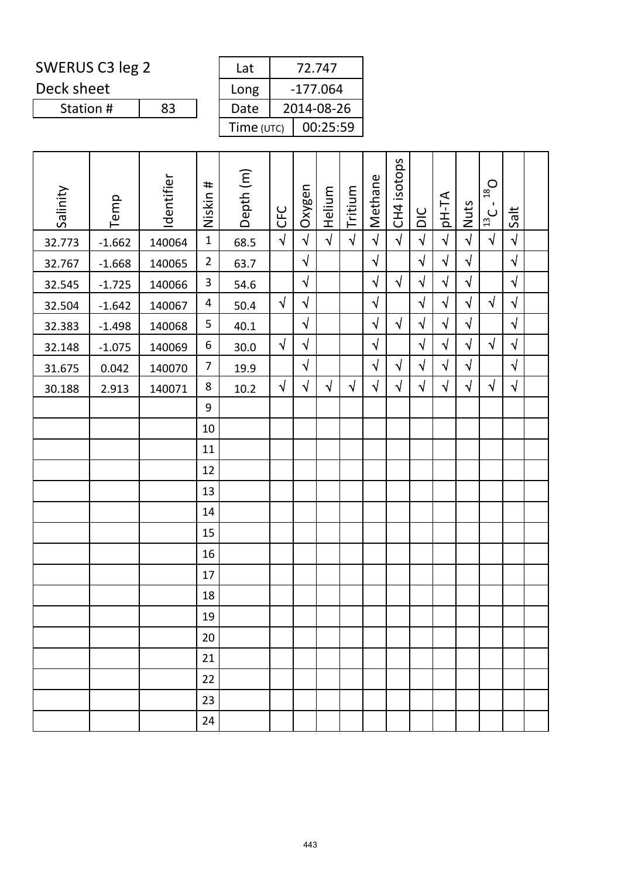Deck sheet

Station #

| Lat        | 72.747     |
|------------|------------|
| Long       | $-177.064$ |
| Date       | 2014-08-26 |
| Time (UTC) | 00:25:59   |

| Salinity | Temp     | Identifier | #<br>Niskin    | Depth (m) | <b>CFC</b> | Oxygen     | Helium     | Tritium    | Methane    | CH4 isotops | DIC        | pH-TA      | Nuts       | $O_{\text{gt}}$<br>$\mathbf{I}$<br>$\frac{1}{12}$ | Salt       |  |
|----------|----------|------------|----------------|-----------|------------|------------|------------|------------|------------|-------------|------------|------------|------------|---------------------------------------------------|------------|--|
| 32.773   | $-1.662$ | 140064     | $\mathbf{1}$   | 68.5      | $\sqrt{2}$ | $\sqrt{2}$ | $\sqrt{2}$ | $\sqrt{2}$ | $\sqrt{2}$ | $\sqrt{2}$  | $\sqrt{2}$ | $\sqrt{ }$ | $\sqrt{2}$ | $\sqrt{ }$                                        | $\sqrt{2}$ |  |
| 32.767   | $-1.668$ | 140065     | $\overline{2}$ | 63.7      |            | $\sqrt{2}$ |            |            | $\sqrt{ }$ |             | $\sqrt{2}$ | $\sqrt{ }$ | $\sqrt{2}$ |                                                   | $\sqrt{2}$ |  |
| 32.545   | $-1.725$ | 140066     | $\mathbf{3}$   | 54.6      |            | $\sqrt{}$  |            |            | $\sqrt{ }$ | $\sqrt{}$   | $\sqrt{ }$ | $\sqrt{ }$ | $\sqrt{}$  |                                                   | $\sqrt{2}$ |  |
| 32.504   | $-1.642$ | 140067     | 4              | 50.4      | $\sqrt{2}$ | $\sqrt{2}$ |            |            | $\sqrt{ }$ |             | $\sqrt{2}$ | $\sqrt{ }$ | $\sqrt{2}$ | $\sqrt{}$                                         | $\sqrt{2}$ |  |
| 32.383   | $-1.498$ | 140068     | 5              | 40.1      |            | $\sqrt{ }$ |            |            | $\sqrt{ }$ | $\sqrt{}$   | $\sqrt{ }$ | $\sqrt{ }$ | $\sqrt{2}$ |                                                   | $\sqrt{2}$ |  |
| 32.148   | $-1.075$ | 140069     | 6              | 30.0      | $\sqrt{}$  | $\sqrt{ }$ |            |            | $\sqrt{}$  |             | $\sqrt{}$  | $\sqrt{ }$ | $\sqrt{}$  | $\sqrt{}$                                         | $\sqrt{}$  |  |
| 31.675   | 0.042    | 140070     | 7              | 19.9      |            | $\sqrt{ }$ |            |            | $\sqrt{ }$ | $\sqrt{}$   | $\sqrt{2}$ | $\sqrt{ }$ | $\sqrt{2}$ |                                                   | $\sqrt{2}$ |  |
| 30.188   | 2.913    | 140071     | 8              | 10.2      | $\sqrt{ }$ | $\sqrt{ }$ | $\sqrt{ }$ | $\sqrt{ }$ | $\sqrt{ }$ | $\sqrt{}$   | $\sqrt{}$  | $\sqrt{ }$ | $\sqrt{}$  | $\sqrt{ }$                                        | $\sqrt{2}$ |  |
|          |          |            | 9              |           |            |            |            |            |            |             |            |            |            |                                                   |            |  |
|          |          |            | 10             |           |            |            |            |            |            |             |            |            |            |                                                   |            |  |
|          |          |            | 11             |           |            |            |            |            |            |             |            |            |            |                                                   |            |  |
|          |          |            | 12             |           |            |            |            |            |            |             |            |            |            |                                                   |            |  |
|          |          |            | 13             |           |            |            |            |            |            |             |            |            |            |                                                   |            |  |
|          |          |            | 14             |           |            |            |            |            |            |             |            |            |            |                                                   |            |  |
|          |          |            | 15             |           |            |            |            |            |            |             |            |            |            |                                                   |            |  |
|          |          |            | 16             |           |            |            |            |            |            |             |            |            |            |                                                   |            |  |
|          |          |            | 17             |           |            |            |            |            |            |             |            |            |            |                                                   |            |  |
|          |          |            | 18             |           |            |            |            |            |            |             |            |            |            |                                                   |            |  |
|          |          |            | 19             |           |            |            |            |            |            |             |            |            |            |                                                   |            |  |
|          |          |            | 20             |           |            |            |            |            |            |             |            |            |            |                                                   |            |  |
|          |          |            | 21             |           |            |            |            |            |            |             |            |            |            |                                                   |            |  |
|          |          |            | 22             |           |            |            |            |            |            |             |            |            |            |                                                   |            |  |
|          |          |            | 23             |           |            |            |            |            |            |             |            |            |            |                                                   |            |  |
|          |          |            | 24             |           |            |            |            |            |            |             |            |            |            |                                                   |            |  |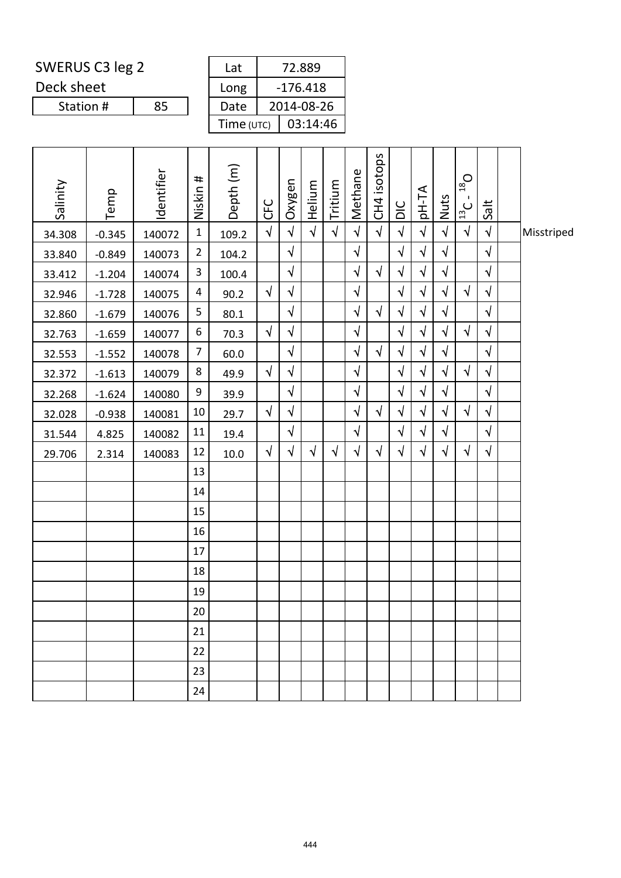| SWERUS C3 leg 2 |    | Lat          | 72.889     |
|-----------------|----|--------------|------------|
| Deck sheet      |    | Long         | $-176.418$ |
| Station #       | 85 | Date         | 2014-08-26 |
|                 |    | Time $(UTC)$ | 03:14:46   |

| Salinity | Temp     | Identifier | Niskin #       | Depth (m) | <b>CFC</b> | Oxygen     | Helium     | Tritium    | Methane                | CH4 isotops | $\frac{C}{D}$ | pH-TA      | Nuts       | $D_{\rm SI}$<br>$\blacksquare$<br>$\frac{13}{13}$ | <b>Salt</b> |            |
|----------|----------|------------|----------------|-----------|------------|------------|------------|------------|------------------------|-------------|---------------|------------|------------|---------------------------------------------------|-------------|------------|
| 34.308   | $-0.345$ | 140072     | $\mathbf 1$    | 109.2     | $\sqrt{ }$ | $\sqrt{ }$ | $\sqrt{ }$ | $\sqrt{ }$ | $\sqrt{ }$             | $\sqrt{2}$  | $\sqrt{ }$    | $\sqrt{ }$ | $\sqrt{}$  | $\sqrt{ }$                                        | $\sqrt{ }$  | Misstriped |
| 33.840   | $-0.849$ | 140073     | $\overline{2}$ | 104.2     |            | $\sqrt{ }$ |            |            | $\sqrt{}$              |             | $\sqrt{}$     | $\sqrt{ }$ | $\sqrt{}$  |                                                   | $\sqrt{ }$  |            |
| 33.412   | $-1.204$ | 140074     | 3              | 100.4     |            | $\sqrt{ }$ |            |            | $\sqrt{ }$             | $\sqrt{ }$  | $\sqrt{ }$    | $\sqrt{ }$ | $\sqrt{ }$ |                                                   | $\sqrt{ }$  |            |
| 32.946   | $-1.728$ | 140075     | 4              | 90.2      | $\sqrt{ }$ | $\sqrt{ }$ |            |            | $\sqrt{ }$             |             | $\sqrt{}$     | $\sqrt{ }$ | $\sqrt{}$  | $\sqrt{}$                                         | $\sqrt{ }$  |            |
| 32.860   | $-1.679$ | 140076     | 5              | 80.1      |            | $\sqrt{ }$ |            |            | $\sqrt{ }$             | $\sqrt{ }$  | $\sqrt{}$     | $\sqrt{ }$ | $\sqrt{ }$ |                                                   | $\sqrt{2}$  |            |
| 32.763   | $-1.659$ | 140077     | 6              | 70.3      | $\sqrt{ }$ | $\sqrt{ }$ |            |            | $\sqrt{}$              |             | $\sqrt{}$     | $\sqrt{ }$ | $\sqrt{}$  | $\sqrt{ }$                                        | $\sqrt{2}$  |            |
| 32.553   | $-1.552$ | 140078     | $\overline{7}$ | 60.0      |            | $\sqrt{}$  |            |            | $\boldsymbol{\sqrt{}}$ | $\sqrt{ }$  | $\sqrt{}$     | $\sqrt{ }$ | $\sqrt{}$  |                                                   | $\sqrt{2}$  |            |
| 32.372   | $-1.613$ | 140079     | 8              | 49.9      | $\sqrt{ }$ | $\sqrt{ }$ |            |            | $\sqrt{2}$             |             | $\sqrt{ }$    | $\sqrt{ }$ | $\sqrt{}$  | $\sqrt{ }$                                        | $\sqrt{ }$  |            |
| 32.268   | $-1.624$ | 140080     | 9              | 39.9      |            | $\sqrt{ }$ |            |            | $\sqrt{2}$             |             | $\sqrt{}$     | $\sqrt{ }$ | $\sqrt{ }$ |                                                   | $\sqrt{2}$  |            |
| 32.028   | $-0.938$ | 140081     | 10             | 29.7      | $\sqrt{ }$ | $\sqrt{ }$ |            |            | $\sqrt{ }$             | $\sqrt{2}$  | $\sqrt{2}$    | $\sqrt{ }$ | $\sqrt{}$  | $\sqrt{}$                                         | $\sqrt{2}$  |            |
| 31.544   | 4.825    | 140082     | 11             | 19.4      |            | $\sqrt{ }$ |            |            | $\sqrt{}$              |             | $\sqrt{ }$    | $\sqrt{ }$ | $\sqrt{}$  |                                                   | $\sqrt{ }$  |            |
| 29.706   | 2.314    | 140083     | 12             | 10.0      | $\sqrt{ }$ | $\sqrt{ }$ | $\sqrt{ }$ | $\sqrt{ }$ | $\sqrt{}$              | $\sqrt{}$   | $\sqrt{}$     | $\sqrt{ }$ | $\sqrt{ }$ | $\sqrt{}$                                         | $\sqrt{}$   |            |
|          |          |            | 13             |           |            |            |            |            |                        |             |               |            |            |                                                   |             |            |
|          |          |            | 14             |           |            |            |            |            |                        |             |               |            |            |                                                   |             |            |
|          |          |            | 15             |           |            |            |            |            |                        |             |               |            |            |                                                   |             |            |
|          |          |            | 16             |           |            |            |            |            |                        |             |               |            |            |                                                   |             |            |
|          |          |            | 17             |           |            |            |            |            |                        |             |               |            |            |                                                   |             |            |
|          |          |            | 18             |           |            |            |            |            |                        |             |               |            |            |                                                   |             |            |
|          |          |            | 19             |           |            |            |            |            |                        |             |               |            |            |                                                   |             |            |
|          |          |            | 20             |           |            |            |            |            |                        |             |               |            |            |                                                   |             |            |
|          |          |            | 21             |           |            |            |            |            |                        |             |               |            |            |                                                   |             |            |
|          |          |            | 22             |           |            |            |            |            |                        |             |               |            |            |                                                   |             |            |
|          |          |            | 23             |           |            |            |            |            |                        |             |               |            |            |                                                   |             |            |
|          |          |            | 24             |           |            |            |            |            |                        |             |               |            |            |                                                   |             |            |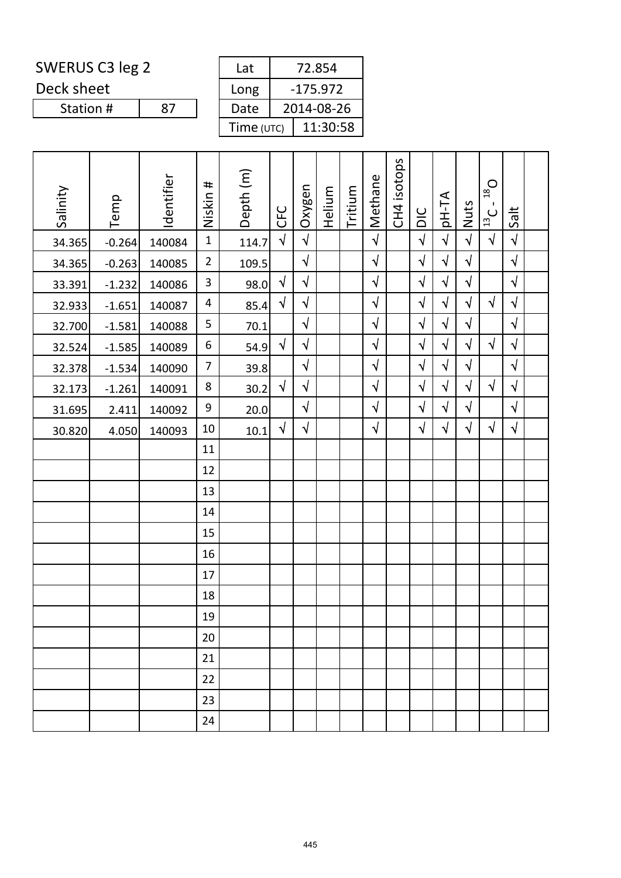Deck sheet

Station #

| Lat        | 72.854     |
|------------|------------|
| Long       | $-175.972$ |
| Date       | 2014-08-26 |
| Time (UTC) | 11:30:58   |

| Salinity | Temp     | Identifier | #<br>Niskin    | Depth (m) | CFC        | Oxygen     | Helium | Tritium | Methane    | CH4 isotops | DIC        | pH-TA      | Nuts       | $D_{\text{gt}}$<br>$\mathbf{I}$<br>$\frac{1}{12}$ | Salt       |  |
|----------|----------|------------|----------------|-----------|------------|------------|--------|---------|------------|-------------|------------|------------|------------|---------------------------------------------------|------------|--|
| 34.365   | $-0.264$ | 140084     | $\mathbf{1}$   | 114.7     | $\sqrt{ }$ | $\sqrt{ }$ |        |         | $\sqrt{2}$ |             | $\sqrt{2}$ | $\sqrt{2}$ | $\sqrt{2}$ | $\sqrt{ }$                                        | $\sqrt{2}$ |  |
| 34.365   | $-0.263$ | 140085     | $\overline{2}$ | 109.5     |            | $\sqrt{ }$ |        |         | $\sqrt{2}$ |             | $\sqrt{}$  | $\sqrt{2}$ | $\sqrt{ }$ |                                                   | $\sqrt{2}$ |  |
| 33.391   | $-1.232$ | 140086     | $\overline{3}$ | 98.0      | $\sqrt{}$  | $\sqrt{ }$ |        |         | $\sqrt{ }$ |             | $\sqrt{}$  | $\sqrt{2}$ | $\sqrt{2}$ |                                                   | $\sqrt{ }$ |  |
| 32.933   | $-1.651$ | 140087     | $\overline{4}$ | 85.4      | $\sqrt{}$  | $\sqrt{ }$ |        |         | $\sqrt{}$  |             | $\sqrt{}$  | $\sqrt{}$  | $\sqrt{}$  | $\sqrt{ }$                                        | $\sqrt{ }$ |  |
| 32.700   | $-1.581$ | 140088     | 5              | 70.1      |            | $\sqrt{ }$ |        |         | $\sqrt{ }$ |             | $\sqrt{}$  | $\sqrt{2}$ | $\sqrt{2}$ |                                                   | $\sqrt{2}$ |  |
| 32.524   | $-1.585$ | 140089     | 6              | 54.9      | $\sqrt{ }$ | $\sqrt{}$  |        |         | $\sqrt{ }$ |             | $\sqrt{ }$ | $\sqrt{2}$ | $\sqrt{}$  | $\sqrt{ }$                                        | $\sqrt{ }$ |  |
| 32.378   | $-1.534$ | 140090     | 7              | 39.8      |            | $\sqrt{ }$ |        |         | $\sqrt{2}$ |             | $\sqrt{}$  | $\sqrt{}$  | $\sqrt{}$  |                                                   | $\sqrt{ }$ |  |
| 32.173   | $-1.261$ | 140091     | 8              | 30.2      | $\sqrt{ }$ | $\sqrt{ }$ |        |         | $\sqrt{ }$ |             | $\sqrt{}$  | $\sqrt{ }$ | $\sqrt{}$  | $\sqrt{}$                                         | $\sqrt{2}$ |  |
| 31.695   | 2.411    | 140092     | 9              | 20.0      |            | $\sqrt{ }$ |        |         | $\sqrt{ }$ |             | $\sqrt{}$  | $\sqrt{}$  | $\sqrt{ }$ |                                                   | $\sqrt{ }$ |  |
| 30.820   | 4.050    | 140093     | 10             | 10.1      | $\sqrt{2}$ | $\sqrt{ }$ |        |         | $\sqrt{2}$ |             | $\sqrt{}$  | $\sqrt{ }$ | $\sqrt{}$  | $\sqrt{}$                                         | $\sqrt{ }$ |  |
|          |          |            | 11             |           |            |            |        |         |            |             |            |            |            |                                                   |            |  |
|          |          |            | 12             |           |            |            |        |         |            |             |            |            |            |                                                   |            |  |
|          |          |            | 13             |           |            |            |        |         |            |             |            |            |            |                                                   |            |  |
|          |          |            | 14             |           |            |            |        |         |            |             |            |            |            |                                                   |            |  |
|          |          |            | 15             |           |            |            |        |         |            |             |            |            |            |                                                   |            |  |
|          |          |            | 16             |           |            |            |        |         |            |             |            |            |            |                                                   |            |  |
|          |          |            | 17             |           |            |            |        |         |            |             |            |            |            |                                                   |            |  |
|          |          |            | 18             |           |            |            |        |         |            |             |            |            |            |                                                   |            |  |
|          |          |            | 19             |           |            |            |        |         |            |             |            |            |            |                                                   |            |  |
|          |          |            | 20             |           |            |            |        |         |            |             |            |            |            |                                                   |            |  |
|          |          |            | 21             |           |            |            |        |         |            |             |            |            |            |                                                   |            |  |
|          |          |            | 22             |           |            |            |        |         |            |             |            |            |            |                                                   |            |  |
|          |          |            | 23             |           |            |            |        |         |            |             |            |            |            |                                                   |            |  |
|          |          |            | 24             |           |            |            |        |         |            |             |            |            |            |                                                   |            |  |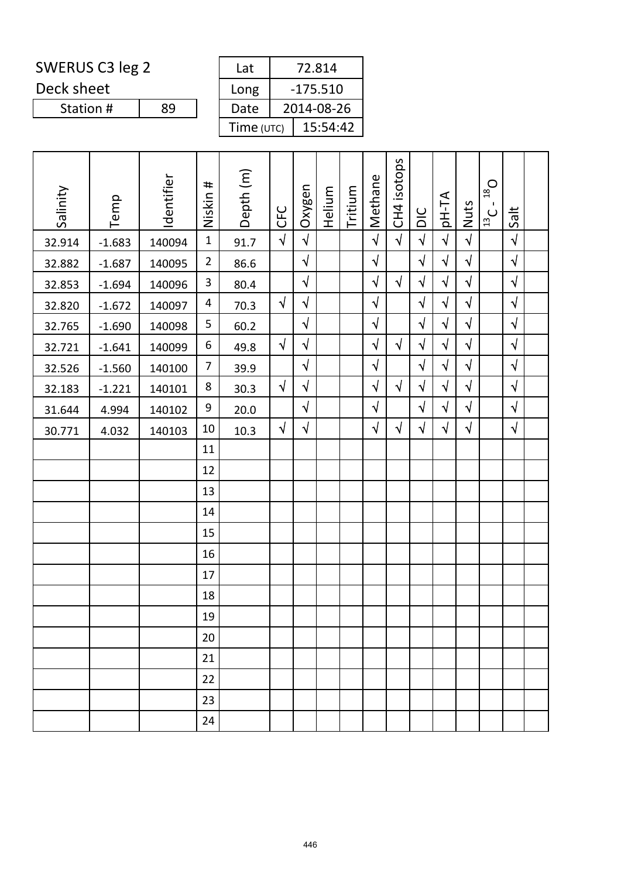Deck sheet

Station #

| Lat        | 72.814     |  |  |  |  |  |  |
|------------|------------|--|--|--|--|--|--|
| Long       | $-175.510$ |  |  |  |  |  |  |
| Date       | 2014-08-26 |  |  |  |  |  |  |
| Time (UTC) | 15:54:42   |  |  |  |  |  |  |

| Salinity | Temp     | Identifier | #<br>Niskin    | Depth (m) | <b>CFC</b> | Oxygen     | Helium | Tritium | Methane    | CH4 isotops | DIC        | pH-TA      | Nuts       | $O_{\text{gt}}$<br>$\blacksquare$<br>$\frac{1}{12}$ | Salt       |  |
|----------|----------|------------|----------------|-----------|------------|------------|--------|---------|------------|-------------|------------|------------|------------|-----------------------------------------------------|------------|--|
| 32.914   | $-1.683$ | 140094     | $\mathbf{1}$   | 91.7      | $\sqrt{2}$ | $\sqrt{2}$ |        |         | $\sqrt{2}$ | $\sqrt{ }$  | $\sqrt{ }$ | $\sqrt{2}$ | $\sqrt{2}$ |                                                     | $\sqrt{ }$ |  |
| 32.882   | $-1.687$ | 140095     | $\overline{2}$ | 86.6      |            | $\sqrt{}$  |        |         | $\sqrt{}$  |             | $\sqrt{}$  | $\sqrt{2}$ | $\sqrt{2}$ |                                                     | $\sqrt{2}$ |  |
| 32.853   | $-1.694$ | 140096     | $\mathbf{3}$   | 80.4      |            | $\sqrt{}$  |        |         | $\sqrt{ }$ | $\sqrt{ }$  | $\sqrt{}$  | $\sqrt{ }$ | $\sqrt{ }$ |                                                     | $\sqrt{ }$ |  |
| 32.820   | $-1.672$ | 140097     | 4              | 70.3      | $\sqrt{ }$ | $\sqrt{ }$ |        |         | $\sqrt{ }$ |             | $\sqrt{ }$ | $\sqrt{}$  | $\sqrt{ }$ |                                                     | $\sqrt{ }$ |  |
| 32.765   | $-1.690$ | 140098     | 5              | 60.2      |            | $\sqrt{ }$ |        |         | $\sqrt{ }$ |             | $\sqrt{}$  | $\sqrt{2}$ | $\sqrt{2}$ |                                                     | $\sqrt{2}$ |  |
| 32.721   | $-1.641$ | 140099     | 6              | 49.8      | $\sqrt{ }$ | $\sqrt{}$  |        |         | $\sqrt{}$  | $\sqrt{ }$  | $\sqrt{}$  | $\sqrt{ }$ | $\sqrt{ }$ |                                                     | $\sqrt{2}$ |  |
| 32.526   | $-1.560$ | 140100     | $\overline{7}$ | 39.9      |            | $\sqrt{ }$ |        |         | $\sqrt{}$  |             | $\sqrt{ }$ | $\sqrt{}$  | $\sqrt{}$  |                                                     | $\sqrt{ }$ |  |
| 32.183   | $-1.221$ | 140101     | 8              | 30.3      | $\sqrt{ }$ | $\sqrt{}$  |        |         | $\sqrt{2}$ | $\sqrt{ }$  | $\sqrt{}$  | $\sqrt{ }$ | $\sqrt{}$  |                                                     | $\sqrt{2}$ |  |
| 31.644   | 4.994    | 140102     | 9              | 20.0      |            | $\sqrt{}$  |        |         | $\sqrt{}$  |             | $\sqrt{}$  | $\sqrt{}$  | $\sqrt{}$  |                                                     | $\sqrt{2}$ |  |
| 30.771   | 4.032    | 140103     | 10             | 10.3      | $\sqrt{ }$ | $\sqrt{}$  |        |         | $\sqrt{}$  | $\sqrt{ }$  | $\sqrt{ }$ | $\sqrt{ }$ | $\sqrt{}$  |                                                     | $\sqrt{ }$ |  |
|          |          |            | 11             |           |            |            |        |         |            |             |            |            |            |                                                     |            |  |
|          |          |            | 12             |           |            |            |        |         |            |             |            |            |            |                                                     |            |  |
|          |          |            | 13             |           |            |            |        |         |            |             |            |            |            |                                                     |            |  |
|          |          |            | 14             |           |            |            |        |         |            |             |            |            |            |                                                     |            |  |
|          |          |            | 15             |           |            |            |        |         |            |             |            |            |            |                                                     |            |  |
|          |          |            | 16             |           |            |            |        |         |            |             |            |            |            |                                                     |            |  |
|          |          |            | 17             |           |            |            |        |         |            |             |            |            |            |                                                     |            |  |
|          |          |            | 18             |           |            |            |        |         |            |             |            |            |            |                                                     |            |  |
|          |          |            | 19             |           |            |            |        |         |            |             |            |            |            |                                                     |            |  |
|          |          |            | 20             |           |            |            |        |         |            |             |            |            |            |                                                     |            |  |
|          |          |            | 21             |           |            |            |        |         |            |             |            |            |            |                                                     |            |  |
|          |          |            | 22             |           |            |            |        |         |            |             |            |            |            |                                                     |            |  |
|          |          |            | 23             |           |            |            |        |         |            |             |            |            |            |                                                     |            |  |
|          |          |            | 24             |           |            |            |        |         |            |             |            |            |            |                                                     |            |  |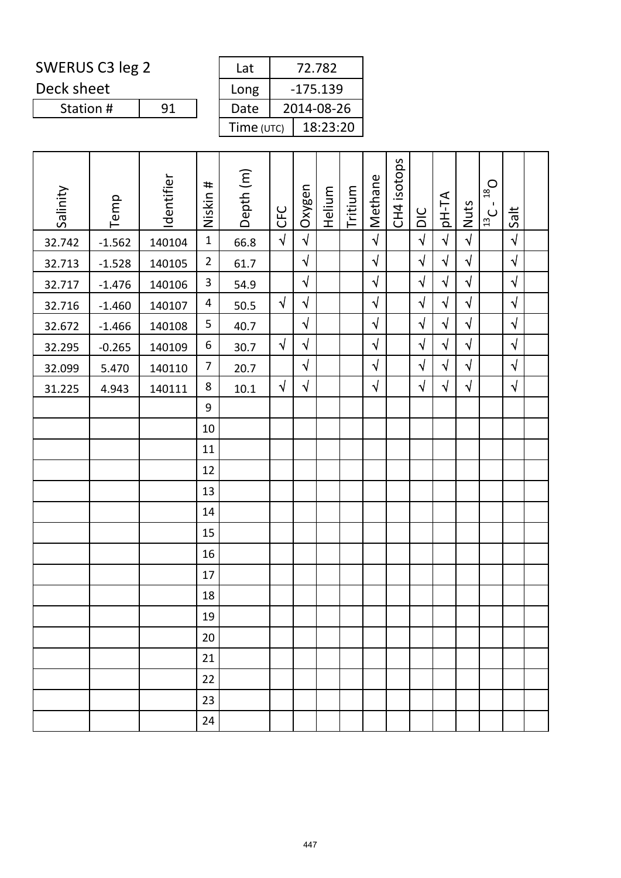Deck sheet

Station #

| 72.782<br>Lat |  |            |  |  |  |  |  |  |
|---------------|--|------------|--|--|--|--|--|--|
| Long          |  | $-175.139$ |  |  |  |  |  |  |
| Date          |  | 2014-08-26 |  |  |  |  |  |  |
| Time (UTC)    |  | 18:23:20   |  |  |  |  |  |  |

| Salinity | Temp     | Identifier | Niskin #         | Depth <sub>(m)</sub> | <b>CFC</b> | Oxygen     | Helium | Tritium | Methane    | CH4 isotops | DIC        | pH-TA      | Nuts       | $O_{\text{gt}}$<br>$\mathbf{I}$<br>$\frac{1}{12}$ | Salt       |  |
|----------|----------|------------|------------------|----------------------|------------|------------|--------|---------|------------|-------------|------------|------------|------------|---------------------------------------------------|------------|--|
| 32.742   | $-1.562$ | 140104     | $\mathbf{1}$     | 66.8                 | $\sqrt{ }$ | $\sqrt{2}$ |        |         | $\sqrt{2}$ |             | $\sqrt{ }$ | $\sqrt{ }$ | $\sqrt{2}$ |                                                   | $\sqrt{2}$ |  |
| 32.713   | $-1.528$ | 140105     | $\overline{2}$   | 61.7                 |            | $\sqrt{2}$ |        |         | $\sqrt{ }$ |             | $\sqrt{}$  | $\sqrt{ }$ | $\sqrt{2}$ |                                                   | $\sqrt{2}$ |  |
| 32.717   | $-1.476$ | 140106     | $\mathbf{3}$     | 54.9                 |            | $\sqrt{2}$ |        |         | $\sqrt{}$  |             | $\sqrt{ }$ | $\sqrt{ }$ | $\sqrt{2}$ |                                                   | $\sqrt{2}$ |  |
| 32.716   | $-1.460$ | 140107     | 4                | 50.5                 | $\sqrt{ }$ | $\sqrt{}$  |        |         | $\sqrt{ }$ |             | $\sqrt{}$  | $\sqrt{2}$ | $\sqrt{ }$ |                                                   | $\sqrt{2}$ |  |
| 32.672   | $-1.466$ | 140108     | 5                | 40.7                 |            | $\sqrt{ }$ |        |         | $\sqrt{2}$ |             | $\sqrt{ }$ | $\sqrt{ }$ | $\sqrt{2}$ |                                                   | $\sqrt{ }$ |  |
| 32.295   | $-0.265$ | 140109     | $\boldsymbol{6}$ | 30.7                 | $\sqrt{ }$ | $\sqrt{ }$ |        |         | $\sqrt{}$  |             | $\sqrt{}$  | $\sqrt{ }$ | $\sqrt{}$  |                                                   | $\sqrt{2}$ |  |
| 32.099   | 5.470    | 140110     | $\overline{7}$   | 20.7                 |            | $\sqrt{ }$ |        |         | $\sqrt{2}$ |             | $\sqrt{}$  | $\sqrt{ }$ | $\sqrt{}$  |                                                   | $\sqrt{2}$ |  |
| 31.225   | 4.943    | 140111     | 8                | $10.1\,$             | $\sqrt{ }$ | $\sqrt{}$  |        |         | $\sqrt{ }$ |             | $\sqrt{ }$ | $\sqrt{ }$ | $\sqrt{}$  |                                                   | $\sqrt{2}$ |  |
|          |          |            | 9                |                      |            |            |        |         |            |             |            |            |            |                                                   |            |  |
|          |          |            | 10               |                      |            |            |        |         |            |             |            |            |            |                                                   |            |  |
|          |          |            | 11               |                      |            |            |        |         |            |             |            |            |            |                                                   |            |  |
|          |          |            | 12               |                      |            |            |        |         |            |             |            |            |            |                                                   |            |  |
|          |          |            | 13               |                      |            |            |        |         |            |             |            |            |            |                                                   |            |  |
|          |          |            | 14               |                      |            |            |        |         |            |             |            |            |            |                                                   |            |  |
|          |          |            | 15               |                      |            |            |        |         |            |             |            |            |            |                                                   |            |  |
|          |          |            | 16               |                      |            |            |        |         |            |             |            |            |            |                                                   |            |  |
|          |          |            | 17               |                      |            |            |        |         |            |             |            |            |            |                                                   |            |  |
|          |          |            | 18               |                      |            |            |        |         |            |             |            |            |            |                                                   |            |  |
|          |          |            | 19               |                      |            |            |        |         |            |             |            |            |            |                                                   |            |  |
|          |          |            | 20               |                      |            |            |        |         |            |             |            |            |            |                                                   |            |  |
|          |          |            | 21               |                      |            |            |        |         |            |             |            |            |            |                                                   |            |  |
|          |          |            | 22               |                      |            |            |        |         |            |             |            |            |            |                                                   |            |  |
|          |          |            | 23               |                      |            |            |        |         |            |             |            |            |            |                                                   |            |  |
|          |          |            | 24               |                      |            |            |        |         |            |             |            |            |            |                                                   |            |  |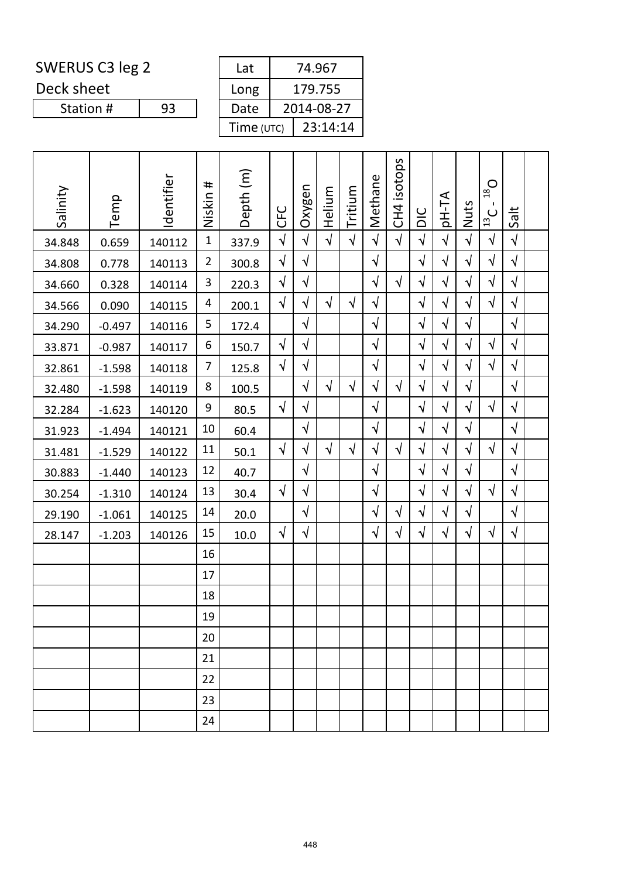Deck sheet

Station #

| Lat        | 74.967     |  |  |  |  |  |  |
|------------|------------|--|--|--|--|--|--|
| Long       | 179.755    |  |  |  |  |  |  |
| Date       | 2014-08-27 |  |  |  |  |  |  |
| Time (UTC) | 23:14:14   |  |  |  |  |  |  |

| Salinity | Temp     | Identifier | #<br>Niskin    | Depth (m) | <b>UHC</b> | Oxygen     | Helium     | Tritium    | Methane    | CH4 isotops | DIC        | pH-TA      | Nuts       | $O_{\text{gt}}$<br>$\mathbf{I}$<br>$\frac{13}{13}$ C | Salt       |  |
|----------|----------|------------|----------------|-----------|------------|------------|------------|------------|------------|-------------|------------|------------|------------|------------------------------------------------------|------------|--|
| 34.848   | 0.659    | 140112     | $\mathbf{1}$   | 337.9     | $\sqrt{2}$ | $\sqrt{}$  | $\sqrt{2}$ | $\sqrt{2}$ | $\sqrt{2}$ | $\sqrt{ }$  | $\sqrt{ }$ | $\sqrt{2}$ | $\sqrt{2}$ | $\sqrt{ }$                                           | $\sqrt{ }$ |  |
| 34.808   | 0.778    | 140113     | $\overline{2}$ | 300.8     | $\sqrt{ }$ | $\sqrt{ }$ |            |            | $\sqrt{}$  |             | $\sqrt{}$  | $\sqrt{ }$ | $\sqrt{}$  | $\sqrt{}$                                            | $\sqrt{ }$ |  |
| 34.660   | 0.328    | 140114     | $\mathbf{3}$   | 220.3     | $\sqrt{}$  | $\sqrt{}$  |            |            | $\sqrt{ }$ | $\sqrt{}$   | $\sqrt{}$  | $\sqrt{}$  | $\sqrt{}$  | $\sqrt{ }$                                           | $\sqrt{ }$ |  |
| 34.566   | 0.090    | 140115     | 4              | 200.1     | $\sqrt{}$  | $\sqrt{ }$ | $\sqrt{}$  | $\sqrt{ }$ | $\sqrt{ }$ |             | $\sqrt{}$  | $\sqrt{ }$ | $\sqrt{}$  | $\sqrt{}$                                            | $\sqrt{ }$ |  |
| 34.290   | $-0.497$ | 140116     | 5              | 172.4     |            | $\sqrt{ }$ |            |            | $\sqrt{ }$ |             | $\sqrt{}$  | $\sqrt{2}$ | $\sqrt{}$  |                                                      | $\sqrt{ }$ |  |
| 33.871   | $-0.987$ | 140117     | 6              | 150.7     | $\sqrt{}$  | $\sqrt{}$  |            |            | $\sqrt{ }$ |             | $\sqrt{}$  | $\sqrt{}$  | $\sqrt{}$  | $\sqrt{}$                                            | $\sqrt{ }$ |  |
| 32.861   | $-1.598$ | 140118     | $\overline{7}$ | 125.8     | $\sqrt{2}$ | $\sqrt{}$  |            |            | $\sqrt{2}$ |             | $\sqrt{}$  | $\sqrt{2}$ | $\sqrt{}$  | $\sqrt{}$                                            | $\sqrt{ }$ |  |
| 32.480   | $-1.598$ | 140119     | 8              | 100.5     |            | $\sqrt{}$  | $\sqrt{}$  | $\sqrt{ }$ | $\sqrt{}$  | $\sqrt{ }$  | $\sqrt{}$  | $\sqrt{ }$ | $\sqrt{2}$ |                                                      | $\sqrt{ }$ |  |
| 32.284   | $-1.623$ | 140120     | 9              | 80.5      | $\sqrt{}$  | $\sqrt{}$  |            |            | $\sqrt{ }$ |             | $\sqrt{}$  | $\sqrt{}$  | $\sqrt{}$  | $\sqrt{ }$                                           | $\sqrt{ }$ |  |
| 31.923   | $-1.494$ | 140121     | 10             | 60.4      |            | $\sqrt{}$  |            |            | $\sqrt{2}$ |             | $\sqrt{}$  | $\sqrt{2}$ | $\sqrt{2}$ |                                                      | $\sqrt{2}$ |  |
| 31.481   | $-1.529$ | 140122     | 11             | 50.1      | $\sqrt{ }$ | $\sqrt{}$  | $\sqrt{}$  | $\sqrt{ }$ | $\sqrt{}$  | $\sqrt{ }$  | $\sqrt{}$  | $\sqrt{2}$ | $\sqrt{}$  | $\sqrt{}$                                            | $\sqrt{ }$ |  |
| 30.883   | $-1.440$ | 140123     | 12             | 40.7      |            | $\sqrt{ }$ |            |            | $\sqrt{ }$ |             | $\sqrt{}$  | $\sqrt{ }$ | $\sqrt{ }$ |                                                      | $\sqrt{ }$ |  |
| 30.254   | $-1.310$ | 140124     | 13             | 30.4      | $\sqrt{ }$ | $\sqrt{}$  |            |            | $\sqrt{2}$ |             | $\sqrt{}$  | $\sqrt{2}$ | $\sqrt{ }$ | $\sqrt{ }$                                           | $\sqrt{2}$ |  |
| 29.190   | $-1.061$ | 140125     | 14             | 20.0      |            | $\sqrt{ }$ |            |            | $\sqrt{ }$ | $\sqrt{}$   | $\sqrt{}$  | $\sqrt{ }$ | $\sqrt{2}$ |                                                      | $\sqrt{ }$ |  |
| 28.147   | $-1.203$ | 140126     | 15             | 10.0      | $\sqrt{ }$ | $\sqrt{ }$ |            |            | $\sqrt{}$  | $\sqrt{}$   | $\sqrt{}$  | $\sqrt{}$  | $\sqrt{}$  | $\sqrt{}$                                            | $\sqrt{ }$ |  |
|          |          |            | 16             |           |            |            |            |            |            |             |            |            |            |                                                      |            |  |
|          |          |            | 17             |           |            |            |            |            |            |             |            |            |            |                                                      |            |  |
|          |          |            | 18             |           |            |            |            |            |            |             |            |            |            |                                                      |            |  |
|          |          |            | 19             |           |            |            |            |            |            |             |            |            |            |                                                      |            |  |
|          |          |            | 20             |           |            |            |            |            |            |             |            |            |            |                                                      |            |  |
|          |          |            | 21             |           |            |            |            |            |            |             |            |            |            |                                                      |            |  |
|          |          |            | 22             |           |            |            |            |            |            |             |            |            |            |                                                      |            |  |
|          |          |            | 23             |           |            |            |            |            |            |             |            |            |            |                                                      |            |  |
|          |          |            | 24             |           |            |            |            |            |            |             |            |            |            |                                                      |            |  |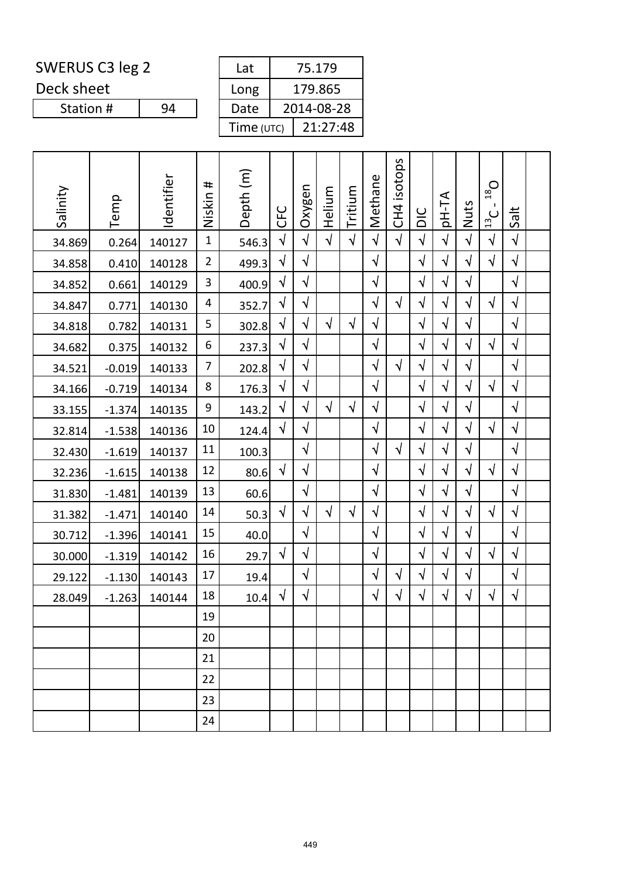| SWERUS C3 leg 2 | Lat |
|-----------------|-----|
|-----------------|-----|

Deck sheet

Station #

| Lat        | 75.179     |  |  |  |  |  |
|------------|------------|--|--|--|--|--|
| Long       | 179.865    |  |  |  |  |  |
| Date       | 2014-08-28 |  |  |  |  |  |
| Time (UTC) | 21:27:48   |  |  |  |  |  |

| Salinity | Temp     | Identifier | #<br>Niskin    | Depth (m) | <b>CFC</b> | Oxygen     | Helium     | Tritium    | Methane   | CH4 isotops | $rac{C}{D}$ | AT-Hq      | Nuts       | $18$ O<br>$\mathbf{I}$<br>$\frac{13}{2}$ C | Salt       |  |
|----------|----------|------------|----------------|-----------|------------|------------|------------|------------|-----------|-------------|-------------|------------|------------|--------------------------------------------|------------|--|
| 34.869   | 0.264    | 140127     | $\mathbf{1}$   | 546.3     | $\sqrt{ }$ | $\sqrt{}$  | $\sqrt{ }$ | $\sqrt{}$  | $\sqrt{}$ | $\sqrt{ }$  | $\sqrt{2}$  | $\sqrt{}$  | $\sqrt{ }$ | $\sqrt{ }$                                 | $\sqrt{ }$ |  |
| 34.858   | 0.410    | 140128     | $\overline{2}$ | 499.3     | $\sqrt{}$  | $\sqrt{}$  |            |            | $\sqrt{}$ |             | $\sqrt{}$   | $\sqrt{}$  | $\sqrt{ }$ | $\sqrt{}$                                  | $\sqrt{}$  |  |
| 34.852   | 0.661    | 140129     | 3              | 400.9     | $\sqrt{}$  | $\sqrt{ }$ |            |            | $\sqrt{}$ |             | $\sqrt{ }$  | $\sqrt{}$  | $\sqrt{ }$ |                                            | $\sqrt{ }$ |  |
| 34.847   | 0.771    | 140130     | 4              | 352.7     | $\sqrt{ }$ | $\sqrt{}$  |            |            | $\sqrt{}$ | $\sqrt{ }$  | $\sqrt{}$   | $\sqrt{}$  | $\sqrt{}$  | $\sqrt{ }$                                 | $\sqrt{ }$ |  |
| 34.818   | 0.782    | 140131     | 5              | 302.8     | $\sqrt{}$  | $\sqrt{}$  | $\sqrt{ }$ | $\sqrt{ }$ | $\sqrt{}$ |             | $\sqrt{}$   | $\sqrt{}$  | $\sqrt{ }$ |                                            | $\sqrt{}$  |  |
| 34.682   | 0.375    | 140132     | 6              | 237.3     | $\sqrt{}$  | $\sqrt{}$  |            |            | $\sqrt{}$ |             | $\sqrt{ }$  | $\sqrt{}$  | $\sqrt{}$  | $\sqrt{}$                                  | $\sqrt{ }$ |  |
| 34.521   | $-0.019$ | 140133     | $\overline{7}$ | 202.8     | $\sqrt{ }$ | $\sqrt{ }$ |            |            | $\sqrt{}$ | $\sqrt{ }$  | $\sqrt{}$   | $\sqrt{ }$ | $\sqrt{ }$ |                                            | $\sqrt{ }$ |  |
| 34.166   | $-0.719$ | 140134     | 8              | 176.3     | $\sqrt{}$  | $\sqrt{ }$ |            |            | $\sqrt{}$ |             | $\sqrt{}$   | $\sqrt{}$  | $\sqrt{}$  | $\sqrt{}$                                  | $\sqrt{}$  |  |
| 33.155   | $-1.374$ | 140135     | 9              | 143.2     | $\sqrt{2}$ | $\sqrt{}$  | $\sqrt{ }$ | $\sqrt{}$  | $\sqrt{}$ |             | $\sqrt{ }$  | $\sqrt{}$  | $\sqrt{ }$ |                                            | $\sqrt{ }$ |  |
| 32.814   | $-1.538$ | 140136     | 10             | 124.4     | $\sqrt{ }$ | $\sqrt{}$  |            |            | $\sqrt{}$ |             | $\sqrt{2}$  | $\sqrt{}$  | $\sqrt{}$  | $\sqrt{ }$                                 | $\sqrt{ }$ |  |
| 32.430   | $-1.619$ | 140137     | 11             | 100.3     |            | $\sqrt{2}$ |            |            | $\sqrt{}$ | $\sqrt{ }$  | $\sqrt{}$   | $\sqrt{}$  | $\sqrt{ }$ |                                            | $\sqrt{ }$ |  |
| 32.236   | $-1.615$ | 140138     | 12             | 80.6      | $\sqrt{}$  | $\sqrt{ }$ |            |            | $\sqrt{}$ |             | $\sqrt{}$   | $\sqrt{}$  | $\sqrt{}$  | $\sqrt{}$                                  | $\sqrt{}$  |  |
| 31.830   | $-1.481$ | 140139     | 13             | 60.6      |            | $\sqrt{}$  |            |            | $\sqrt{}$ |             | $\sqrt{2}$  | $\sqrt{}$  | $\sqrt{ }$ |                                            | $\sqrt{ }$ |  |
| 31.382   | $-1.471$ | 140140     | 14             | 50.3      | $\sqrt{ }$ | $\sqrt{}$  | $\sqrt{ }$ | $\sqrt{ }$ | $\sqrt{}$ |             | $\sqrt{2}$  | $\sqrt{}$  | $\sqrt{}$  | $\sqrt{ }$                                 | $\sqrt{ }$ |  |
| 30.712   | $-1.396$ | 140141     | 15             | 40.0      |            | $\sqrt{ }$ |            |            | $\sqrt{}$ |             | √           | $\sqrt{}$  | $\sqrt{}$  |                                            | $\sqrt{}$  |  |
| 30.000   | $-1.319$ | 140142     | 16             | 29.7      | $\sqrt{ }$ | $\sqrt{}$  |            |            | $\sqrt{}$ |             | $\sqrt{2}$  | $\sqrt{}$  | $\sqrt{}$  | $\sqrt{ }$                                 | $\sqrt{ }$ |  |
| 29.122   | $-1.130$ | 140143     | 17             | 19.4      |            | $\sqrt{}$  |            |            | √         | $\sqrt{ }$  | $\sqrt{}$   | $\sqrt{}$  | $\sqrt{}$  |                                            | $\sqrt{ }$ |  |
| 28.049   | $-1.263$ | 140144     | 18             | 10.4      | $\sqrt{}$  | $\sqrt{}$  |            |            | $\sqrt{}$ | $\sqrt{}$   | $\sqrt{}$   | $\sqrt{}$  | $\sqrt{}$  | $\sqrt{}$                                  | $\sqrt{ }$ |  |
|          |          |            | 19             |           |            |            |            |            |           |             |             |            |            |                                            |            |  |
|          |          |            | 20             |           |            |            |            |            |           |             |             |            |            |                                            |            |  |
|          |          |            | 21             |           |            |            |            |            |           |             |             |            |            |                                            |            |  |
|          |          |            | 22             |           |            |            |            |            |           |             |             |            |            |                                            |            |  |
|          |          |            | 23             |           |            |            |            |            |           |             |             |            |            |                                            |            |  |
|          |          |            | 24             |           |            |            |            |            |           |             |             |            |            |                                            |            |  |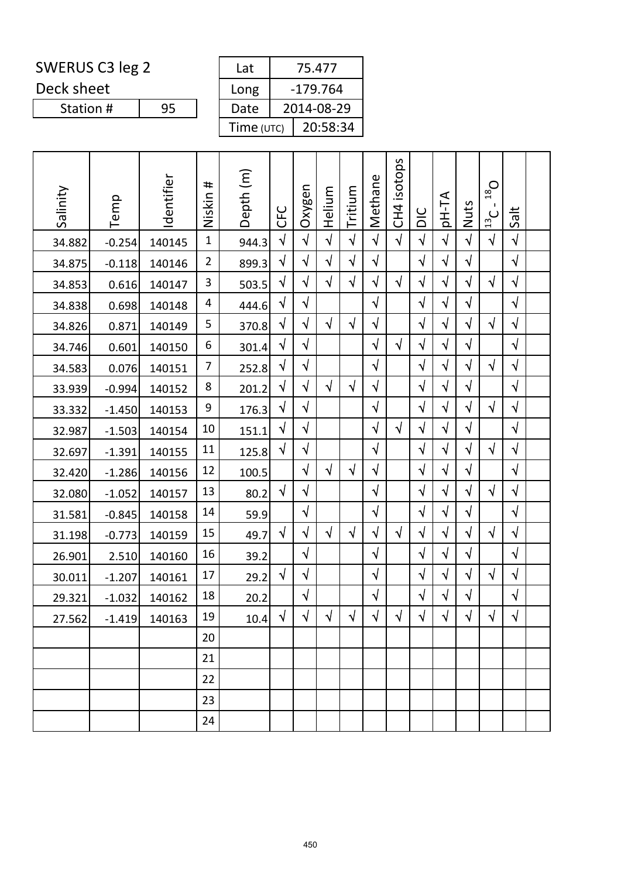| SWERUS C3 leg 2 | Lat |
|-----------------|-----|
|-----------------|-----|

Deck sheet

Station #

|            | 75.477     |  |  |  |  |  |
|------------|------------|--|--|--|--|--|
|            | $-179.764$ |  |  |  |  |  |
|            | 2014-08-29 |  |  |  |  |  |
| Time (UTC) | 20:58:34   |  |  |  |  |  |
|            |            |  |  |  |  |  |

| Salinity | Temp     | Identifier | #<br>Niskin    | Depth (m) | <b>UHC</b> | Oxygen     | Helium     | Tritium    | Methane    | CH4 isotops | $rac{C}{D}$ | <b>AT-Hq</b> | Nuts       | $Q_{\text{gt}}$<br>$\mathbf{I}$<br>$\frac{13}{2}$ C | Salt       |  |
|----------|----------|------------|----------------|-----------|------------|------------|------------|------------|------------|-------------|-------------|--------------|------------|-----------------------------------------------------|------------|--|
| 34.882   | $-0.254$ | 140145     | $\mathbf{1}$   | 944.3     | $\sqrt{2}$ | $\sqrt{2}$ | $\sqrt{2}$ | $\sqrt{2}$ | $\sqrt{2}$ | $\sqrt{2}$  | $\sqrt{2}$  | $\sqrt{2}$   | $\sqrt{2}$ | $\sqrt{2}$                                          | $\sqrt{}$  |  |
| 34.875   | $-0.118$ | 140146     | $\overline{2}$ | 899.3     | $\sqrt{}$  | $\sqrt{}$  | $\sqrt{ }$ | $\sqrt{ }$ | $\sqrt{}$  |             | $\sqrt{}$   | $\sqrt{}$    | $\sqrt{2}$ |                                                     | $\sqrt{ }$ |  |
| 34.853   | 0.616    | 140147     | 3              | 503.5     | $\sqrt{}$  | $\sqrt{}$  | $\sqrt{ }$ | $\sqrt{}$  | $\sqrt{ }$ | $\sqrt{}$   | $\sqrt{}$   | $\sqrt{}$    | $\sqrt{}$  | $\sqrt{ }$                                          | $\sqrt{}$  |  |
| 34.838   | 0.698    | 140148     | 4              | 444.6     | $\sqrt{}$  | $\sqrt{}$  |            |            | $\sqrt{}$  |             | $\sqrt{ }$  | $\sqrt{}$    | $\sqrt{ }$ |                                                     | $\sqrt{ }$ |  |
| 34.826   | 0.871    | 140149     | 5              | 370.8     | $\sqrt{}$  | $\sqrt{}$  | $\sqrt{ }$ | $\sqrt{ }$ | $\sqrt{}$  |             | $\sqrt{}$   | $\sqrt{}$    | $\sqrt{ }$ | $\sqrt{}$                                           | $\sqrt{ }$ |  |
| 34.746   | 0.601    | 140150     | 6              | 301.4     | $\sqrt{}$  | $\sqrt{}$  |            |            | $\sqrt{}$  | $\sqrt{}$   | $\sqrt{}$   | √            | $\sqrt{}$  |                                                     | $\sqrt{}$  |  |
| 34.583   | 0.076    | 140151     | $\overline{7}$ | 252.8     | $\sqrt{2}$ | $\sqrt{}$  |            |            | $\sqrt{ }$ |             | $\sqrt{2}$  | $\sqrt{ }$   | $\sqrt{}$  | $\sqrt{2}$                                          | $\sqrt{ }$ |  |
| 33.939   | $-0.994$ | 140152     | 8              | 201.2     | $\sqrt{}$  | $\sqrt{}$  | $\sqrt{ }$ | $\sqrt{ }$ | $\sqrt{}$  |             | $\sqrt{}$   | $\sqrt{}$    | $\sqrt{}$  |                                                     | $\sqrt{ }$ |  |
| 33.332   | $-1.450$ | 140153     | 9              | 176.3     | $\sqrt{}$  | $\sqrt{}$  |            |            | $\sqrt{}$  |             | $\sqrt{}$   | $\sqrt{}$    | $\sqrt{}$  | $\sqrt{}$                                           | $\sqrt{}$  |  |
| 32.987   | $-1.503$ | 140154     | 10             | 151.1     | $\sqrt{2}$ | $\sqrt{}$  |            |            | $\sqrt{ }$ | $\sqrt{ }$  | $\sqrt{}$   | $\sqrt{}$    | $\sqrt{ }$ |                                                     | $\sqrt{ }$ |  |
| 32.697   | $-1.391$ | 140155     | 11             | 125.8     | $\sqrt{}$  | $\sqrt{}$  |            |            | $\sqrt{}$  |             | $\sqrt{}$   | $\sqrt{}$    | $\sqrt{}$  | $\sqrt{ }$                                          | $\sqrt{}$  |  |
| 32.420   | $-1.286$ | 140156     | 12             | 100.5     |            | $\sqrt{}$  | $\sqrt{ }$ | $\sqrt{}$  | $\sqrt{}$  |             | $\sqrt{}$   | $\sqrt{}$    | $\sqrt{}$  |                                                     | $\sqrt{ }$ |  |
| 32.080   | $-1.052$ | 140157     | 13             | 80.2      | $\sqrt{ }$ | $\sqrt{}$  |            |            | $\sqrt{}$  |             | $\sqrt{ }$  | $\sqrt{ }$   | $\sqrt{ }$ | $\sqrt{ }$                                          | $\sqrt{ }$ |  |
| 31.581   | $-0.845$ | 140158     | 14             | 59.9      |            | $\sqrt{}$  |            |            | $\sqrt{}$  |             | $\sqrt{}$   | $\sqrt{}$    | $\sqrt{}$  |                                                     | $\sqrt{ }$ |  |
| 31.198   | $-0.773$ | 140159     | 15             | 49.7      | $\sqrt{}$  | $\sqrt{}$  | $\sqrt{ }$ | $\sqrt{}$  | $\sqrt{}$  | $\sqrt{}$   | $\sqrt{}$   | $\sqrt{}$    | $\sqrt{}$  | $\sqrt{}$                                           | $\sqrt{}$  |  |
| 26.901   | 2.510    | 140160     | 16             | 39.2      |            | $\sqrt{}$  |            |            | $\sqrt{ }$ |             | $\sqrt{}$   | $\sqrt{}$    | $\sqrt{ }$ |                                                     | $\sqrt{ }$ |  |
| 30.011   | $-1.207$ | 140161     | 17             | 29.2      | $\sqrt{}$  | $\sqrt{}$  |            |            | $\sqrt{}$  |             | $\sqrt{}$   | $\sqrt{}$    | $\sqrt{}$  | $\sqrt{ }$                                          | $\sqrt{}$  |  |
| 29.321   | $-1.032$ | 140162     | 18             | 20.2      |            | $\sqrt{2}$ |            |            | $\sqrt{}$  |             | $\sqrt{}$   | $\sqrt{}$    | $\sqrt{2}$ |                                                     | $\sqrt{}$  |  |
| 27.562   | $-1.419$ | 140163     | 19             | 10.4      | $\sqrt{ }$ | $\sqrt{ }$ | $\sqrt{ }$ | $\sqrt{ }$ | $\sqrt{}$  | $\sqrt{ }$  | $\sqrt{ }$  | $\sqrt{}$    | $\sqrt{2}$ | $\sqrt{ }$                                          | $\sqrt{ }$ |  |
|          |          |            | 20             |           |            |            |            |            |            |             |             |              |            |                                                     |            |  |
|          |          |            | 21             |           |            |            |            |            |            |             |             |              |            |                                                     |            |  |
|          |          |            | 22             |           |            |            |            |            |            |             |             |              |            |                                                     |            |  |
|          |          |            | 23             |           |            |            |            |            |            |             |             |              |            |                                                     |            |  |
|          |          |            | 24             |           |            |            |            |            |            |             |             |              |            |                                                     |            |  |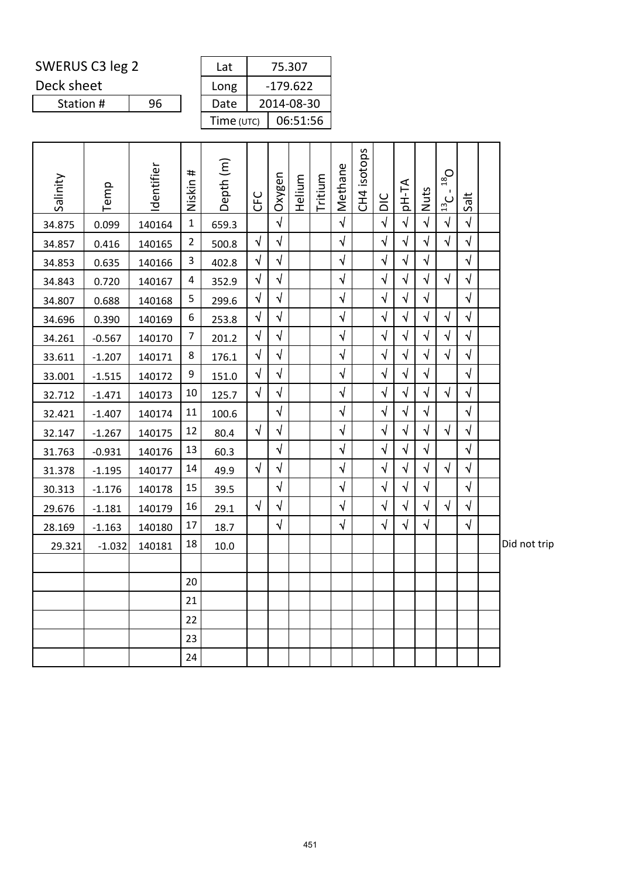Deck sheet

| ERUS C3 leg 2 |    |  | Lat          |            | 75.307     |  |
|---------------|----|--|--------------|------------|------------|--|
| k sheet       |    |  | Long         | $-179.622$ |            |  |
| Station #     | 96 |  | Date         |            | 2014-08-30 |  |
|               |    |  | Time $(UTC)$ |            | 06:51:56   |  |
|               |    |  |              |            |            |  |

| Salinity | Temp     | Identifier | Niskin #                | Depth <sub>(m)</sub> | <b>CFC</b> | Oxygen     | Helium | Tritium | Methane    | CH4 isotops | $rac{C}{D}$ | AT-Hq      | Nuts       | $O_{85}$<br>$\frac{13}{13}$ | Salt       |              |
|----------|----------|------------|-------------------------|----------------------|------------|------------|--------|---------|------------|-------------|-------------|------------|------------|-----------------------------|------------|--------------|
| 34.875   | 0.099    | 140164     | $\mathbf 1$             | 659.3                |            | $\sqrt{ }$ |        |         | $\sqrt{ }$ |             | $\sqrt{ }$  | $\sqrt{2}$ | $\sqrt{ }$ | $\sqrt{ }$                  | $\sqrt{ }$ |              |
| 34.857   | 0.416    | 140165     | $\overline{2}$          | 500.8                | $\sqrt{ }$ | $\sqrt{ }$ |        |         | $\sqrt{ }$ |             | $\sqrt{ }$  | $\sqrt{}$  | $\sqrt{2}$ | $\sqrt{ }$                  | $\sqrt{ }$ |              |
| 34.853   | 0.635    | 140166     | $\mathbf{3}$            | 402.8                | $\sqrt{ }$ | $\sqrt{ }$ |        |         | $\sqrt{ }$ |             | $\sqrt{}$   | $\sqrt{}$  | $\sqrt{}$  |                             | $\sqrt{ }$ |              |
| 34.843   | 0.720    | 140167     | $\overline{\mathbf{r}}$ | 352.9                | $\sqrt{ }$ | $\sqrt{}$  |        |         | $\sqrt{ }$ |             | $\sqrt{ }$  | $\sqrt{ }$ | $\sqrt{ }$ | $\sqrt{ }$                  | $\sqrt{ }$ |              |
| 34.807   | 0.688    | 140168     | 5                       | 299.6                | $\sqrt{ }$ | $\sqrt{ }$ |        |         | $\sqrt{}$  |             | $\sqrt{}$   | $\sqrt{}$  | $\sqrt{ }$ |                             | $\sqrt{ }$ |              |
| 34.696   | 0.390    | 140169     | $\boldsymbol{6}$        | 253.8                | $\sqrt{ }$ | $\sqrt{ }$ |        |         | $\sqrt{ }$ |             | $\sqrt{}$   | $\sqrt{ }$ | $\sqrt{ }$ | $\sqrt{2}$                  | $\sqrt{ }$ |              |
| 34.261   | $-0.567$ | 140170     | $\overline{7}$          | 201.2                | $\sqrt{ }$ | $\sqrt{ }$ |        |         | $\sqrt{ }$ |             | $\sqrt{}$   | $\sqrt{}$  | $\sqrt{}$  | $\sqrt{}$                   | $\sqrt{ }$ |              |
| 33.611   | $-1.207$ | 140171     | 8                       | 176.1                | $\sqrt{}$  | $\sqrt{2}$ |        |         | $\sqrt{}$  |             | $\sqrt{}$   | $\sqrt{}$  | $\sqrt{ }$ | $\sqrt{ }$                  | $\sqrt{ }$ |              |
| 33.001   | $-1.515$ | 140172     | 9                       | 151.0                | $\sqrt{ }$ | $\sqrt{ }$ |        |         | $\sqrt{ }$ |             | $\sqrt{ }$  | $\sqrt{ }$ | $\sqrt{ }$ |                             | $\sqrt{ }$ |              |
| 32.712   | $-1.471$ | 140173     | 10                      | 125.7                | $\sqrt{ }$ | $\sqrt{ }$ |        |         | $\sqrt{ }$ |             | $\sqrt{}$   | $\sqrt{}$  | $\sqrt{}$  | $\sqrt{}$                   | $\sqrt{ }$ |              |
| 32.421   | $-1.407$ | 140174     | 11                      | 100.6                |            | $\sqrt{}$  |        |         | $\sqrt{}$  |             | $\sqrt{}$   | $\sqrt{ }$ | $\sqrt{ }$ |                             | $\sqrt{ }$ |              |
| 32.147   | $-1.267$ | 140175     | 12                      | 80.4                 | $\sqrt{ }$ | $\sqrt{ }$ |        |         | $\sqrt{ }$ |             | $\sqrt{}$   | $\sqrt{ }$ | $\sqrt{ }$ | $\sqrt{ }$                  | $\sqrt{ }$ |              |
| 31.763   | $-0.931$ | 140176     | 13                      | 60.3                 |            | $\sqrt{ }$ |        |         | $\sqrt{ }$ |             | $\sqrt{}$   | $\sqrt{ }$ | $\sqrt{ }$ |                             | $\sqrt{ }$ |              |
| 31.378   | $-1.195$ | 140177     | 14                      | 49.9                 | $\sqrt{ }$ | $\sqrt{}$  |        |         | $\sqrt{ }$ |             | $\sqrt{}$   | $\sqrt{}$  | $\sqrt{}$  | $\sqrt{ }$                  | $\sqrt{}$  |              |
| 30.313   | $-1.176$ | 140178     | 15                      | 39.5                 |            | $\sqrt{ }$ |        |         | $\sqrt{ }$ |             | $\sqrt{ }$  | $\sqrt{2}$ | $\sqrt{ }$ |                             | $\sqrt{ }$ |              |
| 29.676   | $-1.181$ | 140179     | 16                      | 29.1                 | $\sqrt{ }$ | $\sqrt{ }$ |        |         | $\sqrt{ }$ |             | $\sqrt{}$   | $\sqrt{}$  | $\sqrt{ }$ | $\sqrt{ }$                  | $\sqrt{ }$ |              |
| 28.169   | $-1.163$ | 140180     | 17                      | 18.7                 |            | $\sqrt{ }$ |        |         | $\sqrt{ }$ |             | $\sqrt{}$   | $\sqrt{}$  | $\sqrt{}$  |                             | $\sqrt{2}$ |              |
| 29.321   | $-1.032$ | 140181     | 18                      | 10.0                 |            |            |        |         |            |             |             |            |            |                             |            | Did not trip |
|          |          |            |                         |                      |            |            |        |         |            |             |             |            |            |                             |            |              |
|          |          |            | 20                      |                      |            |            |        |         |            |             |             |            |            |                             |            |              |
|          |          |            | 21                      |                      |            |            |        |         |            |             |             |            |            |                             |            |              |
|          |          |            | 22                      |                      |            |            |        |         |            |             |             |            |            |                             |            |              |
|          |          |            | 23                      |                      |            |            |        |         |            |             |             |            |            |                             |            |              |
|          |          |            | 24                      |                      |            |            |        |         |            |             |             |            |            |                             |            |              |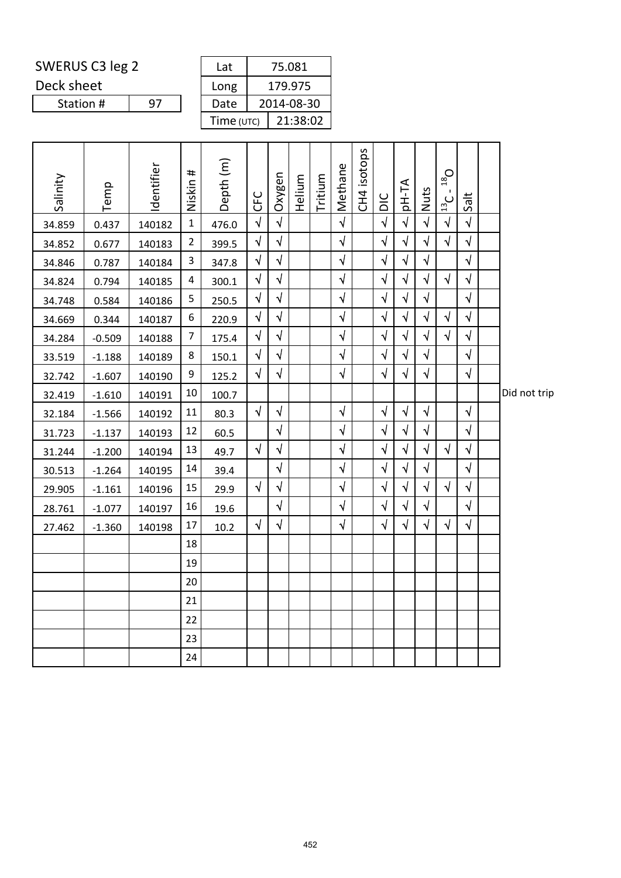Deck sheet

| ERUS C3 leg 2 |    |  | Lat          |         | 75.081     |  |  |
|---------------|----|--|--------------|---------|------------|--|--|
| k sheet       |    |  | Long         | 179.975 |            |  |  |
| Station #     | 97 |  | Date         |         | 2014-08-30 |  |  |
|               |    |  | Time $(UTC)$ |         | 21:38:02   |  |  |
|               |    |  |              |         |            |  |  |

| Salinity | Temp     | dentifier | Niskin #         | Depth (m) | <b>CFC</b> | Oxygen     | Helium | Tritium | Methane    | CH4 isotops | DIC        | AT-Hp      | Nuts       | $Q_{\text{gt}}$<br>$\frac{13}{2}$ C | Salt       |              |
|----------|----------|-----------|------------------|-----------|------------|------------|--------|---------|------------|-------------|------------|------------|------------|-------------------------------------|------------|--------------|
| 34.859   | 0.437    | 140182    | $\mathbf 1$      | 476.0     | $\sqrt{ }$ | $\sqrt{ }$ |        |         | $\sqrt{ }$ |             | $\sqrt{ }$ | $\sqrt{ }$ | $\sqrt{ }$ | $\sqrt{ }$                          | $\sqrt{2}$ |              |
| 34.852   | 0.677    | 140183    | $\overline{2}$   | 399.5     | $\sqrt{ }$ | $\sqrt{2}$ |        |         | $\sqrt{ }$ |             | $\sqrt{}$  | $\sqrt{}$  | $\sqrt{2}$ | $\sqrt{2}$                          | $\sqrt{ }$ |              |
| 34.846   | 0.787    | 140184    | 3                | 347.8     | $\sqrt{ }$ | $\sqrt{ }$ |        |         | $\sqrt{ }$ |             | $\sqrt{ }$ | $\sqrt{ }$ | $\sqrt{ }$ |                                     | $\sqrt{ }$ |              |
| 34.824   | 0.794    | 140185    | 4                | 300.1     | $\sqrt{}$  | $\sqrt{}$  |        |         | $\sqrt{}$  |             | $\sqrt{}$  | $\sqrt{}$  | $\sqrt{}$  | $\sqrt{ }$                          | $\sqrt{ }$ |              |
| 34.748   | 0.584    | 140186    | 5                | 250.5     | $\sqrt{ }$ | $\sqrt{ }$ |        |         | $\sqrt{ }$ |             | $\sqrt{}$  | $\sqrt{}$  | $\sqrt{ }$ |                                     | $\sqrt{ }$ |              |
| 34.669   | 0.344    | 140187    | $\boldsymbol{6}$ | 220.9     | $\sqrt{ }$ | $\sqrt{ }$ |        |         | $\sqrt{ }$ |             | $\sqrt{ }$ | $\sqrt{ }$ | $\sqrt{ }$ | $\sqrt{ }$                          | $\sqrt{ }$ |              |
| 34.284   | $-0.509$ | 140188    | $\overline{7}$   | 175.4     | $\sqrt{ }$ | $\sqrt{ }$ |        |         | $\sqrt{ }$ |             | $\sqrt{}$  | $\sqrt{}$  | $\sqrt{ }$ | $\sqrt{ }$                          | $\sqrt{ }$ |              |
| 33.519   | $-1.188$ | 140189    | 8                | 150.1     | $\sqrt{ }$ | $\sqrt{ }$ |        |         | $\sqrt{ }$ |             | $\sqrt{ }$ | $\sqrt{ }$ | $\sqrt{ }$ |                                     | $\sqrt{ }$ |              |
| 32.742   | $-1.607$ | 140190    | 9                | 125.2     | $\sqrt{ }$ | $\sqrt{}$  |        |         | $\sqrt{ }$ |             | $\sqrt{}$  | $\sqrt{}$  | $\sqrt{ }$ |                                     | $\sqrt{ }$ |              |
| 32.419   | $-1.610$ | 140191    | 10               | 100.7     |            |            |        |         |            |             |            |            |            |                                     |            | Did not trip |
| 32.184   | $-1.566$ | 140192    | 11               | 80.3      | $\sqrt{ }$ | $\sqrt{ }$ |        |         | $\sqrt{ }$ |             | $\sqrt{ }$ | $\sqrt{ }$ | $\sqrt{ }$ |                                     | $\sqrt{ }$ |              |
| 31.723   | $-1.137$ | 140193    | 12               | 60.5      |            | $\sqrt{ }$ |        |         | $\sqrt{ }$ |             | $\sqrt{ }$ | $\sqrt{ }$ | $\sqrt{ }$ |                                     | $\sqrt{ }$ |              |
| 31.244   | $-1.200$ | 140194    | 13               | 49.7      | $\sqrt{ }$ | $\sqrt{ }$ |        |         | $\sqrt{ }$ |             | $\sqrt{}$  | $\sqrt{}$  | $\sqrt{}$  | $\sqrt{ }$                          | $\sqrt{ }$ |              |
| 30.513   | $-1.264$ | 140195    | 14               | 39.4      |            | $\sqrt{ }$ |        |         | $\sqrt{}$  |             | $\sqrt{}$  | $\sqrt{}$  | $\sqrt{ }$ |                                     | $\sqrt{ }$ |              |
| 29.905   | $-1.161$ | 140196    | 15               | 29.9      | $\sqrt{ }$ | $\sqrt{ }$ |        |         | $\sqrt{ }$ |             | $\sqrt{ }$ | $\sqrt{ }$ | $\sqrt{2}$ | $\sqrt{ }$                          | $\sqrt{ }$ |              |
| 28.761   | $-1.077$ | 140197    | 16               | 19.6      |            | $\sqrt{ }$ |        |         | $\sqrt{ }$ |             | $\sqrt{}$  | $\sqrt{ }$ | $\sqrt{ }$ |                                     | $\sqrt{ }$ |              |
| 27.462   | $-1.360$ | 140198    | 17               | 10.2      | $\sqrt{ }$ | $\sqrt{}$  |        |         | $\sqrt{ }$ |             | $\sqrt{}$  | $\sqrt{ }$ | $\sqrt{ }$ | $\sqrt{ }$                          | $\sqrt{ }$ |              |
|          |          |           | 18               |           |            |            |        |         |            |             |            |            |            |                                     |            |              |
|          |          |           | 19               |           |            |            |        |         |            |             |            |            |            |                                     |            |              |
|          |          |           | 20               |           |            |            |        |         |            |             |            |            |            |                                     |            |              |
|          |          |           | 21               |           |            |            |        |         |            |             |            |            |            |                                     |            |              |
|          |          |           | 22               |           |            |            |        |         |            |             |            |            |            |                                     |            |              |
|          |          |           | 23               |           |            |            |        |         |            |             |            |            |            |                                     |            |              |
|          |          |           | 24               |           |            |            |        |         |            |             |            |            |            |                                     |            |              |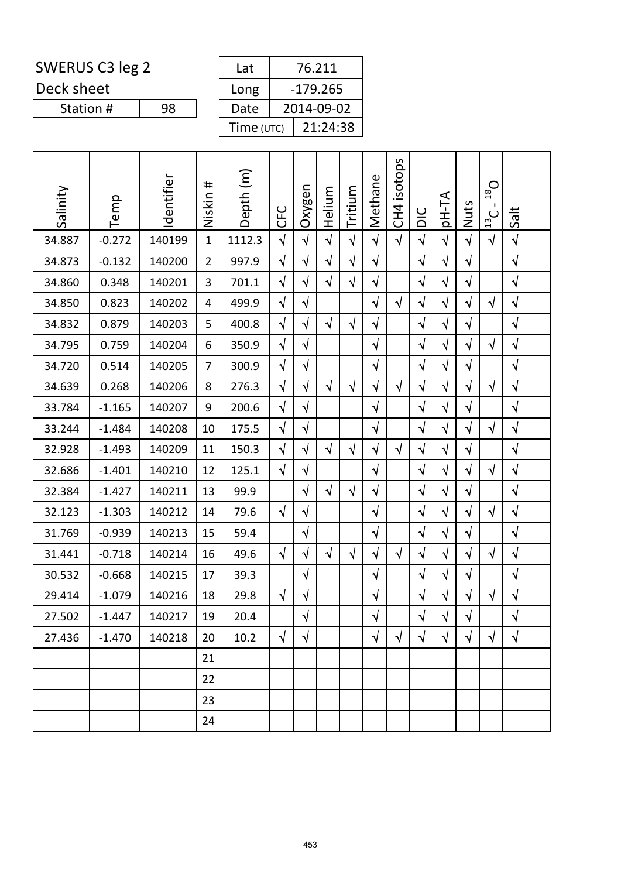| SWERUS C3 leg 2 |    |  | Lat        | 76.211     |
|-----------------|----|--|------------|------------|
| Deck sheet      |    |  | Long       | $-179.265$ |
| Station #       | 98 |  | Date       | 2014-09-02 |
|                 |    |  | Time (UTC) | 21:24:38   |

| Salinity | Temp     | Identifier | #<br>Niskin    | Depth (m) | <b>CFC</b> | Oxygen     | Helium     | Tritium    | Methane    | CH4 isotops | DIC        | <b>AT-Hql</b> | Nuts       | $O_{81}$<br>п.<br>$\frac{13}{2}$ C | Salt       |  |
|----------|----------|------------|----------------|-----------|------------|------------|------------|------------|------------|-------------|------------|---------------|------------|------------------------------------|------------|--|
| 34.887   | $-0.272$ | 140199     | $\mathbf{1}$   | 1112.3    | $\sqrt{ }$ | $\sqrt{ }$ | $\sqrt{ }$ | $\sqrt{2}$ | $\sqrt{ }$ | $\sqrt{ }$  | $\sqrt{ }$ | $\sqrt{}$     | $\sqrt{}$  | $\sqrt{ }$                         | $\sqrt{ }$ |  |
| 34.873   | $-0.132$ | 140200     | $\overline{2}$ | 997.9     | $\sqrt{ }$ | $\sqrt{}$  | $\sqrt{ }$ | $\sqrt{ }$ | $\sqrt{ }$ |             | $\sqrt{}$  | $\sqrt{ }$    | $\sqrt{ }$ |                                    | $\sqrt{ }$ |  |
| 34.860   | 0.348    | 140201     | 3              | 701.1     | $\sqrt{}$  | $\sqrt{}$  | $\sqrt{ }$ | $\sqrt{}$  | $\sqrt{ }$ |             | $\sqrt{}$  | $\sqrt{}$     | $\sqrt{}$  |                                    | $\sqrt{ }$ |  |
| 34.850   | 0.823    | 140202     | 4              | 499.9     | $\sqrt{2}$ | $\sqrt{}$  |            |            | $\sqrt{}$  | $\sqrt{ }$  | $\sqrt{ }$ | $\sqrt{}$     | $\sqrt{}$  | $\sqrt{ }$                         | $\sqrt{ }$ |  |
| 34.832   | 0.879    | 140203     | 5              | 400.8     | $\sqrt{ }$ | $\sqrt{ }$ | $\sqrt{ }$ | $\sqrt{ }$ | $\sqrt{ }$ |             | $\sqrt{}$  | $\sqrt{}$     | $\sqrt{ }$ |                                    | $\sqrt{ }$ |  |
| 34.795   | 0.759    | 140204     | 6              | 350.9     | $\sqrt{}$  | $\sqrt{}$  |            |            | $\sqrt{ }$ |             | $\sqrt{}$  | $\sqrt{}$     | $\sqrt{}$  | $\sqrt{ }$                         | $\sqrt{ }$ |  |
| 34.720   | 0.514    | 140205     | 7              | 300.9     | $\sqrt{2}$ | $\sqrt{}$  |            |            | $\sqrt{}$  |             | $\sqrt{2}$ | $\sqrt{}$     | $\sqrt{}$  |                                    | $\sqrt{ }$ |  |
| 34.639   | 0.268    | 140206     | 8              | 276.3     | $\sqrt{2}$ | $\sqrt{ }$ | $\sqrt{ }$ | $\sqrt{ }$ | $\sqrt{ }$ | $\sqrt{ }$  | $\sqrt{}$  | $\sqrt{}$     | $\sqrt{ }$ | $\sqrt{ }$                         | $\sqrt{ }$ |  |
| 33.784   | $-1.165$ | 140207     | 9              | 200.6     | $\sqrt{}$  | $\sqrt{}$  |            |            | $\sqrt{}$  |             | $\sqrt{}$  | $\sqrt{}$     | $\sqrt{}$  |                                    | $\sqrt{ }$ |  |
| 33.244   | $-1.484$ | 140208     | 10             | 175.5     | $\sqrt{}$  | $\sqrt{}$  |            |            | $\sqrt{ }$ |             | $\sqrt{2}$ | $\sqrt{}$     | $\sqrt{}$  | $\sqrt{ }$                         | $\sqrt{}$  |  |
| 32.928   | $-1.493$ | 140209     | 11             | 150.3     | $\sqrt{ }$ | $\sqrt{ }$ | $\sqrt{2}$ | $\sqrt{2}$ | $\sqrt{ }$ | $\sqrt{ }$  | $\sqrt{}$  | $\sqrt{}$     | $\sqrt{ }$ |                                    | $\sqrt{ }$ |  |
| 32.686   | $-1.401$ | 140210     | 12             | 125.1     | $\sqrt{ }$ | $\sqrt{}$  |            |            | $\sqrt{ }$ |             | $\sqrt{}$  | $\sqrt{}$     | $\sqrt{}$  | $\sqrt{ }$                         | $\sqrt{ }$ |  |
| 32.384   | $-1.427$ | 140211     | 13             | 99.9      |            | $\sqrt{}$  | $\sqrt{ }$ | $\sqrt{ }$ | $\sqrt{ }$ |             | $\sqrt{ }$ | $\sqrt{}$     | $\sqrt{}$  |                                    | $\sqrt{ }$ |  |
| 32.123   | $-1.303$ | 140212     | 14             | 79.6      | $\sqrt{ }$ | $\sqrt{}$  |            |            | $\sqrt{ }$ |             | $\sqrt{}$  | $\sqrt{}$     | $\sqrt{ }$ | $\sqrt{ }$                         | $\sqrt{ }$ |  |
| 31.769   | $-0.939$ | 140213     | 15             | 59.4      |            | $\sqrt{}$  |            |            | $\sqrt{ }$ |             | $\sqrt{ }$ | $\sqrt{}$     | $\sqrt{2}$ |                                    | $\sqrt{ }$ |  |
| 31.441   | $-0.718$ | 140214     | 16             | 49.6      | $\sqrt{ }$ | $\sqrt{}$  | $\sqrt{ }$ | $\sqrt{}$  | $\sqrt{ }$ | $\sqrt{ }$  | $\sqrt{2}$ | $\sqrt{}$     | $\sqrt{}$  | $\sqrt{ }$                         | $\sqrt{ }$ |  |
| 30.532   | $-0.668$ | 140215     | 17             | 39.3      |            | $\sqrt{}$  |            |            | $\sqrt{ }$ |             | $\sqrt{}$  | $\sqrt{}$     | $\sqrt{}$  |                                    | $\sqrt{ }$ |  |
| 29.414   | $-1.079$ | 140216     | 18             | 29.8      | $\sqrt{ }$ | $\sqrt{}$  |            |            | $\sqrt{ }$ |             | $\sqrt{ }$ | $\sqrt{}$     | $\sqrt{ }$ | $\sqrt{ }$                         | $\sqrt{ }$ |  |
| 27.502   | $-1.447$ | 140217     | 19             | 20.4      |            | $\sqrt{}$  |            |            | $\sqrt{}$  |             | $\sqrt{ }$ | $\sqrt{}$     | $\sqrt{ }$ |                                    | $\sqrt{ }$ |  |
| 27.436   | $-1.470$ | 140218     | 20             | 10.2      | $\sqrt{ }$ | $\sqrt{ }$ |            |            | $\sqrt{ }$ | $\sqrt{ }$  | $\sqrt{ }$ | $\sqrt{ }$    | $\sqrt{ }$ | $\sqrt{ }$                         | $\sqrt{ }$ |  |
|          |          |            | 21             |           |            |            |            |            |            |             |            |               |            |                                    |            |  |
|          |          |            | 22             |           |            |            |            |            |            |             |            |               |            |                                    |            |  |
|          |          |            | 23             |           |            |            |            |            |            |             |            |               |            |                                    |            |  |
|          |          |            | 24             |           |            |            |            |            |            |             |            |               |            |                                    |            |  |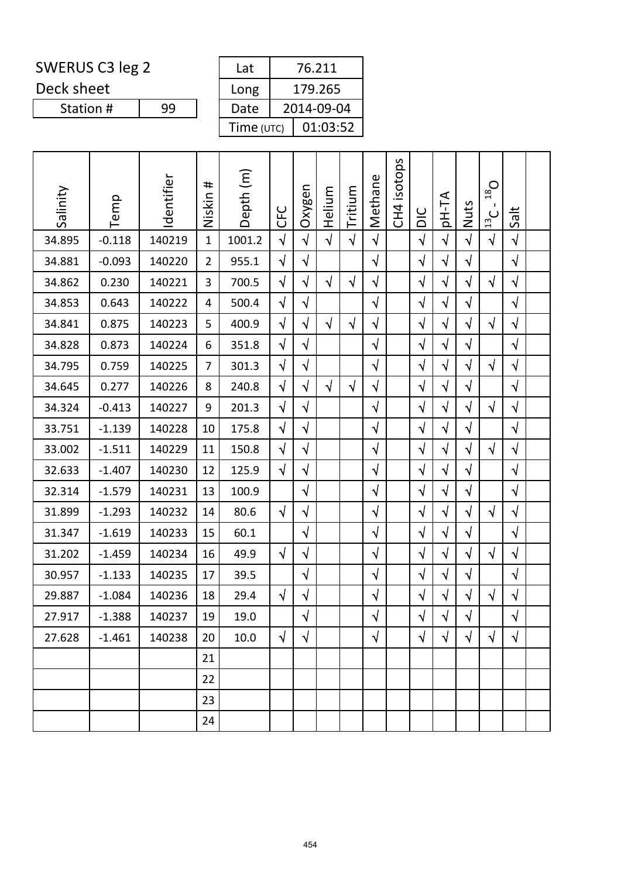Deck sheet

Station #

| Lat        | 76.211     |  |  |  |  |  |  |
|------------|------------|--|--|--|--|--|--|
| Long       | 179.265    |  |  |  |  |  |  |
| Date       | 2014-09-04 |  |  |  |  |  |  |
| Time (UTC) | 01:03:52   |  |  |  |  |  |  |

| Salinity | Temp     | Identifier | #<br>Niskin    | Depth (m) | <b>UHC</b> | Oxygen     | Helium     | Tritium    | Methane    | isotops<br>CH <sub>4</sub> | DIC        | <b>AT-Hq</b> | Nuts       | $O_{81}$<br>$\frac{13}{2}$ C | Salt       |  |
|----------|----------|------------|----------------|-----------|------------|------------|------------|------------|------------|----------------------------|------------|--------------|------------|------------------------------|------------|--|
| 34.895   | $-0.118$ | 140219     | $\mathbf{1}$   | 1001.2    | $\sqrt{2}$ | $\sqrt{ }$ | $\sqrt{2}$ | $\sqrt{2}$ | $\sqrt{ }$ |                            | $\sqrt{2}$ | $\sqrt{}$    | $\sqrt{ }$ | $\sqrt{2}$                   | $\sqrt{ }$ |  |
| 34.881   | $-0.093$ | 140220     | $\overline{2}$ | 955.1     | $\sqrt{}$  | $\sqrt{}$  |            |            | $\sqrt{ }$ |                            | $\sqrt{}$  | $\sqrt{}$    | $\sqrt{2}$ |                              | $\sqrt{ }$ |  |
| 34.862   | 0.230    | 140221     | 3              | 700.5     | $\sqrt{}$  | $\sqrt{}$  | $\sqrt{ }$ | $\sqrt{}$  | $\sqrt{ }$ |                            | $\sqrt{}$  | $\sqrt{}$    | $\sqrt{}$  | $\sqrt{ }$                   | $\sqrt{ }$ |  |
| 34.853   | 0.643    | 140222     | 4              | 500.4     | $\sqrt{}$  | $\sqrt{}$  |            |            | $\sqrt{ }$ |                            | $\sqrt{ }$ | $\sqrt{}$    | $\sqrt{}$  |                              | $\sqrt{ }$ |  |
| 34.841   | 0.875    | 140223     | 5              | 400.9     | $\sqrt{2}$ | $\sqrt{}$  | $\sqrt{ }$ | $\sqrt{}$  | $\sqrt{ }$ |                            | $\sqrt{ }$ | $\sqrt{}$    | $\sqrt{ }$ | $\sqrt{ }$                   | $\sqrt{ }$ |  |
| 34.828   | 0.873    | 140224     | 6              | 351.8     | $\sqrt{}$  | $\sqrt{}$  |            |            | $\sqrt{}$  |                            | $\sqrt{}$  | $\sqrt{}$    | $\sqrt{}$  |                              | $\sqrt{ }$ |  |
| 34.795   | 0.759    | 140225     | $\overline{7}$ | 301.3     | $\sqrt{ }$ | $\sqrt{2}$ |            |            | $\sqrt{ }$ |                            | $\sqrt{ }$ | $\sqrt{}$    | $\sqrt{ }$ | $\sqrt{ }$                   | $\sqrt{ }$ |  |
| 34.645   | 0.277    | 140226     | 8              | 240.8     | $\sqrt{ }$ | $\sqrt{}$  | $\sqrt{ }$ | $\sqrt{ }$ | $\sqrt{ }$ |                            | $\sqrt{}$  | $\sqrt{}$    | $\sqrt{}$  |                              | $\sqrt{ }$ |  |
| 34.324   | $-0.413$ | 140227     | 9              | 201.3     | $\sqrt{}$  | $\sqrt{}$  |            |            | $\sqrt{ }$ |                            | $\sqrt{}$  | $\sqrt{}$    | $\sqrt{}$  | $\sqrt{}$                    | $\sqrt{ }$ |  |
| 33.751   | $-1.139$ | 140228     | 10             | 175.8     | $\sqrt{2}$ | $\sqrt{}$  |            |            | $\sqrt{ }$ |                            | $\sqrt{2}$ | $\sqrt{}$    | $\sqrt{}$  |                              | $\sqrt{ }$ |  |
| 33.002   | $-1.511$ | 140229     | 11             | 150.8     | $\sqrt{}$  | $\sqrt{}$  |            |            | $\sqrt{2}$ |                            | $\sqrt{ }$ | $\sqrt{ }$   | $\sqrt{ }$ | $\sqrt{ }$                   | $\sqrt{ }$ |  |
| 32.633   | $-1.407$ | 140230     | 12             | 125.9     | $\sqrt{}$  | $\sqrt{}$  |            |            | $\sqrt{}$  |                            | $\sqrt{}$  | $\sqrt{}$    | $\sqrt{ }$ |                              | $\sqrt{ }$ |  |
| 32.314   | $-1.579$ | 140231     | 13             | 100.9     |            | $\sqrt{2}$ |            |            | $\sqrt{ }$ |                            | $\sqrt{ }$ | $\sqrt{}$    | $\sqrt{ }$ |                              | $\sqrt{ }$ |  |
| 31.899   | $-1.293$ | 140232     | 14             | 80.6      | $\sqrt{}$  | $\sqrt{}$  |            |            | $\sqrt{}$  |                            | $\sqrt{}$  | $\sqrt{}$    | $\sqrt{ }$ | $\sqrt{ }$                   | $\sqrt{ }$ |  |
| 31.347   | $-1.619$ | 140233     | 15             | 60.1      |            | $\sqrt{ }$ |            |            | $\sqrt{ }$ |                            | $\sqrt{ }$ | $\sqrt{2}$   | $\sqrt{2}$ |                              | $\sqrt{ }$ |  |
| 31.202   | $-1.459$ | 140234     | 16             | 49.9      | $\sqrt{ }$ | $\sqrt{2}$ |            |            | $\sqrt{ }$ |                            | $\sqrt{ }$ | $\sqrt{ }$   | $\sqrt{ }$ | $\sqrt{ }$                   | $\sqrt{ }$ |  |
| 30.957   | $-1.133$ | 140235     | 17             | 39.5      |            | $\sqrt{}$  |            |            | $\sqrt{}$  |                            | $\sqrt{}$  | $\sqrt{}$    | $\sqrt{}$  |                              | $\sqrt{ }$ |  |
| 29.887   | $-1.084$ | 140236     | 18             | 29.4      | $\sqrt{ }$ | $\sqrt{ }$ |            |            | $\sqrt{ }$ |                            | $\sqrt{}$  | $\sqrt{}$    | $\sqrt{}$  | $\sqrt{ }$                   | $\sqrt{ }$ |  |
| 27.917   | $-1.388$ | 140237     | 19             | 19.0      |            | $\sqrt{}$  |            |            | $\sqrt{ }$ |                            | $\sqrt{2}$ | $\sqrt{}$    | $\sqrt{2}$ |                              | $\sqrt{ }$ |  |
| 27.628   | $-1.461$ | 140238     | 20             | 10.0      | $\sqrt{ }$ | $\sqrt{}$  |            |            | $\sqrt{ }$ |                            | $\sqrt{ }$ | $\sqrt{ }$   | $\sqrt{ }$ | $\sqrt{ }$                   | $\sqrt{ }$ |  |
|          |          |            | 21             |           |            |            |            |            |            |                            |            |              |            |                              |            |  |
|          |          |            | 22             |           |            |            |            |            |            |                            |            |              |            |                              |            |  |
|          |          |            | 23             |           |            |            |            |            |            |                            |            |              |            |                              |            |  |
|          |          |            | 24             |           |            |            |            |            |            |                            |            |              |            |                              |            |  |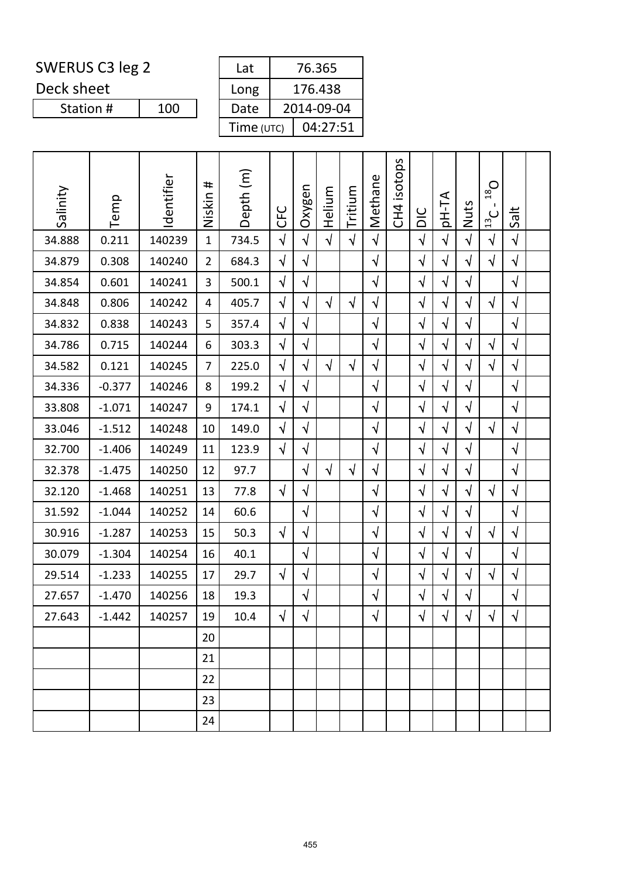Deck sheet

Station #

| Lat        | 76.365     |  |  |  |  |  |  |
|------------|------------|--|--|--|--|--|--|
| Long       | 176.438    |  |  |  |  |  |  |
| Date       | 2014-09-04 |  |  |  |  |  |  |
| Time (UTC) | 04:27:51   |  |  |  |  |  |  |

| Salinity | Temp     | Identifier | #<br>Niskin    | Depth (m) | <b>UHC</b> | Oxygen     | Helium     | Tritium    | Methane    | isotops<br>CH <sub>4</sub> | DIC        | pH-TA      | Nuts       | $O_{81}$<br>$\mathbf{I}$<br>13C | Salt       |  |
|----------|----------|------------|----------------|-----------|------------|------------|------------|------------|------------|----------------------------|------------|------------|------------|---------------------------------|------------|--|
| 34.888   | 0.211    | 140239     | $\mathbf{1}$   | 734.5     | $\sqrt{2}$ | $\sqrt{ }$ | $\sqrt{2}$ | $\sqrt{2}$ | $\sqrt{2}$ |                            | $\sqrt{2}$ | $\sqrt{ }$ | $\sqrt{2}$ | $\sqrt{ }$                      | $\sqrt{ }$ |  |
| 34.879   | 0.308    | 140240     | $\overline{2}$ | 684.3     | $\sqrt{ }$ | $\sqrt{}$  |            |            | $\sqrt{ }$ |                            | $\sqrt{ }$ | $\sqrt{}$  | $\sqrt{}$  | $\sqrt{ }$                      | $\sqrt{ }$ |  |
| 34.854   | 0.601    | 140241     | 3              | 500.1     | $\sqrt{}$  | $\sqrt{}$  |            |            | $\sqrt{}$  |                            | $\sqrt{}$  | $\sqrt{}$  | $\sqrt{}$  |                                 | $\sqrt{ }$ |  |
| 34.848   | 0.806    | 140242     | 4              | 405.7     | $\sqrt{2}$ | $\sqrt{}$  | $\sqrt{ }$ | $\sqrt{2}$ | $\sqrt{ }$ |                            | $\sqrt{2}$ | $\sqrt{ }$ | $\sqrt{ }$ | $\sqrt{ }$                      | $\sqrt{ }$ |  |
| 34.832   | 0.838    | 140243     | 5              | 357.4     | $\sqrt{2}$ | $\sqrt{}$  |            |            | $\sqrt{}$  |                            | $\sqrt{2}$ | $\sqrt{}$  | $\sqrt{}$  |                                 | $\sqrt{ }$ |  |
| 34.786   | 0.715    | 140244     | 6              | 303.3     | $\sqrt{}$  | $\sqrt{}$  |            |            | $\sqrt{}$  |                            | $\sqrt{}$  | $\sqrt{}$  | $\sqrt{}$  | $\sqrt{ }$                      | $\sqrt{}$  |  |
| 34.582   | 0.121    | 140245     | $\overline{7}$ | 225.0     | $\sqrt{ }$ | $\sqrt{}$  | $\sqrt{2}$ | $\sqrt{ }$ | $\sqrt{ }$ |                            | $\sqrt{2}$ | $\sqrt{ }$ | $\sqrt{ }$ | $\sqrt{ }$                      | $\sqrt{ }$ |  |
| 34.336   | $-0.377$ | 140246     | 8              | 199.2     | $\sqrt{ }$ | $\sqrt{}$  |            |            | $\sqrt{}$  |                            | $\sqrt{}$  | $\sqrt{}$  | $\sqrt{}$  |                                 | $\sqrt{ }$ |  |
| 33.808   | $-1.071$ | 140247     | 9              | 174.1     | $\sqrt{}$  | $\sqrt{}$  |            |            | $\sqrt{}$  |                            | $\sqrt{}$  | $\sqrt{}$  | $\sqrt{}$  |                                 | $\sqrt{ }$ |  |
| 33.046   | $-1.512$ | 140248     | 10             | 149.0     | $\sqrt{2}$ | $\sqrt{}$  |            |            | $\sqrt{ }$ |                            | $\sqrt{}$  | $\sqrt{ }$ | $\sqrt{}$  | $\sqrt{ }$                      | $\sqrt{ }$ |  |
| 32.700   | $-1.406$ | 140249     | 11             | 123.9     | $\sqrt{ }$ | $\sqrt{}$  |            |            | $\sqrt{ }$ |                            | $\sqrt{}$  | $\sqrt{}$  | $\sqrt{}$  |                                 | $\sqrt{ }$ |  |
| 32.378   | $-1.475$ | 140250     | 12             | 97.7      |            | $\sqrt{}$  | $\sqrt{ }$ | $\sqrt{}$  | $\sqrt{}$  |                            | $\sqrt{}$  | $\sqrt{}$  | $\sqrt{}$  |                                 | $\sqrt{ }$ |  |
| 32.120   | $-1.468$ | 140251     | 13             | 77.8      | $\sqrt{ }$ | $\sqrt{}$  |            |            | $\sqrt{ }$ |                            | $\sqrt{ }$ | $\sqrt{ }$ | $\sqrt{ }$ | $\sqrt{ }$                      | $\sqrt{ }$ |  |
| 31.592   | $-1.044$ | 140252     | 14             | 60.6      |            | $\sqrt{}$  |            |            | $\sqrt{}$  |                            | $\sqrt{}$  | $\sqrt{}$  | $\sqrt{}$  |                                 | $\sqrt{ }$ |  |
| 30.916   | $-1.287$ | 140253     | 15             | 50.3      | $\sqrt{ }$ | $\sqrt{}$  |            |            | $\sqrt{}$  |                            | $\sqrt{}$  | $\sqrt{}$  | $\sqrt{}$  | $\sqrt{ }$                      | $\sqrt{ }$ |  |
| 30.079   | $-1.304$ | 140254     | 16             | 40.1      |            | $\sqrt{ }$ |            |            | $\sqrt{ }$ |                            | $\sqrt{2}$ | $\sqrt{}$  | $\sqrt{ }$ |                                 | $\sqrt{ }$ |  |
| 29.514   | $-1.233$ | 140255     | 17             | 29.7      | $\sqrt{ }$ | $\sqrt{ }$ |            |            | $\sqrt{}$  |                            | $\sqrt{}$  | $\sqrt{}$  | $\sqrt{}$  | $\sqrt{ }$                      | $\sqrt{ }$ |  |
| 27.657   | $-1.470$ | 140256     | 18             | 19.3      |            | $\sqrt{}$  |            |            | $\sqrt{ }$ |                            | $\sqrt{ }$ | $\sqrt{}$  | $\sqrt{ }$ |                                 | $\sqrt{ }$ |  |
| 27.643   | $-1.442$ | 140257     | 19             | 10.4      | $\sqrt{ }$ | $\sqrt{ }$ |            |            | $\sqrt{2}$ |                            | $\sqrt{ }$ | $\sqrt{2}$ | $\sqrt{2}$ | $\sqrt{ }$                      | $\sqrt{ }$ |  |
|          |          |            | 20             |           |            |            |            |            |            |                            |            |            |            |                                 |            |  |
|          |          |            | 21             |           |            |            |            |            |            |                            |            |            |            |                                 |            |  |
|          |          |            | 22             |           |            |            |            |            |            |                            |            |            |            |                                 |            |  |
|          |          |            | 23             |           |            |            |            |            |            |                            |            |            |            |                                 |            |  |
|          |          |            | 24             |           |            |            |            |            |            |                            |            |            |            |                                 |            |  |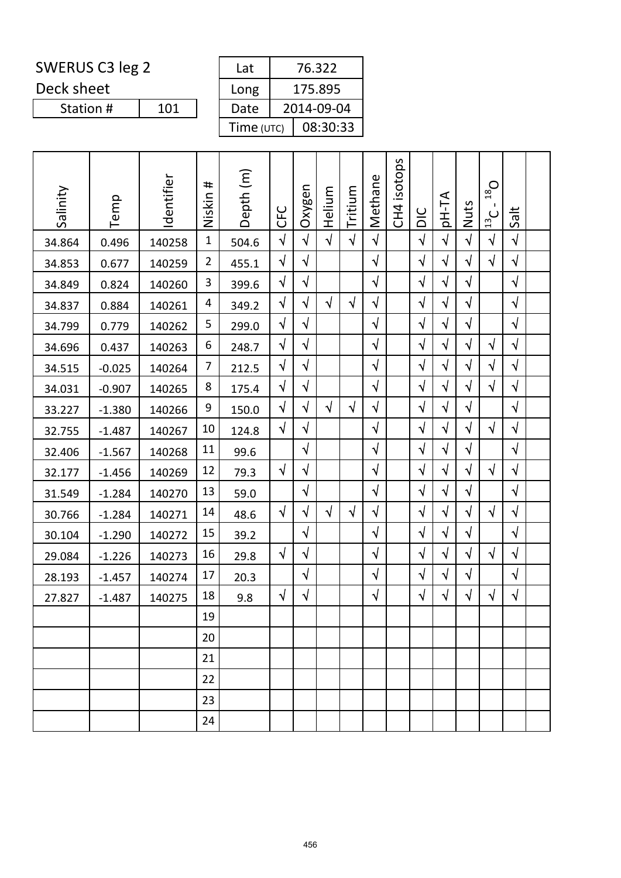Deck sheet

| Lat        | 76.322     |
|------------|------------|
| Long       | 175.895    |
| Date       | 2014-09-04 |
| Time (UTC) | 08:30:33   |

| Salinity | Temp     | Identifier | #<br>Niskin    | Depth (m) | <b>UHO</b> | Oxygen     | Helium     | Tritium    | Methane    | isotops<br>CH <sub>4</sub> | DIC        | pH-TA      | Nuts       | $O_{81}$<br>Ι.<br>$\frac{13}{2}$ C | Salt       |  |
|----------|----------|------------|----------------|-----------|------------|------------|------------|------------|------------|----------------------------|------------|------------|------------|------------------------------------|------------|--|
| 34.864   | 0.496    | 140258     | $\mathbf{1}$   | 504.6     | $\sqrt{2}$ | $\sqrt{2}$ | $\sqrt{ }$ | $\sqrt{2}$ | $\sqrt{ }$ |                            | $\sqrt{ }$ | $\sqrt{ }$ | $\sqrt{ }$ | $\sqrt{ }$                         | $\sqrt{ }$ |  |
| 34.853   | 0.677    | 140259     | $\overline{2}$ | 455.1     | $\sqrt{ }$ | $\sqrt{}$  |            |            | $\sqrt{}$  |                            | $\sqrt{ }$ | $\sqrt{}$  | $\sqrt{}$  | $\sqrt{}$                          | $\sqrt{}$  |  |
| 34.849   | 0.824    | 140260     | 3              | 399.6     | $\sqrt{}$  | $\sqrt{}$  |            |            | $\sqrt{ }$ |                            | $\sqrt{ }$ | $\sqrt{ }$ | $\sqrt{}$  |                                    | $\sqrt{}$  |  |
| 34.837   | 0.884    | 140261     | 4              | 349.2     | $\sqrt{}$  | $\sqrt{}$  | $\sqrt{ }$ | $\sqrt{}$  | $\sqrt{ }$ |                            | $\sqrt{ }$ | $\sqrt{}$  | $\sqrt{2}$ |                                    | $\sqrt{}$  |  |
| 34.799   | 0.779    | 140262     | 5              | 299.0     | $\sqrt{ }$ | $\sqrt{}$  |            |            | $\sqrt{ }$ |                            | $\sqrt{ }$ | $\sqrt{}$  | $\sqrt{ }$ |                                    | $\sqrt{ }$ |  |
| 34.696   | 0.437    | 140263     | 6              | 248.7     | $\sqrt{ }$ | $\sqrt{}$  |            |            | $\sqrt{ }$ |                            | $\sqrt{ }$ | $\sqrt{ }$ | $\sqrt{}$  | $\sqrt{ }$                         | $\sqrt{2}$ |  |
| 34.515   | $-0.025$ | 140264     | 7              | 212.5     | $\sqrt{2}$ | $\sqrt{}$  |            |            | $\sqrt{ }$ |                            | $\sqrt{ }$ | $\sqrt{}$  | $\sqrt{}$  | $\sqrt{ }$                         | $\sqrt{}$  |  |
| 34.031   | $-0.907$ | 140265     | 8              | 175.4     | $\sqrt{ }$ | $\sqrt{}$  |            |            | $\sqrt{}$  |                            | $\sqrt{}$  | $\sqrt{ }$ | $\sqrt{}$  | $\sqrt{ }$                         | $\sqrt{}$  |  |
| 33.227   | $-1.380$ | 140266     | 9              | 150.0     | $\sqrt{}$  | $\sqrt{}$  | $\sqrt{ }$ | $\sqrt{}$  | $\sqrt{ }$ |                            | $\sqrt{ }$ | $\sqrt{ }$ | $\sqrt{}$  |                                    | $\sqrt{ }$ |  |
| 32.755   | $-1.487$ | 140267     | 10             | 124.8     | $\sqrt{}$  | $\sqrt{}$  |            |            | $\sqrt{}$  |                            | $\sqrt{}$  | $\sqrt{}$  | $\sqrt{}$  | $\sqrt{}$                          | $\sqrt{ }$ |  |
| 32.406   | $-1.567$ | 140268     | 11             | 99.6      |            | $\sqrt{}$  |            |            | $\sqrt{}$  |                            | $\sqrt{}$  | $\sqrt{}$  | $\sqrt{}$  |                                    | $\sqrt{}$  |  |
| 32.177   | $-1.456$ | 140269     | 12             | 79.3      | $\sqrt{ }$ | $\sqrt{}$  |            |            | $\sqrt{ }$ |                            | $\sqrt{ }$ | $\sqrt{ }$ | √          | $\sqrt{}$                          | $\sqrt{}$  |  |
| 31.549   | $-1.284$ | 140270     | 13             | 59.0      |            | $\sqrt{}$  |            |            | $\sqrt{}$  |                            | $\sqrt{ }$ | $\sqrt{}$  | $\sqrt{ }$ |                                    | $\sqrt{}$  |  |
| 30.766   | $-1.284$ | 140271     | 14             | 48.6      | $\sqrt{ }$ | $\sqrt{}$  | $\sqrt{ }$ | $\sqrt{}$  | $\sqrt{ }$ |                            | $\sqrt{ }$ | $\sqrt{ }$ | $\sqrt{}$  | $\sqrt{}$                          | $\sqrt{}$  |  |
| 30.104   | $-1.290$ | 140272     | 15             | 39.2      |            | $\sqrt{}$  |            |            | $\sqrt{ }$ |                            | $\sqrt{ }$ | $\sqrt{}$  | $\sqrt{}$  |                                    | $\sqrt{ }$ |  |
| 29.084   | $-1.226$ | 140273     | 16             | 29.8      | $\sqrt{ }$ | $\sqrt{}$  |            |            | $\sqrt{}$  |                            | $\sqrt{ }$ | $\sqrt{}$  | $\sqrt{}$  | $\sqrt{ }$                         | $\sqrt{}$  |  |
| 28.193   | $-1.457$ | 140274     | 17             | 20.3      |            | $\sqrt{}$  |            |            | $\sqrt{}$  |                            | $\sqrt{ }$ | $\sqrt{ }$ | $\sqrt{}$  |                                    | $\sqrt{}$  |  |
| 27.827   | $-1.487$ | 140275     | 18             | 9.8       | $\sqrt{ }$ | $\sqrt{ }$ |            |            | $\sqrt{ }$ |                            | $\sqrt{ }$ | $\sqrt{}$  | $\sqrt{ }$ | $\sqrt{}$                          | $\sqrt{}$  |  |
|          |          |            | 19             |           |            |            |            |            |            |                            |            |            |            |                                    |            |  |
|          |          |            | 20             |           |            |            |            |            |            |                            |            |            |            |                                    |            |  |
|          |          |            | 21             |           |            |            |            |            |            |                            |            |            |            |                                    |            |  |
|          |          |            | 22             |           |            |            |            |            |            |                            |            |            |            |                                    |            |  |
|          |          |            | 23             |           |            |            |            |            |            |                            |            |            |            |                                    |            |  |
|          |          |            | 24             |           |            |            |            |            |            |                            |            |            |            |                                    |            |  |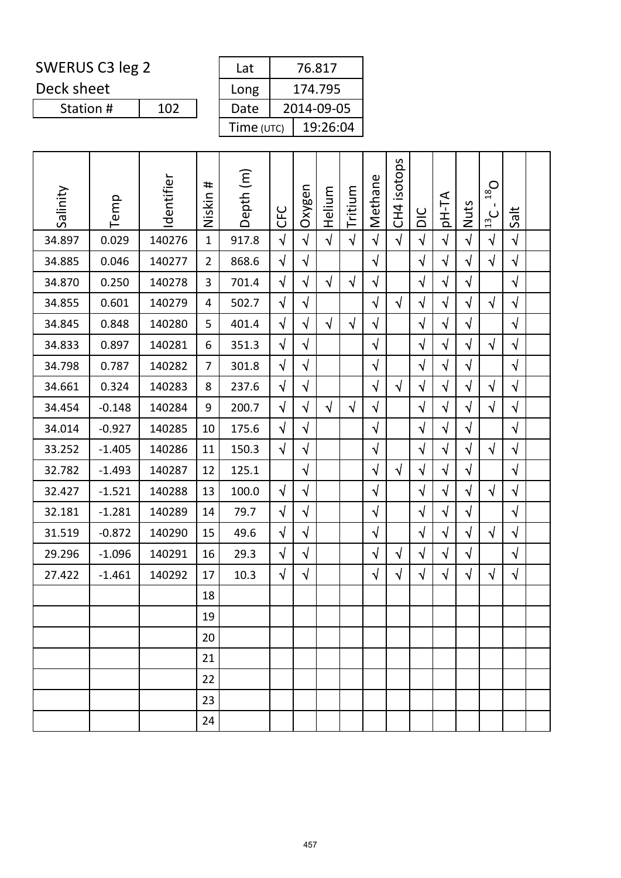Deck sheet

| Lat        | 76.817     |
|------------|------------|
| Long       | 174.795    |
| Date       | 2014-09-05 |
| Time (UTC) | 19:26:04   |

| Salinity | Temp     | Identifier | #<br>Niskin    | Depth (m) | <b>CFC</b> | Oxygen     | Helium     | Tritium    | Methane    | isotops<br>CH <sub>4</sub> | DIC        | pH-TA      | Nuts       | $D_{81}$<br>$\frac{13}{2}$ | Salt       |  |
|----------|----------|------------|----------------|-----------|------------|------------|------------|------------|------------|----------------------------|------------|------------|------------|----------------------------|------------|--|
| 34.897   | 0.029    | 140276     | $\mathbf{1}$   | 917.8     | $\sqrt{2}$ | $\sqrt{2}$ | $\sqrt{ }$ | $\sqrt{ }$ | $\sqrt{2}$ | $\sqrt{ }$                 | $\sqrt{2}$ | $\sqrt{2}$ | $\sqrt{2}$ | $\sqrt{ }$                 | $\sqrt{}$  |  |
| 34.885   | 0.046    | 140277     | $\overline{2}$ | 868.6     | $\sqrt{}$  | $\sqrt{}$  |            |            | $\sqrt{}$  |                            | $\sqrt{2}$ | $\sqrt{ }$ | $\sqrt{}$  | $\sqrt{}$                  | $\sqrt{2}$ |  |
| 34.870   | 0.250    | 140278     | 3              | 701.4     | $\sqrt{2}$ | $\sqrt{}$  | $\sqrt{ }$ | $\sqrt{ }$ | $\sqrt{ }$ |                            | $\sqrt{2}$ | $\sqrt{ }$ | $\sqrt{ }$ |                            | $\sqrt{ }$ |  |
| 34.855   | 0.601    | 140279     | 4              | 502.7     | $\sqrt{}$  | $\sqrt{}$  |            |            | $\sqrt{ }$ | $\sqrt{ }$                 | $\sqrt{}$  | $\sqrt{ }$ | $\sqrt{}$  | $\sqrt{ }$                 | $\sqrt{ }$ |  |
| 34.845   | 0.848    | 140280     | 5              | 401.4     | $\sqrt{ }$ | $\sqrt{}$  | $\sqrt{ }$ | $\sqrt{ }$ | $\sqrt{ }$ |                            | $\sqrt{ }$ | $\sqrt{ }$ | $\sqrt{ }$ |                            | $\sqrt{}$  |  |
| 34.833   | 0.897    | 140281     | 6              | 351.3     | $\sqrt{}$  | $\sqrt{}$  |            |            | $\sqrt{ }$ |                            | $\sqrt{2}$ | $\sqrt{ }$ | $\sqrt{}$  | $\sqrt{ }$                 | $\sqrt{ }$ |  |
| 34.798   | 0.787    | 140282     | $\overline{7}$ | 301.8     | $\sqrt{}$  | $\sqrt{}$  |            |            | $\sqrt{}$  |                            | $\sqrt{}$  | $\sqrt{ }$ | $\sqrt{ }$ |                            | $\sqrt{}$  |  |
| 34.661   | 0.324    | 140283     | 8              | 237.6     | $\sqrt{}$  | $\sqrt{}$  |            |            | $\sqrt{ }$ | $\sqrt{ }$                 | $\sqrt{}$  | $\sqrt{ }$ | $\sqrt{}$  | $\sqrt{}$                  | $\sqrt{}$  |  |
| 34.454   | $-0.148$ | 140284     | 9              | 200.7     | $\sqrt{}$  | $\sqrt{}$  | $\sqrt{ }$ | $\sqrt{ }$ | $\sqrt{ }$ |                            | $\sqrt{2}$ | $\sqrt{ }$ | $\sqrt{}$  | $\sqrt{}$                  | $\sqrt{ }$ |  |
| 34.014   | $-0.927$ | 140285     | 10             | 175.6     | $\sqrt{}$  | $\sqrt{}$  |            |            | $\sqrt{}$  |                            | $\sqrt{}$  | $\sqrt{ }$ | $\sqrt{}$  |                            | $\sqrt{}$  |  |
| 33.252   | $-1.405$ | 140286     | 11             | 150.3     | $\sqrt{ }$ | $\sqrt{}$  |            |            | $\sqrt{ }$ |                            | $\sqrt{ }$ | $\sqrt{ }$ | $\sqrt{}$  | $\sqrt{ }$                 | $\sqrt{ }$ |  |
| 32.782   | $-1.493$ | 140287     | 12             | 125.1     |            | $\sqrt{}$  |            |            | $\sqrt{}$  | $\sqrt{ }$                 | $\sqrt{}$  | $\sqrt{ }$ | $\sqrt{}$  |                            | $\sqrt{ }$ |  |
| 32.427   | $-1.521$ | 140288     | 13             | 100.0     | $\sqrt{ }$ | $\sqrt{}$  |            |            | $\sqrt{ }$ |                            | $\sqrt{}$  | $\sqrt{ }$ | $\sqrt{}$  | $\sqrt{ }$                 | $\sqrt{}$  |  |
| 32.181   | $-1.281$ | 140289     | 14             | 79.7      | $\sqrt{}$  | $\sqrt{}$  |            |            | $\sqrt{ }$ |                            | $\sqrt{ }$ | $\sqrt{ }$ | $\sqrt{ }$ |                            | $\sqrt{2}$ |  |
| 31.519   | $-0.872$ | 140290     | 15             | 49.6      | $\sqrt{}$  | $\sqrt{}$  |            |            | $\sqrt{ }$ |                            | $\sqrt{}$  | $\sqrt{ }$ | $\sqrt{}$  | $\sqrt{ }$                 | $\sqrt{}$  |  |
| 29.296   | $-1.096$ | 140291     | 16             | 29.3      | $\sqrt{}$  | $\sqrt{}$  |            |            | $\sqrt{}$  | $\sqrt{}$                  | $\sqrt{ }$ | $\sqrt{ }$ | $\sqrt{ }$ |                            | $\sqrt{}$  |  |
| 27.422   | $-1.461$ | 140292     | 17             | 10.3      | $\sqrt{}$  | $\sqrt{}$  |            |            | $\sqrt{}$  | $\sqrt{}$                  | $\sqrt{}$  | $\sqrt{ }$ | $\sqrt{}$  | $\sqrt{ }$                 | $\sqrt{}$  |  |
|          |          |            | 18             |           |            |            |            |            |            |                            |            |            |            |                            |            |  |
|          |          |            | 19             |           |            |            |            |            |            |                            |            |            |            |                            |            |  |
|          |          |            | 20             |           |            |            |            |            |            |                            |            |            |            |                            |            |  |
|          |          |            | 21             |           |            |            |            |            |            |                            |            |            |            |                            |            |  |
|          |          |            | 22             |           |            |            |            |            |            |                            |            |            |            |                            |            |  |
|          |          |            | 23             |           |            |            |            |            |            |                            |            |            |            |                            |            |  |
|          |          |            | 24             |           |            |            |            |            |            |                            |            |            |            |                            |            |  |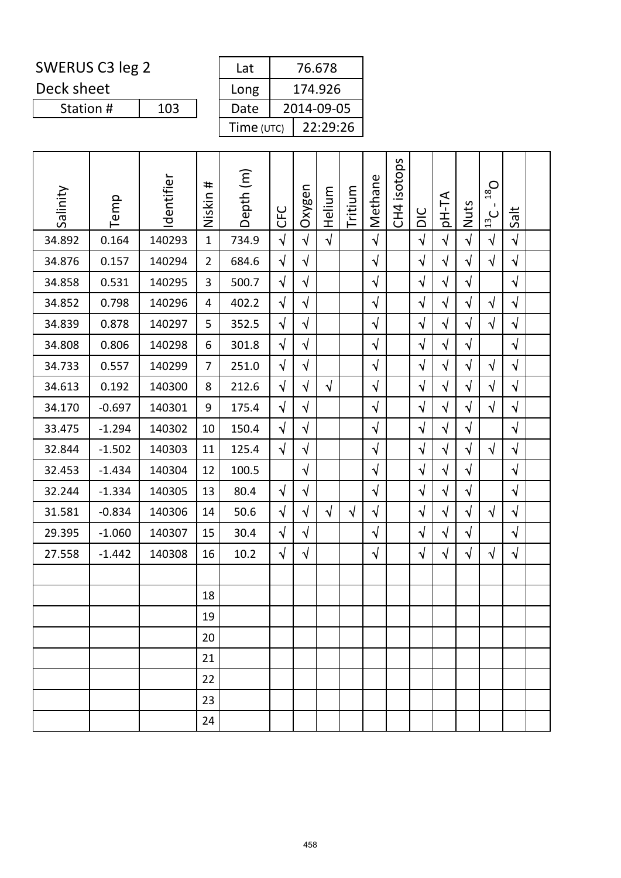Deck sheet

Station #

| Lat        | 76.678     |
|------------|------------|
| Long       | 174.926    |
| Date       | 2014-09-05 |
| Time (UTC) | 22:29:26   |
|            |            |

| Salinity | Temp     | Identifier | #<br>Niskin    | Depth (m) | <b>CFC</b> | Oxygen     | Helium     | Tritium    | Methane    | isotops<br>CH <sub>4</sub> | DIC        | pH-TA      | Nuts       | $O_{81}$<br>J.<br>13C | Salt       |  |
|----------|----------|------------|----------------|-----------|------------|------------|------------|------------|------------|----------------------------|------------|------------|------------|-----------------------|------------|--|
| 34.892   | 0.164    | 140293     | $\mathbf{1}$   | 734.9     | $\sqrt{2}$ | $\sqrt{2}$ | $\sqrt{ }$ |            | $\sqrt{ }$ |                            | $\sqrt{2}$ | $\sqrt{ }$ | $\sqrt{ }$ | $\sqrt{}$             | $\sqrt{ }$ |  |
| 34.876   | 0.157    | 140294     | $\overline{2}$ | 684.6     | $\sqrt{2}$ | $\sqrt{}$  |            |            | $\sqrt{ }$ |                            | $\sqrt{}$  | $\sqrt{}$  | $\sqrt{ }$ | $\sqrt{}$             | $\sqrt{}$  |  |
| 34.858   | 0.531    | 140295     | 3              | 500.7     | $\sqrt{}$  | $\sqrt{}$  |            |            | $\sqrt{}$  |                            | $\sqrt{ }$ | $\sqrt{}$  | $\sqrt{}$  |                       | $\sqrt{ }$ |  |
| 34.852   | 0.798    | 140296     | 4              | 402.2     | $\sqrt{}$  | $\sqrt{2}$ |            |            | $\sqrt{}$  |                            | $\sqrt{2}$ | $\sqrt{}$  | $\sqrt{2}$ | $\sqrt{ }$            | $\sqrt{ }$ |  |
| 34.839   | 0.878    | 140297     | 5              | 352.5     | $\sqrt{}$  | $\sqrt{}$  |            |            | $\sqrt{}$  |                            | $\sqrt{2}$ | $\sqrt{}$  | $\sqrt{}$  | $\sqrt{ }$            | $\sqrt{ }$ |  |
| 34.808   | 0.806    | 140298     | 6              | 301.8     | $\sqrt{ }$ | $\sqrt{}$  |            |            | $\sqrt{ }$ |                            | $\sqrt{}$  | $\sqrt{}$  | $\sqrt{}$  |                       | $\sqrt{ }$ |  |
| 34.733   | 0.557    | 140299     | $\overline{7}$ | 251.0     | $\sqrt{ }$ | $\sqrt{2}$ |            |            | $\sqrt{ }$ |                            | $\sqrt{2}$ | $\sqrt{}$  | $\sqrt{ }$ | $\sqrt{ }$            | $\sqrt{ }$ |  |
| 34.613   | 0.192    | 140300     | 8              | 212.6     | $\sqrt{ }$ | $\sqrt{2}$ | $\sqrt{ }$ |            | $\sqrt{ }$ |                            | $\sqrt{}$  | $\sqrt{}$  | $\sqrt{}$  | $\sqrt{ }$            | $\sqrt{ }$ |  |
| 34.170   | $-0.697$ | 140301     | 9              | 175.4     | $\sqrt{ }$ | $\sqrt{}$  |            |            | $\sqrt{ }$ |                            | $\sqrt{}$  | $\sqrt{}$  | $\sqrt{}$  | $\sqrt{}$             | $\sqrt{ }$ |  |
| 33.475   | $-1.294$ | 140302     | 10             | 150.4     | $\sqrt{2}$ | $\sqrt{}$  |            |            | $\sqrt{ }$ |                            | $\sqrt{2}$ | $\sqrt{}$  | $\sqrt{}$  |                       | $\sqrt{ }$ |  |
| 32.844   | $-1.502$ | 140303     | 11             | 125.4     | $\sqrt{}$  | $\sqrt{2}$ |            |            | $\sqrt{2}$ |                            | $\sqrt{2}$ | $\sqrt{}$  | $\sqrt{}$  | $\sqrt{ }$            | $\sqrt{ }$ |  |
| 32.453   | $-1.434$ | 140304     | 12             | 100.5     |            | $\sqrt{}$  |            |            | $\sqrt{ }$ |                            | $\sqrt{}$  | $\sqrt{ }$ | $\sqrt{ }$ |                       | $\sqrt{ }$ |  |
| 32.244   | $-1.334$ | 140305     | 13             | 80.4      | $\sqrt{ }$ | $\sqrt{}$  |            |            | $\sqrt{ }$ |                            | $\sqrt{2}$ | $\sqrt{}$  | $\sqrt{}$  |                       | $\sqrt{ }$ |  |
| 31.581   | $-0.834$ | 140306     | 14             | 50.6      | $\sqrt{}$  | $\sqrt{}$  | $\sqrt{ }$ | $\sqrt{ }$ | $\sqrt{}$  |                            | $\sqrt{}$  | $\sqrt{}$  | $\sqrt{}$  | $\sqrt{ }$            | $\sqrt{ }$ |  |
| 29.395   | $-1.060$ | 140307     | 15             | 30.4      | $\sqrt{2}$ | $\sqrt{}$  |            |            | $\sqrt{}$  |                            | $\sqrt{ }$ | $\sqrt{ }$ | $\sqrt{ }$ |                       | $\sqrt{ }$ |  |
| 27.558   | $-1.442$ | 140308     | 16             | 10.2      | $\sqrt{2}$ | $\sqrt{2}$ |            |            | $\sqrt{ }$ |                            | $\sqrt{2}$ | $\sqrt{}$  | $\sqrt{ }$ | $\sqrt{ }$            | $\sqrt{ }$ |  |
|          |          |            |                |           |            |            |            |            |            |                            |            |            |            |                       |            |  |
|          |          |            | 18             |           |            |            |            |            |            |                            |            |            |            |                       |            |  |
|          |          |            | 19             |           |            |            |            |            |            |                            |            |            |            |                       |            |  |
|          |          |            | 20             |           |            |            |            |            |            |                            |            |            |            |                       |            |  |
|          |          |            | 21             |           |            |            |            |            |            |                            |            |            |            |                       |            |  |
|          |          |            | 22             |           |            |            |            |            |            |                            |            |            |            |                       |            |  |
|          |          |            | 23             |           |            |            |            |            |            |                            |            |            |            |                       |            |  |
|          |          |            | 24             |           |            |            |            |            |            |                            |            |            |            |                       |            |  |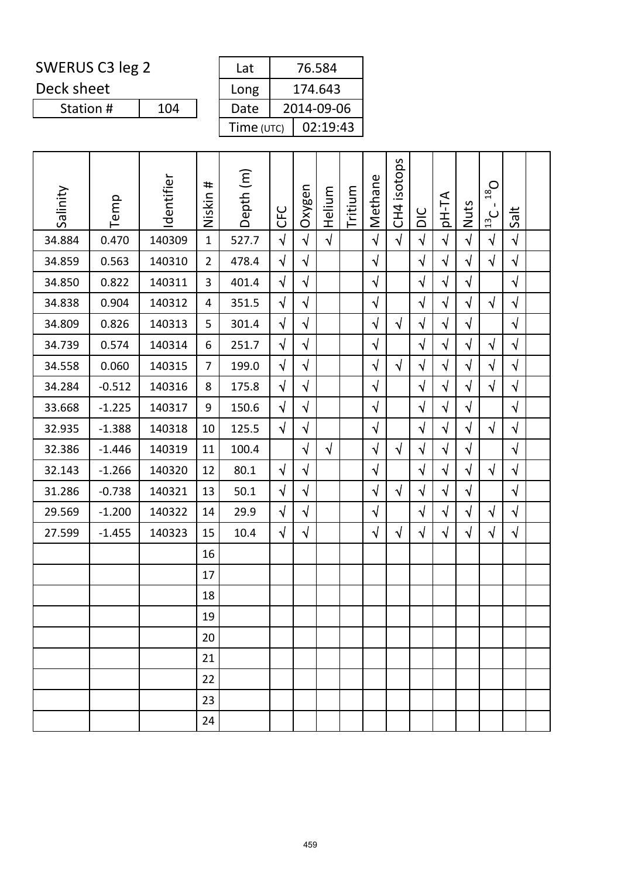Deck sheet

Station #

| Lat        | 76.584     |
|------------|------------|
| Long       | 174.643    |
| Date       | 2014-09-06 |
| Time (UTC) | 02:19:43   |

| Salinity | Temp     | Identifier | #<br>Niskin    | Depth (m) | <b>CFC</b> | Oxygen     | Helium     | Tritium | Methane    | CH4 isotops | DIC        | pH-TA      | Nuts       | $O_{81}$<br>п.<br>$\frac{13}{2}$ C | Salt       |  |
|----------|----------|------------|----------------|-----------|------------|------------|------------|---------|------------|-------------|------------|------------|------------|------------------------------------|------------|--|
| 34.884   | 0.470    | 140309     | $\mathbf{1}$   | 527.7     | $\sqrt{ }$ | $\sqrt{}$  | $\sqrt{ }$ |         | $\sqrt{}$  | $\sqrt{ }$  | $\sqrt{2}$ | $\sqrt{}$  | $\sqrt{}$  | $\sqrt{ }$                         | $\sqrt{ }$ |  |
| 34.859   | 0.563    | 140310     | $\overline{2}$ | 478.4     | $\sqrt{2}$ | $\sqrt{}$  |            |         | $\sqrt{ }$ |             | $\sqrt{2}$ | $\sqrt{ }$ | $\sqrt{2}$ | $\sqrt{ }$                         | $\sqrt{ }$ |  |
| 34.850   | 0.822    | 140311     | 3              | 401.4     | $\sqrt{ }$ | $\sqrt{ }$ |            |         | $\sqrt{ }$ |             | $\sqrt{ }$ | $\sqrt{}$  | $\sqrt{ }$ |                                    | $\sqrt{ }$ |  |
| 34.838   | 0.904    | 140312     | 4              | 351.5     | $\sqrt{ }$ | $\sqrt{ }$ |            |         | $\sqrt{}$  |             | $\sqrt{}$  | $\sqrt{}$  | $\sqrt{ }$ | $\sqrt{ }$                         | $\sqrt{ }$ |  |
| 34.809   | 0.826    | 140313     | 5              | 301.4     | $\sqrt{2}$ | $\sqrt{}$  |            |         | $\sqrt{}$  | $\sqrt{ }$  | $\sqrt{ }$ | $\sqrt{}$  | $\sqrt{}$  |                                    | $\sqrt{ }$ |  |
| 34.739   | 0.574    | 140314     | 6              | 251.7     | $\sqrt{}$  | $\sqrt{ }$ |            |         | $\sqrt{ }$ |             | $\sqrt{2}$ | $\sqrt{2}$ | $\sqrt{}$  | $\sqrt{ }$                         | $\sqrt{ }$ |  |
| 34.558   | 0.060    | 140315     | $\overline{7}$ | 199.0     | $\sqrt{2}$ | $\sqrt{ }$ |            |         | $\sqrt{ }$ | $\sqrt{ }$  | $\sqrt{ }$ | $\sqrt{}$  | $\sqrt{ }$ | $\sqrt{ }$                         | $\sqrt{ }$ |  |
| 34.284   | $-0.512$ | 140316     | 8              | 175.8     | $\sqrt{2}$ | $\sqrt{ }$ |            |         | $\sqrt{}$  |             | $\sqrt{}$  | $\sqrt{}$  | $\sqrt{}$  | $\sqrt{2}$                         | $\sqrt{ }$ |  |
| 33.668   | $-1.225$ | 140317     | 9              | 150.6     | $\sqrt{}$  | $\sqrt{ }$ |            |         | $\sqrt{2}$ |             | $\sqrt{2}$ | $\sqrt{ }$ | $\sqrt{ }$ |                                    | $\sqrt{ }$ |  |
| 32.935   | $-1.388$ | 140318     | 10             | 125.5     | $\sqrt{ }$ | $\sqrt{}$  |            |         | $\sqrt{}$  |             | $\sqrt{2}$ | $\sqrt{}$  | $\sqrt{}$  | $\sqrt{ }$                         | $\sqrt{ }$ |  |
| 32.386   | $-1.446$ | 140319     | 11             | 100.4     |            | $\sqrt{ }$ | $\sqrt{ }$ |         | $\sqrt{ }$ | $\sqrt{ }$  | $\sqrt{2}$ | $\sqrt{}$  | $\sqrt{2}$ |                                    | $\sqrt{ }$ |  |
| 32.143   | $-1.266$ | 140320     | 12             | 80.1      | $\sqrt{}$  | $\sqrt{}$  |            |         | $\sqrt{}$  |             | $\sqrt{}$  | $\sqrt{}$  | $\sqrt{}$  | $\sqrt{ }$                         | $\sqrt{}$  |  |
| 31.286   | $-0.738$ | 140321     | 13             | 50.1      | $\sqrt{ }$ | $\sqrt{ }$ |            |         | $\sqrt{}$  | $\sqrt{ }$  | $\sqrt{2}$ | $\sqrt{ }$ | $\sqrt{2}$ |                                    | $\sqrt{ }$ |  |
| 29.569   | $-1.200$ | 140322     | 14             | 29.9      | $\sqrt{ }$ | $\sqrt{}$  |            |         | $\sqrt{ }$ |             | $\sqrt{ }$ | $\sqrt{}$  | $\sqrt{ }$ | $\sqrt{ }$                         | $\sqrt{ }$ |  |
| 27.599   | $-1.455$ | 140323     | 15             | 10.4      | $\sqrt{}$  | $\sqrt{}$  |            |         | $\sqrt{ }$ | $\sqrt{ }$  | $\sqrt{}$  | $\sqrt{}$  | $\sqrt{}$  | $\sqrt{ }$                         | $\sqrt{ }$ |  |
|          |          |            | 16             |           |            |            |            |         |            |             |            |            |            |                                    |            |  |
|          |          |            | 17             |           |            |            |            |         |            |             |            |            |            |                                    |            |  |
|          |          |            | 18             |           |            |            |            |         |            |             |            |            |            |                                    |            |  |
|          |          |            | 19             |           |            |            |            |         |            |             |            |            |            |                                    |            |  |
|          |          |            | 20             |           |            |            |            |         |            |             |            |            |            |                                    |            |  |
|          |          |            | 21             |           |            |            |            |         |            |             |            |            |            |                                    |            |  |
|          |          |            | 22             |           |            |            |            |         |            |             |            |            |            |                                    |            |  |
|          |          |            | 23             |           |            |            |            |         |            |             |            |            |            |                                    |            |  |
|          |          |            | 24             |           |            |            |            |         |            |             |            |            |            |                                    |            |  |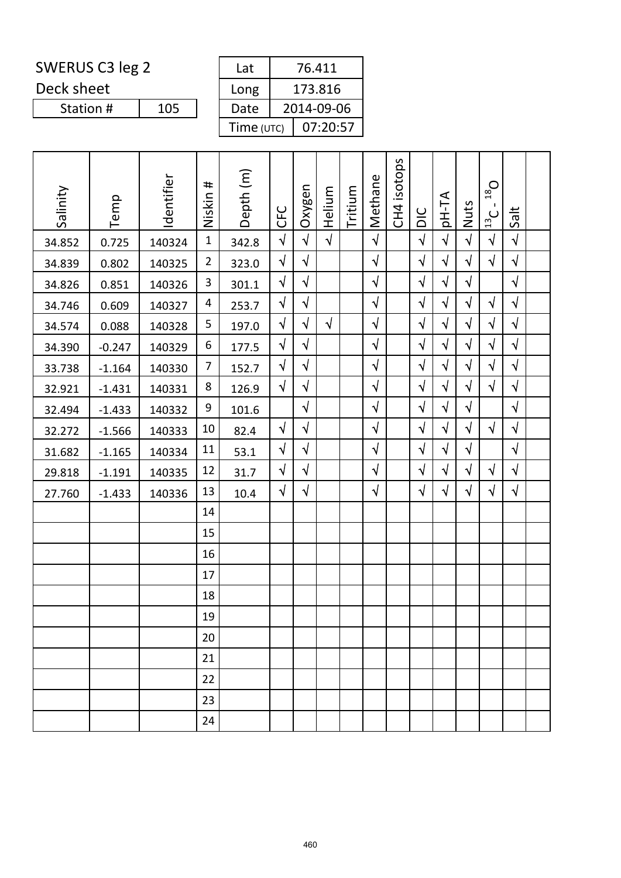Deck sheet

| Lat        | 76.411     |
|------------|------------|
| Long       | 173.816    |
| Date       | 2014-09-06 |
| Time (UTC) | 07:20:57   |

| Salinity | Temp     | Identifier | Niskin #       | Depth (m) | <b>CFC</b> | Oxygen     | Helium     | Tritium | Methane    | CH4 isotops | DIC        | pH-TA      | Nuts       | $O_{\overline{81}}$<br>$\mathbf{I}$<br>$\frac{13}{2}$ C | Salt       |  |
|----------|----------|------------|----------------|-----------|------------|------------|------------|---------|------------|-------------|------------|------------|------------|---------------------------------------------------------|------------|--|
| 34.852   | 0.725    | 140324     | $\mathbf{1}$   | 342.8     | $\sqrt{2}$ | $\sqrt{}$  | $\sqrt{2}$ |         | $\sqrt{ }$ |             | $\sqrt{ }$ | $\sqrt{ }$ | $\sqrt{}$  | $\sqrt{}$                                               | $\sqrt{}$  |  |
| 34.839   | 0.802    | 140325     | $\overline{2}$ | 323.0     | $\sqrt{}$  | $\sqrt{}$  |            |         | $\sqrt{ }$ |             | $\sqrt{ }$ | $\sqrt{ }$ | $\sqrt{}$  | $\sqrt{}$                                               | $\sqrt{ }$ |  |
| 34.826   | 0.851    | 140326     | 3              | 301.1     | $\sqrt{2}$ | $\sqrt{}$  |            |         | $\sqrt{ }$ |             | $\sqrt{}$  | $\sqrt{2}$ | $\sqrt{}$  |                                                         | $\sqrt{ }$ |  |
| 34.746   | 0.609    | 140327     | 4              | 253.7     | $\sqrt{}$  | $\sqrt{}$  |            |         | $\sqrt{ }$ |             | $\sqrt{}$  | $\sqrt{}$  | $\sqrt{}$  | $\sqrt{2}$                                              | $\sqrt{}$  |  |
| 34.574   | 0.088    | 140328     | 5              | 197.0     | $\sqrt{}$  | $\sqrt{}$  | $\sqrt{ }$ |         | $\sqrt{ }$ |             | $\sqrt{}$  | $\sqrt{ }$ | $\sqrt{}$  | $\sqrt{}$                                               | $\sqrt{ }$ |  |
| 34.390   | $-0.247$ | 140329     | 6              | 177.5     | $\sqrt{}$  | $\sqrt{ }$ |            |         | $\sqrt{ }$ |             | $\sqrt{ }$ | $\sqrt{}$  | $\sqrt{}$  | $\sqrt{}$                                               | $\sqrt{ }$ |  |
| 33.738   | $-1.164$ | 140330     | 7              | 152.7     | $\sqrt{}$  | $\sqrt{}$  |            |         | $\sqrt{ }$ |             | $\sqrt{ }$ | $\sqrt{}$  | $\sqrt{}$  | $\sqrt{}$                                               | $\sqrt{ }$ |  |
| 32.921   | $-1.431$ | 140331     | 8              | 126.9     | $\sqrt{2}$ | $\sqrt{}$  |            |         | $\sqrt{ }$ |             | $\sqrt{ }$ | $\sqrt{ }$ | $\sqrt{}$  | $\sqrt{ }$                                              | $\sqrt{}$  |  |
| 32.494   | $-1.433$ | 140332     | 9              | 101.6     |            | $\sqrt{ }$ |            |         | $\sqrt{ }$ |             | $\sqrt{ }$ | $\sqrt{ }$ | $\sqrt{}$  |                                                         | $\sqrt{ }$ |  |
| 32.272   | $-1.566$ | 140333     | 10             | 82.4      | $\sqrt{}$  | $\sqrt{ }$ |            |         | $\sqrt{ }$ |             | $\sqrt{}$  | $\sqrt{}$  | $\sqrt{}$  | $\sqrt{ }$                                              | $\sqrt{}$  |  |
| 31.682   | $-1.165$ | 140334     | 11             | 53.1      | $\sqrt{2}$ | $\sqrt{}$  |            |         | $\sqrt{ }$ |             | $\sqrt{ }$ | $\sqrt{ }$ | $\sqrt{}$  |                                                         | $\sqrt{ }$ |  |
| 29.818   | $-1.191$ | 140335     | 12             | 31.7      | $\sqrt{}$  | $\sqrt{}$  |            |         | $\sqrt{ }$ |             | $\sqrt{ }$ | $\sqrt{ }$ | $\sqrt{ }$ | $\sqrt{}$                                               | $\sqrt{}$  |  |
| 27.760   | $-1.433$ | 140336     | 13             | 10.4      | $\sqrt{}$  | $\sqrt{ }$ |            |         | $\sqrt{ }$ |             | $\sqrt{ }$ | $\sqrt{ }$ | $\sqrt{}$  | $\sqrt{}$                                               | $\sqrt{}$  |  |
|          |          |            | 14             |           |            |            |            |         |            |             |            |            |            |                                                         |            |  |
|          |          |            | 15             |           |            |            |            |         |            |             |            |            |            |                                                         |            |  |
|          |          |            | 16             |           |            |            |            |         |            |             |            |            |            |                                                         |            |  |
|          |          |            | 17             |           |            |            |            |         |            |             |            |            |            |                                                         |            |  |
|          |          |            | 18             |           |            |            |            |         |            |             |            |            |            |                                                         |            |  |
|          |          |            | 19             |           |            |            |            |         |            |             |            |            |            |                                                         |            |  |
|          |          |            | 20             |           |            |            |            |         |            |             |            |            |            |                                                         |            |  |
|          |          |            | 21             |           |            |            |            |         |            |             |            |            |            |                                                         |            |  |
|          |          |            | 22             |           |            |            |            |         |            |             |            |            |            |                                                         |            |  |
|          |          |            | 23             |           |            |            |            |         |            |             |            |            |            |                                                         |            |  |
|          |          |            | 24             |           |            |            |            |         |            |             |            |            |            |                                                         |            |  |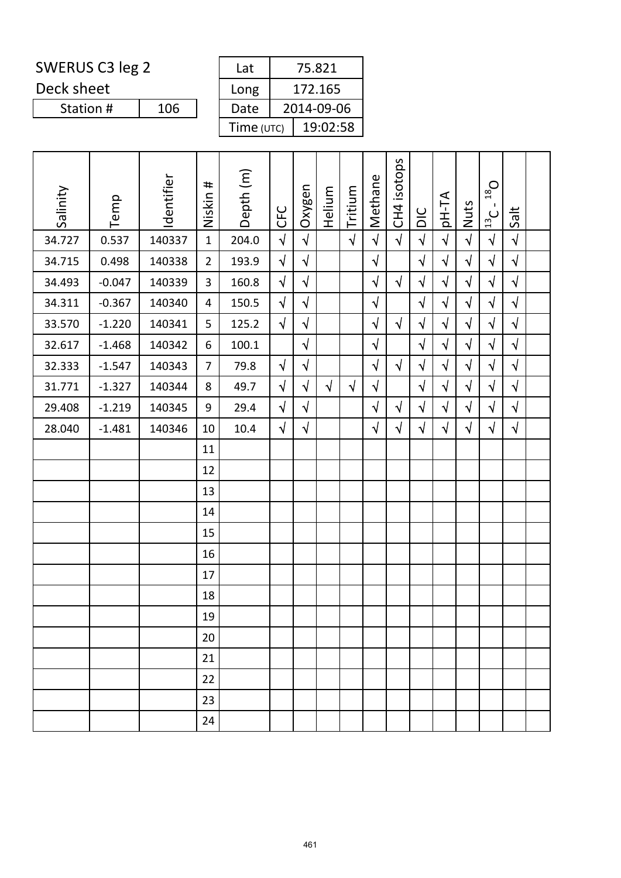Deck sheet

| Lat        | 75.821     |
|------------|------------|
| Long       | 172.165    |
| Date       | 2014-09-06 |
| Time (UTC) | 19:02:58   |

| Salinity | Temp     | Identifier | Niskin #       | Depth (m) | CFC        | Oxygen     | Helium     | Tritium    | Methane    | isotops<br>C <sub>H</sub> | DIC        | pH-TA      | Nuts       | $O_{81}$<br>$\blacksquare$<br>$\frac{13}{2}$ C | Salt       |  |
|----------|----------|------------|----------------|-----------|------------|------------|------------|------------|------------|---------------------------|------------|------------|------------|------------------------------------------------|------------|--|
| 34.727   | 0.537    | 140337     | $\mathbf{1}$   | 204.0     | $\sqrt{2}$ | $\sqrt{ }$ |            | $\sqrt{2}$ | $\sqrt{2}$ | $\sqrt{ }$                | $\sqrt{2}$ | $\sqrt{2}$ | $\sqrt{2}$ | $\sqrt{2}$                                     | $\sqrt{ }$ |  |
| 34.715   | 0.498    | 140338     | $\overline{2}$ | 193.9     | $\sqrt{2}$ | $\sqrt{2}$ |            |            | $\sqrt{}$  |                           | $\sqrt{2}$ | $\sqrt{}$  | $\sqrt{}$  | $\sqrt{ }$                                     | $\sqrt{ }$ |  |
| 34.493   | $-0.047$ | 140339     | 3              | 160.8     | $\sqrt{ }$ | $\sqrt{}$  |            |            | $\sqrt{}$  | $\sqrt{ }$                | $\sqrt{2}$ | $\sqrt{ }$ | $\sqrt{}$  | $\sqrt{}$                                      | $\sqrt{ }$ |  |
| 34.311   | $-0.367$ | 140340     | $\overline{4}$ | 150.5     | $\sqrt{2}$ | $\sqrt{}$  |            |            | $\sqrt{}$  |                           | $\sqrt{2}$ | $\sqrt{ }$ | $\sqrt{}$  | $\sqrt{2}$                                     | $\sqrt{ }$ |  |
| 33.570   | $-1.220$ | 140341     | 5              | 125.2     | $\sqrt{ }$ | $\sqrt{2}$ |            |            | $\sqrt{2}$ | $\sqrt{ }$                | $\sqrt{2}$ | $\sqrt{ }$ | $\sqrt{}$  | $\sqrt{ }$                                     | $\sqrt{ }$ |  |
| 32.617   | $-1.468$ | 140342     | 6              | 100.1     |            | $\sqrt{}$  |            |            | $\sqrt{}$  |                           | $\sqrt{ }$ | $\sqrt{}$  | $\sqrt{}$  | $\sqrt{}$                                      | $\sqrt{ }$ |  |
| 32.333   | $-1.547$ | 140343     | $\overline{7}$ | 79.8      | $\sqrt{ }$ | $\sqrt{2}$ |            |            | $\sqrt{}$  | $\sqrt{2}$                | $\sqrt{2}$ | $\sqrt{}$  | $\sqrt{}$  | $\sqrt{2}$                                     | $\sqrt{2}$ |  |
| 31.771   | $-1.327$ | 140344     | 8              | 49.7      | $\sqrt{ }$ | $\sqrt{ }$ | $\sqrt{ }$ | $\sqrt{}$  | $\sqrt{}$  |                           | $\sqrt{2}$ | $\sqrt{ }$ | $\sqrt{}$  | $\sqrt{2}$                                     | $\sqrt{ }$ |  |
| 29.408   | $-1.219$ | 140345     | 9              | 29.4      | $\sqrt{2}$ | $\sqrt{}$  |            |            | $\sqrt{}$  | $\sqrt{ }$                | $\sqrt{ }$ | $\sqrt{}$  | $\sqrt{}$  | $\sqrt{}$                                      | $\sqrt{ }$ |  |
| 28.040   | $-1.481$ | 140346     | 10             | 10.4      | $\sqrt{ }$ | $\sqrt{ }$ |            |            | $\sqrt{}$  | $\sqrt{ }$                | $\sqrt{2}$ | $\sqrt{}$  | $\sqrt{}$  | $\sqrt{2}$                                     | $\sqrt{ }$ |  |
|          |          |            | 11             |           |            |            |            |            |            |                           |            |            |            |                                                |            |  |
|          |          |            | 12             |           |            |            |            |            |            |                           |            |            |            |                                                |            |  |
|          |          |            | 13             |           |            |            |            |            |            |                           |            |            |            |                                                |            |  |
|          |          |            | 14             |           |            |            |            |            |            |                           |            |            |            |                                                |            |  |
|          |          |            | 15             |           |            |            |            |            |            |                           |            |            |            |                                                |            |  |
|          |          |            | 16             |           |            |            |            |            |            |                           |            |            |            |                                                |            |  |
|          |          |            | 17             |           |            |            |            |            |            |                           |            |            |            |                                                |            |  |
|          |          |            | 18             |           |            |            |            |            |            |                           |            |            |            |                                                |            |  |
|          |          |            | 19             |           |            |            |            |            |            |                           |            |            |            |                                                |            |  |
|          |          |            | 20             |           |            |            |            |            |            |                           |            |            |            |                                                |            |  |
|          |          |            | 21             |           |            |            |            |            |            |                           |            |            |            |                                                |            |  |
|          |          |            | 22             |           |            |            |            |            |            |                           |            |            |            |                                                |            |  |
|          |          |            | 23             |           |            |            |            |            |            |                           |            |            |            |                                                |            |  |
|          |          |            | 24             |           |            |            |            |            |            |                           |            |            |            |                                                |            |  |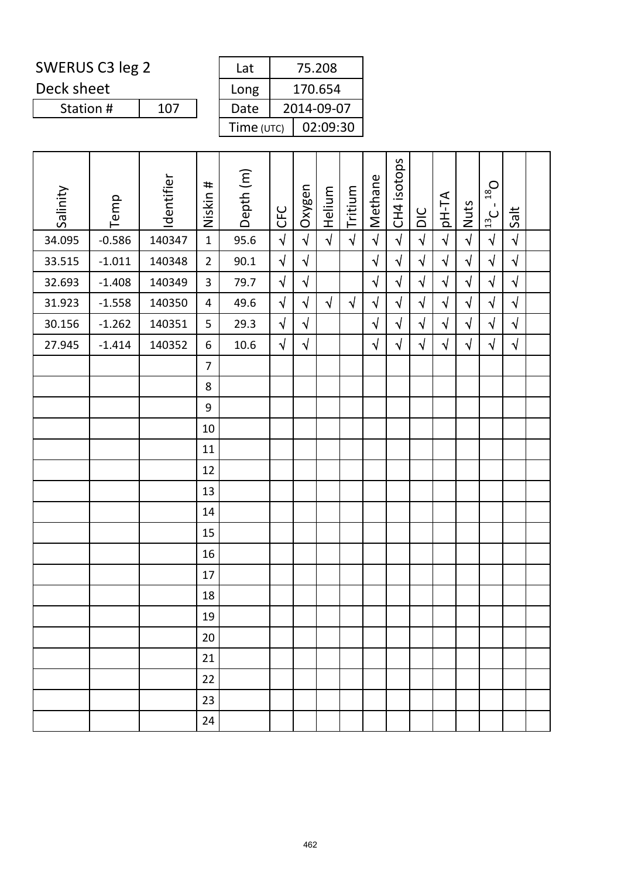Deck sheet

| Lat        | 75.208     |
|------------|------------|
| Long       | 170.654    |
| Date       | 2014-09-07 |
| Time (UTC) | 02:09:30   |

| Salinity | Temp     | Identifier | Niskin #       | Depth (m) | CFC        | Oxygen     | Helium     | Tritium    | Methane    | CH4 isotops | DIC        | AT-Hp      | <b>Nuts</b> | $D_{81}$<br>$\blacksquare$<br>$\frac{13}{13}$ | Salt       |  |
|----------|----------|------------|----------------|-----------|------------|------------|------------|------------|------------|-------------|------------|------------|-------------|-----------------------------------------------|------------|--|
| 34.095   | $-0.586$ | 140347     | $\mathbf{1}$   | 95.6      | $\sqrt{2}$ | $\sqrt{2}$ | $\sqrt{2}$ | $\sqrt{ }$ | $\sqrt{ }$ | $\sqrt{ }$  | $\sqrt{2}$ | $\sqrt{2}$ | $\sqrt{2}$  | $\sqrt{2}$                                    | $\sqrt{ }$ |  |
| 33.515   | $-1.011$ | 140348     | $\overline{2}$ | 90.1      | $\sqrt{2}$ | $\sqrt{2}$ |            |            | $\sqrt{2}$ | $\sqrt{ }$  | $\sqrt{ }$ | $\sqrt{ }$ | $\sqrt{}$   | $\sqrt{2}$                                    | $\sqrt{ }$ |  |
| 32.693   | $-1.408$ | 140349     | 3              | 79.7      | $\sqrt{2}$ | $\sqrt{2}$ |            |            | $\sqrt{}$  | $\sqrt{}$   | $\sqrt{2}$ | $\sqrt{}$  | $\sqrt{}$   | $\sqrt{2}$                                    | $\sqrt{2}$ |  |
| 31.923   | $-1.558$ | 140350     | 4              | 49.6      | $\sqrt{2}$ | $\sqrt{2}$ | $\sqrt{ }$ | $\sqrt{2}$ | $\sqrt{}$  | $\sqrt{ }$  | $\sqrt{ }$ | $\sqrt{}$  | $\sqrt{2}$  | $\sqrt{2}$                                    | $\sqrt{2}$ |  |
| 30.156   | $-1.262$ | 140351     | 5              | 29.3      | $\sqrt{2}$ | $\sqrt{}$  |            |            | $\sqrt{ }$ | $\sqrt{}$   | $\sqrt{ }$ | $\sqrt{}$  | $\sqrt{ }$  | $\sqrt{2}$                                    | $\sqrt{2}$ |  |
| 27.945   | $-1.414$ | 140352     | $6\,$          | 10.6      | $\sqrt{2}$ | $\sqrt{2}$ |            |            | $\sqrt{ }$ | $\sqrt{2}$  | $\sqrt{ }$ | $\sqrt{ }$ | $\sqrt{ }$  | $\sqrt{2}$                                    | $\sqrt{ }$ |  |
|          |          |            | $\overline{7}$ |           |            |            |            |            |            |             |            |            |             |                                               |            |  |
|          |          |            | 8              |           |            |            |            |            |            |             |            |            |             |                                               |            |  |
|          |          |            | $9\,$          |           |            |            |            |            |            |             |            |            |             |                                               |            |  |
|          |          |            | 10             |           |            |            |            |            |            |             |            |            |             |                                               |            |  |
|          |          |            | 11             |           |            |            |            |            |            |             |            |            |             |                                               |            |  |
|          |          |            | 12             |           |            |            |            |            |            |             |            |            |             |                                               |            |  |
|          |          |            | 13             |           |            |            |            |            |            |             |            |            |             |                                               |            |  |
|          |          |            | 14             |           |            |            |            |            |            |             |            |            |             |                                               |            |  |
|          |          |            | 15             |           |            |            |            |            |            |             |            |            |             |                                               |            |  |
|          |          |            | 16             |           |            |            |            |            |            |             |            |            |             |                                               |            |  |
|          |          |            | 17             |           |            |            |            |            |            |             |            |            |             |                                               |            |  |
|          |          |            | 18             |           |            |            |            |            |            |             |            |            |             |                                               |            |  |
|          |          |            | 19             |           |            |            |            |            |            |             |            |            |             |                                               |            |  |
|          |          |            | 20             |           |            |            |            |            |            |             |            |            |             |                                               |            |  |
|          |          |            | 21             |           |            |            |            |            |            |             |            |            |             |                                               |            |  |
|          |          |            | 22             |           |            |            |            |            |            |             |            |            |             |                                               |            |  |
|          |          |            | 23             |           |            |            |            |            |            |             |            |            |             |                                               |            |  |
|          |          |            | 24             |           |            |            |            |            |            |             |            |            |             |                                               |            |  |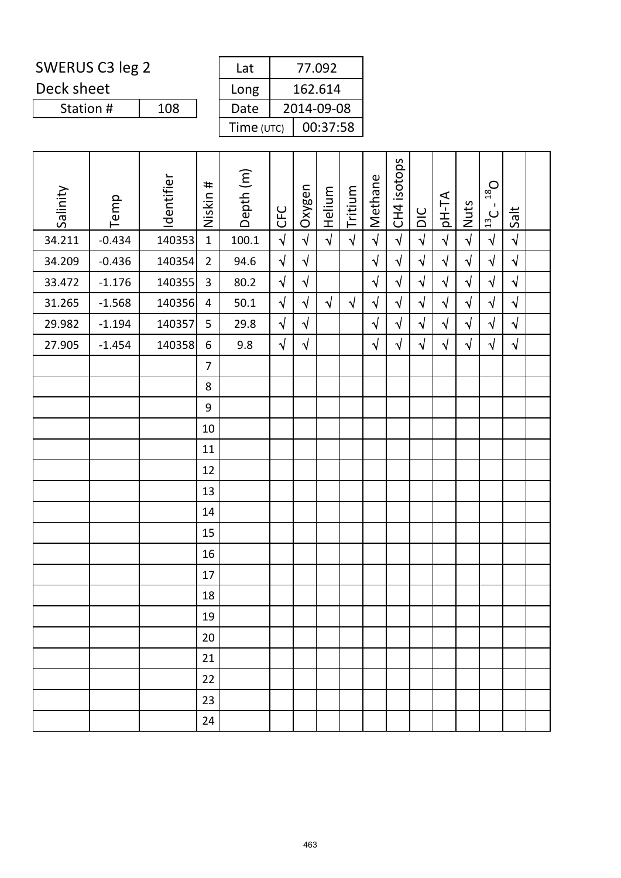Deck sheet

| Lat        | 77.092     |
|------------|------------|
| Long       | 162.614    |
| Date       | 2014-09-08 |
| Time (UTC) | 00:37:58   |

| Salinity | Temp     | Identifier | Niskin #       | Depth (m) | CFC        | Oxygen     | Helium     | Tritium    | Methane    | CH4 isotops | DIC        | AT-Hp      | Nuts       | $O_{\text{gt}}$<br>$\blacksquare$<br>$\frac{13}{13}$ | Salt                 |  |
|----------|----------|------------|----------------|-----------|------------|------------|------------|------------|------------|-------------|------------|------------|------------|------------------------------------------------------|----------------------|--|
| 34.211   | $-0.434$ | 140353     | $\mathbf{1}$   | 100.1     | $\sqrt{2}$ | $\sqrt{2}$ | $\sqrt{ }$ | $\sqrt{2}$ | $\sqrt{2}$ | $\sqrt{ }$  | $\sqrt{2}$ | $\sqrt{2}$ | $\sqrt{2}$ | $\sqrt{2}$                                           | $\sqrt{\phantom{a}}$ |  |
| 34.209   | $-0.436$ | 140354     | $\overline{2}$ | 94.6      | $\sqrt{ }$ | $\sqrt{ }$ |            |            | $\sqrt{2}$ | $\sqrt{2}$  | $\sqrt{2}$ | $\sqrt{ }$ | $\sqrt{ }$ | $\sqrt{2}$                                           | $\sqrt{ }$           |  |
| 33.472   | $-1.176$ | 140355     | 3              | 80.2      | $\sqrt{2}$ | $\sqrt{2}$ |            |            | $\sqrt{2}$ | $\sqrt{2}$  | $\sqrt{2}$ | $\sqrt{ }$ | $\sqrt{ }$ | $\sqrt{2}$                                           | $\sqrt{2}$           |  |
| 31.265   | $-1.568$ | 140356     | $\overline{4}$ | 50.1      | $\sqrt{2}$ | $\sqrt{}$  | $\sqrt{ }$ | $\sqrt{ }$ | $\sqrt{}$  | $\sqrt{}$   | $\sqrt{2}$ | $\sqrt{}$  | $\sqrt{}$  | $\sqrt{2}$                                           | $\sqrt{ }$           |  |
| 29.982   | $-1.194$ | 140357     | 5              | 29.8      | $\sqrt{2}$ | $\sqrt{}$  |            |            | $\sqrt{}$  | $\sqrt{}$   | $\sqrt{2}$ | $\sqrt{}$  | $\sqrt{}$  | $\sqrt{ }$                                           | $\sqrt{ }$           |  |
| 27.905   | $-1.454$ | 140358     | 6              | 9.8       | $\sqrt{2}$ | $\sqrt{ }$ |            |            | $\sqrt{ }$ | $\sqrt{}$   | $\sqrt{ }$ | $\sqrt{}$  | $\sqrt{}$  | $\sqrt{ }$                                           | $\sqrt{2}$           |  |
|          |          |            | $\overline{7}$ |           |            |            |            |            |            |             |            |            |            |                                                      |                      |  |
|          |          |            | 8              |           |            |            |            |            |            |             |            |            |            |                                                      |                      |  |
|          |          |            | 9              |           |            |            |            |            |            |             |            |            |            |                                                      |                      |  |
|          |          |            | 10             |           |            |            |            |            |            |             |            |            |            |                                                      |                      |  |
|          |          |            | 11             |           |            |            |            |            |            |             |            |            |            |                                                      |                      |  |
|          |          |            | 12             |           |            |            |            |            |            |             |            |            |            |                                                      |                      |  |
|          |          |            | 13             |           |            |            |            |            |            |             |            |            |            |                                                      |                      |  |
|          |          |            | 14             |           |            |            |            |            |            |             |            |            |            |                                                      |                      |  |
|          |          |            | 15             |           |            |            |            |            |            |             |            |            |            |                                                      |                      |  |
|          |          |            | 16             |           |            |            |            |            |            |             |            |            |            |                                                      |                      |  |
|          |          |            | 17             |           |            |            |            |            |            |             |            |            |            |                                                      |                      |  |
|          |          |            | 18             |           |            |            |            |            |            |             |            |            |            |                                                      |                      |  |
|          |          |            | 19             |           |            |            |            |            |            |             |            |            |            |                                                      |                      |  |
|          |          |            | 20             |           |            |            |            |            |            |             |            |            |            |                                                      |                      |  |
|          |          |            | 21             |           |            |            |            |            |            |             |            |            |            |                                                      |                      |  |
|          |          |            | 22             |           |            |            |            |            |            |             |            |            |            |                                                      |                      |  |
|          |          |            | 23             |           |            |            |            |            |            |             |            |            |            |                                                      |                      |  |
|          |          |            | 24             |           |            |            |            |            |            |             |            |            |            |                                                      |                      |  |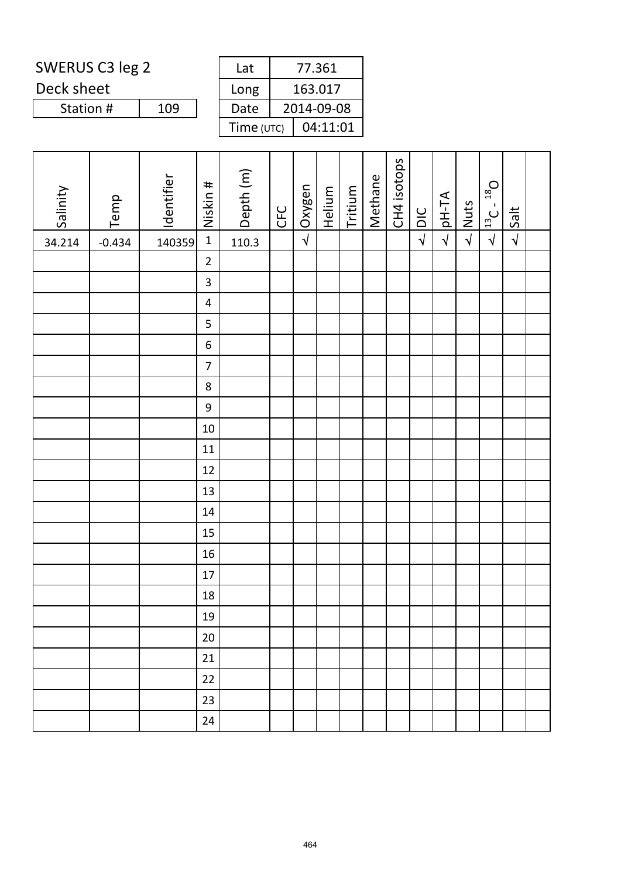Deck sheet

| Lat        | 77.361     |
|------------|------------|
| Long       | 163.017    |
| Date       | 2014-09-08 |
| Time (UTC) | 04:11:01   |

| Salinity | Temp     | Identifier | Niskin #                | Depth (m) | <b>CFC</b> | Oxygen     | Helium | Tritium | Methane | CH4 isotops | $\frac{C}{D}$ | pH-TA      | <b>Nuts</b> | $13C - 18$ O | Salt       |  |
|----------|----------|------------|-------------------------|-----------|------------|------------|--------|---------|---------|-------------|---------------|------------|-------------|--------------|------------|--|
| 34.214   | $-0.434$ | 140359     | $\mathbf 1$             | 110.3     |            | $\sqrt{2}$ |        |         |         |             | $\sqrt{ }$    | $\sqrt{2}$ | $\sqrt{ }$  | $\sqrt{ }$   | $\sqrt{ }$ |  |
|          |          |            | $\overline{2}$          |           |            |            |        |         |         |             |               |            |             |              |            |  |
|          |          |            | $\overline{\mathbf{3}}$ |           |            |            |        |         |         |             |               |            |             |              |            |  |
|          |          |            | $\overline{\mathbf{4}}$ |           |            |            |        |         |         |             |               |            |             |              |            |  |
|          |          |            | 5                       |           |            |            |        |         |         |             |               |            |             |              |            |  |
|          |          |            | $\boldsymbol{6}$        |           |            |            |        |         |         |             |               |            |             |              |            |  |
|          |          |            | $\overline{7}$          |           |            |            |        |         |         |             |               |            |             |              |            |  |
|          |          |            | $\bf 8$                 |           |            |            |        |         |         |             |               |            |             |              |            |  |
|          |          |            | $\boldsymbol{9}$        |           |            |            |        |         |         |             |               |            |             |              |            |  |
|          |          |            | $10\,$                  |           |            |            |        |         |         |             |               |            |             |              |            |  |
|          |          |            | $11\,$                  |           |            |            |        |         |         |             |               |            |             |              |            |  |
|          |          |            | 12                      |           |            |            |        |         |         |             |               |            |             |              |            |  |
|          |          |            | 13                      |           |            |            |        |         |         |             |               |            |             |              |            |  |
|          |          |            | 14                      |           |            |            |        |         |         |             |               |            |             |              |            |  |
|          |          |            | 15                      |           |            |            |        |         |         |             |               |            |             |              |            |  |
|          |          |            | 16                      |           |            |            |        |         |         |             |               |            |             |              |            |  |
|          |          |            | 17                      |           |            |            |        |         |         |             |               |            |             |              |            |  |
|          |          |            | 18                      |           |            |            |        |         |         |             |               |            |             |              |            |  |
|          |          |            | 19                      |           |            |            |        |         |         |             |               |            |             |              |            |  |
|          |          |            | 20                      |           |            |            |        |         |         |             |               |            |             |              |            |  |
|          |          |            | 21                      |           |            |            |        |         |         |             |               |            |             |              |            |  |
|          |          |            | 22                      |           |            |            |        |         |         |             |               |            |             |              |            |  |
|          |          |            | 23                      |           |            |            |        |         |         |             |               |            |             |              |            |  |
|          |          |            | 24                      |           |            |            |        |         |         |             |               |            |             |              |            |  |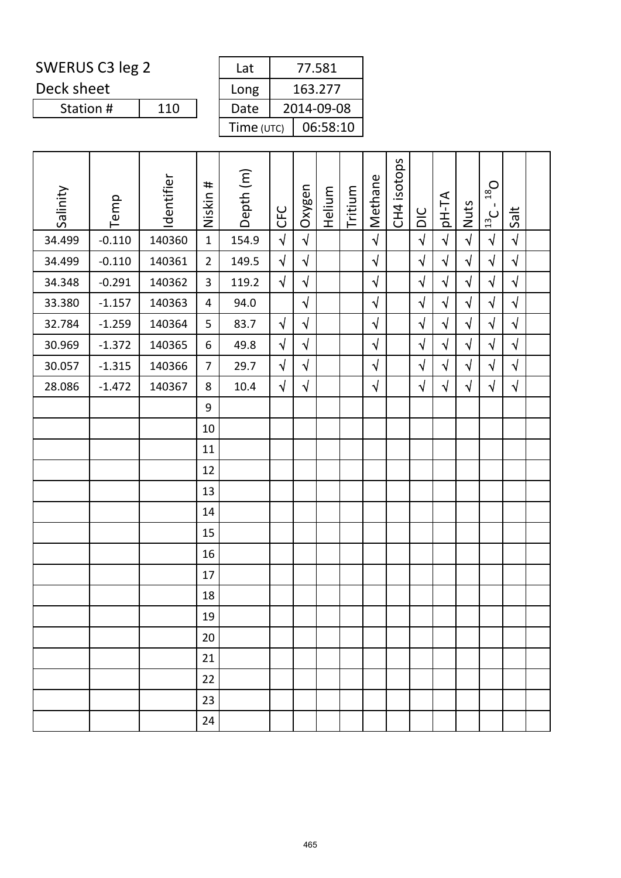Deck sheet

| Lat        | 77.581     |
|------------|------------|
| Long       | 163.277    |
| Date       | 2014-09-08 |
| Time (UTC) | 06:58:10   |

| Salinity | Temp     | Identifier | Niskin #       | Depth (m) | CFC        | Oxygen     | Helium | Tritium | Methane    | CH4 isotops | DIC        | <b>AT-Hq</b> | Nuts       | $O_{81}$<br>$\blacksquare$<br>$\frac{13}{2}$ C | Salt       |  |
|----------|----------|------------|----------------|-----------|------------|------------|--------|---------|------------|-------------|------------|--------------|------------|------------------------------------------------|------------|--|
| 34.499   | $-0.110$ | 140360     | $\mathbf{1}$   | 154.9     | $\sqrt{2}$ | $\sqrt{2}$ |        |         | $\sqrt{2}$ |             | $\sqrt{2}$ | $\sqrt{2}$   | $\sqrt{ }$ | $\sqrt{2}$                                     | $\sqrt{ }$ |  |
| 34.499   | $-0.110$ | 140361     | $\overline{2}$ | 149.5     | $\sqrt{2}$ | $\sqrt{ }$ |        |         | $\sqrt{ }$ |             | $\sqrt{2}$ | $\sqrt{}$    | $\sqrt{}$  | $\sqrt{}$                                      | $\sqrt{ }$ |  |
| 34.348   | $-0.291$ | 140362     | 3              | 119.2     | $\sqrt{2}$ | $\sqrt{ }$ |        |         | $\sqrt{}$  |             | $\sqrt{2}$ | $\sqrt{}$    | $\sqrt{}$  | $\sqrt{2}$                                     | $\sqrt{2}$ |  |
| 33.380   | $-1.157$ | 140363     | $\overline{4}$ | 94.0      |            | $\sqrt{2}$ |        |         | $\sqrt{2}$ |             | $\sqrt{2}$ | $\sqrt{2}$   | $\sqrt{ }$ | $\sqrt{2}$                                     | $\sqrt{2}$ |  |
| 32.784   | $-1.259$ | 140364     | 5              | 83.7      | $\sqrt{ }$ | $\sqrt{ }$ |        |         | $\sqrt{ }$ |             | $\sqrt{ }$ | $\sqrt{}$    | $\sqrt{}$  | $\sqrt{2}$                                     | $\sqrt{ }$ |  |
| 30.969   | $-1.372$ | 140365     | 6              | 49.8      | $\sqrt{2}$ | $\sqrt{}$  |        |         | $\sqrt{}$  |             | $\sqrt{2}$ | $\sqrt{ }$   | $\sqrt{ }$ | $\sqrt{2}$                                     | $\sqrt{ }$ |  |
| 30.057   | $-1.315$ | 140366     | $\overline{7}$ | 29.7      | $\sqrt{2}$ | $\sqrt{ }$ |        |         | $\sqrt{ }$ |             | $\sqrt{ }$ | $\sqrt{}$    | $\sqrt{ }$ | $\sqrt{ }$                                     | $\sqrt{ }$ |  |
| 28.086   | $-1.472$ | 140367     | 8              | 10.4      | $\sqrt{2}$ | $\sqrt{2}$ |        |         | $\sqrt{2}$ |             | $\sqrt{2}$ | $\sqrt{}$    | $\sqrt{}$  | $\sqrt{2}$                                     | $\sqrt{2}$ |  |
|          |          |            | 9              |           |            |            |        |         |            |             |            |              |            |                                                |            |  |
|          |          |            | 10             |           |            |            |        |         |            |             |            |              |            |                                                |            |  |
|          |          |            | 11             |           |            |            |        |         |            |             |            |              |            |                                                |            |  |
|          |          |            | 12             |           |            |            |        |         |            |             |            |              |            |                                                |            |  |
|          |          |            | 13             |           |            |            |        |         |            |             |            |              |            |                                                |            |  |
|          |          |            | 14             |           |            |            |        |         |            |             |            |              |            |                                                |            |  |
|          |          |            | 15             |           |            |            |        |         |            |             |            |              |            |                                                |            |  |
|          |          |            | 16             |           |            |            |        |         |            |             |            |              |            |                                                |            |  |
|          |          |            | 17             |           |            |            |        |         |            |             |            |              |            |                                                |            |  |
|          |          |            | 18             |           |            |            |        |         |            |             |            |              |            |                                                |            |  |
|          |          |            | 19             |           |            |            |        |         |            |             |            |              |            |                                                |            |  |
|          |          |            | 20             |           |            |            |        |         |            |             |            |              |            |                                                |            |  |
|          |          |            | 21             |           |            |            |        |         |            |             |            |              |            |                                                |            |  |
|          |          |            | 22             |           |            |            |        |         |            |             |            |              |            |                                                |            |  |
|          |          |            | 23             |           |            |            |        |         |            |             |            |              |            |                                                |            |  |
|          |          |            | 24             |           |            |            |        |         |            |             |            |              |            |                                                |            |  |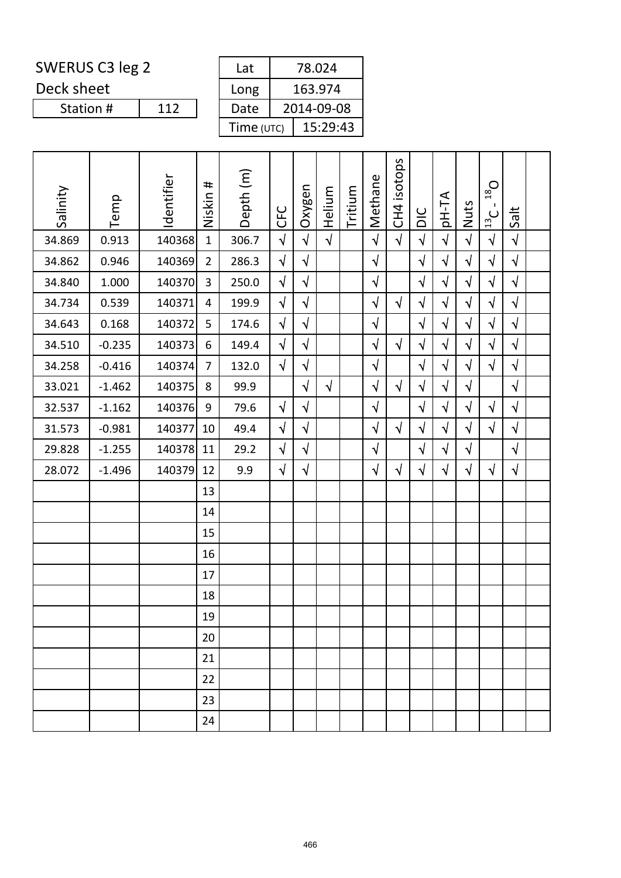Deck sheet

Station #

| Lat        | 78.024     |
|------------|------------|
| Long       | 163.974    |
| Date       | 2014-09-08 |
| Time (UTC) | 15:29:43   |

| Salinity | Temp     | Identifier | Niskin #       | Depth (m) | <b>CFC</b> | Oxygen     | Helium     | Tritium | Methane    | CH4 isotops | DIC        | <b>AT-Hq</b> | Nuts       | $O_{81}$<br>п.<br>$\frac{13}{2}$ C | Salt       |  |
|----------|----------|------------|----------------|-----------|------------|------------|------------|---------|------------|-------------|------------|--------------|------------|------------------------------------|------------|--|
| 34.869   | 0.913    | 140368     | $\mathbf{1}$   | 306.7     | $\sqrt{2}$ | $\sqrt{2}$ | $\sqrt{ }$ |         | $\sqrt{ }$ | $\sqrt{ }$  | $\sqrt{ }$ | $\sqrt{ }$   | $\sqrt{2}$ | $\sqrt{2}$                         | $\sqrt{ }$ |  |
| 34.862   | 0.946    | 140369     | $\overline{2}$ | 286.3     | $\sqrt{2}$ | $\sqrt{}$  |            |         | $\sqrt{ }$ |             | $\sqrt{2}$ | $\sqrt{}$    | $\sqrt{}$  | $\sqrt{2}$                         | $\sqrt{ }$ |  |
| 34.840   | 1.000    | 140370     | 3              | 250.0     | $\sqrt{2}$ | $\sqrt{}$  |            |         | $\sqrt{}$  |             | $\sqrt{}$  | $\sqrt{}$    | $\sqrt{}$  | $\sqrt{}$                          | $\sqrt{ }$ |  |
| 34.734   | 0.539    | 140371     | 4              | 199.9     | $\sqrt{2}$ | $\sqrt{2}$ |            |         | $\sqrt{}$  | $\sqrt{ }$  | $\sqrt{2}$ | $\sqrt{}$    | $\sqrt{2}$ | $\sqrt{2}$                         | $\sqrt{2}$ |  |
| 34.643   | 0.168    | 140372     | 5              | 174.6     | $\sqrt{2}$ | $\sqrt{}$  |            |         | $\sqrt{}$  |             | $\sqrt{2}$ | $\sqrt{}$    | $\sqrt{ }$ | $\sqrt{}$                          | $\sqrt{ }$ |  |
| 34.510   | $-0.235$ | 140373     | 6              | 149.4     | $\sqrt{2}$ | $\sqrt{}$  |            |         | $\sqrt{2}$ | $\sqrt{2}$  | $\sqrt{2}$ | $\sqrt{ }$   | $\sqrt{ }$ | $\sqrt{}$                          | $\sqrt{ }$ |  |
| 34.258   | $-0.416$ | 140374     | $\overline{7}$ | 132.0     | $\sqrt{2}$ | $\sqrt{2}$ |            |         | $\sqrt{}$  |             | $\sqrt{2}$ | $\sqrt{}$    | $\sqrt{2}$ | $\sqrt{2}$                         | $\sqrt{2}$ |  |
| 33.021   | $-1.462$ | 140375     | 8              | 99.9      |            | $\sqrt{}$  | $\sqrt{ }$ |         | $\sqrt{}$  | $\sqrt{2}$  | $\sqrt{}$  | $\sqrt{}$    | $\sqrt{}$  |                                    | $\sqrt{ }$ |  |
| 32.537   | $-1.162$ | 140376     | 9              | 79.6      | $\sqrt{}$  | $\sqrt{ }$ |            |         | $\sqrt{ }$ |             | $\sqrt{ }$ | $\sqrt{ }$   | $\sqrt{}$  | $\sqrt{}$                          | $\sqrt{ }$ |  |
| 31.573   | $-0.981$ | 140377     | 10             | 49.4      | $\sqrt{2}$ | $\sqrt{}$  |            |         | $\sqrt{}$  | $\sqrt{ }$  | $\sqrt{2}$ | $\sqrt{}$    | $\sqrt{}$  | $\sqrt{2}$                         | $\sqrt{ }$ |  |
| 29.828   | $-1.255$ | 140378     | 11             | 29.2      | $\sqrt{}$  | $\sqrt{}$  |            |         | $\sqrt{ }$ |             | $\sqrt{ }$ | $\sqrt{}$    | $\sqrt{}$  |                                    | $\sqrt{ }$ |  |
| 28.072   | $-1.496$ | 140379     | 12             | 9.9       | $\sqrt{2}$ | $\sqrt{}$  |            |         | $\sqrt{}$  | $\sqrt{ }$  | $\sqrt{ }$ | $\sqrt{}$    | $\sqrt{}$  | $\sqrt{}$                          | $\sqrt{ }$ |  |
|          |          |            | 13             |           |            |            |            |         |            |             |            |              |            |                                    |            |  |
|          |          |            | 14             |           |            |            |            |         |            |             |            |              |            |                                    |            |  |
|          |          |            | 15             |           |            |            |            |         |            |             |            |              |            |                                    |            |  |
|          |          |            | 16             |           |            |            |            |         |            |             |            |              |            |                                    |            |  |
|          |          |            | 17             |           |            |            |            |         |            |             |            |              |            |                                    |            |  |
|          |          |            | 18             |           |            |            |            |         |            |             |            |              |            |                                    |            |  |
|          |          |            | 19             |           |            |            |            |         |            |             |            |              |            |                                    |            |  |
|          |          |            | 20             |           |            |            |            |         |            |             |            |              |            |                                    |            |  |
|          |          |            | 21             |           |            |            |            |         |            |             |            |              |            |                                    |            |  |
|          |          |            | 22             |           |            |            |            |         |            |             |            |              |            |                                    |            |  |
|          |          |            | 23             |           |            |            |            |         |            |             |            |              |            |                                    |            |  |
|          |          |            | 24             |           |            |            |            |         |            |             |            |              |            |                                    |            |  |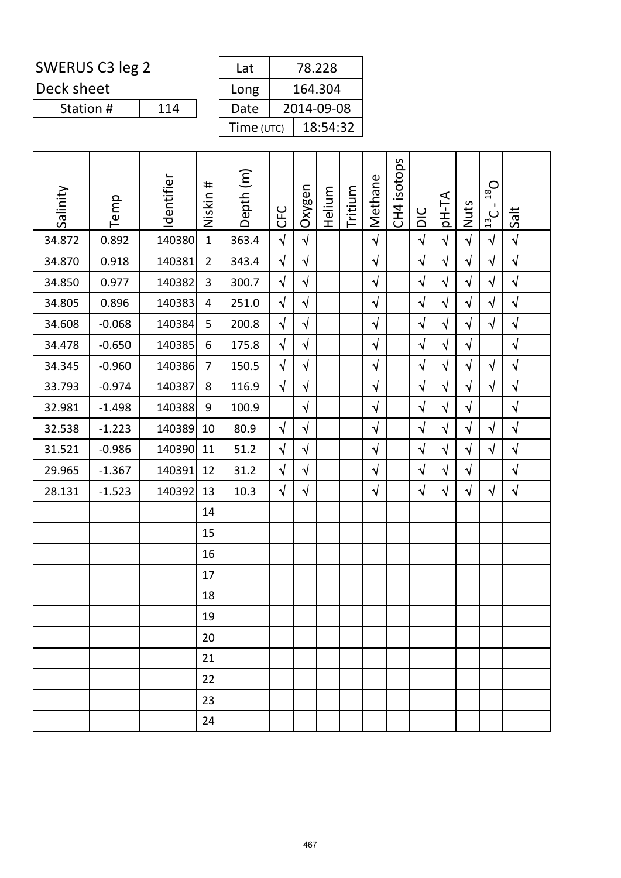Deck sheet

Station #

| Lat        | 78.228     |
|------------|------------|
| Long       | 164.304    |
| Date       | 2014-09-08 |
| Time (UTC) | 18:54:32   |

| Salinity | Temp     | Identifier | #<br>Niskin    | Depth (m) | <b>UFC</b> | Oxygen     | Helium | Tritium | Methane    | CH4 isotops | DIC        | <b>AT-Hq</b> | Nuts       | $D_{81}$<br>$\frac{13}{2}$ C | Salt       |  |
|----------|----------|------------|----------------|-----------|------------|------------|--------|---------|------------|-------------|------------|--------------|------------|------------------------------|------------|--|
| 34.872   | 0.892    | 140380     | $\mathbf{1}$   | 363.4     | $\sqrt{2}$ | $\sqrt{2}$ |        |         | $\sqrt{2}$ |             | $\sqrt{2}$ | $\sqrt{2}$   | $\sqrt{2}$ | $\sqrt{2}$                   | $\sqrt{ }$ |  |
| 34.870   | 0.918    | 140381     | $\overline{2}$ | 343.4     | $\sqrt{ }$ | $\sqrt{}$  |        |         | $\sqrt{}$  |             | $\sqrt{2}$ | $\sqrt{}$    | $\sqrt{}$  | $\sqrt{ }$                   | $\sqrt{ }$ |  |
| 34.850   | 0.977    | 140382     | 3              | 300.7     | $\sqrt{2}$ | $\sqrt{2}$ |        |         | $\sqrt{ }$ |             | $\sqrt{2}$ | $\sqrt{}$    | $\sqrt{}$  | $\sqrt{2}$                   | $\sqrt{ }$ |  |
| 34.805   | 0.896    | 140383     | $\overline{4}$ | 251.0     | $\sqrt{}$  | $\sqrt{}$  |        |         | $\sqrt{}$  |             | $\sqrt{ }$ | $\sqrt{}$    | $\sqrt{}$  | $\sqrt{}$                    | $\sqrt{ }$ |  |
| 34.608   | $-0.068$ | 140384     | 5              | 200.8     | $\sqrt{}$  | $\sqrt{}$  |        |         | $\sqrt{ }$ |             | $\sqrt{2}$ | $\sqrt{}$    | $\sqrt{ }$ | $\sqrt{ }$                   | $\sqrt{ }$ |  |
| 34.478   | $-0.650$ | 140385     | 6              | 175.8     | $\sqrt{}$  | $\sqrt{}$  |        |         | $\sqrt{ }$ |             | $\sqrt{}$  | $\sqrt{}$    | $\sqrt{}$  |                              | $\sqrt{ }$ |  |
| 34.345   | $-0.960$ | 140386     | $\overline{7}$ | 150.5     | $\sqrt{2}$ | $\sqrt{}$  |        |         | $\sqrt{}$  |             | $\sqrt{}$  | $\sqrt{}$    | $\sqrt{ }$ | $\sqrt{ }$                   | $\sqrt{ }$ |  |
| 33.793   | $-0.974$ | 140387     | 8              | 116.9     | $\sqrt{2}$ | $\sqrt{}$  |        |         | $\sqrt{}$  |             | $\sqrt{}$  | $\sqrt{}$    | $\sqrt{}$  | $\sqrt{ }$                   | $\sqrt{}$  |  |
| 32.981   | $-1.498$ | 140388     | 9              | 100.9     |            | $\sqrt{}$  |        |         | $\sqrt{ }$ |             | $\sqrt{ }$ | $\sqrt{}$    | $\sqrt{}$  |                              | $\sqrt{ }$ |  |
| 32.538   | $-1.223$ | 140389     | 10             | 80.9      | $\sqrt{}$  | $\sqrt{}$  |        |         | $\sqrt{}$  |             | $\sqrt{}$  | $\sqrt{}$    | $\sqrt{ }$ | $\sqrt{}$                    | $\sqrt{ }$ |  |
| 31.521   | $-0.986$ | 140390     | 11             | 51.2      | $\sqrt{ }$ | $\sqrt{}$  |        |         | $\sqrt{ }$ |             | $\sqrt{2}$ | $\sqrt{}$    | $\sqrt{ }$ | $\sqrt{ }$                   | $\sqrt{ }$ |  |
| 29.965   | $-1.367$ | 140391     | 12             | 31.2      | $\sqrt{}$  | $\sqrt{}$  |        |         | $\sqrt{}$  |             | $\sqrt{}$  | $\sqrt{}$    | $\sqrt{}$  |                              | $\sqrt{ }$ |  |
| 28.131   | $-1.523$ | 140392     | 13             | 10.3      | $\sqrt{ }$ | $\sqrt{ }$ |        |         | $\sqrt{ }$ |             | $\sqrt{ }$ | $\sqrt{ }$   | $\sqrt{}$  | $\sqrt{ }$                   | $\sqrt{ }$ |  |
|          |          |            | 14             |           |            |            |        |         |            |             |            |              |            |                              |            |  |
|          |          |            | 15             |           |            |            |        |         |            |             |            |              |            |                              |            |  |
|          |          |            | 16             |           |            |            |        |         |            |             |            |              |            |                              |            |  |
|          |          |            | 17             |           |            |            |        |         |            |             |            |              |            |                              |            |  |
|          |          |            | 18             |           |            |            |        |         |            |             |            |              |            |                              |            |  |
|          |          |            | 19             |           |            |            |        |         |            |             |            |              |            |                              |            |  |
|          |          |            | 20             |           |            |            |        |         |            |             |            |              |            |                              |            |  |
|          |          |            | 21             |           |            |            |        |         |            |             |            |              |            |                              |            |  |
|          |          |            | 22             |           |            |            |        |         |            |             |            |              |            |                              |            |  |
|          |          |            | 23             |           |            |            |        |         |            |             |            |              |            |                              |            |  |
|          |          |            | 24             |           |            |            |        |         |            |             |            |              |            |                              |            |  |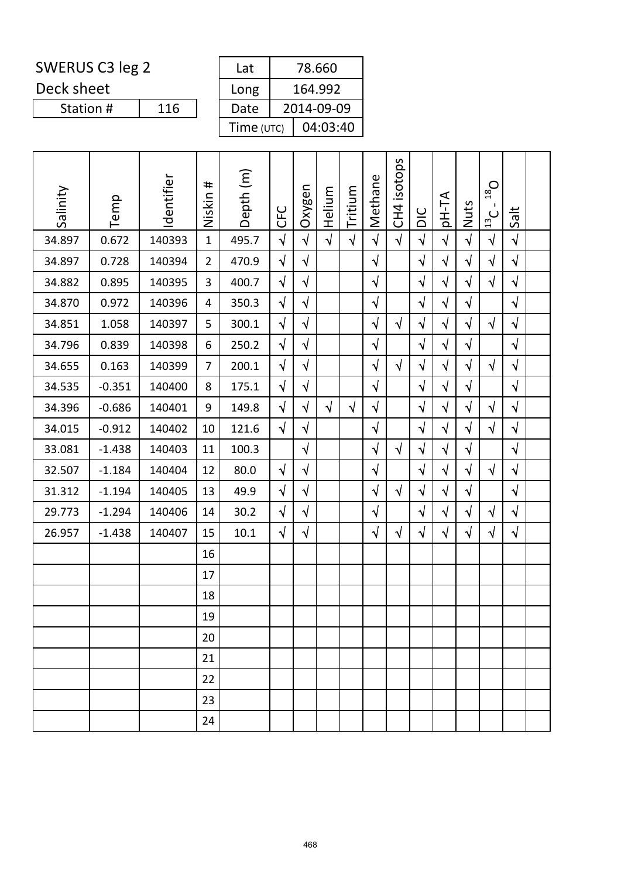Deck sheet

| Lat        | 78.660     |
|------------|------------|
| Long       | 164.992    |
| Date       | 2014-09-09 |
| Time (UTC) | 04:03:40   |

| Salinity | Temp     | Identifier | #<br>Niskin    | Depth (m) | <b>UFC</b> | Oxygen     | Helium     | Tritium    | Methane    | isotops<br>CH <sub>4</sub> | DIC        | pH-TA      | Nuts       | $O_{81}$<br>$\frac{13}{2}$ C | Salt       |  |
|----------|----------|------------|----------------|-----------|------------|------------|------------|------------|------------|----------------------------|------------|------------|------------|------------------------------|------------|--|
| 34.897   | 0.672    | 140393     | $\mathbf{1}$   | 495.7     | $\sqrt{2}$ | $\sqrt{2}$ | $\sqrt{2}$ | $\sqrt{ }$ | $\sqrt{2}$ | $\sqrt{ }$                 | $\sqrt{2}$ | $\sqrt{ }$ | $\sqrt{ }$ | $\sqrt{ }$                   | $\sqrt{ }$ |  |
| 34.897   | 0.728    | 140394     | $\overline{2}$ | 470.9     | $\sqrt{}$  | $\sqrt{}$  |            |            | $\sqrt{ }$ |                            | $\sqrt{2}$ | $\sqrt{}$  | $\sqrt{}$  | $\sqrt{}$                    | $\sqrt{}$  |  |
| 34.882   | 0.895    | 140395     | 3              | 400.7     | $\sqrt{ }$ | $\sqrt{}$  |            |            | $\sqrt{}$  |                            | $\sqrt{ }$ | $\sqrt{}$  | $\sqrt{ }$ | $\sqrt{ }$                   | $\sqrt{ }$ |  |
| 34.870   | 0.972    | 140396     | 4              | 350.3     | $\sqrt{}$  | $\sqrt{}$  |            |            | $\sqrt{ }$ |                            | $\sqrt{}$  | $\sqrt{}$  | $\sqrt{}$  |                              | $\sqrt{ }$ |  |
| 34.851   | 1.058    | 140397     | 5              | 300.1     | $\sqrt{}$  | $\sqrt{}$  |            |            | $\sqrt{ }$ | $\sqrt{ }$                 | $\sqrt{2}$ | $\sqrt{}$  | $\sqrt{ }$ | $\sqrt{ }$                   | $\sqrt{ }$ |  |
| 34.796   | 0.839    | 140398     | 6              | 250.2     | $\sqrt{ }$ | $\sqrt{}$  |            |            | $\sqrt{ }$ |                            | $\sqrt{}$  | $\sqrt{}$  | $\sqrt{}$  |                              | $\sqrt{ }$ |  |
| 34.655   | 0.163    | 140399     | $\overline{7}$ | 200.1     | $\sqrt{}$  | $\sqrt{}$  |            |            | $\sqrt{ }$ | $\sqrt{ }$                 | $\sqrt{}$  | $\sqrt{}$  | $\sqrt{}$  | $\sqrt{ }$                   | $\sqrt{ }$ |  |
| 34.535   | $-0.351$ | 140400     | 8              | 175.1     | $\sqrt{}$  | $\sqrt{}$  |            |            | $\sqrt{ }$ |                            | $\sqrt{}$  | $\sqrt{}$  | $\sqrt{ }$ |                              | $\sqrt{ }$ |  |
| 34.396   | $-0.686$ | 140401     | 9              | 149.8     | $\sqrt{}$  | $\sqrt{}$  | $\sqrt{ }$ | $\sqrt{ }$ | $\sqrt{ }$ |                            | $\sqrt{ }$ | $\sqrt{}$  | $\sqrt{}$  | $\sqrt{}$                    | $\sqrt{ }$ |  |
| 34.015   | $-0.912$ | 140402     | 10             | 121.6     | $\sqrt{}$  | $\sqrt{}$  |            |            | $\sqrt{}$  |                            | $\sqrt{}$  | $\sqrt{}$  | $\sqrt{}$  | $\sqrt{}$                    | $\sqrt{ }$ |  |
| 33.081   | $-1.438$ | 140403     | 11             | 100.3     |            | $\sqrt{ }$ |            |            | $\sqrt{2}$ | $\sqrt{ }$                 | $\sqrt{ }$ | $\sqrt{}$  | $\sqrt{ }$ |                              | $\sqrt{ }$ |  |
| 32.507   | $-1.184$ | 140404     | 12             | 80.0      | $\sqrt{ }$ | $\sqrt{}$  |            |            | $\sqrt{}$  |                            | $\sqrt{}$  | $\sqrt{}$  | $\sqrt{}$  | $\sqrt{}$                    | $\sqrt{ }$ |  |
| 31.312   | $-1.194$ | 140405     | 13             | 49.9      | $\sqrt{ }$ | $\sqrt{}$  |            |            | $\sqrt{}$  | $\sqrt{ }$                 | $\sqrt{2}$ | $\sqrt{}$  | $\sqrt{}$  |                              | $\sqrt{ }$ |  |
| 29.773   | $-1.294$ | 140406     | 14             | 30.2      | $\sqrt{}$  | $\sqrt{}$  |            |            | $\sqrt{}$  |                            | $\sqrt{ }$ | $\sqrt{}$  | $\sqrt{ }$ | $\sqrt{}$                    | $\sqrt{ }$ |  |
| 26.957   | $-1.438$ | 140407     | 15             | 10.1      | $\sqrt{ }$ | $\sqrt{}$  |            |            | $\sqrt{}$  | $\sqrt{ }$                 | $\sqrt{}$  | $\sqrt{}$  | $\sqrt{}$  | $\sqrt{ }$                   | $\sqrt{ }$ |  |
|          |          |            | 16             |           |            |            |            |            |            |                            |            |            |            |                              |            |  |
|          |          |            | 17             |           |            |            |            |            |            |                            |            |            |            |                              |            |  |
|          |          |            | 18             |           |            |            |            |            |            |                            |            |            |            |                              |            |  |
|          |          |            | 19             |           |            |            |            |            |            |                            |            |            |            |                              |            |  |
|          |          |            | 20             |           |            |            |            |            |            |                            |            |            |            |                              |            |  |
|          |          |            | 21             |           |            |            |            |            |            |                            |            |            |            |                              |            |  |
|          |          |            | 22             |           |            |            |            |            |            |                            |            |            |            |                              |            |  |
|          |          |            | 23             |           |            |            |            |            |            |                            |            |            |            |                              |            |  |
|          |          |            | 24             |           |            |            |            |            |            |                            |            |            |            |                              |            |  |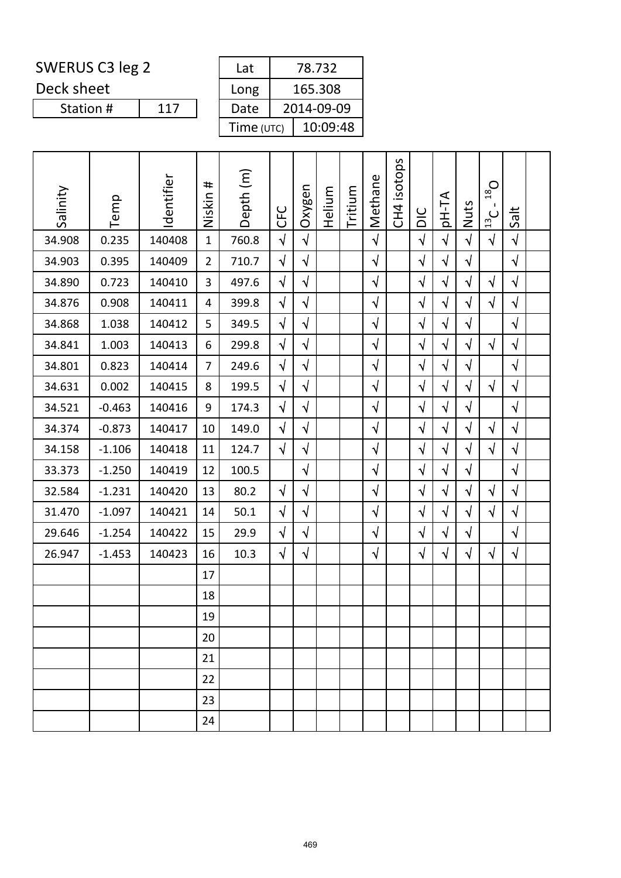Deck sheet

Station #

| 78.732     |
|------------|
| 165.308    |
| 2014-09-09 |
| 10:09:48   |
|            |

| Salinity | Temp     | Identifier | #<br>Niskin    | Depth (m) | <b>CFC</b> | Oxygen     | Helium | Tritium | Methane    | isotops<br>C <sub>H</sub> <sub>1</sub> | DIC        | pH-TA      | Nuts       | $D_{81}$<br>$\frac{13}{2}$ C | Salt       |  |
|----------|----------|------------|----------------|-----------|------------|------------|--------|---------|------------|----------------------------------------|------------|------------|------------|------------------------------|------------|--|
| 34.908   | 0.235    | 140408     | $\mathbf{1}$   | 760.8     | $\sqrt{2}$ | $\sqrt{ }$ |        |         | $\sqrt{2}$ |                                        | $\sqrt{2}$ | $\sqrt{2}$ | $\sqrt{2}$ | $\sqrt{ }$                   | $\sqrt{2}$ |  |
| 34.903   | 0.395    | 140409     | $\overline{2}$ | 710.7     | $\sqrt{ }$ | $\sqrt{}$  |        |         | $\sqrt{ }$ |                                        | $\sqrt{ }$ | $\sqrt{ }$ | $\sqrt{}$  |                              | $\sqrt{2}$ |  |
| 34.890   | 0.723    | 140410     | 3              | 497.6     | $\sqrt{ }$ | $\sqrt{ }$ |        |         | $\sqrt{ }$ |                                        | $\sqrt{ }$ | $\sqrt{ }$ | $\sqrt{}$  | $\sqrt{}$                    | $\sqrt{ }$ |  |
| 34.876   | 0.908    | 140411     | 4              | 399.8     | $\sqrt{ }$ | $\sqrt{}$  |        |         | $\sqrt{ }$ |                                        | $\sqrt{ }$ | $\sqrt{ }$ | $\sqrt{}$  | $\sqrt{}$                    | $\sqrt{}$  |  |
| 34.868   | 1.038    | 140412     | 5              | 349.5     | $\sqrt{ }$ | $\sqrt{2}$ |        |         | $\sqrt{ }$ |                                        | $\sqrt{ }$ | $\sqrt{ }$ | $\sqrt{ }$ |                              | $\sqrt{2}$ |  |
| 34.841   | 1.003    | 140413     | 6              | 299.8     | $\sqrt{2}$ | $\sqrt{}$  |        |         | $\sqrt{}$  |                                        | $\sqrt{}$  | $\sqrt{ }$ | $\sqrt{}$  | $\sqrt{}$                    | $\sqrt{}$  |  |
| 34.801   | 0.823    | 140414     | 7              | 249.6     | $\sqrt{}$  | $\sqrt{ }$ |        |         | $\sqrt{}$  |                                        | $\sqrt{ }$ | $\sqrt{}$  | $\sqrt{}$  |                              | $\sqrt{}$  |  |
| 34.631   | 0.002    | 140415     | 8              | 199.5     | $\sqrt{ }$ | $\sqrt{}$  |        |         | $\sqrt{}$  |                                        | $\sqrt{ }$ | $\sqrt{ }$ | $\sqrt{}$  | $\sqrt{}$                    | $\sqrt{ }$ |  |
| 34.521   | $-0.463$ | 140416     | 9              | 174.3     | $\sqrt{}$  | $\sqrt{}$  |        |         | $\sqrt{}$  |                                        | $\sqrt{ }$ | $\sqrt{ }$ | $\sqrt{}$  |                              | $\sqrt{ }$ |  |
| 34.374   | $-0.873$ | 140417     | 10             | 149.0     | $\sqrt{}$  | $\sqrt{}$  |        |         | $\sqrt{}$  |                                        | $\sqrt{}$  | $\sqrt{ }$ | $\sqrt{}$  | $\sqrt{ }$                   | $\sqrt{}$  |  |
| 34.158   | $-1.106$ | 140418     | 11             | 124.7     | $\sqrt{ }$ | $\sqrt{ }$ |        |         | $\sqrt{ }$ |                                        | $\sqrt{ }$ | $\sqrt{ }$ | $\sqrt{}$  | $\sqrt{ }$                   | $\sqrt{2}$ |  |
| 33.373   | $-1.250$ | 140419     | 12             | 100.5     |            | $\sqrt{}$  |        |         | $\sqrt{}$  |                                        | $\sqrt{ }$ | $\sqrt{ }$ | $\sqrt{}$  |                              | $\sqrt{ }$ |  |
| 32.584   | $-1.231$ | 140420     | 13             | 80.2      | $\sqrt{ }$ | $\sqrt{ }$ |        |         | $\sqrt{}$  |                                        | $\sqrt{ }$ | $\sqrt{ }$ | $\sqrt{ }$ | $\sqrt{ }$                   | $\sqrt{}$  |  |
| 31.470   | $-1.097$ | 140421     | 14             | 50.1      | $\sqrt{ }$ | $\sqrt{ }$ |        |         | $\sqrt{ }$ |                                        | $\sqrt{ }$ | $\sqrt{ }$ | $\sqrt{}$  | $\sqrt{ }$                   | $\sqrt{2}$ |  |
| 29.646   | $-1.254$ | 140422     | 15             | 29.9      | $\sqrt{}$  | $\sqrt{}$  |        |         | $\sqrt{ }$ |                                        | $\sqrt{ }$ | $\sqrt{}$  | $\sqrt{}$  |                              | $\sqrt{}$  |  |
| 26.947   | $-1.453$ | 140423     | 16             | 10.3      | $\sqrt{ }$ | $\sqrt{ }$ |        |         | $\sqrt{}$  |                                        | $\sqrt{ }$ | $\sqrt{ }$ | $\sqrt{ }$ | $\sqrt{ }$                   | $\sqrt{ }$ |  |
|          |          |            | 17             |           |            |            |        |         |            |                                        |            |            |            |                              |            |  |
|          |          |            | 18             |           |            |            |        |         |            |                                        |            |            |            |                              |            |  |
|          |          |            | 19             |           |            |            |        |         |            |                                        |            |            |            |                              |            |  |
|          |          |            | 20             |           |            |            |        |         |            |                                        |            |            |            |                              |            |  |
|          |          |            | 21             |           |            |            |        |         |            |                                        |            |            |            |                              |            |  |
|          |          |            | 22             |           |            |            |        |         |            |                                        |            |            |            |                              |            |  |
|          |          |            | 23             |           |            |            |        |         |            |                                        |            |            |            |                              |            |  |
|          |          |            | 24             |           |            |            |        |         |            |                                        |            |            |            |                              |            |  |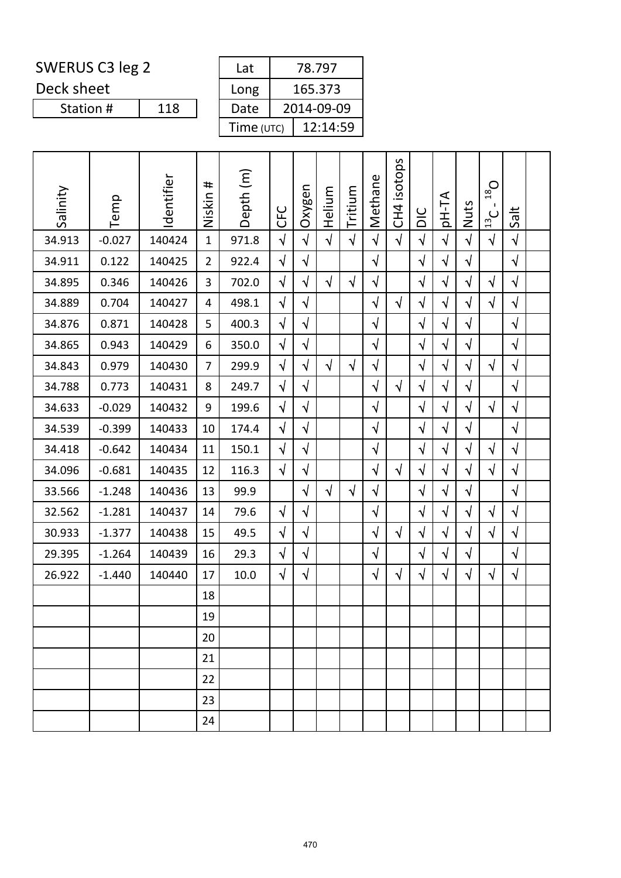Deck sheet

Station #

| Lat        | 78.797     |
|------------|------------|
| Long       | 165.373    |
| Date       | 2014-09-09 |
| Time (UTC) | 12:14:59   |

| Salinity | Temp     | Identifier | #<br>Niskin    | Depth (m) | <b>UHC</b> | Oxygen     | Helium     | Tritium    | Methane    | isotops<br>CH <sub>4</sub> | DIC        | pH-TA      | Nuts       | $D_{81}$<br>$\mathbf{I}$<br>$\frac{13}{2}$ C | Salt       |  |
|----------|----------|------------|----------------|-----------|------------|------------|------------|------------|------------|----------------------------|------------|------------|------------|----------------------------------------------|------------|--|
| 34.913   | $-0.027$ | 140424     | $\mathbf{1}$   | 971.8     | $\sqrt{2}$ | $\sqrt{2}$ | $\sqrt{ }$ | $\sqrt{2}$ | $\sqrt{2}$ | $\sqrt{ }$                 | $\sqrt{2}$ | $\sqrt{2}$ | $\sqrt{2}$ | $\sqrt{ }$                                   | $\sqrt{2}$ |  |
| 34.911   | 0.122    | 140425     | $\overline{2}$ | 922.4     | $\sqrt{ }$ | $\sqrt{}$  |            |            | $\sqrt{ }$ |                            | $\sqrt{2}$ | $\sqrt{}$  | $\sqrt{ }$ |                                              | $\sqrt{}$  |  |
| 34.895   | 0.346    | 140426     | 3              | 702.0     | $\sqrt{}$  | $\sqrt{}$  | $\sqrt{ }$ | $\sqrt{ }$ | $\sqrt{ }$ |                            | $\sqrt{ }$ | $\sqrt{ }$ | $\sqrt{}$  | $\sqrt{ }$                                   | $\sqrt{}$  |  |
| 34.889   | 0.704    | 140427     | 4              | 498.1     | $\sqrt{ }$ | $\sqrt{}$  |            |            | $\sqrt{}$  | $\sqrt{ }$                 | $\sqrt{}$  | $\sqrt{ }$ | $\sqrt{}$  | $\sqrt{ }$                                   | $\sqrt{ }$ |  |
| 34.876   | 0.871    | 140428     | 5              | 400.3     | $\sqrt{}$  | $\sqrt{}$  |            |            | $\sqrt{ }$ |                            | $\sqrt{ }$ | $\sqrt{ }$ | $\sqrt{ }$ |                                              | $\sqrt{}$  |  |
| 34.865   | 0.943    | 140429     | 6              | 350.0     | $\sqrt{}$  | $\sqrt{}$  |            |            | $\sqrt{ }$ |                            | $\sqrt{2}$ | $\sqrt{}$  | $\sqrt{}$  |                                              | $\sqrt{}$  |  |
| 34.843   | 0.979    | 140430     | $\overline{7}$ | 299.9     | $\sqrt{ }$ | $\sqrt{}$  | $\sqrt{ }$ | $\sqrt{ }$ | $\sqrt{}$  |                            | $\sqrt{2}$ | $\sqrt{ }$ | $\sqrt{ }$ | $\sqrt{ }$                                   | $\sqrt{ }$ |  |
| 34.788   | 0.773    | 140431     | 8              | 249.7     | $\sqrt{2}$ | $\sqrt{}$  |            |            | $\sqrt{}$  | $\sqrt{ }$                 | $\sqrt{2}$ | $\sqrt{ }$ | $\sqrt{2}$ |                                              | $\sqrt{}$  |  |
| 34.633   | $-0.029$ | 140432     | 9              | 199.6     | $\sqrt{}$  | $\sqrt{}$  |            |            | $\sqrt{ }$ |                            | $\sqrt{}$  | $\sqrt{ }$ | $\sqrt{}$  | $\sqrt{ }$                                   | $\sqrt{}$  |  |
| 34.539   | $-0.399$ | 140433     | 10             | 174.4     | $\sqrt{}$  | $\sqrt{}$  |            |            | $\sqrt{}$  |                            | $\sqrt{}$  | $\sqrt{ }$ | $\sqrt{}$  |                                              | $\sqrt{}$  |  |
| 34.418   | $-0.642$ | 140434     | 11             | 150.1     | $\sqrt{}$  | $\sqrt{}$  |            |            | $\sqrt{}$  |                            | $\sqrt{2}$ | $\sqrt{ }$ | $\sqrt{}$  | $\sqrt{ }$                                   | $\sqrt{}$  |  |
| 34.096   | $-0.681$ | 140435     | 12             | 116.3     | $\sqrt{2}$ | $\sqrt{2}$ |            |            | $\sqrt{ }$ | $\sqrt{ }$                 | $\sqrt{2}$ | $\sqrt{ }$ | $\sqrt{}$  | $\sqrt{ }$                                   | $\sqrt{2}$ |  |
| 33.566   | $-1.248$ | 140436     | 13             | 99.9      |            | $\sqrt{2}$ | $\sqrt{2}$ | $\sqrt{ }$ | $\sqrt{ }$ |                            | $\sqrt{2}$ | $\sqrt{}$  | $\sqrt{}$  |                                              | $\sqrt{}$  |  |
| 32.562   | $-1.281$ | 140437     | 14             | 79.6      | $\sqrt{ }$ | $\sqrt{}$  |            |            | $\sqrt{}$  |                            | $\sqrt{ }$ | $\sqrt{ }$ | $\sqrt{}$  | $\sqrt{ }$                                   | $\sqrt{}$  |  |
| 30.933   | $-1.377$ | 140438     | 15             | 49.5      | $\sqrt{}$  | $\sqrt{2}$ |            |            | $\sqrt{ }$ | $\sqrt{ }$                 | $\sqrt{2}$ | $\sqrt{ }$ | $\sqrt{}$  | $\sqrt{ }$                                   | $\sqrt{ }$ |  |
| 29.395   | $-1.264$ | 140439     | 16             | 29.3      | $\sqrt{}$  | $\sqrt{2}$ |            |            | $\sqrt{ }$ |                            | $\sqrt{ }$ | $\sqrt{ }$ | $\sqrt{ }$ |                                              | $\sqrt{ }$ |  |
| 26.922   | $-1.440$ | 140440     | 17             | 10.0      | $\sqrt{}$  | $\sqrt{}$  |            |            | $\sqrt{}$  | $\sqrt{ }$                 | $\sqrt{}$  | $\sqrt{ }$ | $\sqrt{}$  | $\sqrt{ }$                                   | $\sqrt{}$  |  |
|          |          |            | 18             |           |            |            |            |            |            |                            |            |            |            |                                              |            |  |
|          |          |            | 19             |           |            |            |            |            |            |                            |            |            |            |                                              |            |  |
|          |          |            | 20             |           |            |            |            |            |            |                            |            |            |            |                                              |            |  |
|          |          |            | 21             |           |            |            |            |            |            |                            |            |            |            |                                              |            |  |
|          |          |            | 22             |           |            |            |            |            |            |                            |            |            |            |                                              |            |  |
|          |          |            | 23             |           |            |            |            |            |            |                            |            |            |            |                                              |            |  |
|          |          |            | 24             |           |            |            |            |            |            |                            |            |            |            |                                              |            |  |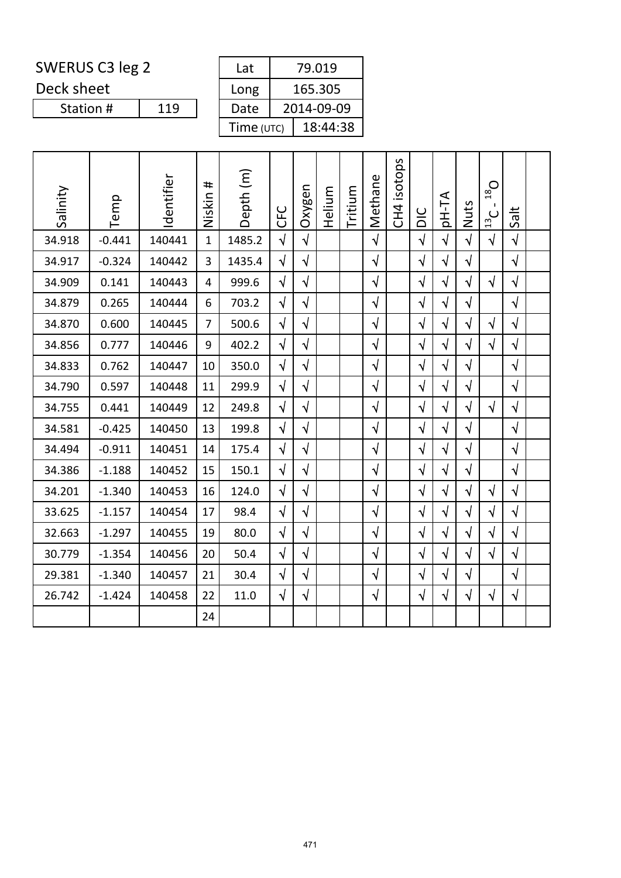Deck sheet

| Lat        | 79.019     |
|------------|------------|
| Long       | 165.305    |
| Date       | 2014-09-09 |
| Time (UTC) | 18:44:38   |

| Salinity | Temp     | Identifier | #<br>Niskin    | Depth (m) | <b>UHC</b> | Oxygen     | Helium | Tritium | Methane    | isotops<br>C <sub>H</sub> | $rac{C}{D}$ | <b>AT-Hq</b> | Nuts       | $O_{81}$<br>$\frac{13}{2}$ C | Salt       |  |
|----------|----------|------------|----------------|-----------|------------|------------|--------|---------|------------|---------------------------|-------------|--------------|------------|------------------------------|------------|--|
| 34.918   | $-0.441$ | 140441     | $\mathbf{1}$   | 1485.2    | $\sqrt{2}$ | $\sqrt{2}$ |        |         | $\sqrt{2}$ |                           | $\sqrt{2}$  | $\sqrt{2}$   | $\sqrt{ }$ | $\sqrt{ }$                   | $\sqrt{ }$ |  |
| 34.917   | $-0.324$ | 140442     | 3              | 1435.4    | $\sqrt{2}$ | $\sqrt{2}$ |        |         | $\sqrt{}$  |                           | $\sqrt{2}$  | $\sqrt{ }$   | $\sqrt{2}$ |                              | $\sqrt{}$  |  |
| 34.909   | 0.141    | 140443     | 4              | 999.6     | $\sqrt{2}$ | $\sqrt{ }$ |        |         | $\sqrt{}$  |                           | $\sqrt{ }$  | $\sqrt{}$    | $\sqrt{ }$ | $\sqrt{ }$                   | $\sqrt{2}$ |  |
| 34.879   | 0.265    | 140444     | 6              | 703.2     | $\sqrt{ }$ | $\sqrt{}$  |        |         | $\sqrt{}$  |                           | $\sqrt{}$   | $\sqrt{}$    | $\sqrt{ }$ |                              | $\sqrt{}$  |  |
| 34.870   | 0.600    | 140445     | $\overline{7}$ | 500.6     | $\sqrt{ }$ | $\sqrt{ }$ |        |         | $\sqrt{}$  |                           | $\sqrt{ }$  | $\sqrt{}$    | $\sqrt{ }$ | $\sqrt{ }$                   | $\sqrt{ }$ |  |
| 34.856   | 0.777    | 140446     | 9              | 402.2     | $\sqrt{2}$ | $\sqrt{ }$ |        |         | $\sqrt{}$  |                           | $\sqrt{2}$  | $\sqrt{}$    | $\sqrt{ }$ | $\sqrt{2}$                   | $\sqrt{}$  |  |
| 34.833   | 0.762    | 140447     | 10             | 350.0     | $\sqrt{}$  | $\sqrt{}$  |        |         | $\sqrt{}$  |                           | $\sqrt{}$   | $\sqrt{}$    | $\sqrt{ }$ |                              | $\sqrt{}$  |  |
| 34.790   | 0.597    | 140448     | 11             | 299.9     | $\sqrt{ }$ | $\sqrt{ }$ |        |         | $\sqrt{}$  |                           | $\sqrt{2}$  | $\sqrt{}$    | $\sqrt{ }$ |                              | $\sqrt{ }$ |  |
| 34.755   | 0.441    | 140449     | 12             | 249.8     | $\sqrt{2}$ | $\sqrt{ }$ |        |         | $\sqrt{ }$ |                           | $\sqrt{2}$  | $\sqrt{ }$   | $\sqrt{2}$ | $\sqrt{2}$                   | $\sqrt{ }$ |  |
| 34.581   | $-0.425$ | 140450     | 13             | 199.8     | $\sqrt{2}$ | $\sqrt{}$  |        |         | $\sqrt{}$  |                           | $\sqrt{ }$  | $\sqrt{}$    | $\sqrt{ }$ |                              | $\sqrt{ }$ |  |
| 34.494   | $-0.911$ | 140451     | 14             | 175.4     | $\sqrt{2}$ | $\sqrt{ }$ |        |         | $\sqrt{}$  |                           | $\sqrt{ }$  | $\sqrt{ }$   | $\sqrt{ }$ |                              | $\sqrt{}$  |  |
| 34.386   | $-1.188$ | 140452     | 15             | 150.1     | $\sqrt{2}$ | $\sqrt{ }$ |        |         | $\sqrt{}$  |                           | $\sqrt{}$   | $\sqrt{}$    | $\sqrt{ }$ |                              | $\sqrt{ }$ |  |
| 34.201   | $-1.340$ | 140453     | 16             | 124.0     | $\sqrt{ }$ | $\sqrt{}$  |        |         | $\sqrt{}$  |                           | $\sqrt{ }$  | $\sqrt{}$    | $\sqrt{ }$ | $\sqrt{}$                    | $\sqrt{}$  |  |
| 33.625   | $-1.157$ | 140454     | 17             | 98.4      | $\sqrt{2}$ | $\sqrt{}$  |        |         | $\sqrt{}$  |                           | $\sqrt{}$   | $\sqrt{}$    | $\sqrt{ }$ | $\sqrt{2}$                   | $\sqrt{}$  |  |
| 32.663   | $-1.297$ | 140455     | 19             | 80.0      | $\sqrt{ }$ | $\sqrt{ }$ |        |         | $\sqrt{}$  |                           | $\sqrt{}$   | $\sqrt{}$    | $\sqrt{ }$ | $\sqrt{}$                    | $\sqrt{ }$ |  |
| 30.779   | $-1.354$ | 140456     | 20             | 50.4      | $\sqrt{2}$ | $\sqrt{}$  |        |         | $\sqrt{}$  |                           | $\sqrt{ }$  | $\sqrt{}$    | $\sqrt{ }$ | $\sqrt{}$                    | $\sqrt{}$  |  |
| 29.381   | $-1.340$ | 140457     | 21             | 30.4      | $\sqrt{2}$ | $\sqrt{}$  |        |         | $\sqrt{}$  |                           | $\sqrt{2}$  | $\sqrt{2}$   | $\sqrt{2}$ |                              | $\sqrt{ }$ |  |
| 26.742   | $-1.424$ | 140458     | 22             | 11.0      | $\sqrt{}$  | $\sqrt{}$  |        |         | $\sqrt{ }$ |                           | $\sqrt{}$   | $\sqrt{}$    | $\sqrt{ }$ | $\sqrt{}$                    | $\sqrt{ }$ |  |
|          |          |            | 24             |           |            |            |        |         |            |                           |             |              |            |                              |            |  |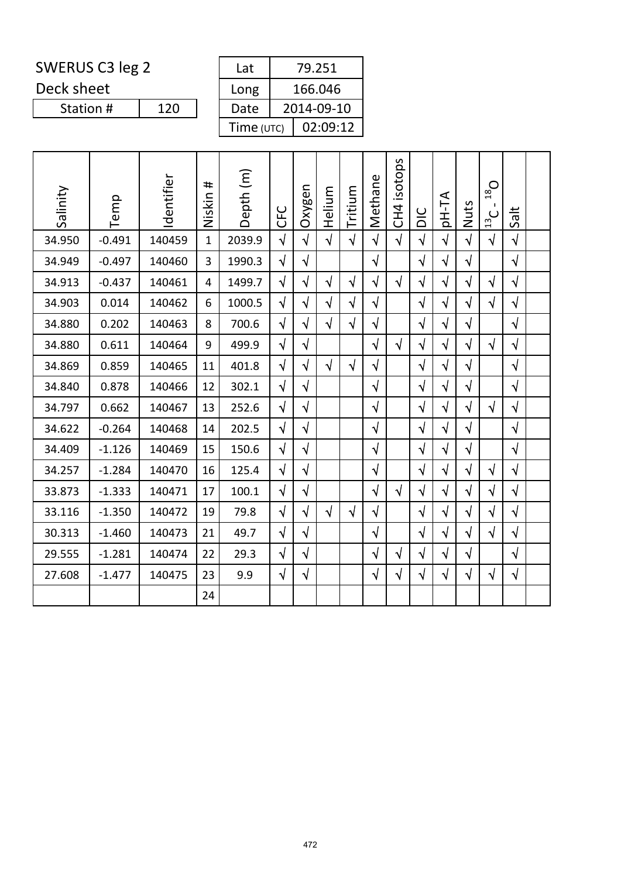Deck sheet

Station #

| Lat        | 79.251     |  |  |  |  |  |  |  |
|------------|------------|--|--|--|--|--|--|--|
| Long       | 166.046    |  |  |  |  |  |  |  |
| Date       | 2014-09-10 |  |  |  |  |  |  |  |
| Time (UTC) | 02:09:12   |  |  |  |  |  |  |  |

| Salinity | Temp     | Identifier | #<br>Niskin  | Depth (m) | <b>UHO</b> | Oxygen     | Helium     | Tritium    | Methane    | CH4 isotops | DIC        | pH-TA      | Nuts       | $O_{\text{gt}}$<br>$\frac{13}{2}$ C | Salt       |  |
|----------|----------|------------|--------------|-----------|------------|------------|------------|------------|------------|-------------|------------|------------|------------|-------------------------------------|------------|--|
| 34.950   | $-0.491$ | 140459     | $\mathbf{1}$ | 2039.9    | $\sqrt{ }$ | $\sqrt{ }$ | $\sqrt{2}$ | $\sqrt{ }$ | $\sqrt{2}$ | $\sqrt{ }$  | $\sqrt{ }$ | $\sqrt{2}$ | $\sqrt{ }$ | $\sqrt{2}$                          | $\sqrt{ }$ |  |
| 34.949   | $-0.497$ | 140460     | 3            | 1990.3    | $\sqrt{ }$ | $\sqrt{ }$ |            |            | $\sqrt{}$  |             | $\sqrt{ }$ | $\sqrt{}$  | $\sqrt{ }$ |                                     | $\sqrt{ }$ |  |
| 34.913   | $-0.437$ | 140461     | 4            | 1499.7    | $\sqrt{ }$ | $\sqrt{}$  | $\sqrt{2}$ | $\sqrt{ }$ | $\sqrt{}$  | $\sqrt{ }$  | $\sqrt{ }$ | $\sqrt{}$  | $\sqrt{ }$ | $\sqrt{ }$                          | $\sqrt{ }$ |  |
| 34.903   | 0.014    | 140462     | 6            | 1000.5    | $\sqrt{2}$ | $\sqrt{}$  | $\sqrt{ }$ | $\sqrt{2}$ | $\sqrt{}$  |             | $\sqrt{}$  | $\sqrt{}$  | $\sqrt{}$  | $\sqrt{2}$                          | $\sqrt{ }$ |  |
| 34.880   | 0.202    | 140463     | 8            | 700.6     | $\sqrt{ }$ | $\sqrt{}$  | $\sqrt{2}$ | $\sqrt{2}$ | $\sqrt{ }$ |             | $\sqrt{}$  | $\sqrt{}$  | $\sqrt{ }$ |                                     | $\sqrt{ }$ |  |
| 34.880   | 0.611    | 140464     | 9            | 499.9     | $\sqrt{ }$ | $\sqrt{}$  |            |            | $\sqrt{}$  | $\sqrt{ }$  | $\sqrt{}$  | $\sqrt{}$  | $\sqrt{ }$ | $\sqrt{ }$                          | $\sqrt{ }$ |  |
| 34.869   | 0.859    | 140465     | 11           | 401.8     | $\sqrt{2}$ | $\sqrt{ }$ | $\sqrt{2}$ | $\sqrt{2}$ | $\sqrt{}$  |             | $\sqrt{2}$ | $\sqrt{ }$ | $\sqrt{2}$ |                                     | $\sqrt{ }$ |  |
| 34.840   | 0.878    | 140466     | 12           | 302.1     | $\sqrt{2}$ | $\sqrt{ }$ |            |            | $\sqrt{}$  |             | $\sqrt{ }$ | $\sqrt{ }$ | $\sqrt{2}$ |                                     | $\sqrt{ }$ |  |
| 34.797   | 0.662    | 140467     | 13           | 252.6     | $\sqrt{ }$ | $\sqrt{ }$ |            |            | $\sqrt{ }$ |             | $\sqrt{}$  | $\sqrt{}$  | $\sqrt{ }$ | $\sqrt{}$                           | $\sqrt{ }$ |  |
| 34.622   | $-0.264$ | 140468     | 14           | 202.5     | $\sqrt{ }$ | $\sqrt{}$  |            |            | $\sqrt{}$  |             | $\sqrt{ }$ | $\sqrt{}$  | $\sqrt{ }$ |                                     | $\sqrt{ }$ |  |
| 34.409   | $-1.126$ | 140469     | 15           | 150.6     | $\sqrt{}$  | $\sqrt{ }$ |            |            | $\sqrt{}$  |             | $\sqrt{}$  | $\sqrt{}$  | $\sqrt{ }$ |                                     | $\sqrt{ }$ |  |
| 34.257   | $-1.284$ | 140470     | 16           | 125.4     | $\sqrt{2}$ | $\sqrt{2}$ |            |            | $\sqrt{ }$ |             | $\sqrt{2}$ | $\sqrt{2}$ | $\sqrt{ }$ | $\sqrt{2}$                          | $\sqrt{ }$ |  |
| 33.873   | $-1.333$ | 140471     | 17           | 100.1     | $\sqrt{ }$ | $\sqrt{}$  |            |            | $\sqrt{}$  | $\sqrt{ }$  | $\sqrt{}$  | $\sqrt{ }$ | $\sqrt{ }$ | $\sqrt{}$                           | $\sqrt{ }$ |  |
| 33.116   | $-1.350$ | 140472     | 19           | 79.8      | $\sqrt{ }$ | $\sqrt{}$  | $\sqrt{ }$ | $\sqrt{2}$ | $\sqrt{}$  |             | $\sqrt{ }$ | $\sqrt{}$  | $\sqrt{ }$ | $\sqrt{2}$                          | $\sqrt{}$  |  |
| 30.313   | $-1.460$ | 140473     | 21           | 49.7      | $\sqrt{2}$ | $\sqrt{ }$ |            |            | $\sqrt{ }$ |             | $\sqrt{2}$ | $\sqrt{ }$ | $\sqrt{}$  | $\sqrt{2}$                          | $\sqrt{ }$ |  |
| 29.555   | $-1.281$ | 140474     | 22           | 29.3      | $\sqrt{ }$ | $\sqrt{ }$ |            |            | $\sqrt{}$  | $\sqrt{ }$  | $\sqrt{ }$ | $\sqrt{}$  | $\sqrt{ }$ |                                     | $\sqrt{ }$ |  |
| 27.608   | $-1.477$ | 140475     | 23           | 9.9       | $\sqrt{ }$ | $\sqrt{}$  |            |            | $\sqrt{}$  | $\sqrt{ }$  | $\sqrt{}$  | $\sqrt{}$  | $\sqrt{ }$ | $\sqrt{}$                           | $\sqrt{ }$ |  |
|          |          |            | 24           |           |            |            |            |            |            |             |            |            |            |                                     |            |  |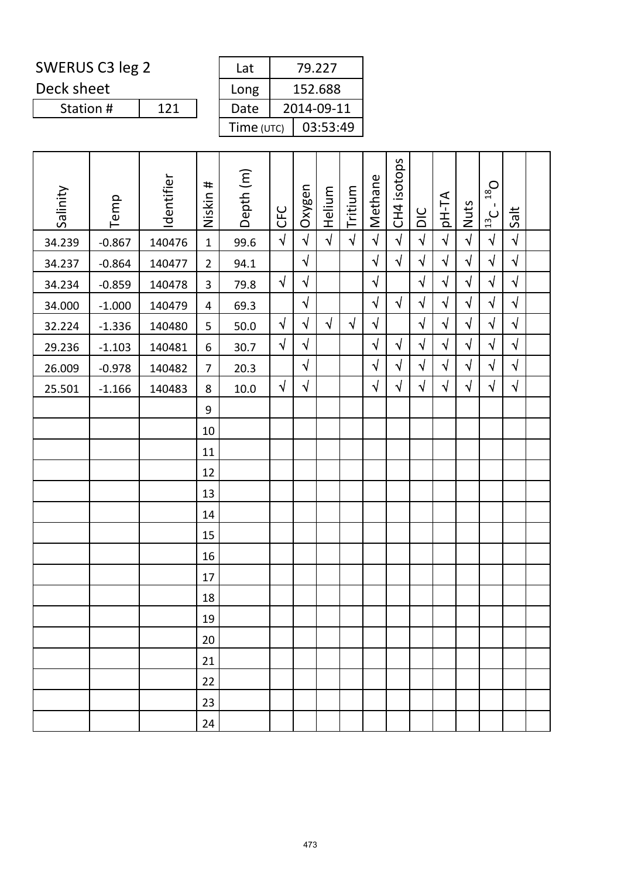Deck sheet

| Lat        | 79.227     |  |  |  |  |  |  |  |
|------------|------------|--|--|--|--|--|--|--|
| Long       | 152.688    |  |  |  |  |  |  |  |
| Date       | 2014-09-11 |  |  |  |  |  |  |  |
| Time (UTC) | 03:53:49   |  |  |  |  |  |  |  |

| Salinity | Temp     | Identifier | Niskin #       | Depth (m) | <b>CFC</b> | Oxygen     | Helium     | Tritium    | Methane    | CH4 isotops | DIC        | <b>AT-Hq</b> | Nuts       | $O_{81}$<br>$\blacksquare$<br>$\frac{13}{2}$ | Salt       |  |
|----------|----------|------------|----------------|-----------|------------|------------|------------|------------|------------|-------------|------------|--------------|------------|----------------------------------------------|------------|--|
| 34.239   | $-0.867$ | 140476     | $\mathbf{1}$   | 99.6      | $\sqrt{2}$ | $\sqrt{2}$ | $\sqrt{2}$ | $\sqrt{ }$ | $\sqrt{2}$ | $\sqrt{ }$  | $\sqrt{2}$ | $\sqrt{2}$   | $\sqrt{2}$ | $\sqrt{ }$                                   | $\sqrt{ }$ |  |
| 34.237   | $-0.864$ | 140477     | $\overline{2}$ | 94.1      |            | $\sqrt{2}$ |            |            | $\sqrt{ }$ | $\sqrt{ }$  | $\sqrt{ }$ | $\sqrt{}$    | $\sqrt{}$  | $\sqrt{ }$                                   | $\sqrt{ }$ |  |
| 34.234   | $-0.859$ | 140478     | 3              | 79.8      | $\sqrt{ }$ | $\sqrt{}$  |            |            | $\sqrt{}$  |             | $\sqrt{2}$ | $\sqrt{}$    | $\sqrt{}$  | $\sqrt{2}$                                   | $\sqrt{ }$ |  |
| 34.000   | $-1.000$ | 140479     | 4              | 69.3      |            | $\sqrt{2}$ |            |            | $\sqrt{ }$ | $\sqrt{ }$  | $\sqrt{2}$ | $\sqrt{}$    | $\sqrt{ }$ | $\sqrt{2}$                                   | $\sqrt{ }$ |  |
| 32.224   | $-1.336$ | 140480     | 5              | 50.0      | $\sqrt{2}$ | $\sqrt{}$  | $\sqrt{ }$ | $\sqrt{}$  | $\sqrt{}$  |             | $\sqrt{2}$ | $\sqrt{}$    | $\sqrt{}$  | $\sqrt{ }$                                   | $\sqrt{ }$ |  |
| 29.236   | $-1.103$ | 140481     | 6              | 30.7      | $\sqrt{}$  | $\sqrt{}$  |            |            | $\sqrt{}$  | $\sqrt{ }$  | $\sqrt{}$  | $\sqrt{}$    | $\sqrt{}$  | $\sqrt{}$                                    | $\sqrt{ }$ |  |
| 26.009   | $-0.978$ | 140482     | $\overline{7}$ | 20.3      |            | $\sqrt{2}$ |            |            | $\sqrt{ }$ | $\sqrt{ }$  | $\sqrt{2}$ | $\sqrt{}$    | $\sqrt{}$  | $\sqrt{2}$                                   | $\sqrt{ }$ |  |
| 25.501   | $-1.166$ | 140483     | 8              | $10.0\,$  | $\sqrt{2}$ | $\sqrt{}$  |            |            | $\sqrt{}$  | $\sqrt{ }$  | $\sqrt{2}$ | $\sqrt{}$    | $\sqrt{}$  | $\sqrt{2}$                                   | $\sqrt{ }$ |  |
|          |          |            | 9              |           |            |            |            |            |            |             |            |              |            |                                              |            |  |
|          |          |            | 10             |           |            |            |            |            |            |             |            |              |            |                                              |            |  |
|          |          |            | 11             |           |            |            |            |            |            |             |            |              |            |                                              |            |  |
|          |          |            | 12             |           |            |            |            |            |            |             |            |              |            |                                              |            |  |
|          |          |            | 13             |           |            |            |            |            |            |             |            |              |            |                                              |            |  |
|          |          |            | 14             |           |            |            |            |            |            |             |            |              |            |                                              |            |  |
|          |          |            | 15             |           |            |            |            |            |            |             |            |              |            |                                              |            |  |
|          |          |            | 16             |           |            |            |            |            |            |             |            |              |            |                                              |            |  |
|          |          |            | 17             |           |            |            |            |            |            |             |            |              |            |                                              |            |  |
|          |          |            | 18             |           |            |            |            |            |            |             |            |              |            |                                              |            |  |
|          |          |            | 19             |           |            |            |            |            |            |             |            |              |            |                                              |            |  |
|          |          |            | 20             |           |            |            |            |            |            |             |            |              |            |                                              |            |  |
|          |          |            | 21             |           |            |            |            |            |            |             |            |              |            |                                              |            |  |
|          |          |            | 22             |           |            |            |            |            |            |             |            |              |            |                                              |            |  |
|          |          |            | 23             |           |            |            |            |            |            |             |            |              |            |                                              |            |  |
|          |          |            | 24             |           |            |            |            |            |            |             |            |              |            |                                              |            |  |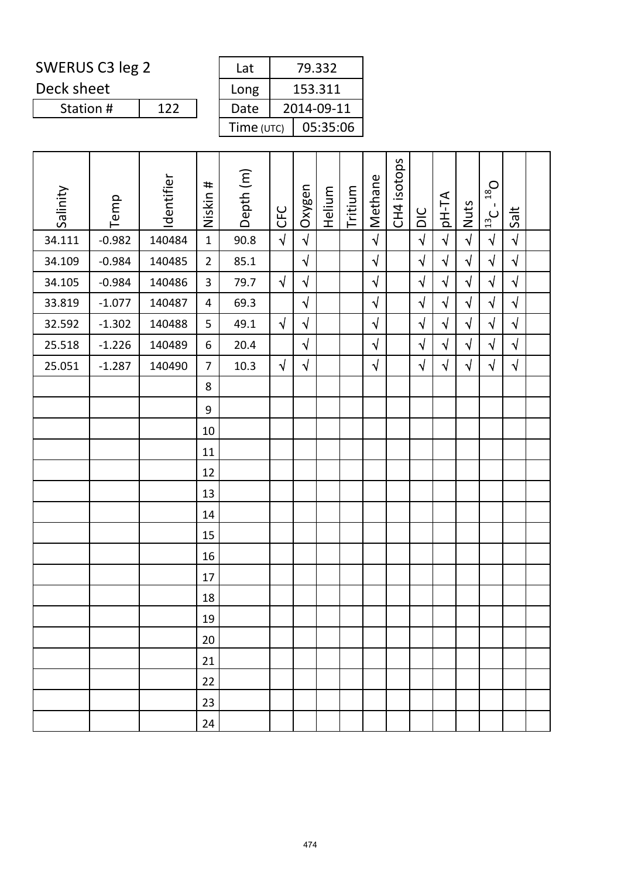Deck sheet

| Lat        | 79.332     |
|------------|------------|
| Long       | 153.311    |
| Date       | 2014-09-11 |
| Time (UTC) | 05:35:06   |

| Salinity | Temp     | Identifier | Niskin #       | Depth (m) | CFC        | Oxygen     | Helium | Tritium | Methane    | CH4 isotops | DIC        | AT-Hp      | Nuts       | $O_{81}$<br>$\mathbf{I}$<br>$\frac{13}{13}$ C | Salt       |  |
|----------|----------|------------|----------------|-----------|------------|------------|--------|---------|------------|-------------|------------|------------|------------|-----------------------------------------------|------------|--|
| 34.111   | $-0.982$ | 140484     | $\mathbf{1}$   | 90.8      | $\sqrt{2}$ | $\sqrt{ }$ |        |         | $\sqrt{ }$ |             | $\sqrt{2}$ | $\sqrt{2}$ | $\sqrt{ }$ | $\sqrt{ }$                                    | $\sqrt{ }$ |  |
| 34.109   | $-0.984$ | 140485     | $\overline{2}$ | 85.1      |            | $\sqrt{2}$ |        |         | $\sqrt{ }$ |             | $\sqrt{2}$ | $\sqrt{2}$ | $\sqrt{ }$ | $\sqrt{}$                                     | $\sqrt{ }$ |  |
| 34.105   | $-0.984$ | 140486     | $\overline{3}$ | 79.7      | $\sqrt{ }$ | $\sqrt{2}$ |        |         | $\sqrt{}$  |             | $\sqrt{2}$ | $\sqrt{}$  | $\sqrt{}$  | $\sqrt{ }$                                    | $\sqrt{ }$ |  |
| 33.819   | $-1.077$ | 140487     | $\overline{4}$ | 69.3      |            | $\sqrt{2}$ |        |         | $\sqrt{}$  |             | $\sqrt{2}$ | $\sqrt{}$  | $\sqrt{}$  | $\sqrt{2}$                                    | $\sqrt{ }$ |  |
| 32.592   | $-1.302$ | 140488     | 5              | 49.1      | $\sqrt{ }$ | $\sqrt{ }$ |        |         | $\sqrt{2}$ |             | $\sqrt{2}$ | $\sqrt{}$  | $\sqrt{ }$ | $\sqrt{2}$                                    | $\sqrt{ }$ |  |
| 25.518   | $-1.226$ | 140489     | 6              | 20.4      |            | $\sqrt{}$  |        |         | $\sqrt{}$  |             | $\sqrt{}$  | $\sqrt{}$  | $\sqrt{ }$ | $\sqrt{ }$                                    | $\sqrt{ }$ |  |
| 25.051   | $-1.287$ | 140490     | $\overline{7}$ | 10.3      | $\sqrt{2}$ | $\sqrt{2}$ |        |         | $\sqrt{ }$ |             | $\sqrt{2}$ | $\sqrt{ }$ | $\sqrt{ }$ | $\sqrt{ }$                                    | $\sqrt{ }$ |  |
|          |          |            | 8              |           |            |            |        |         |            |             |            |            |            |                                               |            |  |
|          |          |            | 9              |           |            |            |        |         |            |             |            |            |            |                                               |            |  |
|          |          |            | 10             |           |            |            |        |         |            |             |            |            |            |                                               |            |  |
|          |          |            | 11             |           |            |            |        |         |            |             |            |            |            |                                               |            |  |
|          |          |            | 12             |           |            |            |        |         |            |             |            |            |            |                                               |            |  |
|          |          |            | 13             |           |            |            |        |         |            |             |            |            |            |                                               |            |  |
|          |          |            | 14             |           |            |            |        |         |            |             |            |            |            |                                               |            |  |
|          |          |            | 15             |           |            |            |        |         |            |             |            |            |            |                                               |            |  |
|          |          |            | 16             |           |            |            |        |         |            |             |            |            |            |                                               |            |  |
|          |          |            | 17             |           |            |            |        |         |            |             |            |            |            |                                               |            |  |
|          |          |            | 18             |           |            |            |        |         |            |             |            |            |            |                                               |            |  |
|          |          |            | 19             |           |            |            |        |         |            |             |            |            |            |                                               |            |  |
|          |          |            | 20             |           |            |            |        |         |            |             |            |            |            |                                               |            |  |
|          |          |            | 21             |           |            |            |        |         |            |             |            |            |            |                                               |            |  |
|          |          |            | 22             |           |            |            |        |         |            |             |            |            |            |                                               |            |  |
|          |          |            | 23             |           |            |            |        |         |            |             |            |            |            |                                               |            |  |
|          |          |            | 24             |           |            |            |        |         |            |             |            |            |            |                                               |            |  |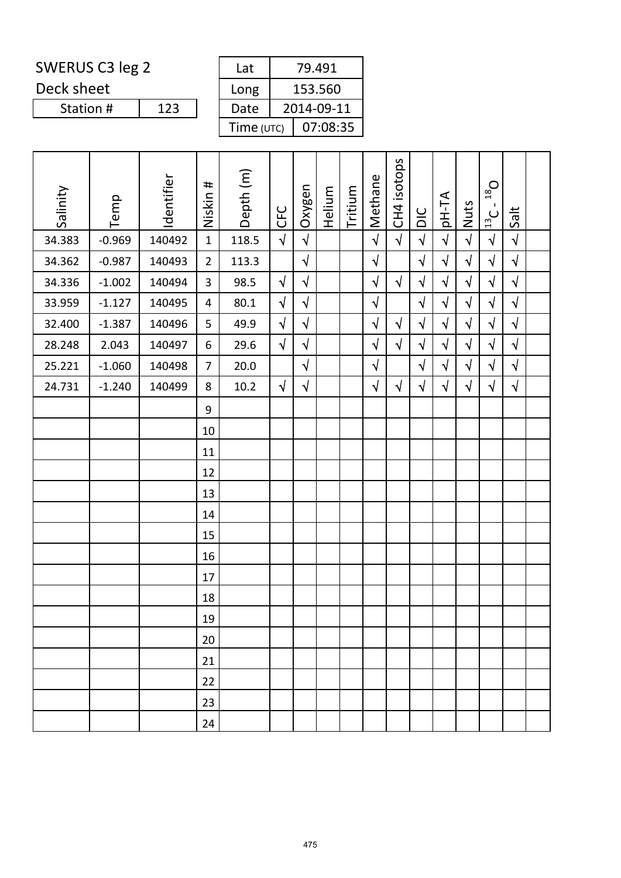Deck sheet

| Lat        | 79.491     |
|------------|------------|
| Long       | 153.560    |
| Date       | 2014-09-11 |
| Time (UTC) | 07:08:35   |

| Salinity | Temp     | Identifier | $\pmb{\sharp}$<br>Niskin | Depth (m) | <b>CFC</b> | Oxygen     | Helium | Tritium | Methane    | CH4 isotops | DIC        | <b>AT-Hq</b> | Nuts       | $O_{81}$<br>$\blacksquare$<br>$\frac{13}{2}$ C | Salt       |  |
|----------|----------|------------|--------------------------|-----------|------------|------------|--------|---------|------------|-------------|------------|--------------|------------|------------------------------------------------|------------|--|
| 34.383   | $-0.969$ | 140492     | $\mathbf{1}$             | 118.5     | $\sqrt{ }$ | $\sqrt{ }$ |        |         | $\sqrt{2}$ | $\sqrt{ }$  | $\sqrt{ }$ | $\sqrt{ }$   | $\sqrt{ }$ | $\sqrt{2}$                                     | $\sqrt{2}$ |  |
| 34.362   | $-0.987$ | 140493     | $\overline{2}$           | 113.3     |            | $\sqrt{}$  |        |         | $\sqrt{}$  |             | $\sqrt{ }$ | $\sqrt{}$    | $\sqrt{}$  | $\sqrt{}$                                      | $\sqrt{2}$ |  |
| 34.336   | $-1.002$ | 140494     | 3                        | 98.5      | $\sqrt{ }$ | $\sqrt{2}$ |        |         | $\sqrt{}$  | $\sqrt{ }$  | $\sqrt{2}$ | $\sqrt{}$    | $\sqrt{}$  | $\sqrt{2}$                                     | $\sqrt{2}$ |  |
| 33.959   | $-1.127$ | 140495     | $\overline{4}$           | 80.1      | $\sqrt{ }$ | $\sqrt{ }$ |        |         | $\sqrt{}$  |             | $\sqrt{ }$ | $\sqrt{ }$   | $\sqrt{ }$ | $\sqrt{ }$                                     | $\sqrt{2}$ |  |
| 32.400   | $-1.387$ | 140496     | 5                        | 49.9      | $\sqrt{ }$ | $\sqrt{}$  |        |         | $\sqrt{}$  | $\sqrt{ }$  | $\sqrt{ }$ | $\sqrt{}$    | $\sqrt{}$  | $\sqrt{}$                                      | $\sqrt{ }$ |  |
| 28.248   | 2.043    | 140497     | 6                        | 29.6      | $\sqrt{ }$ | $\sqrt{2}$ |        |         | $\sqrt{}$  | $\sqrt{ }$  | $\sqrt{2}$ | $\sqrt{ }$   | $\sqrt{}$  | $\sqrt{2}$                                     | $\sqrt{2}$ |  |
| 25.221   | $-1.060$ | 140498     | $\overline{7}$           | 20.0      |            | $\sqrt{ }$ |        |         | $\sqrt{ }$ |             | $\sqrt{2}$ | $\sqrt{ }$   | $\sqrt{ }$ | $\sqrt{2}$                                     | $\sqrt{ }$ |  |
| 24.731   | $-1.240$ | 140499     | 8                        | 10.2      | $\sqrt{ }$ | $\sqrt{}$  |        |         | $\sqrt{}$  | $\sqrt{ }$  | $\sqrt{2}$ | $\sqrt{ }$   | $\sqrt{}$  | $\sqrt{ }$                                     | $\sqrt{ }$ |  |
|          |          |            | 9                        |           |            |            |        |         |            |             |            |              |            |                                                |            |  |
|          |          |            | 10                       |           |            |            |        |         |            |             |            |              |            |                                                |            |  |
|          |          |            | 11                       |           |            |            |        |         |            |             |            |              |            |                                                |            |  |
|          |          |            | 12                       |           |            |            |        |         |            |             |            |              |            |                                                |            |  |
|          |          |            | 13                       |           |            |            |        |         |            |             |            |              |            |                                                |            |  |
|          |          |            | 14                       |           |            |            |        |         |            |             |            |              |            |                                                |            |  |
|          |          |            | 15                       |           |            |            |        |         |            |             |            |              |            |                                                |            |  |
|          |          |            | 16                       |           |            |            |        |         |            |             |            |              |            |                                                |            |  |
|          |          |            | 17                       |           |            |            |        |         |            |             |            |              |            |                                                |            |  |
|          |          |            | 18                       |           |            |            |        |         |            |             |            |              |            |                                                |            |  |
|          |          |            | 19                       |           |            |            |        |         |            |             |            |              |            |                                                |            |  |
|          |          |            | 20                       |           |            |            |        |         |            |             |            |              |            |                                                |            |  |
|          |          |            | 21                       |           |            |            |        |         |            |             |            |              |            |                                                |            |  |
|          |          |            | 22                       |           |            |            |        |         |            |             |            |              |            |                                                |            |  |
|          |          |            | 23                       |           |            |            |        |         |            |             |            |              |            |                                                |            |  |
|          |          |            | 24                       |           |            |            |        |         |            |             |            |              |            |                                                |            |  |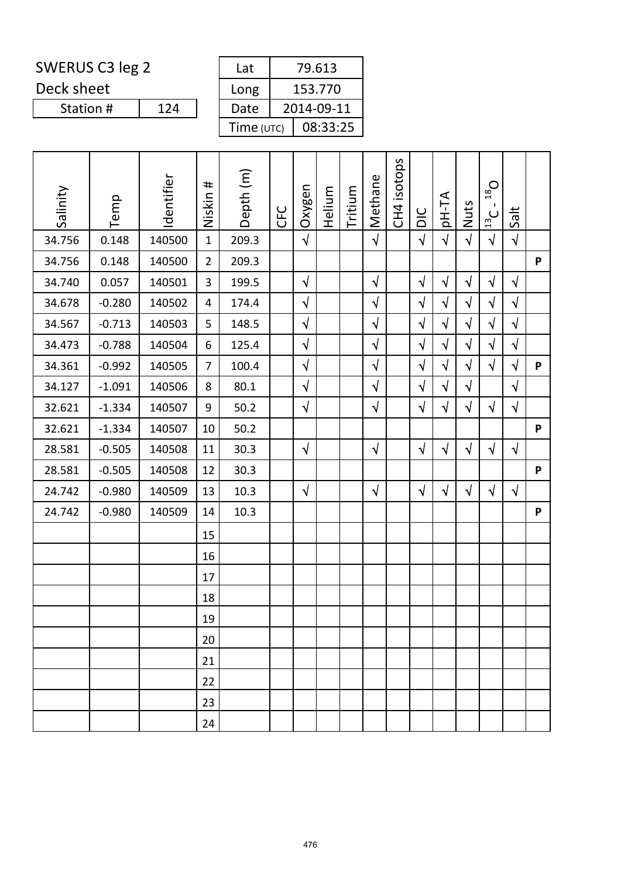Deck sheet

Station #

| Lat        | 79.613     |
|------------|------------|
| Long       | 153.770    |
| Date       | 2014-09-11 |
| Time (UTC) | 08:33:25   |

| Salinity | Temp     | Identifier | Niskin #       | Depth (m) | <b>CFC</b> | Oxygen     | Helium | Tritium | Methane    | CH4 isotops | DIC        | <b>AT-Hq</b> | Nuts       | $O_{81}$<br>Π.<br>$\frac{13}{13}$ C | Salt       |   |
|----------|----------|------------|----------------|-----------|------------|------------|--------|---------|------------|-------------|------------|--------------|------------|-------------------------------------|------------|---|
| 34.756   | 0.148    | 140500     | $\mathbf{1}$   | 209.3     |            | $\sqrt{ }$ |        |         | $\sqrt{2}$ |             | $\sqrt{ }$ | $\sqrt{2}$   | $\sqrt{ }$ | $\sqrt{2}$                          | $\sqrt{ }$ |   |
| 34.756   | 0.148    | 140500     | $\overline{2}$ | 209.3     |            |            |        |         |            |             |            |              |            |                                     |            | P |
| 34.740   | 0.057    | 140501     | 3              | 199.5     |            | $\sqrt{ }$ |        |         | $\sqrt{ }$ |             | $\sqrt{ }$ | $\sqrt{}$    | $\sqrt{ }$ | $\sqrt{ }$                          | $\sqrt{ }$ |   |
| 34.678   | $-0.280$ | 140502     | 4              | 174.4     |            | $\sqrt{ }$ |        |         | $\sqrt{}$  |             | $\sqrt{2}$ | $\sqrt{}$    | $\sqrt{ }$ | $\sqrt{2}$                          | $\sqrt{}$  |   |
| 34.567   | $-0.713$ | 140503     | 5              | 148.5     |            | $\sqrt{2}$ |        |         | $\sqrt{2}$ |             | $\sqrt{2}$ | $\sqrt{2}$   | $\sqrt{ }$ | $\sqrt{2}$                          | $\sqrt{2}$ |   |
| 34.473   | $-0.788$ | 140504     | 6              | 125.4     |            | $\sqrt{2}$ |        |         | $\sqrt{}$  |             | $\sqrt{ }$ | $\sqrt{}$    | $\sqrt{ }$ | $\sqrt{ }$                          | $\sqrt{ }$ |   |
| 34.361   | $-0.992$ | 140505     | $\overline{7}$ | 100.4     |            | $\sqrt{ }$ |        |         | $\sqrt{2}$ |             | $\sqrt{2}$ | $\sqrt{ }$   | $\sqrt{ }$ | $\sqrt{2}$                          | $\sqrt{ }$ | P |
| 34.127   | $-1.091$ | 140506     | 8              | 80.1      |            | $\sqrt{2}$ |        |         | $\sqrt{}$  |             | $\sqrt{}$  | $\sqrt{}$    | $\sqrt{ }$ |                                     | $\sqrt{ }$ |   |
| 32.621   | $-1.334$ | 140507     | 9              | $50.2$    |            | $\sqrt{ }$ |        |         | $\sqrt{ }$ |             | $\sqrt{ }$ | $\sqrt{}$    | $\sqrt{ }$ | $\sqrt{ }$                          | $\sqrt{ }$ |   |
| 32.621   | $-1.334$ | 140507     | 10             | 50.2      |            |            |        |         |            |             |            |              |            |                                     |            | P |
| 28.581   | $-0.505$ | 140508     | 11             | 30.3      |            | $\sqrt{ }$ |        |         | $\sqrt{ }$ |             | $\sqrt{ }$ | $\sqrt{}$    | $\sqrt{ }$ | $\sqrt{}$                           | $\sqrt{ }$ |   |
| 28.581   | $-0.505$ | 140508     | 12             | 30.3      |            |            |        |         |            |             |            |              |            |                                     |            | P |
| 24.742   | $-0.980$ | 140509     | 13             | 10.3      |            | $\sqrt{}$  |        |         | $\sqrt{}$  |             | $\sqrt{ }$ | $\sqrt{}$    | $\sqrt{2}$ | $\sqrt{ }$                          | $\sqrt{ }$ |   |
| 24.742   | $-0.980$ | 140509     | 14             | 10.3      |            |            |        |         |            |             |            |              |            |                                     |            | P |
|          |          |            | 15             |           |            |            |        |         |            |             |            |              |            |                                     |            |   |
|          |          |            | 16             |           |            |            |        |         |            |             |            |              |            |                                     |            |   |
|          |          |            | 17             |           |            |            |        |         |            |             |            |              |            |                                     |            |   |
|          |          |            | 18             |           |            |            |        |         |            |             |            |              |            |                                     |            |   |
|          |          |            | 19             |           |            |            |        |         |            |             |            |              |            |                                     |            |   |
|          |          |            | 20             |           |            |            |        |         |            |             |            |              |            |                                     |            |   |
|          |          |            | 21             |           |            |            |        |         |            |             |            |              |            |                                     |            |   |
|          |          |            | 22             |           |            |            |        |         |            |             |            |              |            |                                     |            |   |
|          |          |            | 23             |           |            |            |        |         |            |             |            |              |            |                                     |            |   |
|          |          |            | 24             |           |            |            |        |         |            |             |            |              |            |                                     |            |   |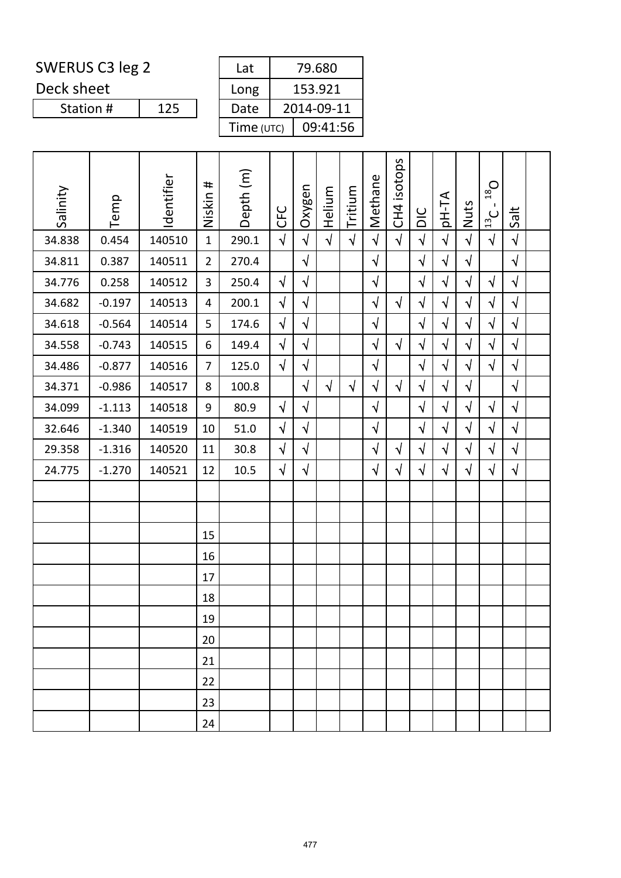Deck sheet

| Lat        | 79.680     |
|------------|------------|
| Long       | 153.921    |
| Date       | 2014-09-11 |
| Time (UTC) | 09:41:56   |

| Salinity | Temp     | Identifier | #<br>Niskin    | Depth (m) | <b>CFC</b> | Oxygen     | Helium     | Tritium    | Methane    | isotops<br>CH <sub>4</sub> | DIC        | pH-TA      | Nuts       | $O_{81}$<br>п.<br>$\frac{13}{2}$ C | Salt       |  |
|----------|----------|------------|----------------|-----------|------------|------------|------------|------------|------------|----------------------------|------------|------------|------------|------------------------------------|------------|--|
| 34.838   | 0.454    | 140510     | $\mathbf{1}$   | 290.1     | $\sqrt{ }$ | $\sqrt{2}$ | $\sqrt{2}$ | $\sqrt{2}$ | $\sqrt{2}$ | $\sqrt{ }$                 | $\sqrt{2}$ | $\sqrt{2}$ | $\sqrt{2}$ | $\sqrt{2}$                         | $\sqrt{ }$ |  |
| 34.811   | 0.387    | 140511     | $\overline{2}$ | 270.4     |            | $\sqrt{ }$ |            |            | $\sqrt{}$  |                            | $\sqrt{2}$ | $\sqrt{}$  | $\sqrt{}$  |                                    | $\sqrt{ }$ |  |
| 34.776   | 0.258    | 140512     | 3              | 250.4     | $\sqrt{ }$ | $\sqrt{ }$ |            |            | $\sqrt{}$  |                            | $\sqrt{ }$ | $\sqrt{ }$ | $\sqrt{}$  | $\sqrt{}$                          | $\sqrt{ }$ |  |
| 34.682   | $-0.197$ | 140513     | 4              | 200.1     | $\sqrt{ }$ | $\sqrt{}$  |            |            | $\sqrt{}$  | $\sqrt{ }$                 | $\sqrt{2}$ | $\sqrt{ }$ | $\sqrt{}$  | $\sqrt{2}$                         | $\sqrt{ }$ |  |
| 34.618   | $-0.564$ | 140514     | 5              | 174.6     | $\sqrt{ }$ | $\sqrt{2}$ |            |            | $\sqrt{2}$ |                            | $\sqrt{ }$ | $\sqrt{}$  | $\sqrt{ }$ | $\sqrt{ }$                         | $\sqrt{ }$ |  |
| 34.558   | $-0.743$ | 140515     | 6              | 149.4     | $\sqrt{ }$ | $\sqrt{}$  |            |            | $\sqrt{}$  | $\sqrt{ }$                 | $\sqrt{ }$ | $\sqrt{}$  | $\sqrt{}$  | $\sqrt{}$                          | $\sqrt{ }$ |  |
| 34.486   | $-0.877$ | 140516     | $\overline{7}$ | 125.0     | $\sqrt{ }$ | $\sqrt{}$  |            |            | $\sqrt{}$  |                            | $\sqrt{2}$ | $\sqrt{ }$ | $\sqrt{ }$ | $\sqrt{ }$                         | $\sqrt{ }$ |  |
| 34.371   | $-0.986$ | 140517     | 8              | 100.8     |            | $\sqrt{ }$ | $\sqrt{ }$ | $\sqrt{}$  | $\sqrt{}$  | $\sqrt{ }$                 | $\sqrt{2}$ | $\sqrt{ }$ | $\sqrt{}$  |                                    | $\sqrt{ }$ |  |
| 34.099   | $-1.113$ | 140518     | 9              | 80.9      | $\sqrt{ }$ | $\sqrt{}$  |            |            | $\sqrt{}$  |                            | $\sqrt{}$  | $\sqrt{}$  | $\sqrt{}$  | $\sqrt{ }$                         | $\sqrt{ }$ |  |
| 32.646   | $-1.340$ | 140519     | 10             | 51.0      | $\sqrt{ }$ | $\sqrt{2}$ |            |            | $\sqrt{}$  |                            | $\sqrt{2}$ | $\sqrt{}$  | $\sqrt{}$  | $\sqrt{2}$                         | $\sqrt{2}$ |  |
| 29.358   | $-1.316$ | 140520     | 11             | 30.8      | $\sqrt{ }$ | $\sqrt{ }$ |            |            | $\sqrt{}$  | $\sqrt{ }$                 | $\sqrt{2}$ | $\sqrt{}$  | $\sqrt{}$  | $\sqrt{2}$                         | $\sqrt{ }$ |  |
| 24.775   | $-1.270$ | 140521     | 12             | 10.5      | $\sqrt{ }$ | $\sqrt{ }$ |            |            | $\sqrt{}$  | $\sqrt{ }$                 | $\sqrt{ }$ | $\sqrt{}$  | $\sqrt{ }$ | $\sqrt{}$                          | $\sqrt{ }$ |  |
|          |          |            |                |           |            |            |            |            |            |                            |            |            |            |                                    |            |  |
|          |          |            |                |           |            |            |            |            |            |                            |            |            |            |                                    |            |  |
|          |          |            | 15             |           |            |            |            |            |            |                            |            |            |            |                                    |            |  |
|          |          |            | 16             |           |            |            |            |            |            |                            |            |            |            |                                    |            |  |
|          |          |            | 17             |           |            |            |            |            |            |                            |            |            |            |                                    |            |  |
|          |          |            | 18             |           |            |            |            |            |            |                            |            |            |            |                                    |            |  |
|          |          |            | 19             |           |            |            |            |            |            |                            |            |            |            |                                    |            |  |
|          |          |            | 20             |           |            |            |            |            |            |                            |            |            |            |                                    |            |  |
|          |          |            | 21             |           |            |            |            |            |            |                            |            |            |            |                                    |            |  |
|          |          |            | 22             |           |            |            |            |            |            |                            |            |            |            |                                    |            |  |
|          |          |            | 23             |           |            |            |            |            |            |                            |            |            |            |                                    |            |  |
|          |          |            | 24             |           |            |            |            |            |            |                            |            |            |            |                                    |            |  |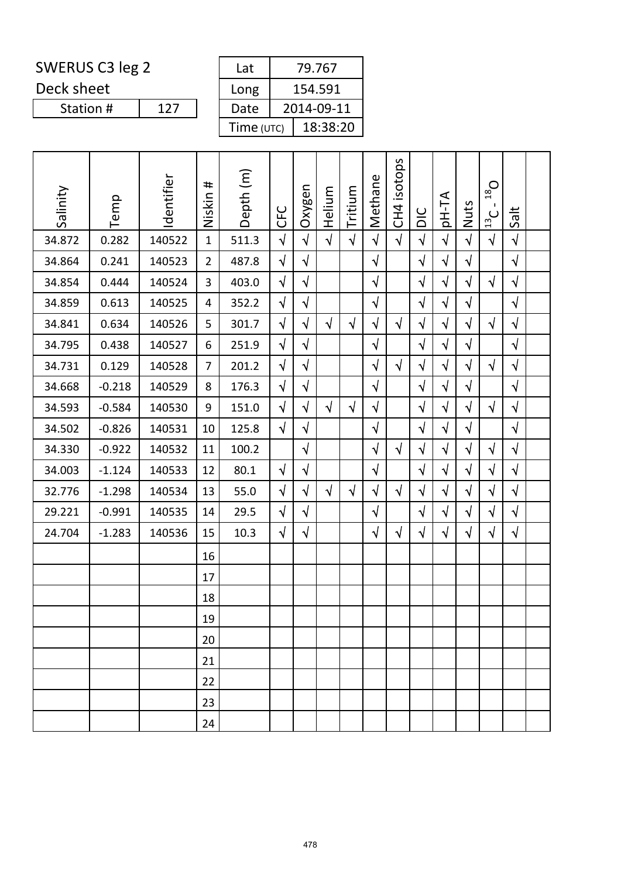Deck sheet

| Lat        | 79.767     |
|------------|------------|
| Long       | 154.591    |
| Date       | 2014-09-11 |
| Time (UTC) | 18:38:20   |

| Salinity | Temp     | Identifier | #<br>Niskin    | Depth (m) | <b>CFC</b> | Oxygen     | Helium     | Tritium    | Methane    | isotops<br>CH <sub>4</sub> | DIC        | <b>AT-Hq</b> | Nuts       | $D_{81}$<br>$\frac{13}{12}$ | Salt       |  |
|----------|----------|------------|----------------|-----------|------------|------------|------------|------------|------------|----------------------------|------------|--------------|------------|-----------------------------|------------|--|
| 34.872   | 0.282    | 140522     | $\mathbf{1}$   | 511.3     | $\sqrt{ }$ | $\sqrt{2}$ | $\sqrt{2}$ | $\sqrt{2}$ | $\sqrt{2}$ | $\sqrt{ }$                 | $\sqrt{ }$ | $\sqrt{2}$   | $\sqrt{ }$ | $\sqrt{ }$                  | $\sqrt{ }$ |  |
| 34.864   | 0.241    | 140523     | $\overline{2}$ | 487.8     | $\sqrt{ }$ | $\sqrt{}$  |            |            | $\sqrt{}$  |                            | $\sqrt{2}$ | $\sqrt{}$    | $\sqrt{}$  |                             | $\sqrt{ }$ |  |
| 34.854   | 0.444    | 140524     | 3              | 403.0     | $\sqrt{ }$ | $\sqrt{}$  |            |            | $\sqrt{}$  |                            | $\sqrt{2}$ | $\sqrt{ }$   | $\sqrt{ }$ | $\sqrt{}$                   | $\sqrt{ }$ |  |
| 34.859   | 0.613    | 140525     | 4              | 352.2     | $\sqrt{ }$ | $\sqrt{ }$ |            |            | $\sqrt{}$  |                            | $\sqrt{}$  | $\sqrt{}$    | $\sqrt{ }$ |                             | $\sqrt{ }$ |  |
| 34.841   | 0.634    | 140526     | 5              | 301.7     | $\sqrt{ }$ | $\sqrt{2}$ | $\sqrt{ }$ | $\sqrt{}$  | $\sqrt{ }$ | $\sqrt{ }$                 | $\sqrt{2}$ | $\sqrt{}$    | $\sqrt{ }$ | $\sqrt{ }$                  | $\sqrt{ }$ |  |
| 34.795   | 0.438    | 140527     | 6              | 251.9     | $\sqrt{ }$ | $\sqrt{}$  |            |            | $\sqrt{}$  |                            | $\sqrt{ }$ | $\sqrt{}$    | $\sqrt{ }$ |                             | $\sqrt{ }$ |  |
| 34.731   | 0.129    | 140528     | $\overline{7}$ | 201.2     | $\sqrt{}$  | $\sqrt{ }$ |            |            | $\sqrt{}$  | $\sqrt{ }$                 | $\sqrt{}$  | $\sqrt{ }$   | $\sqrt{}$  | $\sqrt{ }$                  | $\sqrt{ }$ |  |
| 34.668   | $-0.218$ | 140529     | 8              | 176.3     | $\sqrt{ }$ | $\sqrt{}$  |            |            | $\sqrt{}$  |                            | $\sqrt{ }$ | $\sqrt{}$    | $\sqrt{ }$ |                             | $\sqrt{ }$ |  |
| 34.593   | $-0.584$ | 140530     | 9              | 151.0     | $\sqrt{ }$ | $\sqrt{}$  | $\sqrt{ }$ | $\sqrt{}$  | $\sqrt{}$  |                            | $\sqrt{2}$ | $\sqrt{ }$   | $\sqrt{}$  | $\sqrt{ }$                  | $\sqrt{ }$ |  |
| 34.502   | $-0.826$ | 140531     | 10             | 125.8     | $\sqrt{ }$ | $\sqrt{}$  |            |            | $\sqrt{}$  |                            | $\sqrt{}$  | $\sqrt{}$    | $\sqrt{}$  |                             | $\sqrt{ }$ |  |
| 34.330   | $-0.922$ | 140532     | 11             | 100.2     |            | $\sqrt{}$  |            |            | $\sqrt{}$  | $\sqrt{ }$                 | $\sqrt{ }$ | $\sqrt{}$    | $\sqrt{ }$ | $\sqrt{ }$                  | $\sqrt{ }$ |  |
| 34.003   | $-1.124$ | 140533     | 12             | 80.1      | $\sqrt{ }$ | $\sqrt{}$  |            |            | $\sqrt{}$  |                            | $\sqrt{}$  | $\sqrt{ }$   | $\sqrt{}$  | $\sqrt{}$                   | $\sqrt{ }$ |  |
| 32.776   | $-1.298$ | 140534     | 13             | 55.0      | $\sqrt{ }$ | $\sqrt{}$  | $\sqrt{2}$ | $\sqrt{ }$ | $\sqrt{}$  | $\sqrt{2}$                 | $\sqrt{ }$ | $\sqrt{ }$   | $\sqrt{}$  | $\sqrt{}$                   | $\sqrt{ }$ |  |
| 29.221   | $-0.991$ | 140535     | 14             | 29.5      | $\sqrt{2}$ | $\sqrt{}$  |            |            | $\sqrt{ }$ |                            | $\sqrt{ }$ | $\sqrt{}$    | $\sqrt{ }$ | $\sqrt{}$                   | $\sqrt{ }$ |  |
| 24.704   | $-1.283$ | 140536     | 15             | 10.3      | $\sqrt{ }$ | $\sqrt{}$  |            |            | $\sqrt{}$  | $\sqrt{ }$                 | $\sqrt{}$  | $\sqrt{}$    | $\sqrt{}$  | $\sqrt{}$                   | $\sqrt{ }$ |  |
|          |          |            | 16             |           |            |            |            |            |            |                            |            |              |            |                             |            |  |
|          |          |            | 17             |           |            |            |            |            |            |                            |            |              |            |                             |            |  |
|          |          |            | 18             |           |            |            |            |            |            |                            |            |              |            |                             |            |  |
|          |          |            | 19             |           |            |            |            |            |            |                            |            |              |            |                             |            |  |
|          |          |            | 20             |           |            |            |            |            |            |                            |            |              |            |                             |            |  |
|          |          |            | 21             |           |            |            |            |            |            |                            |            |              |            |                             |            |  |
|          |          |            | 22             |           |            |            |            |            |            |                            |            |              |            |                             |            |  |
|          |          |            | 23             |           |            |            |            |            |            |                            |            |              |            |                             |            |  |
|          |          |            | 24             |           |            |            |            |            |            |                            |            |              |            |                             |            |  |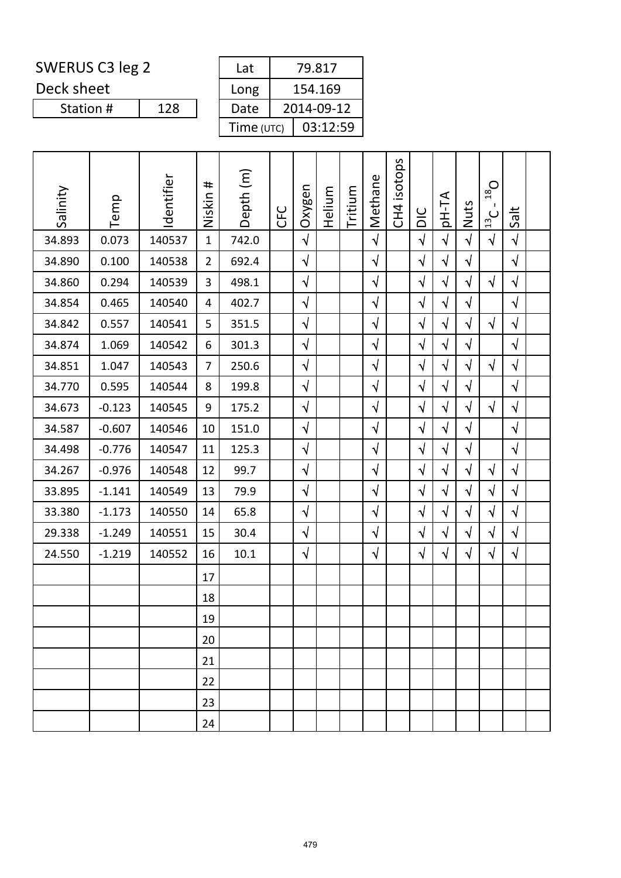Deck sheet

| Lat        | 79.817     |
|------------|------------|
| Long       | 154.169    |
| Date       | 2014-09-12 |
| Time (UTC) | 03:12:59   |

| Salinity | Temp     | Identifier | #<br>Niskin    | Depth (m) | <b>CFC</b> | Oxygen     | Helium | Tritium | Methane    | isotops<br>CH <sub>4</sub> | DIC        | pH-TA      | Nuts       | $O_{81}$<br>$\mathbf{I}$<br>$\frac{13}{2}$ C | Salt       |  |
|----------|----------|------------|----------------|-----------|------------|------------|--------|---------|------------|----------------------------|------------|------------|------------|----------------------------------------------|------------|--|
| 34.893   | 0.073    | 140537     | $\mathbf{1}$   | 742.0     |            | $\sqrt{ }$ |        |         | $\sqrt{2}$ |                            | $\sqrt{2}$ | $\sqrt{ }$ | $\sqrt{ }$ | $\sqrt{ }$                                   | $\sqrt{ }$ |  |
| 34.890   | 0.100    | 140538     | $\overline{2}$ | 692.4     |            | $\sqrt{}$  |        |         | $\sqrt{ }$ |                            | $\sqrt{}$  | $\sqrt{ }$ | $\sqrt{ }$ |                                              | $\sqrt{}$  |  |
| 34.860   | 0.294    | 140539     | 3              | 498.1     |            | $\sqrt{}$  |        |         | $\sqrt{ }$ |                            | $\sqrt{2}$ | $\sqrt{ }$ | $\sqrt{ }$ | $\sqrt{2}$                                   | $\sqrt{ }$ |  |
| 34.854   | 0.465    | 140540     | 4              | 402.7     |            | $\sqrt{}$  |        |         | $\sqrt{ }$ |                            | $\sqrt{}$  | $\sqrt{ }$ | $\sqrt{}$  |                                              | $\sqrt{ }$ |  |
| 34.842   | 0.557    | 140541     | 5              | 351.5     |            | $\sqrt{}$  |        |         | $\sqrt{ }$ |                            | $\sqrt{ }$ | $\sqrt{ }$ | $\sqrt{}$  | $\sqrt{}$                                    | $\sqrt{}$  |  |
| 34.874   | 1.069    | 140542     | 6              | 301.3     |            | $\sqrt{2}$ |        |         | $\sqrt{}$  |                            | $\sqrt{}$  | $\sqrt{ }$ | $\sqrt{}$  |                                              | $\sqrt{ }$ |  |
| 34.851   | 1.047    | 140543     | $\overline{7}$ | 250.6     |            | $\sqrt{ }$ |        |         | $\sqrt{ }$ |                            | $\sqrt{ }$ | $\sqrt{ }$ | $\sqrt{ }$ | $\sqrt{ }$                                   | $\sqrt{ }$ |  |
| 34.770   | 0.595    | 140544     | 8              | 199.8     |            | $\sqrt{2}$ |        |         | $\sqrt{}$  |                            | $\sqrt{2}$ | $\sqrt{ }$ | $\sqrt{2}$ |                                              | $\sqrt{2}$ |  |
| 34.673   | $-0.123$ | 140545     | 9              | 175.2     |            | $\sqrt{2}$ |        |         | $\sqrt{}$  |                            | $\sqrt{2}$ | $\sqrt{ }$ | $\sqrt{}$  | $\sqrt{}$                                    | $\sqrt{ }$ |  |
| 34.587   | $-0.607$ | 140546     | 10             | 151.0     |            | $\sqrt{}$  |        |         | $\sqrt{ }$ |                            | $\sqrt{}$  | $\sqrt{ }$ | $\sqrt{}$  |                                              | $\sqrt{ }$ |  |
| 34.498   | $-0.776$ | 140547     | 11             | 125.3     |            | $\sqrt{}$  |        |         | $\sqrt{ }$ |                            | $\sqrt{2}$ | $\sqrt{ }$ | $\sqrt{}$  |                                              | $\sqrt{ }$ |  |
| 34.267   | $-0.976$ | 140548     | 12             | 99.7      |            | $\sqrt{}$  |        |         | $\sqrt{}$  |                            | $\sqrt{}$  | $\sqrt{ }$ | $\sqrt{}$  | $\sqrt{}$                                    | $\sqrt{ }$ |  |
| 33.895   | $-1.141$ | 140549     | 13             | 79.9      |            | $\sqrt{}$  |        |         | $\sqrt{ }$ |                            | $\sqrt{ }$ | $\sqrt{ }$ | $\sqrt{}$  | $\sqrt{ }$                                   | $\sqrt{ }$ |  |
| 33.380   | $-1.173$ | 140550     | 14             | 65.8      |            | $\sqrt{}$  |        |         | $\sqrt{ }$ |                            | $\sqrt{2}$ | $\sqrt{ }$ | $\sqrt{ }$ | $\sqrt{2}$                                   | $\sqrt{2}$ |  |
| 29.338   | $-1.249$ | 140551     | 15             | 30.4      |            | $\sqrt{}$  |        |         | $\sqrt{ }$ |                            | $\sqrt{2}$ | $\sqrt{ }$ | $\sqrt{}$  | $\sqrt{2}$                                   | $\sqrt{ }$ |  |
| 24.550   | $-1.219$ | 140552     | 16             | 10.1      |            | $\sqrt{}$  |        |         | $\sqrt{}$  |                            | $\sqrt{ }$ | $\sqrt{ }$ | $\sqrt{ }$ | $\sqrt{}$                                    | $\sqrt{}$  |  |
|          |          |            | 17             |           |            |            |        |         |            |                            |            |            |            |                                              |            |  |
|          |          |            | 18             |           |            |            |        |         |            |                            |            |            |            |                                              |            |  |
|          |          |            | 19             |           |            |            |        |         |            |                            |            |            |            |                                              |            |  |
|          |          |            | 20             |           |            |            |        |         |            |                            |            |            |            |                                              |            |  |
|          |          |            | 21             |           |            |            |        |         |            |                            |            |            |            |                                              |            |  |
|          |          |            | 22             |           |            |            |        |         |            |                            |            |            |            |                                              |            |  |
|          |          |            | 23             |           |            |            |        |         |            |                            |            |            |            |                                              |            |  |
|          |          |            | 24             |           |            |            |        |         |            |                            |            |            |            |                                              |            |  |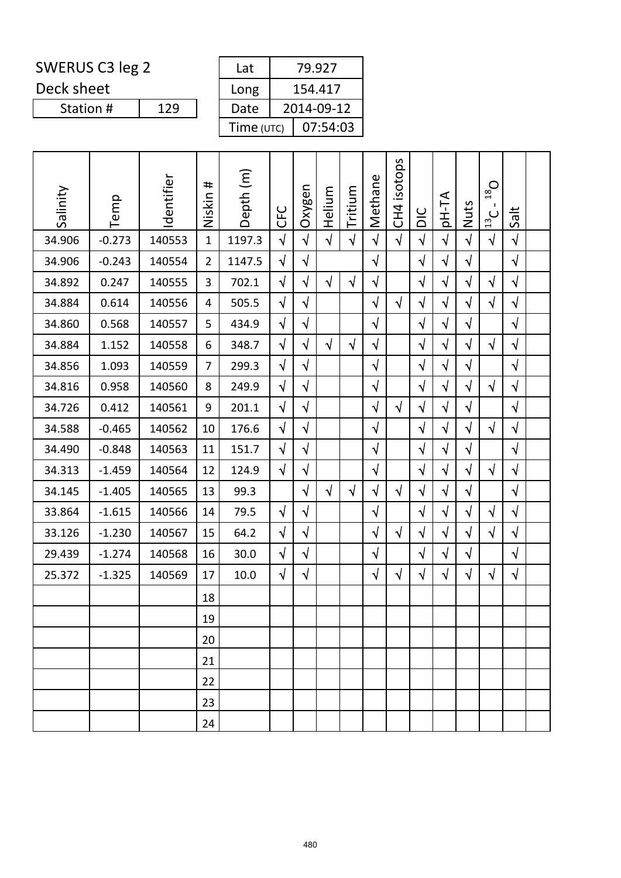Deck sheet

| Lat        | 79.927     |
|------------|------------|
| Long       | 154.417    |
| Date       | 2014-09-12 |
| Time (UTC) | 07:54:03   |

| Salinity | Temp     | Identifier | #<br>Niskin    | Depth (m) | <b>CFC</b> | Oxygen     | Helium     | Tritium    | Methane    | isotops<br>CH <sub>4</sub> | DIC        | pH-TA      | Nuts       | $O_{81}$<br>Ι.<br>$\frac{13}{12}$ | Salt       |  |
|----------|----------|------------|----------------|-----------|------------|------------|------------|------------|------------|----------------------------|------------|------------|------------|-----------------------------------|------------|--|
| 34.906   | $-0.273$ | 140553     | $\mathbf{1}$   | 1197.3    | $\sqrt{2}$ | $\sqrt{2}$ | $\sqrt{ }$ | $\sqrt{2}$ | $\sqrt{ }$ | $\sqrt{ }$                 | $\sqrt{2}$ | $\sqrt{ }$ | $\sqrt{2}$ | $\sqrt{ }$                        | $\sqrt{ }$ |  |
| 34.906   | $-0.243$ | 140554     | $\overline{2}$ | 1147.5    | $\sqrt{ }$ | $\sqrt{}$  |            |            | $\sqrt{}$  |                            | $\sqrt{ }$ | $\sqrt{}$  | $\sqrt{}$  |                                   | $\sqrt{}$  |  |
| 34.892   | 0.247    | 140555     | 3              | 702.1     | $\sqrt{ }$ | $\sqrt{}$  | $\sqrt{}$  | $\sqrt{}$  | $\sqrt{ }$ |                            | $\sqrt{ }$ | $\sqrt{ }$ | $\sqrt{}$  | $\sqrt{}$                         | $\sqrt{ }$ |  |
| 34.884   | 0.614    | 140556     | 4              | 505.5     | $\sqrt{2}$ | $\sqrt{}$  |            |            | $\sqrt{}$  | $\sqrt{ }$                 | $\sqrt{ }$ | $\sqrt{}$  | $\sqrt{}$  | $\sqrt{2}$                        | $\sqrt{}$  |  |
| 34.860   | 0.568    | 140557     | 5              | 434.9     | $\sqrt{ }$ | $\sqrt{}$  |            |            | $\sqrt{ }$ |                            | $\sqrt{ }$ | $\sqrt{}$  | $\sqrt{ }$ |                                   | $\sqrt{ }$ |  |
| 34.884   | 1.152    | 140558     | 6              | 348.7     | $\sqrt{2}$ | $\sqrt{}$  | $\sqrt{ }$ | $\sqrt{2}$ | $\sqrt{ }$ |                            | $\sqrt{}$  | $\sqrt{ }$ | $\sqrt{}$  | $\sqrt{}$                         | $\sqrt{2}$ |  |
| 34.856   | 1.093    | 140559     | $\overline{7}$ | 299.3     | $\sqrt{2}$ | $\sqrt{ }$ |            |            | $\sqrt{}$  |                            | $\sqrt{2}$ | $\sqrt{}$  | $\sqrt{ }$ |                                   | $\sqrt{}$  |  |
| 34.816   | 0.958    | 140560     | 8              | 249.9     | $\sqrt{ }$ | $\sqrt{}$  |            |            | $\sqrt{}$  |                            | $\sqrt{ }$ | $\sqrt{ }$ | $\sqrt{}$  | $\sqrt{}$                         | $\sqrt{}$  |  |
| 34.726   | 0.412    | 140561     | 9              | 201.1     | $\sqrt{ }$ | $\sqrt{2}$ |            |            | $\sqrt{2}$ | $\sqrt{ }$                 | $\sqrt{ }$ | $\sqrt{ }$ | $\sqrt{}$  |                                   | $\sqrt{ }$ |  |
| 34.588   | $-0.465$ | 140562     | 10             | 176.6     | $\sqrt{2}$ | $\sqrt{}$  |            |            | $\sqrt{}$  |                            | $\sqrt{2}$ | $\sqrt{}$  | $\sqrt{}$  | $\sqrt{ }$                        | $\sqrt{}$  |  |
| 34.490   | $-0.848$ | 140563     | 11             | 151.7     | $\sqrt{ }$ | $\sqrt{}$  |            |            | $\sqrt{}$  |                            | $\sqrt{ }$ | $\sqrt{}$  | $\sqrt{}$  |                                   | $\sqrt{}$  |  |
| 34.313   | $-1.459$ | 140564     | 12             | 124.9     | $\sqrt{ }$ | $\sqrt{}$  |            |            | $\sqrt{}$  |                            | $\sqrt{ }$ | $\sqrt{ }$ | $\sqrt{}$  | $\sqrt{ }$                        | $\sqrt{ }$ |  |
| 34.145   | $-1.405$ | 140565     | 13             | 99.3      |            | $\sqrt{}$  | $\sqrt{ }$ | $\sqrt{ }$ | $\sqrt{}$  | $\sqrt{ }$                 | $\sqrt{ }$ | $\sqrt{}$  | $\sqrt{ }$ |                                   | $\sqrt{ }$ |  |
| 33.864   | $-1.615$ | 140566     | 14             | 79.5      | $\sqrt{ }$ | $\sqrt{}$  |            |            | $\sqrt{}$  |                            | $\sqrt{ }$ | $\sqrt{}$  | $\sqrt{}$  | $\sqrt{}$                         | $\sqrt{}$  |  |
| 33.126   | $-1.230$ | 140567     | 15             | 64.2      | $\sqrt{ }$ | $\sqrt{2}$ |            |            | $\sqrt{ }$ | $\sqrt{ }$                 | $\sqrt{ }$ | $\sqrt{ }$ | $\sqrt{}$  | $\sqrt{ }$                        | $\sqrt{ }$ |  |
| 29.439   | $-1.274$ | 140568     | 16             | 30.0      | $\sqrt{}$  | $\sqrt{}$  |            |            | $\sqrt{ }$ |                            | $\sqrt{ }$ | $\sqrt{}$  | $\sqrt{ }$ |                                   | $\sqrt{}$  |  |
| 25.372   | $-1.325$ | 140569     | 17             | 10.0      | $\sqrt{}$  | $\sqrt{}$  |            |            | $\sqrt{}$  | $\sqrt{ }$                 | $\sqrt{}$  | $\sqrt{ }$ | $\sqrt{}$  | $\sqrt{ }$                        | $\sqrt{}$  |  |
|          |          |            | 18             |           |            |            |            |            |            |                            |            |            |            |                                   |            |  |
|          |          |            | 19             |           |            |            |            |            |            |                            |            |            |            |                                   |            |  |
|          |          |            | 20             |           |            |            |            |            |            |                            |            |            |            |                                   |            |  |
|          |          |            | 21             |           |            |            |            |            |            |                            |            |            |            |                                   |            |  |
|          |          |            | 22             |           |            |            |            |            |            |                            |            |            |            |                                   |            |  |
|          |          |            | 23             |           |            |            |            |            |            |                            |            |            |            |                                   |            |  |
|          |          |            | 24             |           |            |            |            |            |            |                            |            |            |            |                                   |            |  |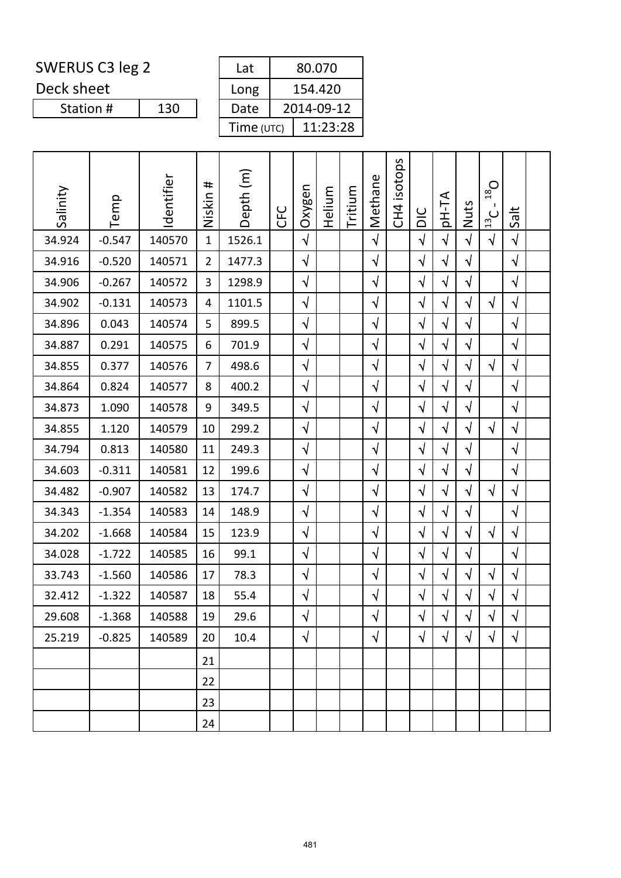Deck sheet

| Lat        | 80.070     |
|------------|------------|
| Long       | 154.420    |
| Date       | 2014-09-12 |
| Time (UTC) | 11:23:28   |

| Salinity | Temp     | Identifier | #<br>Niskin    | Depth (m) | <b>CFC</b> | Oxygen     | Helium | Tritium | Methane    | isotops<br>CH <sub>4</sub> | DIC        | <b>AT-Hq</b> | Nuts       | $O_{81}$<br>$\frac{13}{12}$ | Salt       |  |
|----------|----------|------------|----------------|-----------|------------|------------|--------|---------|------------|----------------------------|------------|--------------|------------|-----------------------------|------------|--|
| 34.924   | $-0.547$ | 140570     | $\mathbf{1}$   | 1526.1    |            | $\sqrt{2}$ |        |         | $\sqrt{2}$ |                            | $\sqrt{2}$ | $\sqrt{2}$   | $\sqrt{ }$ | $\sqrt{ }$                  | $\sqrt{ }$ |  |
| 34.916   | $-0.520$ | 140571     | $\overline{2}$ | 1477.3    |            | $\sqrt{}$  |        |         | $\sqrt{}$  |                            | $\sqrt{}$  | $\sqrt{}$    | $\sqrt{2}$ |                             | $\sqrt{ }$ |  |
| 34.906   | $-0.267$ | 140572     | 3              | 1298.9    |            | $\sqrt{}$  |        |         | $\sqrt{}$  |                            | $\sqrt{}$  | $\sqrt{ }$   | $\sqrt{}$  |                             | $\sqrt{ }$ |  |
| 34.902   | $-0.131$ | 140573     | 4              | 1101.5    |            | $\sqrt{ }$ |        |         | $\sqrt{}$  |                            | $\sqrt{}$  | $\sqrt{}$    | $\sqrt{ }$ | $\sqrt{ }$                  | $\sqrt{ }$ |  |
| 34.896   | 0.043    | 140574     | 5              | 899.5     |            | $\sqrt{2}$ |        |         | $\sqrt{}$  |                            | $\sqrt{2}$ | $\sqrt{}$    | $\sqrt{ }$ |                             | $\sqrt{ }$ |  |
| 34.887   | 0.291    | 140575     | 6              | 701.9     |            | $\sqrt{}$  |        |         | $\sqrt{}$  |                            | $\sqrt{}$  | $\sqrt{}$    | $\sqrt{}$  |                             | $\sqrt{ }$ |  |
| 34.855   | 0.377    | 140576     | $\overline{7}$ | 498.6     |            | $\sqrt{ }$ |        |         | $\sqrt{}$  |                            | $\sqrt{}$  | $\sqrt{}$    | $\sqrt{}$  | $\sqrt{ }$                  | $\sqrt{ }$ |  |
| 34.864   | 0.824    | 140577     | 8              | 400.2     |            | $\sqrt{}$  |        |         | $\sqrt{}$  |                            | $\sqrt{ }$ | $\sqrt{}$    | $\sqrt{ }$ |                             | $\sqrt{ }$ |  |
| 34.873   | 1.090    | 140578     | 9              | 349.5     |            | $\sqrt{}$  |        |         | $\sqrt{}$  |                            | $\sqrt{}$  | $\sqrt{ }$   | $\sqrt{}$  |                             | $\sqrt{ }$ |  |
| 34.855   | 1.120    | 140579     | 10             | 299.2     |            | $\sqrt{}$  |        |         | $\sqrt{}$  |                            | $\sqrt{}$  | $\sqrt{}$    | $\sqrt{}$  | $\sqrt{ }$                  | $\sqrt{ }$ |  |
| 34.794   | 0.813    | 140580     | 11             | 249.3     |            | $\sqrt{ }$ |        |         | $\sqrt{}$  |                            | $\sqrt{ }$ | $\sqrt{}$    | $\sqrt{ }$ |                             | $\sqrt{ }$ |  |
| 34.603   | $-0.311$ | 140581     | 12             | 199.6     |            | $\sqrt{}$  |        |         | $\sqrt{}$  |                            | $\sqrt{}$  | $\sqrt{}$    | $\sqrt{}$  |                             | $\sqrt{ }$ |  |
| 34.482   | $-0.907$ | 140582     | 13             | 174.7     |            | $\sqrt{}$  |        |         | $\sqrt{}$  |                            | $\sqrt{ }$ | $\sqrt{ }$   | $\sqrt{ }$ | $\sqrt{ }$                  | $\sqrt{ }$ |  |
| 34.343   | $-1.354$ | 140583     | 14             | 148.9     |            | $\sqrt{2}$ |        |         | $\sqrt{}$  |                            | $\sqrt{ }$ | $\sqrt{}$    | $\sqrt{}$  |                             | $\sqrt{ }$ |  |
| 34.202   | $-1.668$ | 140584     | 15             | 123.9     |            | $\sqrt{}$  |        |         | $\sqrt{}$  |                            | $\sqrt{}$  | $\sqrt{}$    | $\sqrt{}$  | $\sqrt{}$                   | $\sqrt{}$  |  |
| 34.028   | $-1.722$ | 140585     | 16             | 99.1      |            | $\sqrt{}$  |        |         | $\sqrt{}$  |                            | $\sqrt{ }$ | $\sqrt{}$    | $\sqrt{2}$ |                             | $\sqrt{ }$ |  |
| 33.743   | $-1.560$ | 140586     | 17             | 78.3      |            | $\sqrt{}$  |        |         | $\sqrt{}$  |                            | $\sqrt{}$  | $\sqrt{}$    | $\sqrt{}$  | $\sqrt{ }$                  | $\sqrt{ }$ |  |
| 32.412   | $-1.322$ | 140587     | 18             | 55.4      |            | $\sqrt{}$  |        |         | $\sqrt{}$  |                            | $\sqrt{}$  | $\sqrt{}$    | $\sqrt{}$  | $\sqrt{}$                   | $\sqrt{ }$ |  |
| 29.608   | $-1.368$ | 140588     | 19             | 29.6      |            | $\sqrt{ }$ |        |         | $\sqrt{}$  |                            | $\sqrt{2}$ | $\sqrt{}$    | $\sqrt{ }$ | $\sqrt{2}$                  | $\sqrt{ }$ |  |
| 25.219   | $-0.825$ | 140589     | 20             | 10.4      |            | $\sqrt{}$  |        |         | $\sqrt{}$  |                            | $\sqrt{ }$ | $\sqrt{}$    | $\sqrt{ }$ | $\sqrt{ }$                  | $\sqrt{ }$ |  |
|          |          |            | 21             |           |            |            |        |         |            |                            |            |              |            |                             |            |  |
|          |          |            | 22             |           |            |            |        |         |            |                            |            |              |            |                             |            |  |
|          |          |            | 23             |           |            |            |        |         |            |                            |            |              |            |                             |            |  |
|          |          |            | 24             |           |            |            |        |         |            |                            |            |              |            |                             |            |  |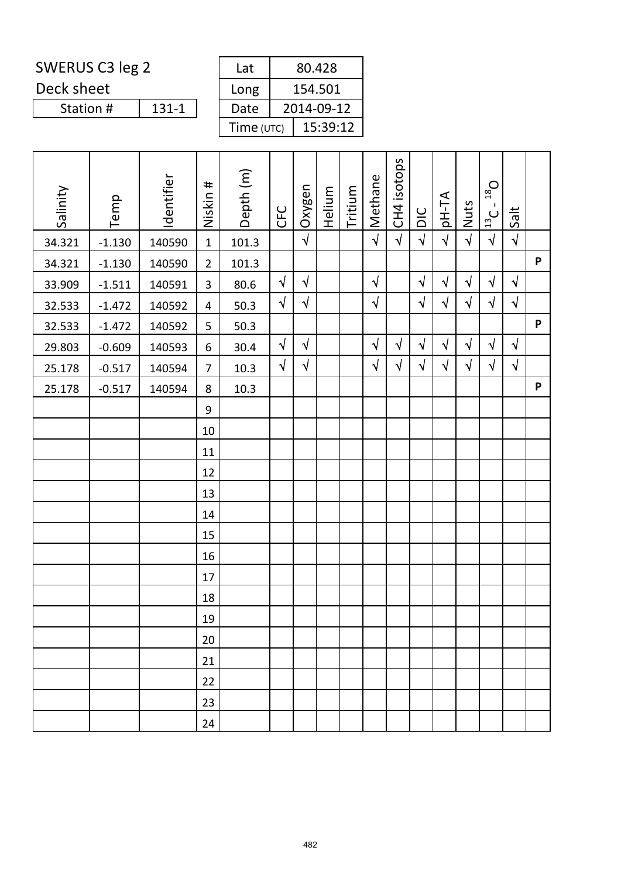Deck sheet

 $131-1$ Station #

| Lat        | 80.428     |
|------------|------------|
| Long       | 154.501    |
| Date       | 2014-09-12 |
| Time (UTC) | 15:39:12   |

| Salinity | Temp     | Identifier | Niskin #       | Depth (m) | <b>CFC</b> | Oxygen     | Helium | Tritium | Methane    | CH4 isotops | DIC        | <b>AT-Hq</b> | Nuts       | $D_{\text{gt}}$<br>$\frac{13}{13}$ C | Salt       |   |
|----------|----------|------------|----------------|-----------|------------|------------|--------|---------|------------|-------------|------------|--------------|------------|--------------------------------------|------------|---|
| 34.321   | $-1.130$ | 140590     | $\mathbf{1}$   | 101.3     |            | $\sqrt{ }$ |        |         | $\sqrt{2}$ | $\sqrt{ }$  | $\sqrt{2}$ | $\sqrt{2}$   | $\sqrt{2}$ | $\sqrt{ }$                           | $\sqrt{ }$ |   |
| 34.321   | $-1.130$ | 140590     | $\overline{2}$ | 101.3     |            |            |        |         |            |             |            |              |            |                                      |            | P |
| 33.909   | $-1.511$ | 140591     | 3              | 80.6      | $\sqrt{ }$ | $\sqrt{ }$ |        |         | $\sqrt{ }$ |             | $\sqrt{}$  | $\sqrt{ }$   | $\sqrt{ }$ | $\sqrt{}$                            | $\sqrt{ }$ |   |
| 32.533   | $-1.472$ | 140592     | 4              | 50.3      | $\sqrt{ }$ | $\sqrt{ }$ |        |         | $\sqrt{}$  |             | $\sqrt{ }$ | $\sqrt{}$    | $\sqrt{ }$ | $\sqrt{}$                            | $\sqrt{ }$ |   |
| 32.533   | $-1.472$ | 140592     | 5              | 50.3      |            |            |        |         |            |             |            |              |            |                                      |            | P |
| 29.803   | $-0.609$ | 140593     | 6              | 30.4      | $\sqrt{ }$ | $\sqrt{ }$ |        |         | $\sqrt{}$  | $\sqrt{ }$  | $\sqrt{}$  | $\sqrt{}$    | $\sqrt{ }$ | $\sqrt{}$                            | $\sqrt{ }$ |   |
| 25.178   | $-0.517$ | 140594     | $\overline{7}$ | 10.3      | $\sqrt{ }$ | $\sqrt{ }$ |        |         | $\sqrt{}$  | $\sqrt{ }$  | $\sqrt{}$  | $\sqrt{}$    | $\sqrt{ }$ | $\sqrt{}$                            | $\sqrt{ }$ |   |
| 25.178   | $-0.517$ | 140594     | 8              | 10.3      |            |            |        |         |            |             |            |              |            |                                      |            | P |
|          |          |            | 9              |           |            |            |        |         |            |             |            |              |            |                                      |            |   |
|          |          |            | 10             |           |            |            |        |         |            |             |            |              |            |                                      |            |   |
|          |          |            | 11             |           |            |            |        |         |            |             |            |              |            |                                      |            |   |
|          |          |            | 12             |           |            |            |        |         |            |             |            |              |            |                                      |            |   |
|          |          |            | 13             |           |            |            |        |         |            |             |            |              |            |                                      |            |   |
|          |          |            | 14             |           |            |            |        |         |            |             |            |              |            |                                      |            |   |
|          |          |            | 15             |           |            |            |        |         |            |             |            |              |            |                                      |            |   |
|          |          |            | 16             |           |            |            |        |         |            |             |            |              |            |                                      |            |   |
|          |          |            | 17             |           |            |            |        |         |            |             |            |              |            |                                      |            |   |
|          |          |            | 18             |           |            |            |        |         |            |             |            |              |            |                                      |            |   |
|          |          |            | $19\,$         |           |            |            |        |         |            |             |            |              |            |                                      |            |   |
|          |          |            | 20             |           |            |            |        |         |            |             |            |              |            |                                      |            |   |
|          |          |            | 21             |           |            |            |        |         |            |             |            |              |            |                                      |            |   |
|          |          |            | 22             |           |            |            |        |         |            |             |            |              |            |                                      |            |   |
|          |          |            | 23             |           |            |            |        |         |            |             |            |              |            |                                      |            |   |
|          |          |            | 24             |           |            |            |        |         |            |             |            |              |            |                                      |            |   |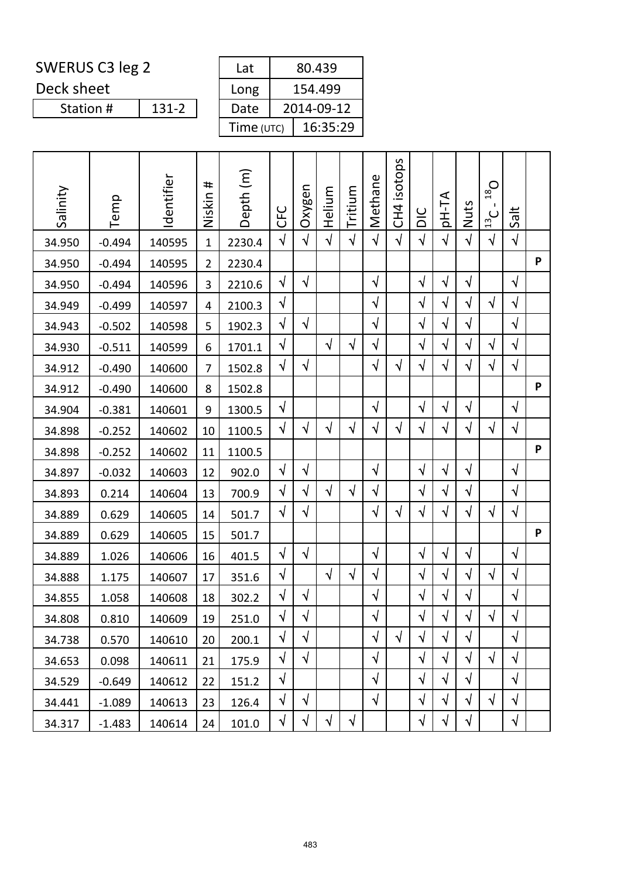Deck sheet

 $131-2$ Station #

| Lat        | 80.439     |
|------------|------------|
| Long       | 154.499    |
| Date       | 2014-09-12 |
| Time (UTC) | 16:35:29   |

| Salinity | Temp     | Identifier | #<br>Niskin    | Depth (m) | <b>UHC</b> | Oxygen     | Helium     | Tritium   | Methane    | isotops<br>CH <sub>4</sub> | DIC        | <b>AT-Hql</b> | Nuts       | $O_{81}$<br>$\cup$<br>$\overline{13}$ | Salt       |   |
|----------|----------|------------|----------------|-----------|------------|------------|------------|-----------|------------|----------------------------|------------|---------------|------------|---------------------------------------|------------|---|
| 34.950   | $-0.494$ | 140595     | $\mathbf{1}$   | 2230.4    | $\sqrt{}$  | $\sqrt{}$  | $\sqrt{ }$ | $\sqrt{}$ | $\sqrt{2}$ | $\sqrt{ }$                 | $\sqrt{2}$ | $\sqrt{}$     | $\sqrt{2}$ | $\sqrt{}$                             | $\sqrt{}$  |   |
| 34.950   | $-0.494$ | 140595     | $\overline{2}$ | 2230.4    |            |            |            |           |            |                            |            |               |            |                                       |            | P |
| 34.950   | $-0.494$ | 140596     | 3              | 2210.6    | $\sqrt{}$  | $\sqrt{}$  |            |           | $\sqrt{ }$ |                            | $\sqrt{}$  | $\sqrt{}$     | $\sqrt{}$  |                                       | $\sqrt{ }$ |   |
| 34.949   | $-0.499$ | 140597     | 4              | 2100.3    | $\sqrt{}$  |            |            |           | $\sqrt{}$  |                            | $\sqrt{}$  | $\sqrt{}$     | $\sqrt{}$  | $\sqrt{}$                             | $\sqrt{ }$ |   |
| 34.943   | $-0.502$ | 140598     | 5              | 1902.3    | $\sqrt{2}$ | $\sqrt{ }$ |            |           | $\sqrt{}$  |                            | $\sqrt{}$  | $\sqrt{ }$    | $\sqrt{}$  |                                       | $\sqrt{ }$ |   |
| 34.930   | $-0.511$ | 140599     | 6              | 1701.1    | $\sqrt{}$  |            | $\sqrt{ }$ | $\sqrt{}$ | $\sqrt{}$  |                            | $\sqrt{}$  | $\sqrt{}$     | $\sqrt{}$  | $\sqrt{}$                             | $\sqrt{}$  |   |
| 34.912   | $-0.490$ | 140600     | $\overline{7}$ | 1502.8    | $\sqrt{}$  | $\sqrt{}$  |            |           | $\sqrt{}$  | $\sqrt{ }$                 | $\sqrt{}$  | $\sqrt{}$     | $\sqrt{}$  | $\sqrt{}$                             | $\sqrt{ }$ |   |
| 34.912   | $-0.490$ | 140600     | 8              | 1502.8    |            |            |            |           |            |                            |            |               |            |                                       |            | P |
| 34.904   | $-0.381$ | 140601     | 9              | 1300.5    | $\sqrt{}$  |            |            |           | $\sqrt{}$  |                            | $\sqrt{}$  | $\sqrt{}$     | $\sqrt{}$  |                                       | $\sqrt{ }$ |   |
| 34.898   | $-0.252$ | 140602     | 10             | 1100.5    | $\sqrt{}$  | $\sqrt{}$  | $\sqrt{ }$ | $\sqrt{}$ | $\sqrt{}$  | $\sqrt{}$                  | $\sqrt{}$  | $\sqrt{}$     | $\sqrt{2}$ | $\sqrt{}$                             | $\sqrt{}$  |   |
| 34.898   | $-0.252$ | 140602     | 11             | 1100.5    |            |            |            |           |            |                            |            |               |            |                                       |            | P |
| 34.897   | $-0.032$ | 140603     | 12             | 902.0     | $\sqrt{}$  | $\sqrt{}$  |            |           | $\sqrt{}$  |                            | $\sqrt{}$  | $\sqrt{}$     | $\sqrt{ }$ |                                       | $\sqrt{ }$ |   |
| 34.893   | 0.214    | 140604     | 13             | 700.9     | $\sqrt{ }$ | $\sqrt{}$  | $\sqrt{ }$ | $\sqrt{}$ | $\sqrt{}$  |                            | $\sqrt{}$  | $\sqrt{}$     | $\sqrt{}$  |                                       | $\sqrt{ }$ |   |
| 34.889   | 0.629    | 140605     | 14             | 501.7     | $\sqrt{}$  | $\sqrt{}$  |            |           | $\sqrt{}$  | $\sqrt{}$                  | $\sqrt{}$  | $\sqrt{}$     | $\sqrt{}$  | $\sqrt{ }$                            | $\sqrt{}$  |   |
| 34.889   | 0.629    | 140605     | 15             | 501.7     |            |            |            |           |            |                            |            |               |            |                                       |            | P |
| 34.889   | 1.026    | 140606     | 16             | 401.5     | $\sqrt{ }$ | $\sqrt{}$  |            |           | $\sqrt{}$  |                            | $\sqrt{2}$ | $\sqrt{}$     | $\sqrt{ }$ |                                       | $\sqrt{ }$ |   |
| 34.888   | 1.175    | 140607     | 17             | 351.6     | $\sqrt{}$  |            | $\sqrt{ }$ | $\sqrt{}$ | $\sqrt{}$  |                            | $\sqrt{}$  | $\sqrt{}$     | $\sqrt{}$  | $\sqrt{}$                             | $\sqrt{ }$ |   |
| 34.855   | 1.058    | 140608     | 18             | 302.2     | $\sqrt{}$  | $\sqrt{ }$ |            |           | $\sqrt{}$  |                            | $\sqrt{}$  | √             | $\sqrt{ }$ |                                       | $\sqrt{ }$ |   |
| 34.808   | 0.810    | 140609     | 19             | 251.0     | $\sqrt{ }$ | $\sqrt{ }$ |            |           | $\sqrt{}$  |                            | $\sqrt{2}$ | $\sqrt{}$     | $\sqrt{ }$ | $\sqrt{ }$                            | $\sqrt{ }$ |   |
| 34.738   | 0.570    | 140610     | 20             | 200.1     | $\sqrt{}$  | $\sqrt{ }$ |            |           | $\sqrt{}$  | $\sqrt{ }$                 | $\sqrt{}$  | $\sqrt{}$     | $\sqrt{}$  |                                       | $\sqrt{ }$ |   |
| 34.653   | 0.098    | 140611     | 21             | 175.9     | $\sqrt{ }$ | $\sqrt{}$  |            |           | $\sqrt{}$  |                            | $\sqrt{ }$ | $\sqrt{}$     | $\sqrt{}$  | $\sqrt{ }$                            | $\sqrt{ }$ |   |
| 34.529   | $-0.649$ | 140612     | 22             | 151.2     | $\sqrt{}$  |            |            |           | $\sqrt{}$  |                            | $\sqrt{}$  | $\sqrt{}$     | $\sqrt{}$  |                                       | $\sqrt{}$  |   |
| 34.441   | $-1.089$ | 140613     | 23             | 126.4     | $\sqrt{}$  | $\sqrt{}$  |            |           | $\sqrt{}$  |                            | $\sqrt{}$  | $\sqrt{}$     | $\sqrt{ }$ | $\sqrt{}$                             | $\sqrt{}$  |   |
| 34.317   | $-1.483$ | 140614     | 24             | 101.0     | $\sqrt{}$  | $\sqrt{}$  | $\sqrt{ }$ | $\sqrt{}$ |            |                            | $\sqrt{}$  | $\sqrt{}$     | $\sqrt{}$  |                                       | $\sqrt{}$  |   |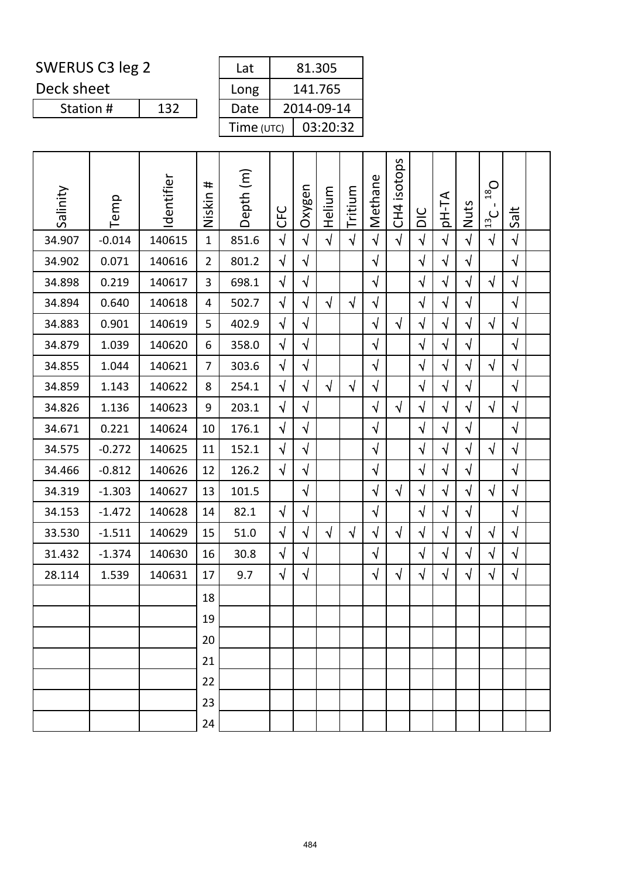Deck sheet

| Lat        | 81.305     |
|------------|------------|
| Long       | 141.765    |
| Date       | 2014-09-14 |
| Time (UTC) | 03:20:32   |

| Salinity | Temp     | Identifier | #<br>Niskin    | Depth (m) | <b>UFC</b> | Oxygen     | Helium     | Tritium    | Methane    | isotops<br>CH <sub>4</sub> | DIC        | pH-TA      | Nuts       | $D_{81}$<br>$\frac{13}{2}$ C | Salt       |  |
|----------|----------|------------|----------------|-----------|------------|------------|------------|------------|------------|----------------------------|------------|------------|------------|------------------------------|------------|--|
| 34.907   | $-0.014$ | 140615     | $\mathbf{1}$   | 851.6     | $\sqrt{2}$ | $\sqrt{ }$ | $\sqrt{ }$ | $\sqrt{ }$ | $\sqrt{2}$ | $\sqrt{ }$                 | $\sqrt{2}$ | $\sqrt{ }$ | $\sqrt{ }$ | $\sqrt{2}$                   | $\sqrt{ }$ |  |
| 34.902   | 0.071    | 140616     | $\overline{2}$ | 801.2     | $\sqrt{}$  | $\sqrt{}$  |            |            | $\sqrt{ }$ |                            | $\sqrt{2}$ | $\sqrt{}$  | $\sqrt{}$  |                              | $\sqrt{ }$ |  |
| 34.898   | 0.219    | 140617     | 3              | 698.1     | $\sqrt{ }$ | $\sqrt{2}$ |            |            | $\sqrt{ }$ |                            | $\sqrt{2}$ | $\sqrt{}$  | $\sqrt{ }$ | $\sqrt{}$                    | $\sqrt{ }$ |  |
| 34.894   | 0.640    | 140618     | 4              | 502.7     | $\sqrt{}$  | $\sqrt{}$  | $\sqrt{ }$ | $\sqrt{ }$ | $\sqrt{ }$ |                            | $\sqrt{}$  | $\sqrt{}$  | $\sqrt{ }$ |                              | $\sqrt{ }$ |  |
| 34.883   | 0.901    | 140619     | 5              | 402.9     | $\sqrt{}$  | $\sqrt{}$  |            |            | $\sqrt{ }$ | $\sqrt{ }$                 | $\sqrt{2}$ | $\sqrt{}$  | $\sqrt{ }$ | $\sqrt{ }$                   | $\sqrt{}$  |  |
| 34.879   | 1.039    | 140620     | 6              | 358.0     | $\sqrt{}$  | $\sqrt{}$  |            |            | $\sqrt{}$  |                            | $\sqrt{}$  | $\sqrt{}$  | $\sqrt{}$  |                              | $\sqrt{ }$ |  |
| 34.855   | 1.044    | 140621     | $\overline{7}$ | 303.6     | $\sqrt{}$  | $\sqrt{}$  |            |            | $\sqrt{}$  |                            | $\sqrt{}$  | $\sqrt{}$  | $\sqrt{}$  | $\sqrt{ }$                   | $\sqrt{ }$ |  |
| 34.859   | 1.143    | 140622     | 8              | 254.1     | $\sqrt{ }$ | $\sqrt{}$  | $\sqrt{ }$ | $\sqrt{ }$ | $\sqrt{ }$ |                            | $\sqrt{}$  | $\sqrt{}$  | $\sqrt{}$  |                              | $\sqrt{ }$ |  |
| 34.826   | 1.136    | 140623     | 9              | 203.1     | $\sqrt{}$  | $\sqrt{}$  |            |            | $\sqrt{}$  | $\sqrt{ }$                 | $\sqrt{ }$ | $\sqrt{}$  | $\sqrt{}$  | $\sqrt{ }$                   | $\sqrt{ }$ |  |
| 34.671   | 0.221    | 140624     | 10             | 176.1     | $\sqrt{}$  | $\sqrt{}$  |            |            | $\sqrt{}$  |                            | $\sqrt{}$  | $\sqrt{}$  | $\sqrt{}$  |                              | $\sqrt{ }$ |  |
| 34.575   | $-0.272$ | 140625     | 11             | 152.1     | $\sqrt{}$  | $\sqrt{}$  |            |            | $\sqrt{ }$ |                            | $\sqrt{2}$ | $\sqrt{}$  | $\sqrt{ }$ | $\sqrt{2}$                   | $\sqrt{ }$ |  |
| 34.466   | $-0.812$ | 140626     | 12             | 126.2     | $\sqrt{}$  | $\sqrt{}$  |            |            | $\sqrt{}$  |                            | $\sqrt{ }$ | $\sqrt{}$  | $\sqrt{}$  |                              | $\sqrt{ }$ |  |
| 34.319   | $-1.303$ | 140627     | 13             | 101.5     |            | $\sqrt{}$  |            |            | $\sqrt{}$  | $\sqrt{ }$                 | $\sqrt{2}$ | $\sqrt{ }$ | $\sqrt{}$  | $\sqrt{ }$                   | $\sqrt{ }$ |  |
| 34.153   | $-1.472$ | 140628     | 14             | 82.1      | $\sqrt{ }$ | $\sqrt{}$  |            |            | $\sqrt{ }$ |                            | $\sqrt{ }$ | $\sqrt{}$  | $\sqrt{ }$ |                              | $\sqrt{ }$ |  |
| 33.530   | $-1.511$ | 140629     | 15             | 51.0      | $\sqrt{}$  | $\sqrt{}$  | $\sqrt{ }$ | $\sqrt{ }$ | $\sqrt{}$  | $\sqrt{ }$                 | $\sqrt{}$  | $\sqrt{}$  | $\sqrt{}$  | $\sqrt{ }$                   | $\sqrt{ }$ |  |
| 31.432   | $-1.374$ | 140630     | 16             | 30.8      | $\sqrt{ }$ | $\sqrt{}$  |            |            | $\sqrt{}$  |                            | $\sqrt{2}$ | $\sqrt{}$  | $\sqrt{}$  | $\sqrt{}$                    | $\sqrt{ }$ |  |
| 28.114   | 1.539    | 140631     | 17             | 9.7       | $\sqrt{}$  | $\sqrt{}$  |            |            | $\sqrt{}$  | $\sqrt{ }$                 | $\sqrt{}$  | $\sqrt{}$  | $\sqrt{}$  | $\sqrt{ }$                   | $\sqrt{ }$ |  |
|          |          |            | 18             |           |            |            |            |            |            |                            |            |            |            |                              |            |  |
|          |          |            | 19             |           |            |            |            |            |            |                            |            |            |            |                              |            |  |
|          |          |            | 20             |           |            |            |            |            |            |                            |            |            |            |                              |            |  |
|          |          |            | 21             |           |            |            |            |            |            |                            |            |            |            |                              |            |  |
|          |          |            | 22             |           |            |            |            |            |            |                            |            |            |            |                              |            |  |
|          |          |            | 23             |           |            |            |            |            |            |                            |            |            |            |                              |            |  |
|          |          |            | 24             |           |            |            |            |            |            |                            |            |            |            |                              |            |  |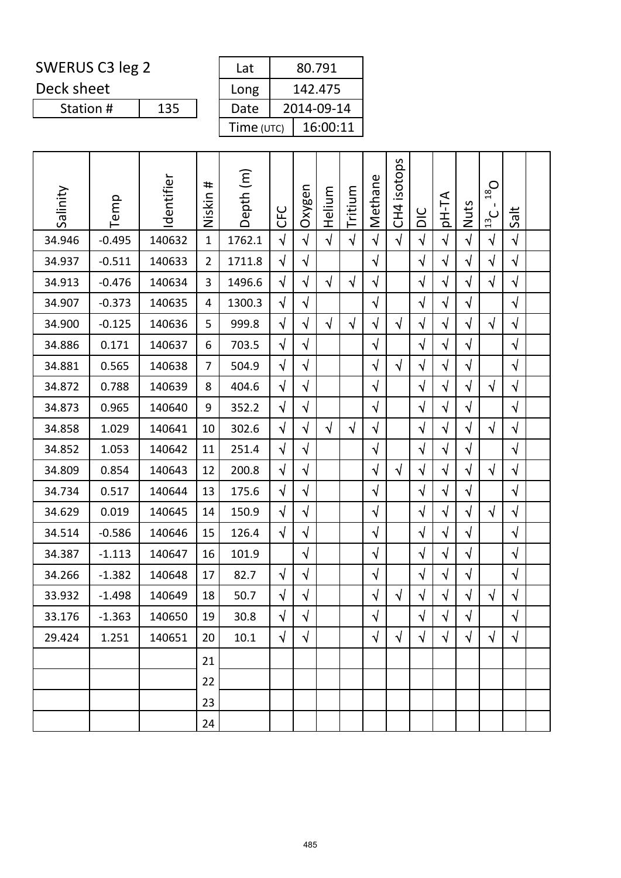Deck sheet

Station #

| Lat        | 80.791     |
|------------|------------|
| Long       | 142.475    |
| Date       | 2014-09-14 |
| Time (UTC) | 16:00:11   |

| Salinity | Temp     | Identifier | #<br>Niskin    | Depth (m) | <b>CFC</b> | Oxygen     | Helium     | Tritium    | Methane    | isotops<br>CH <sub>4</sub> | DIC        | <b>AT-Hq</b> | Nuts       | $D_{81}$<br>$\mathbf{I}$<br>$\frac{13}{13}$ | Salt       |  |
|----------|----------|------------|----------------|-----------|------------|------------|------------|------------|------------|----------------------------|------------|--------------|------------|---------------------------------------------|------------|--|
| 34.946   | $-0.495$ | 140632     | $\mathbf{1}$   | 1762.1    | $\sqrt{ }$ | $\sqrt{2}$ | $\sqrt{ }$ | $\sqrt{2}$ | $\sqrt{2}$ | $\sqrt{ }$                 | $\sqrt{2}$ | $\sqrt{2}$   | $\sqrt{2}$ | $\sqrt{2}$                                  | $\sqrt{ }$ |  |
| 34.937   | $-0.511$ | 140633     | $\overline{2}$ | 1711.8    | $\sqrt{2}$ | $\sqrt{}$  |            |            | $\sqrt{ }$ |                            | $\sqrt{ }$ | $\sqrt{}$    | $\sqrt{}$  | $\sqrt{2}$                                  | $\sqrt{}$  |  |
| 34.913   | $-0.476$ | 140634     | 3              | 1496.6    | $\sqrt{}$  | $\sqrt{}$  | $\sqrt{}$  | $\sqrt{}$  | $\sqrt{ }$ |                            | $\sqrt{}$  | $\sqrt{ }$   | $\sqrt{}$  | $\sqrt{}$                                   | $\sqrt{}$  |  |
| 34.907   | $-0.373$ | 140635     | 4              | 1300.3    | $\sqrt{}$  | $\sqrt{}$  |            |            | $\sqrt{}$  |                            | $\sqrt{ }$ | $\sqrt{}$    | $\sqrt{}$  |                                             | $\sqrt{}$  |  |
| 34.900   | $-0.125$ | 140636     | 5              | 999.8     | $\sqrt{2}$ | $\sqrt{}$  | $\sqrt{ }$ | $\sqrt{}$  | $\sqrt{}$  | $\sqrt{}$                  | $\sqrt{ }$ | $\sqrt{}$    | $\sqrt{}$  | $\sqrt{ }$                                  | $\sqrt{ }$ |  |
| 34.886   | 0.171    | 140637     | 6              | 703.5     | $\sqrt{}$  | $\sqrt{}$  |            |            | $\sqrt{}$  |                            | $\sqrt{}$  | $\sqrt{}$    | $\sqrt{}$  |                                             | $\sqrt{}$  |  |
| 34.881   | 0.565    | 140638     | $\overline{7}$ | 504.9     | $\sqrt{2}$ | $\sqrt{}$  |            |            | $\sqrt{}$  | $\sqrt{}$                  | $\sqrt{}$  | $\sqrt{}$    | $\sqrt{}$  |                                             | $\sqrt{}$  |  |
| 34.872   | 0.788    | 140639     | 8              | 404.6     | $\sqrt{2}$ | $\sqrt{}$  |            |            | $\sqrt{}$  |                            | $\sqrt{ }$ | $\sqrt{ }$   | $\sqrt{}$  | $\sqrt{ }$                                  | $\sqrt{}$  |  |
| 34.873   | 0.965    | 140640     | 9              | 352.2     | $\sqrt{}$  | $\sqrt{}$  |            |            | $\sqrt{ }$ |                            | $\sqrt{}$  | $\sqrt{}$    | $\sqrt{}$  |                                             | $\sqrt{}$  |  |
| 34.858   | 1.029    | 140641     | 10             | 302.6     | $\sqrt{2}$ | $\sqrt{}$  | $\sqrt{2}$ | $\sqrt{2}$ | $\sqrt{}$  |                            | $\sqrt{2}$ | $\sqrt{}$    | $\sqrt{2}$ | $\sqrt{2}$                                  | $\sqrt{ }$ |  |
| 34.852   | 1.053    | 140642     | 11             | 251.4     | $\sqrt{ }$ | $\sqrt{}$  |            |            | $\sqrt{2}$ |                            | $\sqrt{ }$ | $\sqrt{}$    | $\sqrt{}$  |                                             | $\sqrt{}$  |  |
| 34.809   | 0.854    | 140643     | 12             | 200.8     | $\sqrt{ }$ | $\sqrt{}$  |            |            | $\sqrt{}$  | $\sqrt{ }$                 | $\sqrt{ }$ | $\sqrt{ }$   | $\sqrt{}$  | $\sqrt{ }$                                  | $\sqrt{}$  |  |
| 34.734   | 0.517    | 140644     | 13             | 175.6     | $\sqrt{2}$ | $\sqrt{}$  |            |            | $\sqrt{ }$ |                            | $\sqrt{2}$ | $\sqrt{}$    | $\sqrt{}$  |                                             | $\sqrt{ }$ |  |
| 34.629   | 0.019    | 140645     | 14             | 150.9     | $\sqrt{2}$ | $\sqrt{}$  |            |            | $\sqrt{}$  |                            | $\sqrt{}$  | $\sqrt{}$    | $\sqrt{}$  | $\sqrt{ }$                                  | $\sqrt{}$  |  |
| 34.514   | $-0.586$ | 140646     | 15             | 126.4     | $\sqrt{ }$ | $\sqrt{}$  |            |            | $\sqrt{ }$ |                            | $\sqrt{}$  | $\sqrt{ }$   | $\sqrt{ }$ |                                             | $\sqrt{ }$ |  |
| 34.387   | $-1.113$ | 140647     | 16             | 101.9     |            | $\sqrt{ }$ |            |            | $\sqrt{}$  |                            | $\sqrt{ }$ | $\sqrt{ }$   | $\sqrt{ }$ |                                             | $\sqrt{ }$ |  |
| 34.266   | $-1.382$ | 140648     | 17             | 82.7      | $\sqrt{ }$ | $\sqrt{}$  |            |            | $\sqrt{}$  |                            | $\sqrt{ }$ | $\sqrt{ }$   | $\sqrt{}$  |                                             | $\sqrt{}$  |  |
| 33.932   | $-1.498$ | 140649     | 18             | 50.7      | $\sqrt{}$  | $\sqrt{}$  |            |            | $\sqrt{ }$ | $\sqrt{ }$                 | $\sqrt{ }$ | $\sqrt{ }$   | $\sqrt{ }$ | $\sqrt{ }$                                  | $\sqrt{2}$ |  |
| 33.176   | $-1.363$ | 140650     | 19             | 30.8      | $\sqrt{ }$ | $\sqrt{}$  |            |            | $\sqrt{ }$ |                            | $\sqrt{2}$ | $\sqrt{}$    | $\sqrt{ }$ |                                             | $\sqrt{ }$ |  |
| 29.424   | 1.251    | 140651     | 20             | 10.1      | $\sqrt{ }$ | $\sqrt{ }$ |            |            | $\sqrt{}$  | $\sqrt{ }$                 | $\sqrt{ }$ | $\sqrt{ }$   | $\sqrt{}$  | $\sqrt{ }$                                  | $\sqrt{ }$ |  |
|          |          |            | 21             |           |            |            |            |            |            |                            |            |              |            |                                             |            |  |
|          |          |            | 22             |           |            |            |            |            |            |                            |            |              |            |                                             |            |  |
|          |          |            | 23             |           |            |            |            |            |            |                            |            |              |            |                                             |            |  |
|          |          |            | 24             |           |            |            |            |            |            |                            |            |              |            |                                             |            |  |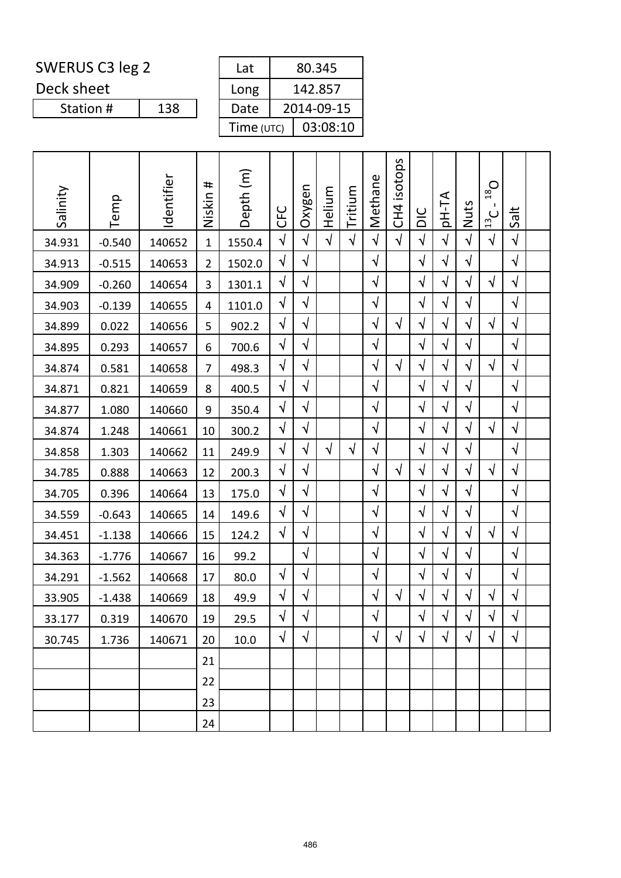Deck sheet

| Lat        | 80.345     |
|------------|------------|
| Long       | 142.857    |
| Date       | 2014-09-15 |
| Time (UTC) | 03:08:10   |

| Salinity | Temp     | Identifier | #<br>Niskin    | Depth (m) | <b>UHO</b> | Oxygen     | Helium     | Tritium    | Methane    | isotops<br>C <sub>H</sub> <sub>1</sub> | DIC        | <b>AT-Hq</b> | Nuts       | $O_{81}$<br>$\mathbf{I}$<br>$\cup$<br>$\frac{13}{2}$ | Salt       |  |
|----------|----------|------------|----------------|-----------|------------|------------|------------|------------|------------|----------------------------------------|------------|--------------|------------|------------------------------------------------------|------------|--|
| 34.931   | $-0.540$ | 140652     | $\mathbf{1}$   | 1550.4    | $\sqrt{2}$ | $\sqrt{2}$ | $\sqrt{ }$ | $\sqrt{2}$ | $\sqrt{2}$ | $\sqrt{ }$                             | $\sqrt{2}$ | $\sqrt{ }$   | $\sqrt{2}$ | $\sqrt{2}$                                           | $\sqrt{}$  |  |
| 34.913   | $-0.515$ | 140653     | $\overline{2}$ | 1502.0    | $\sqrt{ }$ | $\sqrt{}$  |            |            | $\sqrt{ }$ |                                        | $\sqrt{ }$ | $\sqrt{}$    | $\sqrt{ }$ |                                                      | $\sqrt{}$  |  |
| 34.909   | $-0.260$ | 140654     | 3              | 1301.1    | $\sqrt{}$  | $\sqrt{}$  |            |            | $\sqrt{ }$ |                                        | $\sqrt{ }$ | $\sqrt{}$    | $\sqrt{}$  | $\sqrt{}$                                            | $\sqrt{}$  |  |
| 34.903   | $-0.139$ | 140655     | 4              | 1101.0    | $\sqrt{2}$ | $\sqrt{}$  |            |            | $\sqrt{}$  |                                        | $\sqrt{2}$ | $\sqrt{ }$   | $\sqrt{}$  |                                                      | $\sqrt{}$  |  |
| 34.899   | 0.022    | 140656     | 5              | 902.2     | $\sqrt{2}$ | $\sqrt{}$  |            |            | $\sqrt{}$  | $\sqrt{}$                              | $\sqrt{ }$ | $\sqrt{}$    | $\sqrt{}$  | $\sqrt{ }$                                           | $\sqrt{}$  |  |
| 34.895   | 0.293    | 140657     | 6              | 700.6     | $\sqrt{}$  | $\sqrt{}$  |            |            | $\sqrt{}$  |                                        | $\sqrt{ }$ | $\sqrt{}$    | $\sqrt{}$  |                                                      | $\sqrt{}$  |  |
| 34.874   | 0.581    | 140658     | 7              | 498.3     | $\sqrt{}$  | $\sqrt{}$  |            |            | $\sqrt{}$  | $\sqrt{ }$                             | $\sqrt{}$  | $\sqrt{ }$   | $\sqrt{}$  | $\sqrt{ }$                                           | $\sqrt{}$  |  |
| 34.871   | 0.821    | 140659     | 8              | 400.5     | $\sqrt{2}$ | $\sqrt{}$  |            |            | $\sqrt{ }$ |                                        | $\sqrt{}$  | $\sqrt{}$    | $\sqrt{}$  |                                                      | $\sqrt{}$  |  |
| 34.877   | 1.080    | 140660     | 9              | 350.4     | $\sqrt{}$  | $\sqrt{}$  |            |            | $\sqrt{}$  |                                        | $\sqrt{}$  | $\sqrt{}$    | $\sqrt{}$  |                                                      | $\sqrt{}$  |  |
| 34.874   | 1.248    | 140661     | 10             | 300.2     | $\sqrt{}$  | $\sqrt{}$  |            |            | $\sqrt{}$  |                                        | $\sqrt{}$  | $\sqrt{}$    | $\sqrt{}$  | $\sqrt{2}$                                           | $\sqrt{}$  |  |
| 34.858   | 1.303    | 140662     | 11             | 249.9     | $\sqrt{ }$ | $\sqrt{}$  | $\sqrt{ }$ | $\sqrt{}$  | $\sqrt{}$  |                                        | $\sqrt{ }$ | $\sqrt{}$    | $\sqrt{}$  |                                                      | $\sqrt{}$  |  |
| 34.785   | 0.888    | 140663     | 12             | 200.3     | $\sqrt{ }$ | $\sqrt{}$  |            |            | $\sqrt{}$  | $\sqrt{}$                              | $\sqrt{ }$ | $\sqrt{ }$   | $\sqrt{}$  | $\sqrt{ }$                                           | $\sqrt{}$  |  |
| 34.705   | 0.396    | 140664     | 13             | 175.0     | $\sqrt{}$  | $\sqrt{}$  |            |            | $\sqrt{}$  |                                        | $\sqrt{ }$ | $\sqrt{}$    | $\sqrt{}$  |                                                      | $\sqrt{}$  |  |
| 34.559   | $-0.643$ | 140665     | 14             | 149.6     | $\sqrt{2}$ | $\sqrt{}$  |            |            | $\sqrt{}$  |                                        | $\sqrt{}$  | $\sqrt{}$    | $\sqrt{ }$ |                                                      | $\sqrt{}$  |  |
| 34.451   | $-1.138$ | 140666     | 15             | 124.2     | $\sqrt{}$  | $\sqrt{}$  |            |            | $\sqrt{ }$ |                                        | $\sqrt{}$  | $\sqrt{ }$   | $\sqrt{}$  | $\sqrt{ }$                                           | $\sqrt{2}$ |  |
| 34.363   | $-1.776$ | 140667     | 16             | 99.2      |            | $\sqrt{}$  |            |            | $\sqrt{}$  |                                        | $\sqrt{2}$ | $\sqrt{}$    | $\sqrt{ }$ |                                                      | $\sqrt{}$  |  |
| 34.291   | $-1.562$ | 140668     | 17             | 80.0      | $\sqrt{ }$ | $\sqrt{}$  |            |            | $\sqrt{}$  |                                        | $\sqrt{}$  | $\sqrt{ }$   | $\sqrt{}$  |                                                      | $\sqrt{}$  |  |
| 33.905   | $-1.438$ | 140669     | 18             | 49.9      | $\sqrt{}$  | $\sqrt{}$  |            |            | $\sqrt{ }$ | $\sqrt{}$                              | $\sqrt{ }$ | $\sqrt{}$    | $\sqrt{ }$ | $\sqrt{ }$                                           | $\sqrt{ }$ |  |
| 33.177   | 0.319    | 140670     | 19             | 29.5      | $\sqrt{2}$ | $\sqrt{}$  |            |            | $\sqrt{ }$ |                                        | $\sqrt{2}$ | $\sqrt{}$    | $\sqrt{}$  | $\sqrt{ }$                                           | $\sqrt{}$  |  |
| 30.745   | 1.736    | 140671     | 20             | 10.0      | $\sqrt{}$  | $\sqrt{}$  |            |            | $\sqrt{}$  | $\sqrt{ }$                             | $\sqrt{ }$ | $\sqrt{ }$   | $\sqrt{}$  | $\sqrt{ }$                                           | $\sqrt{}$  |  |
|          |          |            | 21             |           |            |            |            |            |            |                                        |            |              |            |                                                      |            |  |
|          |          |            | 22             |           |            |            |            |            |            |                                        |            |              |            |                                                      |            |  |
|          |          |            | 23             |           |            |            |            |            |            |                                        |            |              |            |                                                      |            |  |
|          |          |            | 24             |           |            |            |            |            |            |                                        |            |              |            |                                                      |            |  |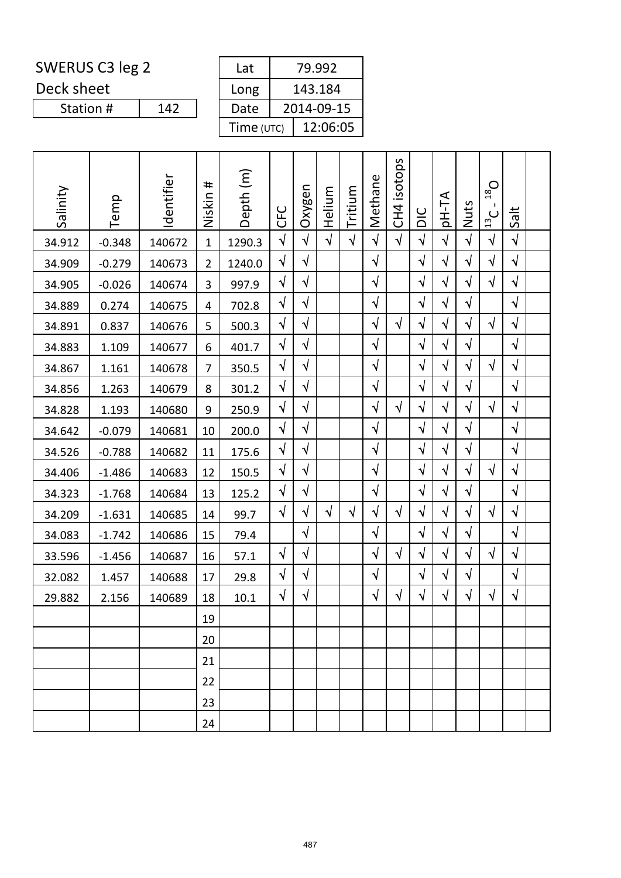Deck sheet

Station #

| Lat        | 79.992     |
|------------|------------|
| Long       | 143.184    |
| Date       | 2014-09-15 |
| Time (UTC) | 12:06:05   |

|          |          |            | #              |           |            |            |            |            |            | isotops         |            |            |            | $O_{81}$               |            |  |
|----------|----------|------------|----------------|-----------|------------|------------|------------|------------|------------|-----------------|------------|------------|------------|------------------------|------------|--|
| Salinity | Temp     | Identifier | Niskin         | Depth (m) | <b>UHO</b> | Oxygen     | Helium     | Tritium    | Methane    | CH <sub>4</sub> | DIC        | pH-TA      | Nuts       | л.<br>$\frac{13}{2}$ C | Salt       |  |
| 34.912   | $-0.348$ | 140672     | $\mathbf{1}$   | 1290.3    | $\sqrt{2}$ | $\sqrt{2}$ | $\sqrt{ }$ | $\sqrt{2}$ | $\sqrt{ }$ | $\sqrt{ }$      | $\sqrt{2}$ | $\sqrt{}$  | $\sqrt{ }$ | $\sqrt{ }$             | $\sqrt{ }$ |  |
| 34.909   | $-0.279$ | 140673     | $\overline{2}$ | 1240.0    | $\sqrt{}$  | $\sqrt{}$  |            |            | $\sqrt{ }$ |                 | $\sqrt{}$  | $\sqrt{}$  | $\sqrt{}$  | $\sqrt{}$              | $\sqrt{ }$ |  |
| 34.905   | $-0.026$ | 140674     | 3              | 997.9     | $\sqrt{}$  | $\sqrt{}$  |            |            | $\sqrt{ }$ |                 | $\sqrt{}$  | $\sqrt{}$  | $\sqrt{}$  | $\sqrt{ }$             | $\sqrt{ }$ |  |
| 34.889   | 0.274    | 140675     | 4              | 702.8     | $\sqrt{}$  | $\sqrt{2}$ |            |            | $\sqrt{}$  |                 | $\sqrt{2}$ | $\sqrt{}$  | $\sqrt{2}$ |                        | $\sqrt{ }$ |  |
| 34.891   | 0.837    | 140676     | 5              | 500.3     | $\sqrt{}$  | $\sqrt{}$  |            |            | $\sqrt{ }$ | $\sqrt{ }$      | $\sqrt{}$  | $\sqrt{}$  | $\sqrt{ }$ | $\sqrt{}$              | $\sqrt{ }$ |  |
| 34.883   | 1.109    | 140677     | 6              | 401.7     | $\sqrt{}$  | $\sqrt{2}$ |            |            | $\sqrt{ }$ |                 | $\sqrt{ }$ | $\sqrt{ }$ | $\sqrt{}$  |                        | $\sqrt{ }$ |  |
| 34.867   | 1.161    | 140678     | $\overline{7}$ | 350.5     | $\sqrt{ }$ | $\sqrt{2}$ |            |            | $\sqrt{}$  |                 | $\sqrt{2}$ | $\sqrt{}$  | $\sqrt{2}$ | $\sqrt{2}$             | $\sqrt{}$  |  |
| 34.856   | 1.263    | 140679     | 8              | 301.2     | $\sqrt{}$  | $\sqrt{}$  |            |            | $\sqrt{}$  |                 | $\sqrt{}$  | $\sqrt{}$  | $\sqrt{}$  |                        | $\sqrt{ }$ |  |
| 34.828   | 1.193    | 140680     | 9              | 250.9     | $\sqrt{}$  | $\sqrt{}$  |            |            | $\sqrt{ }$ | $\sqrt{ }$      | $\sqrt{}$  | $\sqrt{}$  | $\sqrt{}$  | $\sqrt{ }$             | $\sqrt{ }$ |  |
| 34.642   | $-0.079$ | 140681     | 10             | 200.0     | $\sqrt{}$  | $\sqrt{}$  |            |            | $\sqrt{}$  |                 | $\sqrt{ }$ | $\sqrt{}$  | $\sqrt{}$  |                        | $\sqrt{ }$ |  |
| 34.526   | $-0.788$ | 140682     | 11             | 175.6     | $\sqrt{}$  | $\sqrt{}$  |            |            | $\sqrt{}$  |                 | $\sqrt{}$  | $\sqrt{}$  | $\sqrt{}$  |                        | $\sqrt{ }$ |  |
| 34.406   | $-1.486$ | 140683     | 12             | 150.5     | $\sqrt{}$  | $\sqrt{}$  |            |            | $\sqrt{}$  |                 | $\sqrt{}$  | $\sqrt{}$  | $\sqrt{}$  | $\sqrt{}$              | $\sqrt{ }$ |  |
| 34.323   | $-1.768$ | 140684     | 13             | 125.2     | $\sqrt{}$  | $\sqrt{}$  |            |            | $\sqrt{}$  |                 | $\sqrt{}$  | $\sqrt{}$  | $\sqrt{ }$ |                        | $\sqrt{ }$ |  |
| 34.209   | $-1.631$ | 140685     | 14             | 99.7      | $\sqrt{}$  | $\sqrt{}$  | $\sqrt{ }$ | $\sqrt{ }$ | $\sqrt{}$  | $\sqrt{ }$      | $\sqrt{}$  | $\sqrt{}$  | $\sqrt{}$  | $\sqrt{}$              | $\sqrt{ }$ |  |
| 34.083   | $-1.742$ | 140686     | 15             | 79.4      |            | $\sqrt{}$  |            |            | $\sqrt{ }$ |                 | $\sqrt{}$  | $\sqrt{}$  | $\sqrt{ }$ |                        | $\sqrt{ }$ |  |
| 33.596   | $-1.456$ | 140687     | 16             | 57.1      | $\sqrt{}$  | $\sqrt{}$  |            |            | $\sqrt{}$  | $\sqrt{2}$      | $\sqrt{2}$ | $\sqrt{}$  | $\sqrt{}$  | $\sqrt{ }$             | $\sqrt{ }$ |  |
| 32.082   | 1.457    | 140688     | 17             | 29.8      | $\sqrt{}$  | $\sqrt{}$  |            |            | $\sqrt{}$  |                 | $\sqrt{}$  | $\sqrt{}$  | $\sqrt{}$  |                        | $\sqrt{ }$ |  |
| 29.882   | 2.156    | 140689     | 18             | 10.1      | $\sqrt{}$  | $\sqrt{ }$ |            |            | $\sqrt{ }$ | $\sqrt{ }$      | $\sqrt{}$  | $\sqrt{ }$ | $\sqrt{}$  | $\sqrt{}$              | $\sqrt{ }$ |  |
|          |          |            | 19             |           |            |            |            |            |            |                 |            |            |            |                        |            |  |
|          |          |            | 20             |           |            |            |            |            |            |                 |            |            |            |                        |            |  |
|          |          |            | 21             |           |            |            |            |            |            |                 |            |            |            |                        |            |  |
|          |          |            | 22             |           |            |            |            |            |            |                 |            |            |            |                        |            |  |
|          |          |            | 23             |           |            |            |            |            |            |                 |            |            |            |                        |            |  |
|          |          |            | 24             |           |            |            |            |            |            |                 |            |            |            |                        |            |  |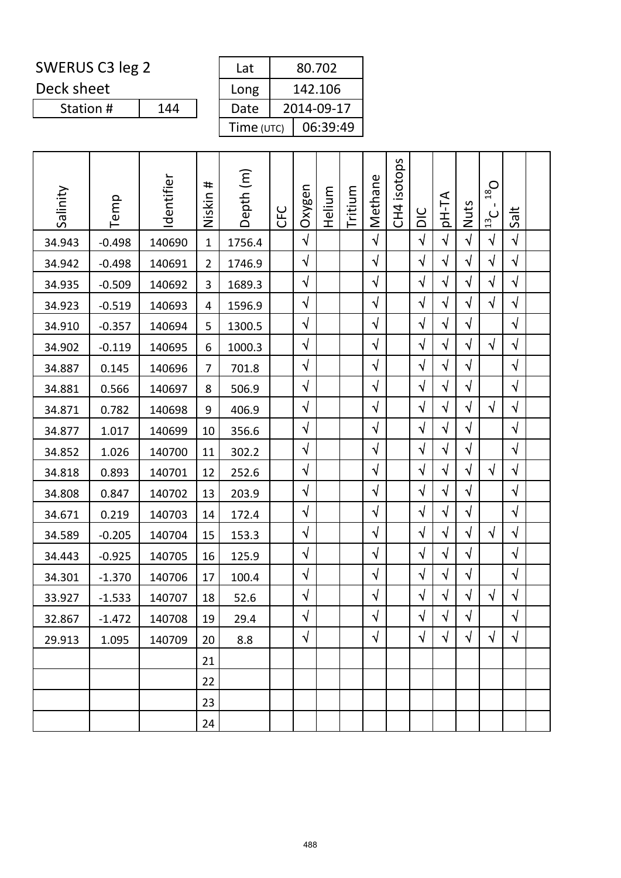Deck sheet

Station #

| Lat        | 80.702     |
|------------|------------|
| Long       | 142.106    |
| Date       | 2014-09-17 |
| Time (UTC) | 06:39:49   |

| Salinity | Temp     | Identifier | #<br>Niskin    | Depth (m) | <b>CFC</b> | Oxygen     | Helium | Tritium | Methane    | isotops<br>CH <sub>4</sub> | DIC        | <b>AT-Hq</b> | Nuts       | $O_{81}$<br>Ι.<br>$\cup$<br>$\overline{13}$ | Salt       |  |
|----------|----------|------------|----------------|-----------|------------|------------|--------|---------|------------|----------------------------|------------|--------------|------------|---------------------------------------------|------------|--|
| 34.943   | $-0.498$ | 140690     | $\mathbf{1}$   | 1756.4    |            | $\sqrt{2}$ |        |         | $\sqrt{2}$ |                            | $\sqrt{ }$ | $\sqrt{ }$   | $\sqrt{2}$ | $\sqrt{ }$                                  | $\sqrt{}$  |  |
| 34.942   | $-0.498$ | 140691     | $\overline{2}$ | 1746.9    |            | $\sqrt{}$  |        |         | $\sqrt{}$  |                            | $\sqrt{ }$ | $\sqrt{}$    | $\sqrt{}$  | $\sqrt{}$                                   | $\sqrt{ }$ |  |
| 34.935   | $-0.509$ | 140692     | 3              | 1689.3    |            | $\sqrt{}$  |        |         | $\sqrt{}$  |                            | $\sqrt{ }$ | $\sqrt{}$    | $\sqrt{}$  | $\sqrt{}$                                   | $\sqrt{}$  |  |
| 34.923   | $-0.519$ | 140693     | 4              | 1596.9    |            | $\sqrt{}$  |        |         | $\sqrt{}$  |                            | $\sqrt{2}$ | $\sqrt{ }$   | $\sqrt{}$  | $\sqrt{}$                                   | $\sqrt{}$  |  |
| 34.910   | $-0.357$ | 140694     | 5              | 1300.5    |            | $\sqrt{}$  |        |         | $\sqrt{}$  |                            | $\sqrt{ }$ | $\sqrt{}$    | $\sqrt{}$  |                                             | $\sqrt{ }$ |  |
| 34.902   | $-0.119$ | 140695     | 6              | 1000.3    |            | $\sqrt{}$  |        |         | $\sqrt{}$  |                            | $\sqrt{ }$ | $\sqrt{}$    | $\sqrt{}$  | $\sqrt{ }$                                  | $\sqrt{}$  |  |
| 34.887   | 0.145    | 140696     | $\overline{7}$ | 701.8     |            | $\sqrt{}$  |        |         | $\sqrt{}$  |                            | $\sqrt{}$  | $\sqrt{}$    | $\sqrt{}$  |                                             | $\sqrt{ }$ |  |
| 34.881   | 0.566    | 140697     | 8              | 506.9     |            | $\sqrt{}$  |        |         | $\sqrt{}$  |                            | $\sqrt{}$  | $\sqrt{}$    | $\sqrt{}$  |                                             | $\sqrt{}$  |  |
| 34.871   | 0.782    | 140698     | 9              | 406.9     |            | $\sqrt{}$  |        |         | $\sqrt{ }$ |                            | $\sqrt{ }$ | $\sqrt{}$    | $\sqrt{}$  | $\sqrt{}$                                   | $\sqrt{}$  |  |
| 34.877   | 1.017    | 140699     | 10             | 356.6     |            | $\sqrt{}$  |        |         | $\sqrt{}$  |                            | $\sqrt{}$  | $\sqrt{}$    | $\sqrt{2}$ |                                             | $\sqrt{}$  |  |
| 34.852   | 1.026    | 140700     | 11             | 302.2     |            | $\sqrt{ }$ |        |         | $\sqrt{}$  |                            | $\sqrt{}$  | $\sqrt{}$    | $\sqrt{}$  |                                             | $\sqrt{}$  |  |
| 34.818   | 0.893    | 140701     | 12             | 252.6     |            | $\sqrt{}$  |        |         | $\sqrt{}$  |                            | $\sqrt{ }$ | $\sqrt{ }$   | $\sqrt{}$  | $\sqrt{}$                                   | $\sqrt{}$  |  |
| 34.808   | 0.847    | 140702     | 13             | 203.9     |            | $\sqrt{}$  |        |         | $\sqrt{}$  |                            | $\sqrt{ }$ | $\sqrt{}$    | $\sqrt{}$  |                                             | $\sqrt{}$  |  |
| 34.671   | 0.219    | 140703     | 14             | 172.4     |            | $\sqrt{}$  |        |         | $\sqrt{}$  |                            | $\sqrt{}$  | $\sqrt{}$    | $\sqrt{ }$ |                                             | $\sqrt{ }$ |  |
| 34.589   | $-0.205$ | 140704     | 15             | 153.3     |            | $\sqrt{}$  |        |         | $\sqrt{}$  |                            | $\sqrt{}$  | $\sqrt{}$    | $\sqrt{}$  | $\sqrt{ }$                                  | $\sqrt{2}$ |  |
| 34.443   | $-0.925$ | 140705     | 16             | 125.9     |            | $\sqrt{}$  |        |         | $\sqrt{ }$ |                            | $\sqrt{2}$ | $\sqrt{}$    | $\sqrt{}$  |                                             | $\sqrt{}$  |  |
| 34.301   | $-1.370$ | 140706     | 17             | 100.4     |            | √          |        |         | $\sqrt{}$  |                            | $\sqrt{ }$ | $\sqrt{}$    | $\sqrt{}$  |                                             | $\sqrt{}$  |  |
| 33.927   | $-1.533$ | 140707     | 18             | 52.6      |            | $\sqrt{}$  |        |         | $\sqrt{ }$ |                            | $\sqrt{ }$ | $\sqrt{ }$   | $\sqrt{}$  | $\sqrt{ }$                                  | $\sqrt{ }$ |  |
| 32.867   | $-1.472$ | 140708     | 19             | 29.4      |            | $\sqrt{}$  |        |         | $\sqrt{}$  |                            | $\sqrt{2}$ | $\sqrt{}$    | $\sqrt{ }$ |                                             | $\sqrt{}$  |  |
| 29.913   | 1.095    | 140709     | 20             | 8.8       |            | $\sqrt{}$  |        |         | $\sqrt{}$  |                            | $\sqrt{ }$ | $\sqrt{ }$   | $\sqrt{}$  | $\sqrt{}$                                   | $\sqrt{}$  |  |
|          |          |            | 21             |           |            |            |        |         |            |                            |            |              |            |                                             |            |  |
|          |          |            | 22             |           |            |            |        |         |            |                            |            |              |            |                                             |            |  |
|          |          |            | 23             |           |            |            |        |         |            |                            |            |              |            |                                             |            |  |
|          |          |            | 24             |           |            |            |        |         |            |                            |            |              |            |                                             |            |  |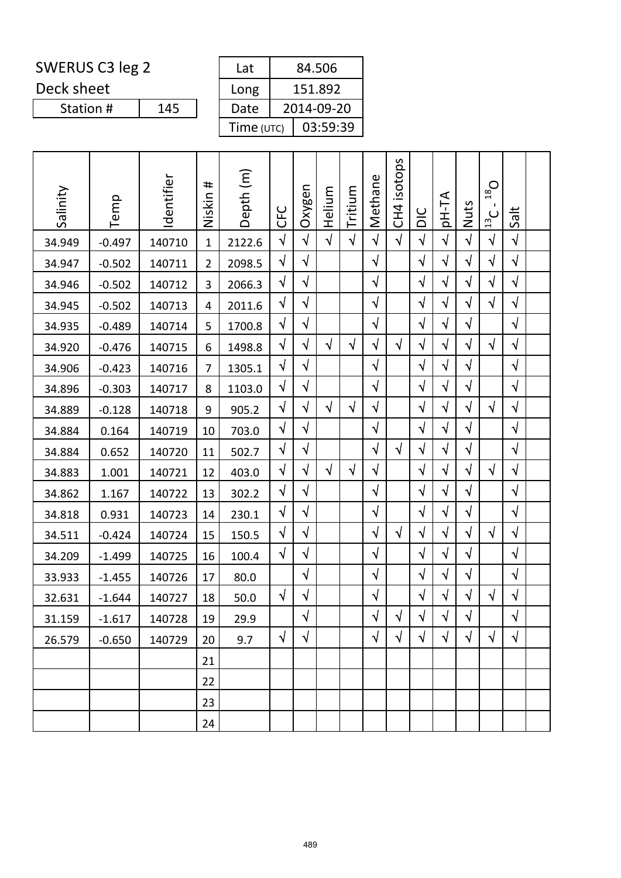Deck sheet

| Lat        | 84.506     |
|------------|------------|
| Long       | 151.892    |
| Date       | 2014-09-20 |
| Time (UTC) | 03:59:39   |

| Salinity |          | Identifier | #<br>Niskin    | Depth (m) |            | Oxygen     | Helium     | Tritium    | Methane    | isotops         |            | <b>AT-Hq</b> |            | $O_{81}$<br>л.   |            |  |
|----------|----------|------------|----------------|-----------|------------|------------|------------|------------|------------|-----------------|------------|--------------|------------|------------------|------------|--|
|          | Temp     |            |                |           | <b>UHO</b> |            |            |            |            | CH <sub>4</sub> | DIC        |              | Nuts       | $\frac{13}{2}$ C | Salt       |  |
| 34.949   | $-0.497$ | 140710     | $\mathbf{1}$   | 2122.6    | $\sqrt{2}$ | $\sqrt{2}$ | $\sqrt{ }$ | $\sqrt{2}$ | $\sqrt{ }$ | $\sqrt{ }$      | $\sqrt{2}$ | $\sqrt{2}$   | $\sqrt{2}$ | $\sqrt{2}$       | $\sqrt{ }$ |  |
| 34.947   | $-0.502$ | 140711     | $\overline{2}$ | 2098.5    | $\sqrt{}$  | $\sqrt{}$  |            |            | $\sqrt{}$  |                 | $\sqrt{}$  | $\sqrt{}$    | $\sqrt{}$  | $\sqrt{}$        | $\sqrt{}$  |  |
| 34.946   | $-0.502$ | 140712     | 3              | 2066.3    | $\sqrt{}$  | $\sqrt{}$  |            |            | $\sqrt{}$  |                 | $\sqrt{}$  | $\sqrt{}$    | $\sqrt{}$  | $\sqrt{}$        | $\sqrt{ }$ |  |
| 34.945   | $-0.502$ | 140713     | 4              | 2011.6    | $\sqrt{}$  | $\sqrt{ }$ |            |            | $\sqrt{}$  |                 | $\sqrt{}$  | $\sqrt{}$    | $\sqrt{2}$ | $\sqrt{2}$       | $\sqrt{}$  |  |
| 34.935   | $-0.489$ | 140714     | 5              | 1700.8    | $\sqrt{}$  | $\sqrt{}$  |            |            | $\sqrt{}$  |                 | $\sqrt{}$  | $\sqrt{}$    | $\sqrt{}$  |                  | $\sqrt{ }$ |  |
| 34.920   | $-0.476$ | 140715     | 6              | 1498.8    | $\sqrt{}$  | $\sqrt{}$  | $\sqrt{ }$ | $\sqrt{}$  | $\sqrt{}$  | $\sqrt{ }$      | $\sqrt{ }$ | $\sqrt{}$    | $\sqrt{}$  | $\sqrt{}$        | $\sqrt{ }$ |  |
| 34.906   | $-0.423$ | 140716     | $\overline{7}$ | 1305.1    | $\sqrt{}$  | $\sqrt{2}$ |            |            | $\sqrt{ }$ |                 | $\sqrt{2}$ | $\sqrt{}$    | $\sqrt{ }$ |                  | $\sqrt{ }$ |  |
| 34.896   | $-0.303$ | 140717     | 8              | 1103.0    | $\sqrt{}$  | $\sqrt{}$  |            |            | $\sqrt{ }$ |                 | $\sqrt{}$  | $\sqrt{}$    | $\sqrt{}$  |                  | $\sqrt{ }$ |  |
| 34.889   | $-0.128$ | 140718     | 9              | 905.2     | $\sqrt{}$  | $\sqrt{}$  | $\sqrt{ }$ | $\sqrt{}$  | $\sqrt{ }$ |                 | $\sqrt{}$  | $\sqrt{}$    | $\sqrt{}$  | $\sqrt{ }$       | $\sqrt{ }$ |  |
| 34.884   | 0.164    | 140719     | 10             | 703.0     | $\sqrt{}$  | $\sqrt{}$  |            |            | $\sqrt{}$  |                 | $\sqrt{}$  | $\sqrt{}$    | $\sqrt{}$  |                  | $\sqrt{ }$ |  |
| 34.884   | 0.652    | 140720     | 11             | 502.7     | $\sqrt{}$  | $\sqrt{}$  |            |            | $\sqrt{ }$ | $\sqrt{ }$      | $\sqrt{}$  | $\sqrt{}$    | $\sqrt{}$  |                  | $\sqrt{ }$ |  |
| 34.883   | 1.001    | 140721     | 12             | 403.0     | $\sqrt{}$  | $\sqrt{}$  | $\sqrt{ }$ | $\sqrt{}$  | $\sqrt{ }$ |                 | $\sqrt{}$  | $\sqrt{}$    | $\sqrt{}$  | $\sqrt{ }$       | $\sqrt{ }$ |  |
| 34.862   | 1.167    | 140722     | 13             | 302.2     | $\sqrt{}$  | $\sqrt{}$  |            |            | $\sqrt{}$  |                 | $\sqrt{}$  | $\sqrt{}$    | $\sqrt{}$  |                  | $\sqrt{}$  |  |
| 34.818   | 0.931    | 140723     | 14             | 230.1     | $\sqrt{}$  | $\sqrt{}$  |            |            | $\sqrt{}$  |                 | $\sqrt{}$  | $\sqrt{}$    | $\sqrt{}$  |                  | $\sqrt{ }$ |  |
| 34.511   | $-0.424$ | 140724     | 15             | 150.5     | $\sqrt{}$  | $\sqrt{}$  |            |            | $\sqrt{ }$ | $\sqrt{ }$      | $\sqrt{}$  | $\sqrt{}$    | √          | $\sqrt{}$        | $\sqrt{}$  |  |
| 34.209   | $-1.499$ | 140725     | 16             | 100.4     | $\sqrt{}$  | $\sqrt{}$  |            |            | $\sqrt{}$  |                 | $\sqrt{ }$ | $\sqrt{}$    | $\sqrt{ }$ |                  | $\sqrt{ }$ |  |
| 33.933   | $-1.455$ | 140726     | 17             | 80.0      |            | $\sqrt{}$  |            |            | $\sqrt{}$  |                 | $\sqrt{}$  | $\sqrt{}$    | $\sqrt{}$  |                  | $\sqrt{ }$ |  |
| 32.631   | $-1.644$ | 140727     | 18             | 50.0      | $\sqrt{}$  | $\sqrt{ }$ |            |            | $\sqrt{}$  |                 | $\sqrt{}$  | $\sqrt{}$    | $\sqrt{}$  | $\sqrt{}$        | $\sqrt{ }$ |  |
| 31.159   | $-1.617$ | 140728     | 19             | 29.9      |            | $\sqrt{}$  |            |            | $\sqrt{ }$ | $\sqrt{}$       | $\sqrt{}$  | $\sqrt{}$    | $\sqrt{}$  |                  | $\sqrt{}$  |  |
| 26.579   | $-0.650$ | 140729     | 20             | 9.7       | $\sqrt{}$  | $\sqrt{}$  |            |            | $\sqrt{ }$ | $\sqrt{ }$      | $\sqrt{ }$ | $\sqrt{}$    | $\sqrt{}$  | $\sqrt{}$        | $\sqrt{ }$ |  |
|          |          |            | 21             |           |            |            |            |            |            |                 |            |              |            |                  |            |  |
|          |          |            | 22             |           |            |            |            |            |            |                 |            |              |            |                  |            |  |
|          |          |            | 23             |           |            |            |            |            |            |                 |            |              |            |                  |            |  |
|          |          |            | 24             |           |            |            |            |            |            |                 |            |              |            |                  |            |  |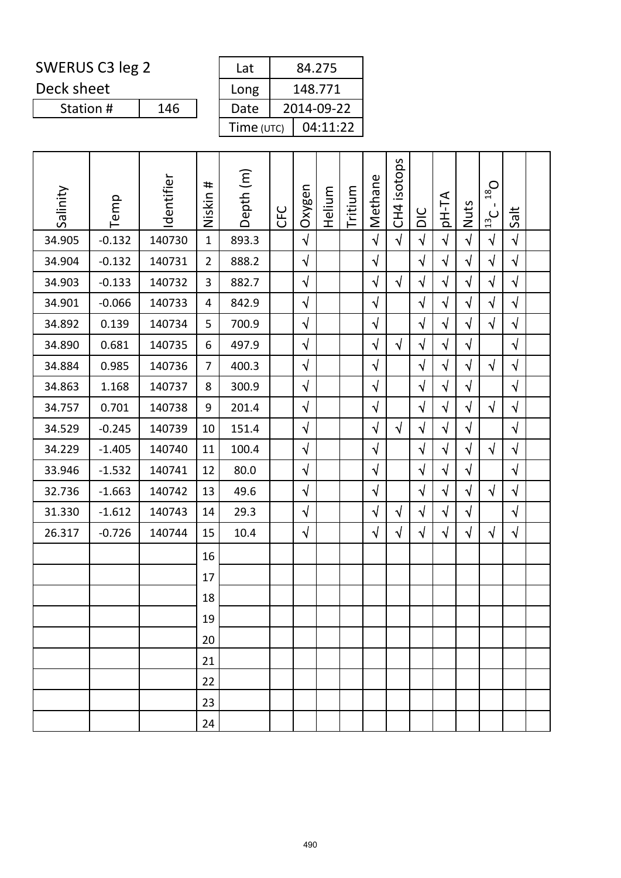Deck sheet

| Lat        | 84.275     |
|------------|------------|
| Long       | 148.771    |
| Date       | 2014-09-22 |
| Time (UTC) | 04:11:22   |

| Salinity | Temp     | Identifier | #<br>Niskin    | Depth (m) | <b>CFC</b> | Oxygen     | Helium | Tritium | Methane    | isotops<br>CH <sub>4</sub> | DIC        | <b>AT-Hq</b> | Nuts       | $O_{81}$<br>$\frac{13}{2}$ | Salt       |  |
|----------|----------|------------|----------------|-----------|------------|------------|--------|---------|------------|----------------------------|------------|--------------|------------|----------------------------|------------|--|
| 34.905   | $-0.132$ | 140730     | $\mathbf{1}$   | 893.3     |            | $\sqrt{ }$ |        |         | $\sqrt{2}$ | $\sqrt{ }$                 | $\sqrt{2}$ | $\sqrt{ }$   | $\sqrt{2}$ | $\sqrt{ }$                 | $\sqrt{2}$ |  |
| 34.904   | $-0.132$ | 140731     | $\overline{2}$ | 888.2     |            | $\sqrt{}$  |        |         | $\sqrt{}$  |                            | $\sqrt{2}$ | $\sqrt{ }$   | $\sqrt{}$  | $\sqrt{2}$                 | $\sqrt{2}$ |  |
| 34.903   | $-0.133$ | 140732     | 3              | 882.7     |            | $\sqrt{2}$ |        |         | $\sqrt{}$  | $\sqrt{ }$                 | $\sqrt{2}$ | $\sqrt{ }$   | $\sqrt{ }$ | $\sqrt{2}$                 | $\sqrt{ }$ |  |
| 34.901   | $-0.066$ | 140733     | 4              | 842.9     |            | $\sqrt{}$  |        |         | $\sqrt{}$  |                            | $\sqrt{}$  | $\sqrt{ }$   | $\sqrt{}$  | $\sqrt{ }$                 | $\sqrt{ }$ |  |
| 34.892   | 0.139    | 140734     | 5              | 700.9     |            | $\sqrt{}$  |        |         | $\sqrt{}$  |                            | $\sqrt{ }$ | $\sqrt{ }$   | $\sqrt{}$  | $\sqrt{ }$                 | $\sqrt{2}$ |  |
| 34.890   | 0.681    | 140735     | 6              | 497.9     |            | $\sqrt{}$  |        |         | $\sqrt{ }$ | $\sqrt{ }$                 | $\sqrt{2}$ | $\sqrt{ }$   | $\sqrt{}$  |                            | $\sqrt{}$  |  |
| 34.884   | 0.985    | 140736     | $\overline{7}$ | 400.3     |            | $\sqrt{}$  |        |         | $\sqrt{}$  |                            | $\sqrt{ }$ | $\sqrt{ }$   | $\sqrt{}$  | $\sqrt{ }$                 | $\sqrt{}$  |  |
| 34.863   | 1.168    | 140737     | 8              | 300.9     |            | $\sqrt{}$  |        |         | $\sqrt{}$  |                            | $\sqrt{}$  | $\sqrt{ }$   | $\sqrt{2}$ |                            | $\sqrt{}$  |  |
| 34.757   | 0.701    | 140738     | 9              | 201.4     |            | $\sqrt{}$  |        |         | $\sqrt{}$  |                            | $\sqrt{2}$ | $\sqrt{ }$   | $\sqrt{}$  | $\sqrt{ }$                 | $\sqrt{ }$ |  |
| 34.529   | $-0.245$ | 140739     | 10             | 151.4     |            | $\sqrt{}$  |        |         | $\sqrt{}$  | $\sqrt{ }$                 | $\sqrt{}$  | $\sqrt{ }$   | $\sqrt{}$  |                            | $\sqrt{}$  |  |
| 34.229   | $-1.405$ | 140740     | 11             | 100.4     |            | $\sqrt{}$  |        |         | $\sqrt{ }$ |                            | $\sqrt{ }$ | $\sqrt{ }$   | $\sqrt{}$  | $\sqrt{ }$                 | $\sqrt{ }$ |  |
| 33.946   | $-1.532$ | 140741     | 12             | 80.0      |            | $\sqrt{}$  |        |         | $\sqrt{ }$ |                            | $\sqrt{}$  | $\sqrt{ }$   | $\sqrt{}$  |                            | $\sqrt{ }$ |  |
| 32.736   | $-1.663$ | 140742     | 13             | 49.6      |            | $\sqrt{ }$ |        |         | $\sqrt{}$  |                            | $\sqrt{2}$ | $\sqrt{ }$   | $\sqrt{}$  | $\sqrt{ }$                 | $\sqrt{ }$ |  |
| 31.330   | $-1.612$ | 140743     | 14             | 29.3      |            | $\sqrt{}$  |        |         | $\sqrt{ }$ | $\sqrt{ }$                 | $\sqrt{ }$ | $\sqrt{ }$   | $\sqrt{ }$ |                            | $\sqrt{ }$ |  |
| 26.317   | $-0.726$ | 140744     | 15             | 10.4      |            | $\sqrt{}$  |        |         | $\sqrt{ }$ | $\sqrt{}$                  | $\sqrt{}$  | $\sqrt{ }$   | $\sqrt{}$  | $\sqrt{ }$                 | $\sqrt{ }$ |  |
|          |          |            | 16             |           |            |            |        |         |            |                            |            |              |            |                            |            |  |
|          |          |            | 17             |           |            |            |        |         |            |                            |            |              |            |                            |            |  |
|          |          |            | 18             |           |            |            |        |         |            |                            |            |              |            |                            |            |  |
|          |          |            | 19             |           |            |            |        |         |            |                            |            |              |            |                            |            |  |
|          |          |            | 20             |           |            |            |        |         |            |                            |            |              |            |                            |            |  |
|          |          |            | 21             |           |            |            |        |         |            |                            |            |              |            |                            |            |  |
|          |          |            | 22             |           |            |            |        |         |            |                            |            |              |            |                            |            |  |
|          |          |            | 23             |           |            |            |        |         |            |                            |            |              |            |                            |            |  |
|          |          |            | 24             |           |            |            |        |         |            |                            |            |              |            |                            |            |  |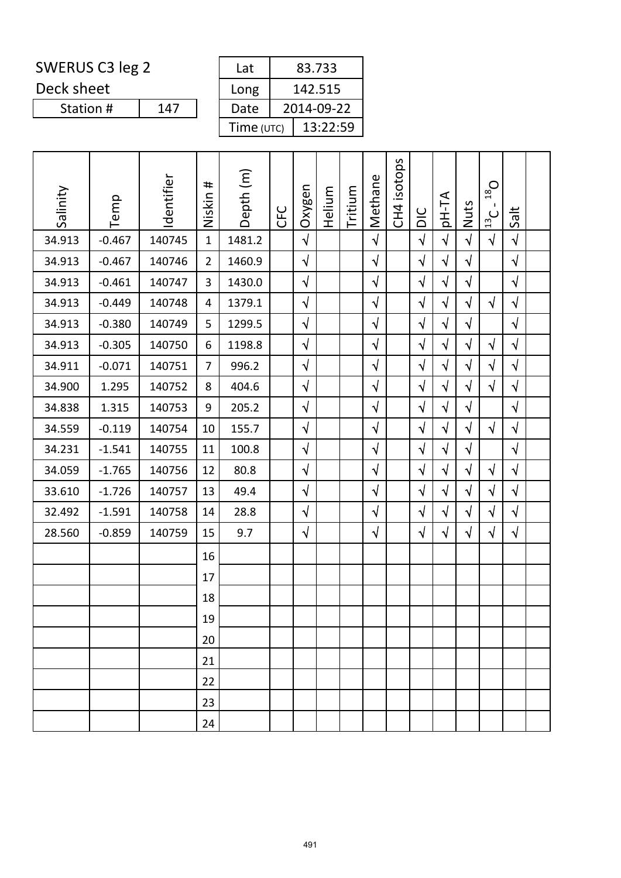Deck sheet

Station #

| Lat        | 83.733     |
|------------|------------|
| Long       | 142.515    |
| Date       | 2014-09-22 |
| Time (UTC) | 13:22:59   |

| Salinity | Temp     | Identifier | #<br>Niskin    | Depth (m) | <b>CFC</b> | Oxygen     | Helium | Tritium | Methane    | CH4 isotops | DIC        | pH-TA      | Nuts       | $O_{81}$<br>$\mathbf{I}$<br>$\frac{13}{2}$ C | Salt       |  |
|----------|----------|------------|----------------|-----------|------------|------------|--------|---------|------------|-------------|------------|------------|------------|----------------------------------------------|------------|--|
| 34.913   | $-0.467$ | 140745     | $\mathbf{1}$   | 1481.2    |            | $\sqrt{2}$ |        |         | $\sqrt{ }$ |             | $\sqrt{2}$ | $\sqrt{}$  | $\sqrt{ }$ | $\sqrt{}$                                    | $\sqrt{ }$ |  |
| 34.913   | $-0.467$ | 140746     | $\overline{2}$ | 1460.9    |            | $\sqrt{ }$ |        |         | $\sqrt{ }$ |             | $\sqrt{2}$ | $\sqrt{}$  | $\sqrt{2}$ |                                              | $\sqrt{ }$ |  |
| 34.913   | $-0.461$ | 140747     | 3              | 1430.0    |            | $\sqrt{}$  |        |         | $\sqrt{ }$ |             | $\sqrt{ }$ | $\sqrt{}$  | $\sqrt{2}$ |                                              | $\sqrt{ }$ |  |
| 34.913   | $-0.449$ | 140748     | 4              | 1379.1    |            | $\sqrt{}$  |        |         | $\sqrt{ }$ |             | $\sqrt{2}$ | $\sqrt{}$  | $\sqrt{}$  | $\sqrt{}$                                    | $\sqrt{ }$ |  |
| 34.913   | $-0.380$ | 140749     | 5              | 1299.5    |            | $\sqrt{2}$ |        |         | $\sqrt{}$  |             | $\sqrt{}$  | $\sqrt{}$  | $\sqrt{}$  |                                              | $\sqrt{ }$ |  |
| 34.913   | $-0.305$ | 140750     | 6              | 1198.8    |            | $\sqrt{2}$ |        |         | $\sqrt{ }$ |             | $\sqrt{}$  | $\sqrt{2}$ | $\sqrt{ }$ | $\sqrt{}$                                    | $\sqrt{ }$ |  |
| 34.911   | $-0.071$ | 140751     | $\overline{7}$ | 996.2     |            | $\sqrt{}$  |        |         | $\sqrt{}$  |             | $\sqrt{2}$ | $\sqrt{}$  | $\sqrt{ }$ | $\sqrt{ }$                                   | $\sqrt{ }$ |  |
| 34.900   | 1.295    | 140752     | 8              | 404.6     |            | $\sqrt{}$  |        |         | $\sqrt{}$  |             | $\sqrt{}$  | $\sqrt{ }$ | $\sqrt{}$  | $\sqrt{}$                                    | $\sqrt{ }$ |  |
| 34.838   | 1.315    | 140753     | 9              | 205.2     |            | $\sqrt{ }$ |        |         | $\sqrt{ }$ |             | $\sqrt{2}$ | $\sqrt{}$  | $\sqrt{ }$ |                                              | $\sqrt{ }$ |  |
| 34.559   | $-0.119$ | 140754     | 10             | 155.7     |            | $\sqrt{2}$ |        |         | $\sqrt{2}$ |             | $\sqrt{2}$ | $\sqrt{}$  | $\sqrt{ }$ | $\sqrt{ }$                                   | $\sqrt{ }$ |  |
| 34.231   | $-1.541$ | 140755     | 11             | 100.8     |            | $\sqrt{2}$ |        |         | $\sqrt{ }$ |             | $\sqrt{2}$ | $\sqrt{}$  | $\sqrt{2}$ |                                              | $\sqrt{2}$ |  |
| 34.059   | $-1.765$ | 140756     | 12             | 80.8      |            | $\sqrt{}$  |        |         | $\sqrt{ }$ |             | $\sqrt{}$  | $\sqrt{}$  | $\sqrt{ }$ | $\sqrt{}$                                    | $\sqrt{ }$ |  |
| 33.610   | $-1.726$ | 140757     | 13             | 49.4      |            | $\sqrt{2}$ |        |         | $\sqrt{ }$ |             | $\sqrt{2}$ | $\sqrt{}$  | $\sqrt{ }$ | $\sqrt{ }$                                   | $\sqrt{ }$ |  |
| 32.492   | $-1.591$ | 140758     | 14             | 28.8      |            | $\sqrt{2}$ |        |         | $\sqrt{2}$ |             | $\sqrt{2}$ | $\sqrt{}$  | $\sqrt{}$  | $\sqrt{ }$                                   | $\sqrt{2}$ |  |
| 28.560   | $-0.859$ | 140759     | 15             | 9.7       |            | $\sqrt{}$  |        |         | $\sqrt{ }$ |             | $\sqrt{}$  | $\sqrt{}$  | $\sqrt{}$  | $\sqrt{ }$                                   | $\sqrt{ }$ |  |
|          |          |            | 16             |           |            |            |        |         |            |             |            |            |            |                                              |            |  |
|          |          |            | 17             |           |            |            |        |         |            |             |            |            |            |                                              |            |  |
|          |          |            | 18             |           |            |            |        |         |            |             |            |            |            |                                              |            |  |
|          |          |            | 19             |           |            |            |        |         |            |             |            |            |            |                                              |            |  |
|          |          |            | 20             |           |            |            |        |         |            |             |            |            |            |                                              |            |  |
|          |          |            | 21             |           |            |            |        |         |            |             |            |            |            |                                              |            |  |
|          |          |            | 22             |           |            |            |        |         |            |             |            |            |            |                                              |            |  |
|          |          |            | 23             |           |            |            |        |         |            |             |            |            |            |                                              |            |  |
|          |          |            | 24             |           |            |            |        |         |            |             |            |            |            |                                              |            |  |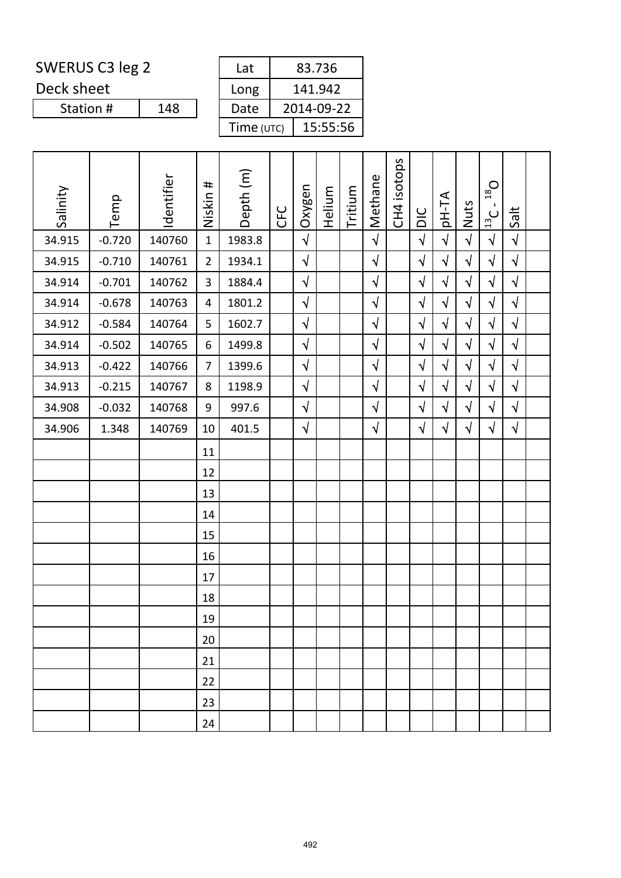Deck sheet

Station #

| Lat        | 83.736     |
|------------|------------|
| Long       | 141.942    |
| Date       | 2014-09-22 |
| Time (UTC) | 15:55:56   |

| Salinity | Temp     | Identifier | Niskin #       | Depth (m) | <b>CFC</b> | Oxygen     | Helium | Tritium | Methane    | CH4 isotops | DIC        | pH-TA      | Nuts       | $O_{81}$<br>$\mathbf{I}$<br>$\frac{13}{2}$ C | Salt       |  |
|----------|----------|------------|----------------|-----------|------------|------------|--------|---------|------------|-------------|------------|------------|------------|----------------------------------------------|------------|--|
| 34.915   | $-0.720$ | 140760     | $\mathbf{1}$   | 1983.8    |            | $\sqrt{2}$ |        |         | $\sqrt{2}$ |             | $\sqrt{2}$ | $\sqrt{ }$ | $\sqrt{2}$ | $\sqrt{}$                                    | $\sqrt{ }$ |  |
| 34.915   | $-0.710$ | 140761     | $\overline{2}$ | 1934.1    |            | $\sqrt{}$  |        |         | $\sqrt{}$  |             | $\sqrt{ }$ | $\sqrt{}$  | $\sqrt{ }$ | $\sqrt{}$                                    | $\sqrt{ }$ |  |
| 34.914   | $-0.701$ | 140762     | 3              | 1884.4    |            | $\sqrt{2}$ |        |         | $\sqrt{2}$ |             | $\sqrt{2}$ | $\sqrt{ }$ | $\sqrt{}$  | $\sqrt{2}$                                   | $\sqrt{ }$ |  |
| 34.914   | $-0.678$ | 140763     | 4              | 1801.2    |            | $\sqrt{}$  |        |         | $\sqrt{}$  |             | $\sqrt{2}$ | $\sqrt{}$  | $\sqrt{}$  | $\sqrt{2}$                                   | $\sqrt{ }$ |  |
| 34.912   | $-0.584$ | 140764     | 5              | 1602.7    |            | $\sqrt{}$  |        |         | $\sqrt{}$  |             | $\sqrt{2}$ | $\sqrt{}$  | $\sqrt{}$  | $\sqrt{2}$                                   | $\sqrt{ }$ |  |
| 34.914   | $-0.502$ | 140765     | 6              | 1499.8    |            | $\sqrt{2}$ |        |         | $\sqrt{}$  |             | $\sqrt{ }$ | $\sqrt{ }$ | $\sqrt{}$  | $\sqrt{}$                                    | $\sqrt{ }$ |  |
| 34.913   | $-0.422$ | 140766     | $\overline{7}$ | 1399.6    |            | $\sqrt{ }$ |        |         | $\sqrt{}$  |             | $\sqrt{2}$ | $\sqrt{ }$ | $\sqrt{ }$ | $\sqrt{}$                                    | $\sqrt{ }$ |  |
| 34.913   | $-0.215$ | 140767     | 8              | 1198.9    |            | $\sqrt{}$  |        |         | $\sqrt{}$  |             | $\sqrt{2}$ | $\sqrt{ }$ | $\sqrt{}$  | $\sqrt{2}$                                   | $\sqrt{ }$ |  |
| 34.908   | $-0.032$ | 140768     | 9              | 997.6     |            | $\sqrt{ }$ |        |         | $\sqrt{ }$ |             | $\sqrt{2}$ | $\sqrt{}$  | $\sqrt{ }$ | $\sqrt{}$                                    | $\sqrt{ }$ |  |
| 34.906   | 1.348    | 140769     | 10             | 401.5     |            | $\sqrt{}$  |        |         | $\sqrt{}$  |             | $\sqrt{}$  | $\sqrt{}$  | $\sqrt{}$  | $\sqrt{}$                                    | $\sqrt{ }$ |  |
|          |          |            | 11             |           |            |            |        |         |            |             |            |            |            |                                              |            |  |
|          |          |            | 12             |           |            |            |        |         |            |             |            |            |            |                                              |            |  |
|          |          |            | 13             |           |            |            |        |         |            |             |            |            |            |                                              |            |  |
|          |          |            | 14             |           |            |            |        |         |            |             |            |            |            |                                              |            |  |
|          |          |            | 15             |           |            |            |        |         |            |             |            |            |            |                                              |            |  |
|          |          |            | 16             |           |            |            |        |         |            |             |            |            |            |                                              |            |  |
|          |          |            | 17             |           |            |            |        |         |            |             |            |            |            |                                              |            |  |
|          |          |            | 18             |           |            |            |        |         |            |             |            |            |            |                                              |            |  |
|          |          |            | 19             |           |            |            |        |         |            |             |            |            |            |                                              |            |  |
|          |          |            | 20             |           |            |            |        |         |            |             |            |            |            |                                              |            |  |
|          |          |            | 21             |           |            |            |        |         |            |             |            |            |            |                                              |            |  |
|          |          |            | 22             |           |            |            |        |         |            |             |            |            |            |                                              |            |  |
|          |          |            | 23             |           |            |            |        |         |            |             |            |            |            |                                              |            |  |
|          |          |            | 24             |           |            |            |        |         |            |             |            |            |            |                                              |            |  |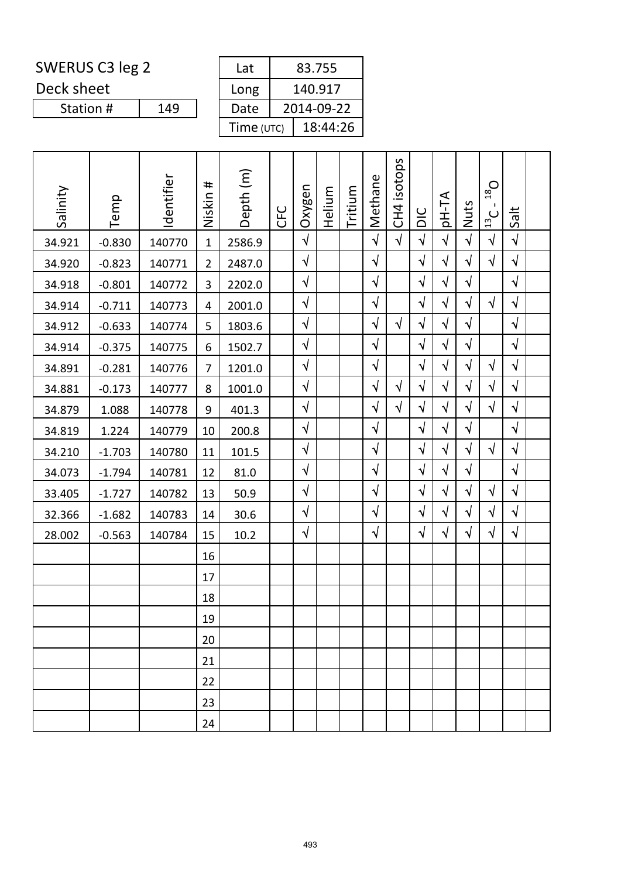Deck sheet

| Lat        | 83.755     |
|------------|------------|
| Long       | 140.917    |
| Date       | 2014-09-22 |
| Time (UTC) | 18:44:26   |

| Salinity | Temp     | Identifier | #<br>Niskin    | Depth (m) | <b>CFC</b> | Oxygen     | Helium | Tritium | Methane   | CH4 isotops | DIC        | <b>AT-Hq</b> | Nuts       | $O_{81}$<br>$\mathbf{I}$<br>13C | Salt       |  |
|----------|----------|------------|----------------|-----------|------------|------------|--------|---------|-----------|-------------|------------|--------------|------------|---------------------------------|------------|--|
| 34.921   | $-0.830$ | 140770     | $\mathbf{1}$   | 2586.9    |            | $\sqrt{}$  |        |         | $\sqrt{}$ | $\sqrt{ }$  | $\sqrt{2}$ | $\sqrt{}$    | $\sqrt{}$  | $\sqrt{}$                       | $\sqrt{ }$ |  |
| 34.920   | $-0.823$ | 140771     | $\overline{2}$ | 2487.0    |            | $\sqrt{ }$ |        |         | $\sqrt{}$ |             | $\sqrt{ }$ | $\sqrt{ }$   | $\sqrt{}$  | $\sqrt{}$                       | $\sqrt{ }$ |  |
| 34.918   | $-0.801$ | 140772     | 3              | 2202.0    |            | $\sqrt{}$  |        |         | $\sqrt{}$ |             | $\sqrt{}$  | $\sqrt{}$    | $\sqrt{ }$ |                                 | $\sqrt{ }$ |  |
| 34.914   | $-0.711$ | 140773     | 4              | 2001.0    |            | $\sqrt{}$  |        |         | $\sqrt{}$ |             | $\sqrt{}$  | $\sqrt{}$    | $\sqrt{}$  | $\sqrt{}$                       | $\sqrt{ }$ |  |
| 34.912   | $-0.633$ | 140774     | 5              | 1803.6    |            | $\sqrt{}$  |        |         | $\sqrt{}$ | $\sqrt{ }$  | $\sqrt{2}$ | $\sqrt{ }$   | $\sqrt{ }$ |                                 | $\sqrt{ }$ |  |
| 34.914   | $-0.375$ | 140775     | 6              | 1502.7    |            | $\sqrt{}$  |        |         | $\sqrt{}$ |             | $\sqrt{ }$ | $\sqrt{}$    | $\sqrt{}$  |                                 | $\sqrt{ }$ |  |
| 34.891   | $-0.281$ | 140776     | $\overline{7}$ | 1201.0    |            | $\sqrt{}$  |        |         | $\sqrt{}$ |             | $\sqrt{ }$ | $\sqrt{}$    | $\sqrt{}$  | $\sqrt{ }$                      | $\sqrt{ }$ |  |
| 34.881   | $-0.173$ | 140777     | 8              | 1001.0    |            | $\sqrt{2}$ |        |         | $\sqrt{}$ | $\sqrt{ }$  | $\sqrt{2}$ | $\sqrt{ }$   | $\sqrt{}$  | $\sqrt{ }$                      | $\sqrt{ }$ |  |
| 34.879   | 1.088    | 140778     | 9              | 401.3     |            | $\sqrt{ }$ |        |         | $\sqrt{}$ | $\sqrt{ }$  | $\sqrt{ }$ | $\sqrt{ }$   | $\sqrt{}$  | $\sqrt{}$                       | $\sqrt{2}$ |  |
| 34.819   | 1.224    | 140779     | 10             | 200.8     |            | $\sqrt{}$  |        |         | $\sqrt{}$ |             | $\sqrt{ }$ | $\sqrt{}$    | $\sqrt{ }$ |                                 | $\sqrt{ }$ |  |
| 34.210   | $-1.703$ | 140780     | 11             | 101.5     |            | $\sqrt{2}$ |        |         | $\sqrt{}$ |             | $\sqrt{2}$ | $\sqrt{ }$   | $\sqrt{}$  | $\sqrt{}$                       | $\sqrt{ }$ |  |
| 34.073   | $-1.794$ | 140781     | 12             | 81.0      |            | $\sqrt{ }$ |        |         | $\sqrt{}$ |             | $\sqrt{}$  | $\sqrt{}$    | $\sqrt{}$  |                                 | $\sqrt{ }$ |  |
| 33.405   | $-1.727$ | 140782     | 13             | 50.9      |            | $\sqrt{2}$ |        |         | $\sqrt{}$ |             | $\sqrt{2}$ | $\sqrt{}$    | $\sqrt{ }$ | $\sqrt{ }$                      | $\sqrt{ }$ |  |
| 32.366   | $-1.682$ | 140783     | 14             | 30.6      |            | $\sqrt{2}$ |        |         | $\sqrt{}$ |             | $\sqrt{2}$ | $\sqrt{}$    | $\sqrt{}$  | $\sqrt{2}$                      | $\sqrt{ }$ |  |
| 28.002   | $-0.563$ | 140784     | 15             | 10.2      |            | $\sqrt{}$  |        |         | $\sqrt{}$ |             | $\sqrt{}$  | $\sqrt{}$    | $\sqrt{}$  | $\sqrt{}$                       | $\sqrt{ }$ |  |
|          |          |            | 16             |           |            |            |        |         |           |             |            |              |            |                                 |            |  |
|          |          |            | 17             |           |            |            |        |         |           |             |            |              |            |                                 |            |  |
|          |          |            | 18             |           |            |            |        |         |           |             |            |              |            |                                 |            |  |
|          |          |            | 19             |           |            |            |        |         |           |             |            |              |            |                                 |            |  |
|          |          |            | 20             |           |            |            |        |         |           |             |            |              |            |                                 |            |  |
|          |          |            | 21             |           |            |            |        |         |           |             |            |              |            |                                 |            |  |
|          |          |            | 22             |           |            |            |        |         |           |             |            |              |            |                                 |            |  |
|          |          |            | 23             |           |            |            |        |         |           |             |            |              |            |                                 |            |  |
|          |          |            | 24             |           |            |            |        |         |           |             |            |              |            |                                 |            |  |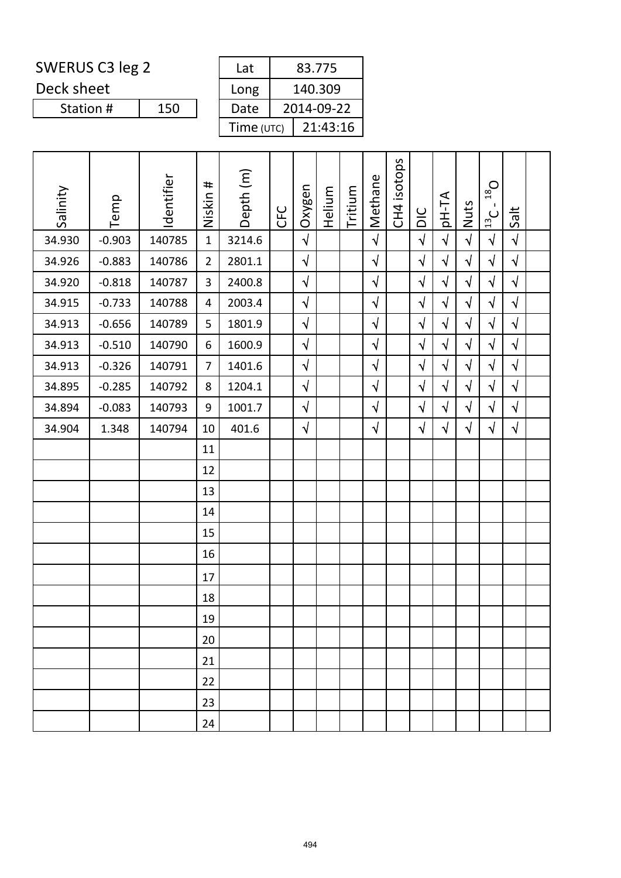Deck sheet

| Lat        | 83.775     |
|------------|------------|
| Long       | 140.309    |
| Date       | 2014-09-22 |
| Time (UTC) | 21:43:16   |

| Salinity | Temp     | Identifier | Niskin #       | Depth (m) | <b>CFC</b> | Oxygen     | Helium | Tritium | Methane    | CH4 isotops | DIC        | <b>AT-Hq</b> | Nuts       | $18$ O<br>Τ.<br>$\frac{13}{2}$ C | Salt       |  |
|----------|----------|------------|----------------|-----------|------------|------------|--------|---------|------------|-------------|------------|--------------|------------|----------------------------------|------------|--|
| 34.930   | $-0.903$ | 140785     | $\mathbf{1}$   | 3214.6    |            | $\sqrt{2}$ |        |         | $\sqrt{2}$ |             | $\sqrt{2}$ | $\sqrt{ }$   | $\sqrt{ }$ | $\sqrt{ }$                       | $\sqrt{ }$ |  |
| 34.926   | $-0.883$ | 140786     | $\overline{2}$ | 2801.1    |            | $\sqrt{}$  |        |         | $\sqrt{}$  |             | $\sqrt{}$  | $\sqrt{ }$   | $\sqrt{}$  | $\sqrt{}$                        | $\sqrt{}$  |  |
| 34.920   | $-0.818$ | 140787     | 3              | 2400.8    |            | $\sqrt{2}$ |        |         | $\sqrt{ }$ |             | $\sqrt{2}$ | $\sqrt{ }$   | $\sqrt{}$  | $\sqrt{ }$                       | $\sqrt{2}$ |  |
| 34.915   | $-0.733$ | 140788     | 4              | 2003.4    |            | $\sqrt{2}$ |        |         | $\sqrt{}$  |             | $\sqrt{2}$ | $\sqrt{ }$   | $\sqrt{}$  | $\sqrt{2}$                       | $\sqrt{ }$ |  |
| 34.913   | $-0.656$ | 140789     | 5              | 1801.9    |            | $\sqrt{}$  |        |         | $\sqrt{2}$ |             | $\sqrt{2}$ | $\sqrt{ }$   | $\sqrt{}$  | $\sqrt{2}$                       | $\sqrt{}$  |  |
| 34.913   | $-0.510$ | 140790     | 6              | 1600.9    |            | $\sqrt{2}$ |        |         | $\sqrt{ }$ |             | $\sqrt{2}$ | $\sqrt{2}$   | $\sqrt{}$  | $\sqrt{}$                        | $\sqrt{2}$ |  |
| 34.913   | $-0.326$ | 140791     | $\overline{7}$ | 1401.6    |            | $\sqrt{2}$ |        |         | $\sqrt{2}$ |             | $\sqrt{2}$ | $\sqrt{ }$   | $\sqrt{ }$ | $\sqrt{2}$                       | $\sqrt{ }$ |  |
| 34.895   | $-0.285$ | 140792     | 8              | 1204.1    |            | $\sqrt{}$  |        |         | $\sqrt{}$  |             | $\sqrt{}$  | $\sqrt{ }$   | $\sqrt{}$  | $\sqrt{2}$                       | $\sqrt{}$  |  |
| 34.894   | $-0.083$ | 140793     | 9              | 1001.7    |            | $\sqrt{ }$ |        |         | $\sqrt{}$  |             | $\sqrt{ }$ | $\sqrt{ }$   | $\sqrt{}$  | $\sqrt{ }$                       | $\sqrt{ }$ |  |
| 34.904   | 1.348    | 140794     | 10             | 401.6     |            | $\sqrt{}$  |        |         | $\sqrt{ }$ |             | $\sqrt{}$  | $\sqrt{ }$   | $\sqrt{}$  | $\sqrt{}$                        | $\sqrt{ }$ |  |
|          |          |            | 11             |           |            |            |        |         |            |             |            |              |            |                                  |            |  |
|          |          |            | 12             |           |            |            |        |         |            |             |            |              |            |                                  |            |  |
|          |          |            | 13             |           |            |            |        |         |            |             |            |              |            |                                  |            |  |
|          |          |            | 14             |           |            |            |        |         |            |             |            |              |            |                                  |            |  |
|          |          |            | 15             |           |            |            |        |         |            |             |            |              |            |                                  |            |  |
|          |          |            | 16             |           |            |            |        |         |            |             |            |              |            |                                  |            |  |
|          |          |            | 17             |           |            |            |        |         |            |             |            |              |            |                                  |            |  |
|          |          |            | 18             |           |            |            |        |         |            |             |            |              |            |                                  |            |  |
|          |          |            | 19             |           |            |            |        |         |            |             |            |              |            |                                  |            |  |
|          |          |            | 20             |           |            |            |        |         |            |             |            |              |            |                                  |            |  |
|          |          |            | 21             |           |            |            |        |         |            |             |            |              |            |                                  |            |  |
|          |          |            | 22             |           |            |            |        |         |            |             |            |              |            |                                  |            |  |
|          |          |            | 23             |           |            |            |        |         |            |             |            |              |            |                                  |            |  |
|          |          |            | 24             |           |            |            |        |         |            |             |            |              |            |                                  |            |  |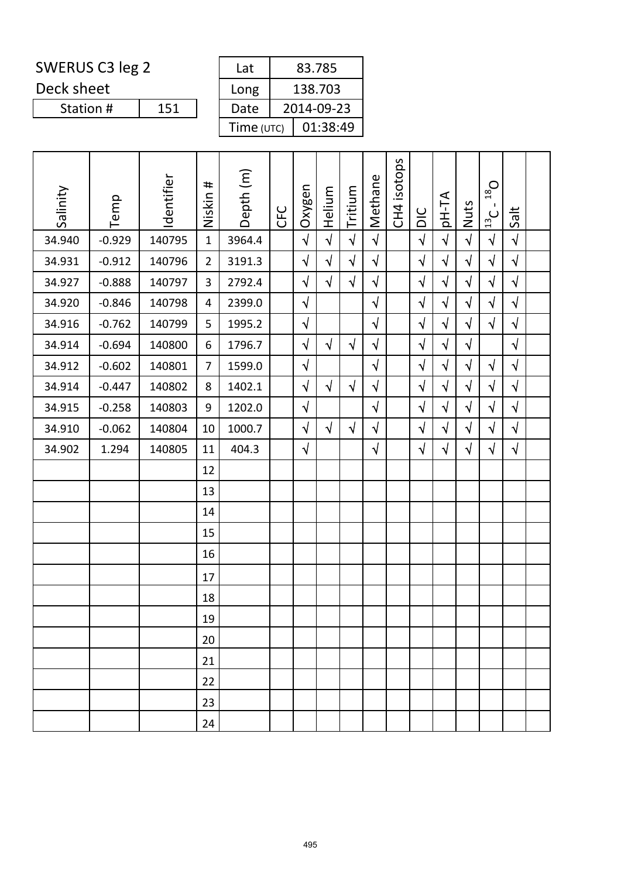Deck sheet

Station #

| Lat        | 83.785     |
|------------|------------|
| Long       | 138.703    |
| Date       | 2014-09-23 |
| Time (UTC) | 01:38:49   |
|            |            |

| Salinity | Temp     | Identifier | Niskin #       | Depth (m) | <b>CFC</b> | Oxygen     | Helium     | Tritium    | Methane    | CH4 isotops | DIC        | pH-TA      | Nuts       | $O_{81}$<br>п.<br>$\frac{13}{2}$ | Salt       |  |
|----------|----------|------------|----------------|-----------|------------|------------|------------|------------|------------|-------------|------------|------------|------------|----------------------------------|------------|--|
| 34.940   | $-0.929$ | 140795     | $\mathbf{1}$   | 3964.4    |            | $\sqrt{2}$ | $\sqrt{2}$ | $\sqrt{2}$ | $\sqrt{ }$ |             | $\sqrt{2}$ | $\sqrt{ }$ | $\sqrt{2}$ | $\sqrt{}$                        | $\sqrt{ }$ |  |
| 34.931   | $-0.912$ | 140796     | $\overline{2}$ | 3191.3    |            | $\sqrt{}$  | $\sqrt{ }$ | $\sqrt{}$  | $\sqrt{ }$ |             | $\sqrt{ }$ | $\sqrt{}$  | $\sqrt{}$  | $\sqrt{}$                        | $\sqrt{ }$ |  |
| 34.927   | $-0.888$ | 140797     | 3              | 2792.4    |            | $\sqrt{}$  | $\sqrt{ }$ | $\sqrt{2}$ | $\sqrt{ }$ |             | $\sqrt{2}$ | $\sqrt{2}$ | $\sqrt{}$  | $\sqrt{2}$                       | $\sqrt{ }$ |  |
| 34.920   | $-0.846$ | 140798     | 4              | 2399.0    |            | $\sqrt{2}$ |            |            | $\sqrt{}$  |             | $\sqrt{2}$ | $\sqrt{}$  | $\sqrt{}$  | $\sqrt{2}$                       | $\sqrt{ }$ |  |
| 34.916   | $-0.762$ | 140799     | 5              | 1995.2    |            | $\sqrt{}$  |            |            | $\sqrt{}$  |             | $\sqrt{}$  | $\sqrt{}$  | $\sqrt{ }$ | $\sqrt{}$                        | $\sqrt{ }$ |  |
| 34.914   | $-0.694$ | 140800     | 6              | 1796.7    |            | $\sqrt{2}$ | $\sqrt{ }$ | $\sqrt{ }$ | $\sqrt{ }$ |             | $\sqrt{}$  | $\sqrt{}$  | $\sqrt{ }$ |                                  | $\sqrt{ }$ |  |
| 34.912   | $-0.602$ | 140801     | $\overline{7}$ | 1599.0    |            | $\sqrt{2}$ |            |            | $\sqrt{}$  |             | $\sqrt{2}$ | $\sqrt{ }$ | $\sqrt{ }$ | $\sqrt{ }$                       | $\sqrt{ }$ |  |
| 34.914   | $-0.447$ | 140802     | 8              | 1402.1    |            | $\sqrt{}$  | $\sqrt{ }$ | $\sqrt{ }$ | $\sqrt{}$  |             | $\sqrt{}$  | $\sqrt{}$  | $\sqrt{}$  | $\sqrt{}$                        | $\sqrt{ }$ |  |
| 34.915   | $-0.258$ | 140803     | 9              | 1202.0    |            | $\sqrt{ }$ |            |            | $\sqrt{ }$ |             | $\sqrt{2}$ | $\sqrt{}$  | $\sqrt{}$  | $\sqrt{ }$                       | $\sqrt{ }$ |  |
| 34.910   | $-0.062$ | 140804     | 10             | 1000.7    |            | $\sqrt{}$  | $\sqrt{ }$ | $\sqrt{ }$ | $\sqrt{ }$ |             | $\sqrt{}$  | $\sqrt{}$  | $\sqrt{ }$ | $\sqrt{ }$                       | $\sqrt{ }$ |  |
| 34.902   | 1.294    | 140805     | 11             | 404.3     |            | $\sqrt{ }$ |            |            | $\sqrt{ }$ |             | $\sqrt{2}$ | $\sqrt{}$  | $\sqrt{}$  | $\sqrt{}$                        | $\sqrt{2}$ |  |
|          |          |            | 12             |           |            |            |            |            |            |             |            |            |            |                                  |            |  |
|          |          |            | 13             |           |            |            |            |            |            |             |            |            |            |                                  |            |  |
|          |          |            | 14             |           |            |            |            |            |            |             |            |            |            |                                  |            |  |
|          |          |            | 15             |           |            |            |            |            |            |             |            |            |            |                                  |            |  |
|          |          |            | 16             |           |            |            |            |            |            |             |            |            |            |                                  |            |  |
|          |          |            | 17             |           |            |            |            |            |            |             |            |            |            |                                  |            |  |
|          |          |            | 18             |           |            |            |            |            |            |             |            |            |            |                                  |            |  |
|          |          |            | 19             |           |            |            |            |            |            |             |            |            |            |                                  |            |  |
|          |          |            | 20             |           |            |            |            |            |            |             |            |            |            |                                  |            |  |
|          |          |            | 21             |           |            |            |            |            |            |             |            |            |            |                                  |            |  |
|          |          |            | 22             |           |            |            |            |            |            |             |            |            |            |                                  |            |  |
|          |          |            | 23             |           |            |            |            |            |            |             |            |            |            |                                  |            |  |
|          |          |            | 24             |           |            |            |            |            |            |             |            |            |            |                                  |            |  |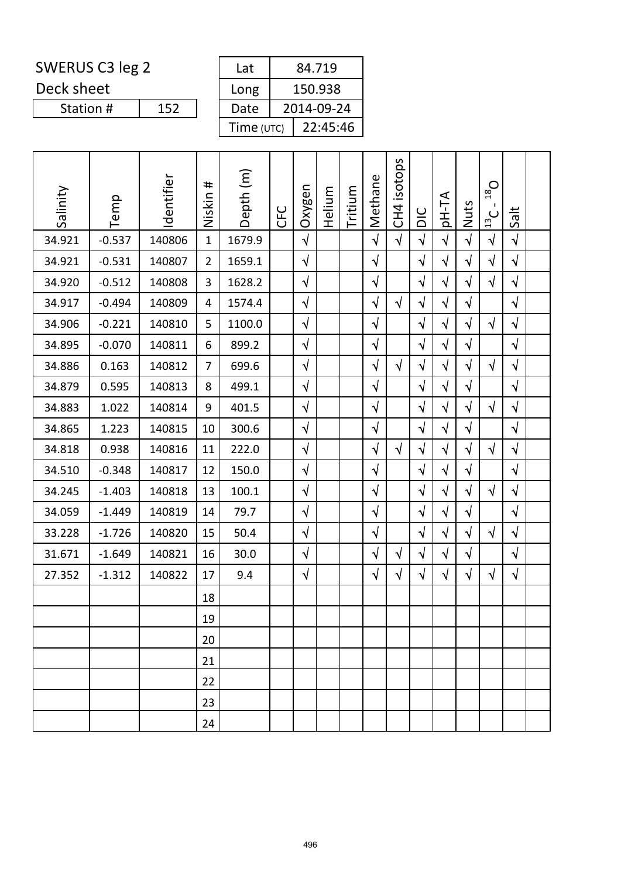Deck sheet

Station #

| Lat        | 84.719     |
|------------|------------|
| Long       | 150.938    |
| Date       | 2014-09-24 |
| Time (UTC) | 22:45:46   |

| Salinity | Temp     | Identifier | #<br>Niskin    | Depth (m) | <b>CFC</b> | Oxygen     | Helium | Tritium | Methane    | isotops<br>CH <sub>4</sub> | DIC        | pH-TA      | Nuts       | $D_{81}$<br>$\mathbf{I}$<br>$\frac{13}{2}$ C | Salt       |  |
|----------|----------|------------|----------------|-----------|------------|------------|--------|---------|------------|----------------------------|------------|------------|------------|----------------------------------------------|------------|--|
| 34.921   | $-0.537$ | 140806     | $\mathbf{1}$   | 1679.9    |            | $\sqrt{2}$ |        |         | $\sqrt{2}$ | $\sqrt{ }$                 | $\sqrt{2}$ | $\sqrt{2}$ | $\sqrt{2}$ | $\sqrt{2}$                                   | $\sqrt{ }$ |  |
| 34.921   | $-0.531$ | 140807     | $\overline{2}$ | 1659.1    |            | $\sqrt{}$  |        |         | $\sqrt{ }$ |                            | $\sqrt{}$  | $\sqrt{}$  | $\sqrt{}$  | $\sqrt{}$                                    | $\sqrt{}$  |  |
| 34.920   | $-0.512$ | 140808     | 3              | 1628.2    |            | $\sqrt{}$  |        |         | $\sqrt{}$  |                            | $\sqrt{2}$ | $\sqrt{ }$ | $\sqrt{ }$ | $\sqrt{2}$                                   | $\sqrt{}$  |  |
| 34.917   | $-0.494$ | 140809     | 4              | 1574.4    |            | $\sqrt{}$  |        |         | $\sqrt{ }$ | $\sqrt{ }$                 | $\sqrt{}$  | $\sqrt{ }$ | $\sqrt{}$  |                                              | $\sqrt{ }$ |  |
| 34.906   | $-0.221$ | 140810     | 5              | 1100.0    |            | $\sqrt{}$  |        |         | $\sqrt{ }$ |                            | $\sqrt{ }$ | $\sqrt{ }$ | $\sqrt{}$  | $\sqrt{}$                                    | $\sqrt{}$  |  |
| 34.895   | $-0.070$ | 140811     | 6              | 899.2     |            | $\sqrt{2}$ |        |         | $\sqrt{}$  |                            | $\sqrt{}$  | $\sqrt{ }$ | $\sqrt{}$  |                                              | $\sqrt{}$  |  |
| 34.886   | 0.163    | 140812     | $\overline{7}$ | 699.6     |            | $\sqrt{}$  |        |         | $\sqrt{ }$ | $\sqrt{ }$                 | $\sqrt{ }$ | $\sqrt{ }$ | $\sqrt{ }$ | $\sqrt{ }$                                   | $\sqrt{ }$ |  |
| 34.879   | 0.595    | 140813     | 8              | 499.1     |            | $\sqrt{ }$ |        |         | $\sqrt{ }$ |                            | $\sqrt{}$  | $\sqrt{ }$ | $\sqrt{2}$ |                                              | $\sqrt{2}$ |  |
| 34.883   | 1.022    | 140814     | 9              | 401.5     |            | $\sqrt{2}$ |        |         | $\sqrt{}$  |                            | $\sqrt{2}$ | $\sqrt{ }$ | $\sqrt{}$  | $\sqrt{}$                                    | $\sqrt{ }$ |  |
| 34.865   | 1.223    | 140815     | 10             | 300.6     |            | $\sqrt{}$  |        |         | $\sqrt{}$  |                            | $\sqrt{ }$ | $\sqrt{ }$ | $\sqrt{}$  |                                              | $\sqrt{}$  |  |
| 34.818   | 0.938    | 140816     | 11             | 222.0     |            | $\sqrt{}$  |        |         | $\sqrt{ }$ | $\sqrt{ }$                 | $\sqrt{2}$ | $\sqrt{ }$ | $\sqrt{}$  | $\sqrt{ }$                                   | $\sqrt{2}$ |  |
| 34.510   | $-0.348$ | 140817     | 12             | 150.0     |            | $\sqrt{}$  |        |         | $\sqrt{ }$ |                            | $\sqrt{}$  | $\sqrt{ }$ | $\sqrt{}$  |                                              | $\sqrt{}$  |  |
| 34.245   | $-1.403$ | 140818     | 13             | 100.1     |            | $\sqrt{}$  |        |         | $\sqrt{}$  |                            | $\sqrt{ }$ | $\sqrt{ }$ | $\sqrt{}$  | $\sqrt{ }$                                   | $\sqrt{}$  |  |
| 34.059   | $-1.449$ | 140819     | 14             | 79.7      |            | $\sqrt{}$  |        |         | $\sqrt{ }$ |                            | $\sqrt{2}$ | $\sqrt{ }$ | $\sqrt{2}$ |                                              | $\sqrt{2}$ |  |
| 33.228   | $-1.726$ | 140820     | 15             | 50.4      |            | $\sqrt{}$  |        |         | $\sqrt{}$  |                            | $\sqrt{2}$ | $\sqrt{ }$ | $\sqrt{}$  | $\sqrt{}$                                    | $\sqrt{}$  |  |
| 31.671   | $-1.649$ | 140821     | 16             | 30.0      |            | $\sqrt{}$  |        |         | $\sqrt{ }$ | $\sqrt{}$                  | $\sqrt{ }$ | $\sqrt{ }$ | $\sqrt{}$  |                                              | $\sqrt{}$  |  |
| 27.352   | $-1.312$ | 140822     | 17             | 9.4       |            | $\sqrt{}$  |        |         | $\sqrt{}$  | $\sqrt{}$                  | $\sqrt{ }$ | $\sqrt{ }$ | $\sqrt{}$  | $\sqrt{}$                                    | $\sqrt{}$  |  |
|          |          |            | 18             |           |            |            |        |         |            |                            |            |            |            |                                              |            |  |
|          |          |            | 19             |           |            |            |        |         |            |                            |            |            |            |                                              |            |  |
|          |          |            | 20             |           |            |            |        |         |            |                            |            |            |            |                                              |            |  |
|          |          |            | 21             |           |            |            |        |         |            |                            |            |            |            |                                              |            |  |
|          |          |            | 22             |           |            |            |        |         |            |                            |            |            |            |                                              |            |  |
|          |          |            | 23             |           |            |            |        |         |            |                            |            |            |            |                                              |            |  |
|          |          |            | 24             |           |            |            |        |         |            |                            |            |            |            |                                              |            |  |